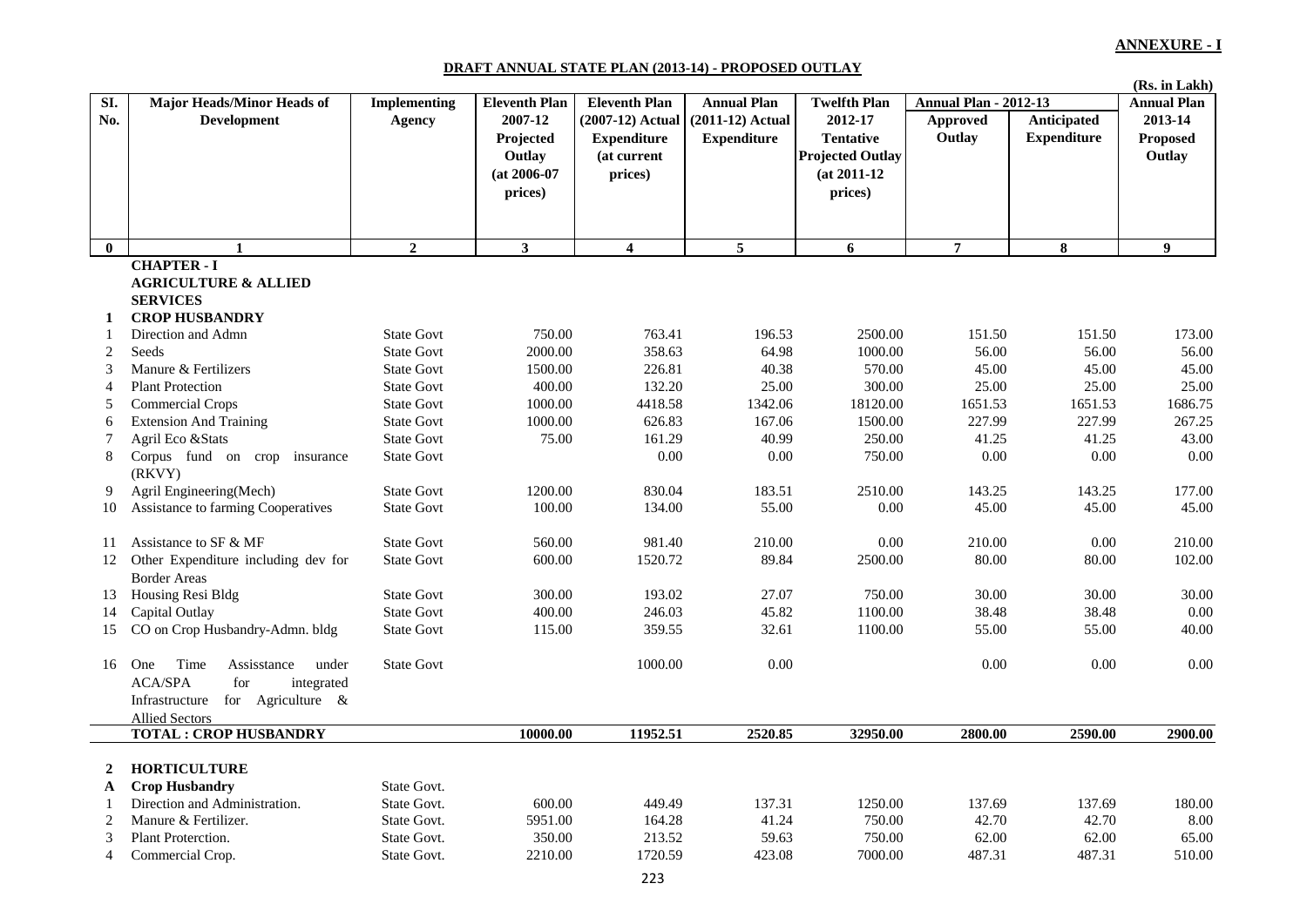#### **DRAFT ANNUAL STATE PLAN (2013-14) - PROPOSED OUTLAY**

|                          |                                        |                     |                      |                         |                    |                         |                              |                         | (Rs. in Lakh)      |
|--------------------------|----------------------------------------|---------------------|----------------------|-------------------------|--------------------|-------------------------|------------------------------|-------------------------|--------------------|
| SI.                      | Major Heads/Minor Heads of             | <b>Implementing</b> | <b>Eleventh Plan</b> | <b>Eleventh Plan</b>    | <b>Annual Plan</b> | <b>Twelfth Plan</b>     | <b>Annual Plan - 2012-13</b> |                         | <b>Annual Plan</b> |
| No.                      | <b>Development</b>                     | Agency              | 2007-12              | (2007-12) Actual        | $(2011-12)$ Actual | 2012-17                 | <b>Approved</b>              | <b>Anticipated</b>      | 2013-14            |
|                          |                                        |                     | Projected            | <b>Expenditure</b>      | <b>Expenditure</b> | <b>Tentative</b>        | Outlay                       | <b>Expenditure</b>      | <b>Proposed</b>    |
|                          |                                        |                     | Outlay               | (at current             |                    | <b>Projected Outlay</b> |                              |                         | Outlay             |
|                          |                                        |                     | $(at 2006-07)$       | prices)                 |                    | $(at 2011-12)$          |                              |                         |                    |
|                          |                                        |                     | prices)              |                         |                    | prices)                 |                              |                         |                    |
|                          |                                        |                     |                      |                         |                    |                         |                              |                         |                    |
|                          |                                        |                     |                      |                         |                    |                         |                              |                         |                    |
| $\mathbf{0}$             | 1                                      | $\overline{2}$      | 3 <sup>1</sup>       | $\overline{\mathbf{4}}$ | $\overline{5}$     | 6                       | $\overline{7}$               | $\overline{\mathbf{8}}$ | $\boldsymbol{9}$   |
|                          | <b>CHAPTER - I</b>                     |                     |                      |                         |                    |                         |                              |                         |                    |
|                          | <b>AGRICULTURE &amp; ALLIED</b>        |                     |                      |                         |                    |                         |                              |                         |                    |
|                          | <b>SERVICES</b>                        |                     |                      |                         |                    |                         |                              |                         |                    |
| 1                        | <b>CROP HUSBANDRY</b>                  |                     |                      |                         |                    |                         |                              |                         |                    |
| 1                        | Direction and Admn                     | <b>State Govt</b>   | 750.00               | 763.41                  | 196.53             | 2500.00                 | 151.50                       | 151.50                  | 173.00             |
| $\overline{c}$           | Seeds                                  | <b>State Govt</b>   | 2000.00              | 358.63                  | 64.98              | 1000.00                 | 56.00                        | 56.00                   | 56.00              |
| 3                        | Manure & Fertilizers                   | <b>State Govt</b>   | 1500.00              | 226.81                  | 40.38              | 570.00                  | 45.00                        | 45.00                   | 45.00              |
| $\overline{\mathcal{L}}$ | <b>Plant Protection</b>                | <b>State Govt</b>   | 400.00               | 132.20                  | 25.00              | 300.00                  | 25.00                        | 25.00                   | 25.00              |
| 5                        | <b>Commercial Crops</b>                | <b>State Govt</b>   | 1000.00              | 4418.58                 | 1342.06            | 18120.00                | 1651.53                      | 1651.53                 | 1686.75            |
| 6                        | <b>Extension And Training</b>          | <b>State Govt</b>   | 1000.00              | 626.83                  | 167.06             | 1500.00                 | 227.99                       | 227.99                  | 267.25             |
| 7                        | Agril Eco & Stats                      | <b>State Govt</b>   | 75.00                | 161.29                  | 40.99              | 250.00                  | 41.25                        | 41.25                   | 43.00              |
| 8                        | Corpus fund on crop<br>insurance       | <b>State Govt</b>   |                      | 0.00                    | 0.00               | 750.00                  | $0.00\,$                     | 0.00                    | 0.00               |
|                          | (RKVY)                                 |                     |                      |                         |                    |                         |                              |                         |                    |
| 9                        | Agril Engineering(Mech)                | <b>State Govt</b>   | 1200.00              | 830.04                  | 183.51             | 2510.00                 | 143.25                       | 143.25                  | 177.00             |
| 10                       | Assistance to farming Cooperatives     | <b>State Govt</b>   | 100.00               | 134.00                  | 55.00              | 0.00                    | 45.00                        | 45.00                   | 45.00              |
|                          |                                        |                     |                      |                         |                    |                         |                              |                         |                    |
| 11                       | Assistance to SF & MF                  | <b>State Govt</b>   | 560.00               | 981.40                  | 210.00             | 0.00                    | 210.00                       | 0.00                    | 210.00             |
| 12                       | Other Expenditure including dev for    | <b>State Govt</b>   | 600.00               | 1520.72                 | 89.84              | 2500.00                 | 80.00                        | 80.00                   | 102.00             |
|                          | <b>Border Areas</b>                    |                     |                      |                         |                    |                         |                              |                         |                    |
| 13                       | Housing Resi Bldg                      | <b>State Govt</b>   | 300.00               | 193.02                  | 27.07              | 750.00                  | 30.00                        | 30.00                   | 30.00              |
| 14                       | Capital Outlay                         | <b>State Govt</b>   | 400.00               | 246.03                  | 45.82              | 1100.00                 | 38.48                        | 38.48                   | 0.00               |
| 15                       | CO on Crop Husbandry-Admn. bldg        | <b>State Govt</b>   | 115.00               | 359.55                  | 32.61              | 1100.00                 | 55.00                        | 55.00                   | 40.00              |
| 16                       | Time<br>One<br>Assisstance<br>under    | <b>State Govt</b>   |                      | 1000.00                 | 0.00               |                         | 0.00                         | 0.00                    | 0.00               |
|                          | <b>ACA/SPA</b><br>for<br>integrated    |                     |                      |                         |                    |                         |                              |                         |                    |
|                          | for Agriculture $\&$<br>Infrastructure |                     |                      |                         |                    |                         |                              |                         |                    |
|                          | <b>Allied Sectors</b>                  |                     |                      |                         |                    |                         |                              |                         |                    |
|                          | <b>TOTAL: CROP HUSBANDRY</b>           |                     | 10000.00             | 11952.51                | 2520.85            | 32950.00                | 2800.00                      | 2590.00                 | 2900.00            |
|                          |                                        |                     |                      |                         |                    |                         |                              |                         |                    |
| 2                        | <b>HORTICULTURE</b>                    |                     |                      |                         |                    |                         |                              |                         |                    |
| A                        | <b>Crop Husbandry</b>                  | State Govt.         |                      |                         |                    |                         |                              |                         |                    |
| 1                        | Direction and Administration.          | State Govt.         | 600.00               | 449.49                  | 137.31             | 1250.00                 | 137.69                       | 137.69                  | 180.00             |
| 2                        | Manure & Fertilizer.                   | State Govt.         | 5951.00              | 164.28                  | 41.24              | 750.00                  | 42.70                        | 42.70                   | 8.00               |
| 3                        | Plant Proterction.                     | State Govt.         | 350.00               | 213.52                  | 59.63              | 750.00                  | 62.00                        | 62.00                   | 65.00              |
| 4                        | Commercial Crop.                       | State Govt.         | 2210.00              | 1720.59                 | 423.08             | 7000.00                 | 487.31                       | 487.31                  | 510.00             |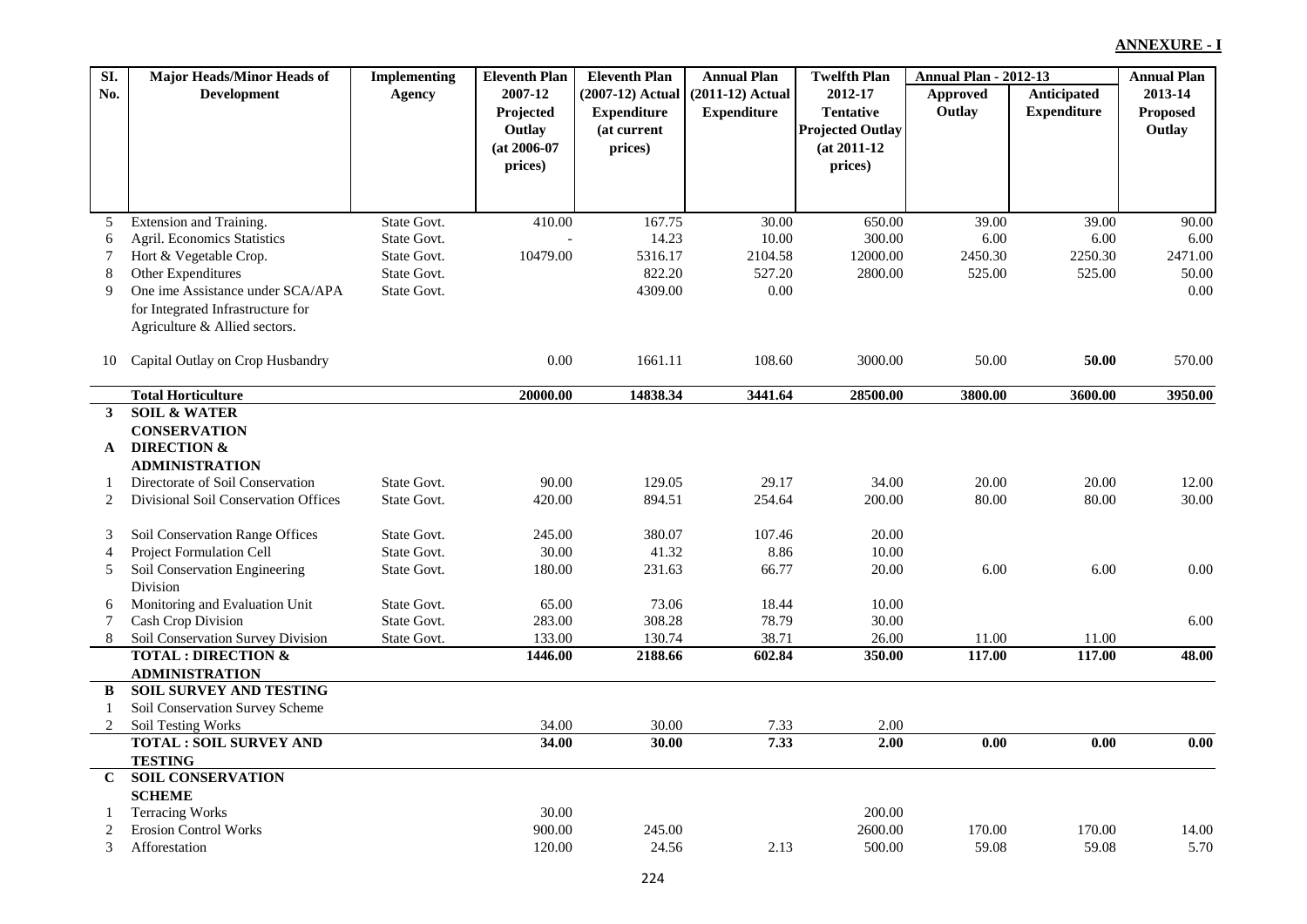| SI.            | <b>Major Heads/Minor Heads of</b>    | <b>Implementing</b> | <b>Eleventh Plan</b> | <b>Eleventh Plan</b> | <b>Annual Plan</b> | <b>Twelfth Plan</b>     | <b>Annual Plan - 2012-13</b> |                    | <b>Annual Plan</b> |
|----------------|--------------------------------------|---------------------|----------------------|----------------------|--------------------|-------------------------|------------------------------|--------------------|--------------------|
| No.            | <b>Development</b>                   | Agency              | 2007-12              | (2007-12) Actual     | (2011-12) Actual   | 2012-17                 | Approved                     | <b>Anticipated</b> | 2013-14            |
|                |                                      |                     | Projected            | <b>Expenditure</b>   | <b>Expenditure</b> | <b>Tentative</b>        | Outlay                       | <b>Expenditure</b> | <b>Proposed</b>    |
|                |                                      |                     | Outlay               | (at current          |                    | <b>Projected Outlay</b> |                              |                    | Outlay             |
|                |                                      |                     | $(at 2006-07)$       | prices)              |                    | $(at 2011-12)$          |                              |                    |                    |
|                |                                      |                     | prices)              |                      |                    | prices)                 |                              |                    |                    |
|                |                                      |                     |                      |                      |                    |                         |                              |                    |                    |
| 5              | Extension and Training.              | State Govt.         | 410.00               | 167.75               | 30.00              | 650.00                  | 39.00                        | 39.00              | 90.00              |
| 6              | Agril. Economics Statistics          | State Govt.         |                      | 14.23                | 10.00              | 300.00                  | 6.00                         | 6.00               | 6.00               |
| 7              | Hort & Vegetable Crop.               | State Govt.         | 10479.00             | 5316.17              | 2104.58            | 12000.00                | 2450.30                      | 2250.30            | 2471.00            |
| 8              | Other Expenditures                   | State Govt.         |                      | 822.20               | 527.20             | 2800.00                 | 525.00                       | 525.00             | 50.00              |
| 9              | One ime Assistance under SCA/APA     | State Govt.         |                      | 4309.00              | $0.00\,$           |                         |                              |                    | 0.00               |
|                | for Integrated Infrastructure for    |                     |                      |                      |                    |                         |                              |                    |                    |
|                | Agriculture & Allied sectors.        |                     |                      |                      |                    |                         |                              |                    |                    |
| 10             | Capital Outlay on Crop Husbandry     |                     | 0.00                 | 1661.11              | 108.60             | 3000.00                 | 50.00                        | 50.00              | 570.00             |
|                |                                      |                     |                      |                      |                    |                         |                              |                    |                    |
|                | <b>Total Horticulture</b>            |                     | 20000.00             | 14838.34             | 3441.64            | 28500.00                | 3800.00                      | 3600.00            | 3950.00            |
| $\mathbf{3}$   | <b>SOIL &amp; WATER</b>              |                     |                      |                      |                    |                         |                              |                    |                    |
|                | <b>CONSERVATION</b>                  |                     |                      |                      |                    |                         |                              |                    |                    |
| ${\bf A}$      | <b>DIRECTION &amp;</b>               |                     |                      |                      |                    |                         |                              |                    |                    |
|                | <b>ADMINISTRATION</b>                |                     |                      |                      |                    |                         |                              |                    |                    |
| 1              | Directorate of Soil Conservation     | State Govt.         | 90.00                | 129.05               | 29.17              | 34.00                   | 20.00                        | 20.00              | 12.00              |
| 2              | Divisional Soil Conservation Offices | State Govt.         | 420.00               | 894.51               | 254.64             | 200.00                  | 80.00                        | 80.00              | 30.00              |
| 3              | Soil Conservation Range Offices      | State Govt.         | 245.00               | 380.07               | 107.46             | 20.00                   |                              |                    |                    |
| $\overline{4}$ | Project Formulation Cell             | State Govt.         | 30.00                | 41.32                | 8.86               | 10.00                   |                              |                    |                    |
| 5              | Soil Conservation Engineering        | State Govt.         | 180.00               | 231.63               | 66.77              | 20.00                   | 6.00                         | 6.00               | 0.00               |
|                | Division                             |                     |                      |                      |                    |                         |                              |                    |                    |
| 6              | Monitoring and Evaluation Unit       | State Govt.         | 65.00                | 73.06                | 18.44              | 10.00                   |                              |                    |                    |
| $\tau$         | Cash Crop Division                   | State Govt.         | 283.00               | 308.28               | 78.79              | 30.00                   |                              |                    | 6.00               |
| 8              | Soil Conservation Survey Division    | State Govt.         | 133.00               | 130.74               | 38.71              | 26.00                   | 11.00                        | 11.00              |                    |
|                | <b>TOTAL: DIRECTION &amp;</b>        |                     | 1446.00              | 2188.66              | 602.84             | 350.00                  | 117.00                       | 117.00             | 48.00              |
|                | <b>ADMINISTRATION</b>                |                     |                      |                      |                    |                         |                              |                    |                    |
| B              | <b>SOIL SURVEY AND TESTING</b>       |                     |                      |                      |                    |                         |                              |                    |                    |
| -1             | Soil Conservation Survey Scheme      |                     |                      |                      |                    |                         |                              |                    |                    |
| 2              | Soil Testing Works                   |                     | 34.00                | 30.00                | 7.33               | 2.00                    |                              |                    |                    |
|                | <b>TOTAL: SOIL SURVEY AND</b>        |                     | 34.00                | 30.00                | 7.33               | 2.00                    | 0.00                         | 0.00               | $\overline{0.00}$  |
|                | <b>TESTING</b>                       |                     |                      |                      |                    |                         |                              |                    |                    |
| $\mathbf{C}$   | <b>SOIL CONSERVATION</b>             |                     |                      |                      |                    |                         |                              |                    |                    |
|                | <b>SCHEME</b>                        |                     |                      |                      |                    |                         |                              |                    |                    |
|                | <b>Terracing Works</b>               |                     | 30.00                |                      |                    | 200.00                  |                              |                    |                    |
| $\overline{2}$ | <b>Erosion Control Works</b>         |                     | 900.00               | 245.00               |                    | 2600.00                 | 170.00                       | 170.00             | 14.00              |
| $\mathfrak{Z}$ | Afforestation                        |                     | 120.00               | 24.56                | 2.13               | 500.00                  | 59.08                        | 59.08              | 5.70               |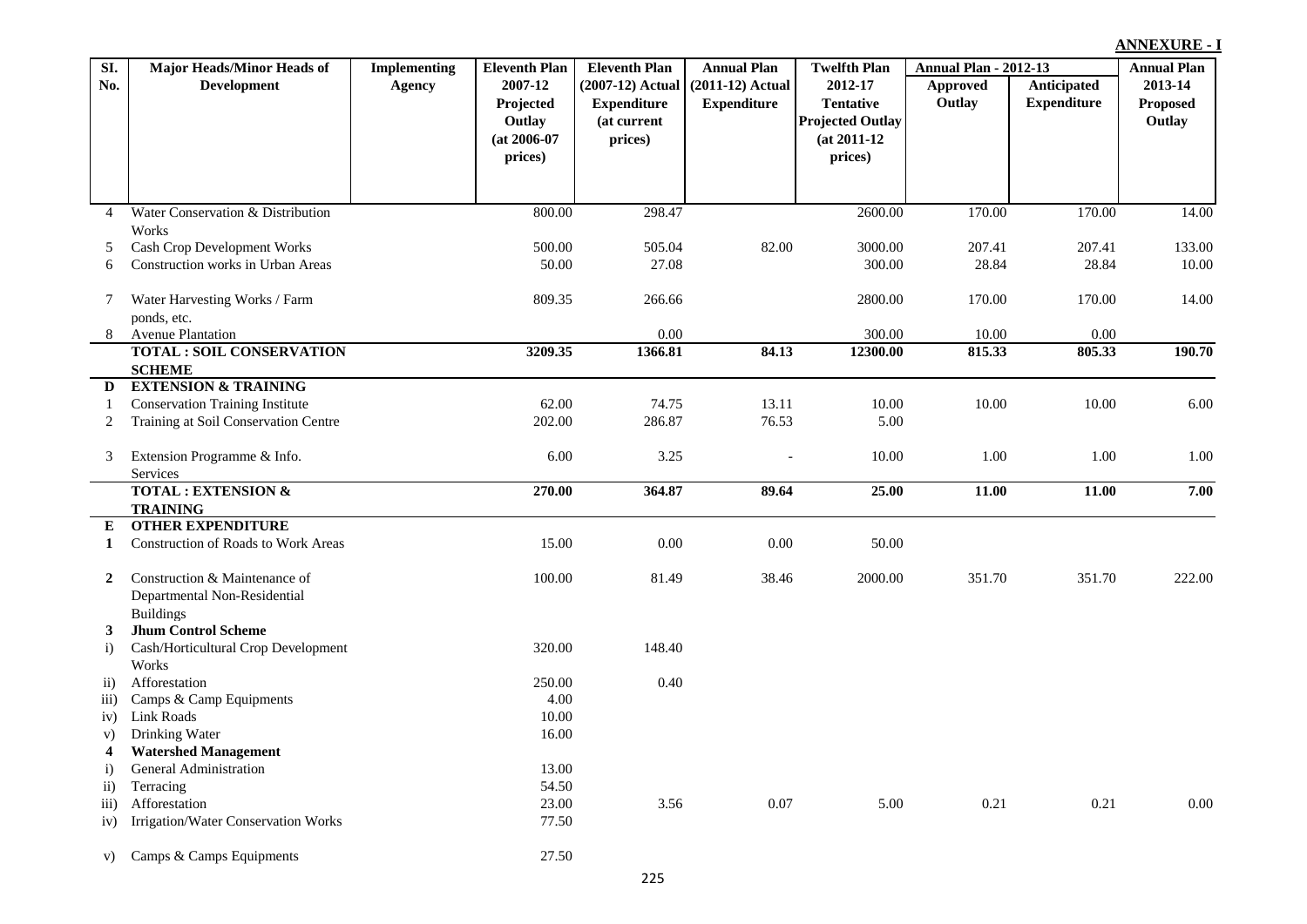| SI.                           | <b>Major Heads/Minor Heads of</b>           | <b>Implementing</b> | <b>Eleventh Plan</b> | <b>Eleventh Plan</b> | <b>Annual Plan</b> | <b>Twelfth Plan</b>     | <b>Annual Plan - 2012-13</b> |                    | <b>Annual Plan</b> |
|-------------------------------|---------------------------------------------|---------------------|----------------------|----------------------|--------------------|-------------------------|------------------------------|--------------------|--------------------|
| No.                           | <b>Development</b>                          | <b>Agency</b>       | 2007-12              | (2007-12) Actual     | (2011-12) Actual   | 2012-17                 | Approved                     | Anticipated        | 2013-14            |
|                               |                                             |                     | Projected            | <b>Expenditure</b>   | <b>Expenditure</b> | <b>Tentative</b>        | Outlay                       | <b>Expenditure</b> | <b>Proposed</b>    |
|                               |                                             |                     | Outlay               | (at current          |                    | <b>Projected Outlay</b> |                              |                    | Outlay             |
|                               |                                             |                     | $(at 2006-07)$       | prices)              |                    | $(at 2011-12)$          |                              |                    |                    |
|                               |                                             |                     | prices)              |                      |                    | prices)                 |                              |                    |                    |
|                               |                                             |                     |                      |                      |                    |                         |                              |                    |                    |
|                               |                                             |                     |                      |                      |                    |                         |                              |                    |                    |
| $\overline{4}$                | Water Conservation & Distribution           |                     | 800.00               | 298.47               |                    | 2600.00                 | 170.00                       | 170.00             | 14.00              |
|                               | Works<br><b>Cash Crop Development Works</b> |                     | 500.00               | 505.04               | 82.00              | 3000.00                 | 207.41                       | 207.41             | 133.00             |
| 5<br>6                        | Construction works in Urban Areas           |                     | 50.00                | 27.08                |                    | 300.00                  | 28.84                        | 28.84              | 10.00              |
|                               |                                             |                     |                      |                      |                    |                         |                              |                    |                    |
| 7                             | Water Harvesting Works / Farm               |                     | 809.35               | 266.66               |                    | 2800.00                 | 170.00                       | 170.00             | 14.00              |
|                               | ponds, etc.                                 |                     |                      |                      |                    |                         |                              |                    |                    |
| 8                             | <b>Avenue Plantation</b>                    |                     |                      | 0.00                 |                    | 300.00                  | 10.00                        | 0.00               |                    |
|                               | <b>TOTAL: SOIL CONSERVATION</b>             |                     | 3209.35              | 1366.81              | 84.13              | 12300.00                | 815.33                       | 805.33             | 190.70             |
|                               | <b>SCHEME</b>                               |                     |                      |                      |                    |                         |                              |                    |                    |
| D                             | <b>EXTENSION &amp; TRAINING</b>             |                     |                      |                      |                    |                         |                              |                    |                    |
| -1                            | <b>Conservation Training Institute</b>      |                     | 62.00                | 74.75                | 13.11              | 10.00                   | 10.00                        | 10.00              | 6.00               |
| 2                             | Training at Soil Conservation Centre        |                     | 202.00               | 286.87               | 76.53              | 5.00                    |                              |                    |                    |
| 3                             | Extension Programme & Info.                 |                     | 6.00                 | 3.25                 |                    | 10.00                   | 1.00                         | 1.00               | 1.00               |
|                               | Services                                    |                     |                      |                      |                    |                         |                              |                    |                    |
|                               | <b>TOTAL: EXTENSION &amp;</b>               |                     | 270.00               | 364.87               | 89.64              | 25.00                   | 11.00                        | 11.00              | 7.00               |
|                               | <b>TRAINING</b>                             |                     |                      |                      |                    |                         |                              |                    |                    |
| Е                             | <b>OTHER EXPENDITURE</b>                    |                     |                      |                      |                    |                         |                              |                    |                    |
| 1                             | <b>Construction of Roads to Work Areas</b>  |                     | 15.00                | 0.00                 | 0.00               | 50.00                   |                              |                    |                    |
| $\overline{2}$                | Construction & Maintenance of               |                     | 100.00               | 81.49                | 38.46              | 2000.00                 | 351.70                       | 351.70             | 222.00             |
|                               | Departmental Non-Residential                |                     |                      |                      |                    |                         |                              |                    |                    |
|                               | <b>Buildings</b>                            |                     |                      |                      |                    |                         |                              |                    |                    |
| 3                             | <b>Jhum Control Scheme</b>                  |                     |                      |                      |                    |                         |                              |                    |                    |
| $\ddot{i}$                    | Cash/Horticultural Crop Development         |                     | 320.00               | 148.40               |                    |                         |                              |                    |                    |
|                               | Works<br>Afforestation                      |                     | 250.00               | 0.40                 |                    |                         |                              |                    |                    |
| $\rm ii)$<br>$\overline{iii}$ | Camps & Camp Equipments                     |                     | 4.00                 |                      |                    |                         |                              |                    |                    |
| iv)                           | Link Roads                                  |                     | 10.00                |                      |                    |                         |                              |                    |                    |
| V)                            | Drinking Water                              |                     | 16.00                |                      |                    |                         |                              |                    |                    |
| $\overline{\mathbf{4}}$       | <b>Watershed Management</b>                 |                     |                      |                      |                    |                         |                              |                    |                    |
| $\ddot{i}$                    | <b>General Administration</b>               |                     | 13.00                |                      |                    |                         |                              |                    |                    |
| $\ddot{\text{ii}})$           | Terracing                                   |                     | 54.50                |                      |                    |                         |                              |                    |                    |
| $\overline{111}$ )            | Afforestation                               |                     | 23.00                | 3.56                 | 0.07               | 5.00                    | 0.21                         | 0.21               | 0.00               |
| iv)                           | Irrigation/Water Conservation Works         |                     | 77.50                |                      |                    |                         |                              |                    |                    |
|                               |                                             |                     |                      |                      |                    |                         |                              |                    |                    |
| V)                            | Camps & Camps Equipments                    |                     | 27.50                |                      |                    |                         |                              |                    |                    |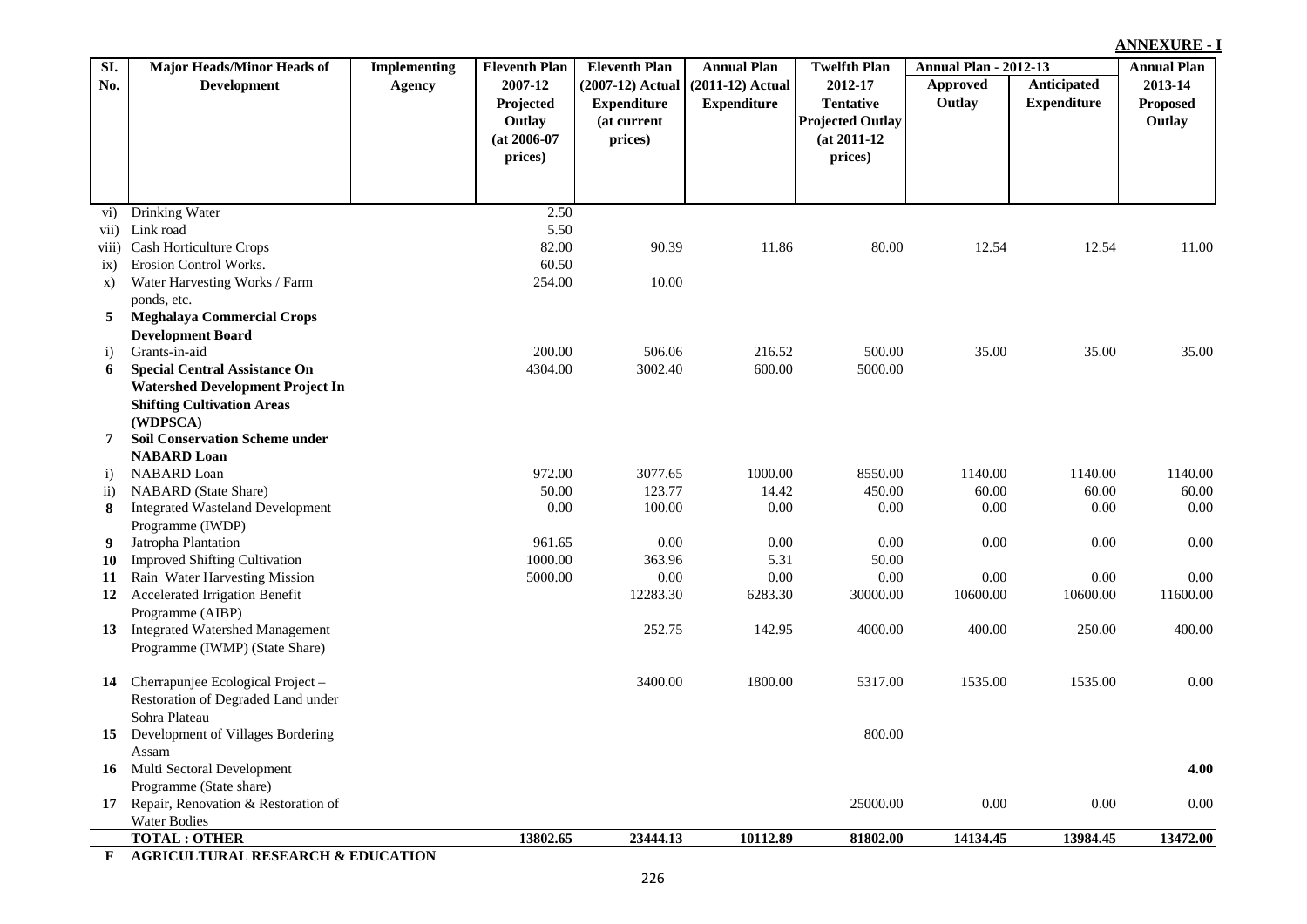| SI.            | <b>Major Heads/Minor Heads of</b>                 | <b>Implementing</b> | <b>Eleventh Plan</b> | <b>Eleventh Plan</b> | <b>Annual Plan</b> | <b>Twelfth Plan</b>     | <b>Annual Plan - 2012-13</b> |                    | <b>Annual Plan</b> |
|----------------|---------------------------------------------------|---------------------|----------------------|----------------------|--------------------|-------------------------|------------------------------|--------------------|--------------------|
| No.            | <b>Development</b>                                | <b>Agency</b>       | 2007-12              | $(2007-12)$ Actual   | $(2011-12)$ Actual | 2012-17                 | Approved                     | Anticipated        | 2013-14            |
|                |                                                   |                     | Projected            | <b>Expenditure</b>   | <b>Expenditure</b> | <b>Tentative</b>        | Outlay                       | <b>Expenditure</b> | <b>Proposed</b>    |
|                |                                                   |                     | Outlay               | (at current          |                    | <b>Projected Outlay</b> |                              |                    | Outlay             |
|                |                                                   |                     | $(at 2006-07)$       | prices)              |                    | $(at 2011-12)$          |                              |                    |                    |
|                |                                                   |                     | prices)              |                      |                    | prices)                 |                              |                    |                    |
|                |                                                   |                     |                      |                      |                    |                         |                              |                    |                    |
|                |                                                   |                     |                      |                      |                    |                         |                              |                    |                    |
| $\mathbf{vi})$ | Drinking Water                                    |                     | 2.50                 |                      |                    |                         |                              |                    |                    |
| vii)           | Link road                                         |                     | 5.50                 |                      |                    |                         |                              |                    |                    |
| viii)          | Cash Horticulture Crops<br>Erosion Control Works. |                     | 82.00                | 90.39                | 11.86              | 80.00                   | 12.54                        | 12.54              | 11.00              |
| ix)            |                                                   |                     | 60.50<br>254.00      | 10.00                |                    |                         |                              |                    |                    |
| $\mathbf{x})$  | Water Harvesting Works / Farm                     |                     |                      |                      |                    |                         |                              |                    |                    |
| 5              | ponds, etc.<br><b>Meghalaya Commercial Crops</b>  |                     |                      |                      |                    |                         |                              |                    |                    |
|                | <b>Development Board</b>                          |                     |                      |                      |                    |                         |                              |                    |                    |
| $\mathbf{i}$   | Grants-in-aid                                     |                     | 200.00               | 506.06               | 216.52             | 500.00                  | 35.00                        | 35.00              | 35.00              |
| 6              | <b>Special Central Assistance On</b>              |                     | 4304.00              | 3002.40              | 600.00             | 5000.00                 |                              |                    |                    |
|                | <b>Watershed Development Project In</b>           |                     |                      |                      |                    |                         |                              |                    |                    |
|                | <b>Shifting Cultivation Areas</b>                 |                     |                      |                      |                    |                         |                              |                    |                    |
|                | (WDPSCA)                                          |                     |                      |                      |                    |                         |                              |                    |                    |
| 7              | <b>Soil Conservation Scheme under</b>             |                     |                      |                      |                    |                         |                              |                    |                    |
|                | <b>NABARD</b> Loan                                |                     |                      |                      |                    |                         |                              |                    |                    |
| $\ddot{1}$     | NABARD Loan                                       |                     | 972.00               | 3077.65              | 1000.00            | 8550.00                 | 1140.00                      | 1140.00            | 1140.00            |
| $\rm ii)$      | <b>NABARD</b> (State Share)                       |                     | 50.00                | 123.77               | 14.42              | 450.00                  | 60.00                        | 60.00              | 60.00              |
| 8              | <b>Integrated Wasteland Development</b>           |                     | 0.00                 | 100.00               | 0.00               | 0.00                    | 0.00                         | 0.00               | 0.00               |
|                | Programme (IWDP)                                  |                     |                      |                      |                    |                         |                              |                    |                    |
| 9              | Jatropha Plantation                               |                     | 961.65               | 0.00                 | 0.00               | 0.00                    | 0.00                         | 0.00               | 0.00               |
| 10             | <b>Improved Shifting Cultivation</b>              |                     | 1000.00              | 363.96               | 5.31               | 50.00                   |                              |                    |                    |
| 11             | Rain Water Harvesting Mission                     |                     | 5000.00              | 0.00                 | 0.00               | 0.00                    | $0.00\,$                     | 0.00               | 0.00               |
| 12             | Accelerated Irrigation Benefit                    |                     |                      | 12283.30             | 6283.30            | 30000.00                | 10600.00                     | 10600.00           | 11600.00           |
|                | Programme (AIBP)                                  |                     |                      |                      |                    |                         |                              |                    |                    |
| 13             | <b>Integrated Watershed Management</b>            |                     |                      | 252.75               | 142.95             | 4000.00                 | 400.00                       | 250.00             | 400.00             |
|                | Programme (IWMP) (State Share)                    |                     |                      |                      |                    |                         |                              |                    |                    |
| 14             | Cherrapunjee Ecological Project -                 |                     |                      | 3400.00              | 1800.00            | 5317.00                 | 1535.00                      | 1535.00            | 0.00               |
|                | Restoration of Degraded Land under                |                     |                      |                      |                    |                         |                              |                    |                    |
|                | Sohra Plateau                                     |                     |                      |                      |                    |                         |                              |                    |                    |
| 15             | Development of Villages Bordering                 |                     |                      |                      |                    | 800.00                  |                              |                    |                    |
|                | Assam                                             |                     |                      |                      |                    |                         |                              |                    |                    |
| 16             | Multi Sectoral Development                        |                     |                      |                      |                    |                         |                              |                    | 4.00               |
|                | Programme (State share)                           |                     |                      |                      |                    |                         |                              |                    |                    |
|                | 17 Repair, Renovation & Restoration of            |                     |                      |                      |                    | 25000.00                | 0.00                         | 0.00               | 0.00               |
|                | <b>Water Bodies</b>                               |                     |                      |                      |                    |                         |                              |                    |                    |
|                | <b>TOTAL: OTHER</b>                               |                     | 13802.65             | 23444.13             | 10112.89           | 81802.00                | 14134.45                     | 13984.45           | 13472.00           |
| $\mathbf{F}$   | <b>AGRICULTURAL RESEARCH &amp; EDUCATION</b>      |                     |                      |                      |                    |                         |                              |                    |                    |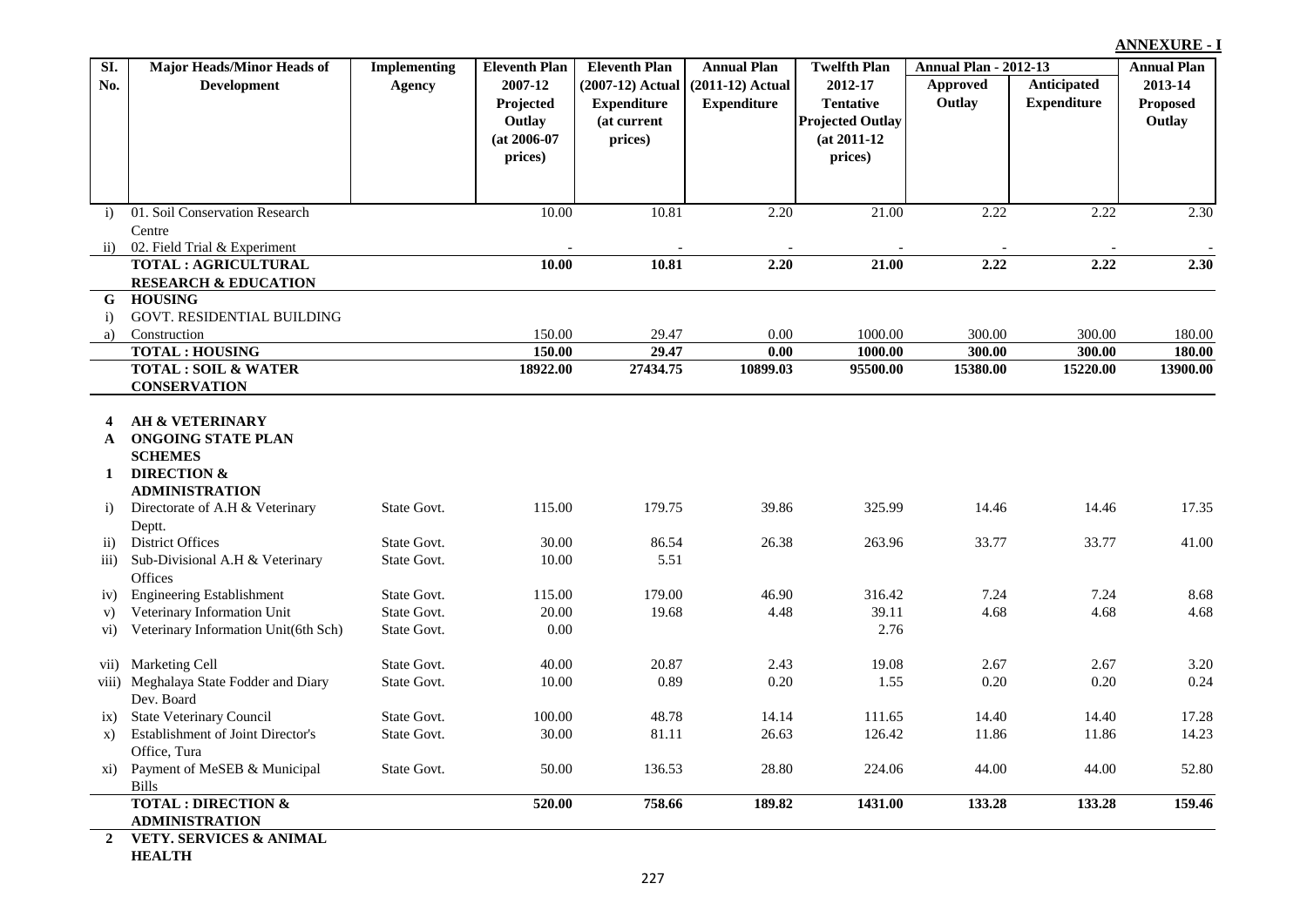| SI.                  | <b>Major Heads/Minor Heads of</b>             | <b>Implementing</b> | <b>Eleventh Plan</b> | <b>Eleventh Plan</b> | <b>Annual Plan</b> | <b>Twelfth Plan</b>     | <b>Annual Plan - 2012-13</b> |                    | <b>Annual Plan</b> |
|----------------------|-----------------------------------------------|---------------------|----------------------|----------------------|--------------------|-------------------------|------------------------------|--------------------|--------------------|
| No.                  | <b>Development</b>                            | <b>Agency</b>       | 2007-12              | (2007-12) Actual     | (2011-12) Actual   | 2012-17                 | Approved                     | <b>Anticipated</b> | 2013-14            |
|                      |                                               |                     | Projected            | <b>Expenditure</b>   | <b>Expenditure</b> | <b>Tentative</b>        | Outlay                       | <b>Expenditure</b> | <b>Proposed</b>    |
|                      |                                               |                     | Outlay               | (at current          |                    | <b>Projected Outlay</b> |                              |                    | Outlay             |
|                      |                                               |                     | $(at 2006-07)$       | prices)              |                    | $(at 2011-12)$          |                              |                    |                    |
|                      |                                               |                     | prices)              |                      |                    | prices)                 |                              |                    |                    |
|                      |                                               |                     |                      |                      |                    |                         |                              |                    |                    |
|                      |                                               |                     |                      |                      |                    |                         |                              |                    |                    |
| $\ddot{1}$           | 01. Soil Conservation Research                |                     | 10.00                | 10.81                | 2.20               | 21.00                   | 2.22                         | 2.22               | 2.30               |
|                      | Centre                                        |                     |                      |                      |                    |                         |                              |                    |                    |
| $\mathbf{ii}$        | 02. Field Trial & Experiment                  |                     |                      |                      |                    |                         |                              |                    |                    |
|                      | TOTAL : AGRICULTURAL                          |                     | 10.00                | 10.81                | 2.20               | 21.00                   | 2.22                         | 2.22               | 2.30               |
|                      | <b>RESEARCH &amp; EDUCATION</b>               |                     |                      |                      |                    |                         |                              |                    |                    |
| G                    | <b>HOUSING</b>                                |                     |                      |                      |                    |                         |                              |                    |                    |
| $\ddot{i}$           | GOVT. RESIDENTIAL BUILDING                    |                     |                      |                      |                    |                         |                              |                    |                    |
| a)                   | Construction                                  |                     | 150.00               | 29.47                | 0.00               | 1000.00                 | 300.00                       | 300.00             | 180.00             |
|                      | <b>TOTAL: HOUSING</b>                         |                     | 150.00               | 29.47                | 0.00               | 1000.00                 | 300.00                       | 300.00             | 180.00             |
|                      | <b>TOTAL: SOIL &amp; WATER</b>                |                     | 18922.00             | 27434.75             | 10899.03           | 95500.00                | 15380.00                     | 15220.00           | 13900.00           |
|                      | <b>CONSERVATION</b>                           |                     |                      |                      |                    |                         |                              |                    |                    |
| 4                    | <b>AH &amp; VETERINARY</b>                    |                     |                      |                      |                    |                         |                              |                    |                    |
| A                    | <b>ONGOING STATE PLAN</b>                     |                     |                      |                      |                    |                         |                              |                    |                    |
|                      | <b>SCHEMES</b>                                |                     |                      |                      |                    |                         |                              |                    |                    |
| 1                    | <b>DIRECTION &amp;</b>                        |                     |                      |                      |                    |                         |                              |                    |                    |
|                      | <b>ADMINISTRATION</b>                         |                     |                      |                      |                    |                         |                              |                    |                    |
| i)                   | Directorate of A.H & Veterinary               | State Govt.         | 115.00               | 179.75               | 39.86              | 325.99                  | 14.46                        | 14.46              | 17.35              |
|                      | Deptt.                                        |                     |                      |                      |                    |                         |                              |                    |                    |
| $\overline{11}$      | <b>District Offices</b>                       | State Govt.         | 30.00                | 86.54                | 26.38              | 263.96                  | 33.77                        | 33.77              | 41.00              |
| $\overline{iii}$ )   | Sub-Divisional A.H & Veterinary               | State Govt.         | 10.00                | 5.51                 |                    |                         |                              |                    |                    |
|                      | Offices                                       |                     |                      |                      |                    |                         |                              |                    |                    |
| iv)                  | <b>Engineering Establishment</b>              | State Govt.         | 115.00               | 179.00               | 46.90              | 316.42                  | 7.24                         | 7.24               | 8.68               |
| V)                   | Veterinary Information Unit                   | State Govt.         | 20.00                | 19.68                | 4.48               | 39.11                   | 4.68                         | 4.68               | 4.68               |
| $\rm vi)$            | Veterinary Information Unit(6th Sch)          | State Govt.         | 0.00                 |                      |                    | 2.76                    |                              |                    |                    |
|                      |                                               |                     |                      |                      |                    |                         |                              |                    |                    |
| vii)                 | Marketing Cell                                | State Govt.         | 40.00                | 20.87                | 2.43               | 19.08                   | 2.67                         | 2.67               | 3.20               |
|                      | viii) Meghalaya State Fodder and Diary        | State Govt.         | 10.00                | 0.89                 | 0.20               | 1.55                    | 0.20                         | 0.20               | 0.24               |
|                      | Dev. Board<br><b>State Veterinary Council</b> | State Govt.         | 100.00               | 48.78                | 14.14              | 111.65                  | 14.40                        | 14.40              | 17.28              |
| ix)<br>$\mathbf{x})$ | Establishment of Joint Director's             | State Govt.         | 30.00                | 81.11                | 26.63              | 126.42                  | 11.86                        | 11.86              | 14.23              |
|                      | Office, Tura                                  |                     |                      |                      |                    |                         |                              |                    |                    |
| xi)                  | Payment of MeSEB & Municipal                  | State Govt.         | 50.00                | 136.53               | 28.80              | 224.06                  | 44.00                        | 44.00              | 52.80              |
|                      | <b>Bills</b>                                  |                     |                      |                      |                    |                         |                              |                    |                    |
|                      | <b>TOTAL: DIRECTION &amp;</b>                 |                     | 520.00               | 758.66               | 189.82             | 1431.00                 | 133.28                       | 133.28             | 159.46             |
|                      | <b>ADMINISTRATION</b>                         |                     |                      |                      |                    |                         |                              |                    |                    |
| $\overline{2}$       | <b>VETY. SERVICES &amp; ANIMAL</b>            |                     |                      |                      |                    |                         |                              |                    |                    |

**HEALTH**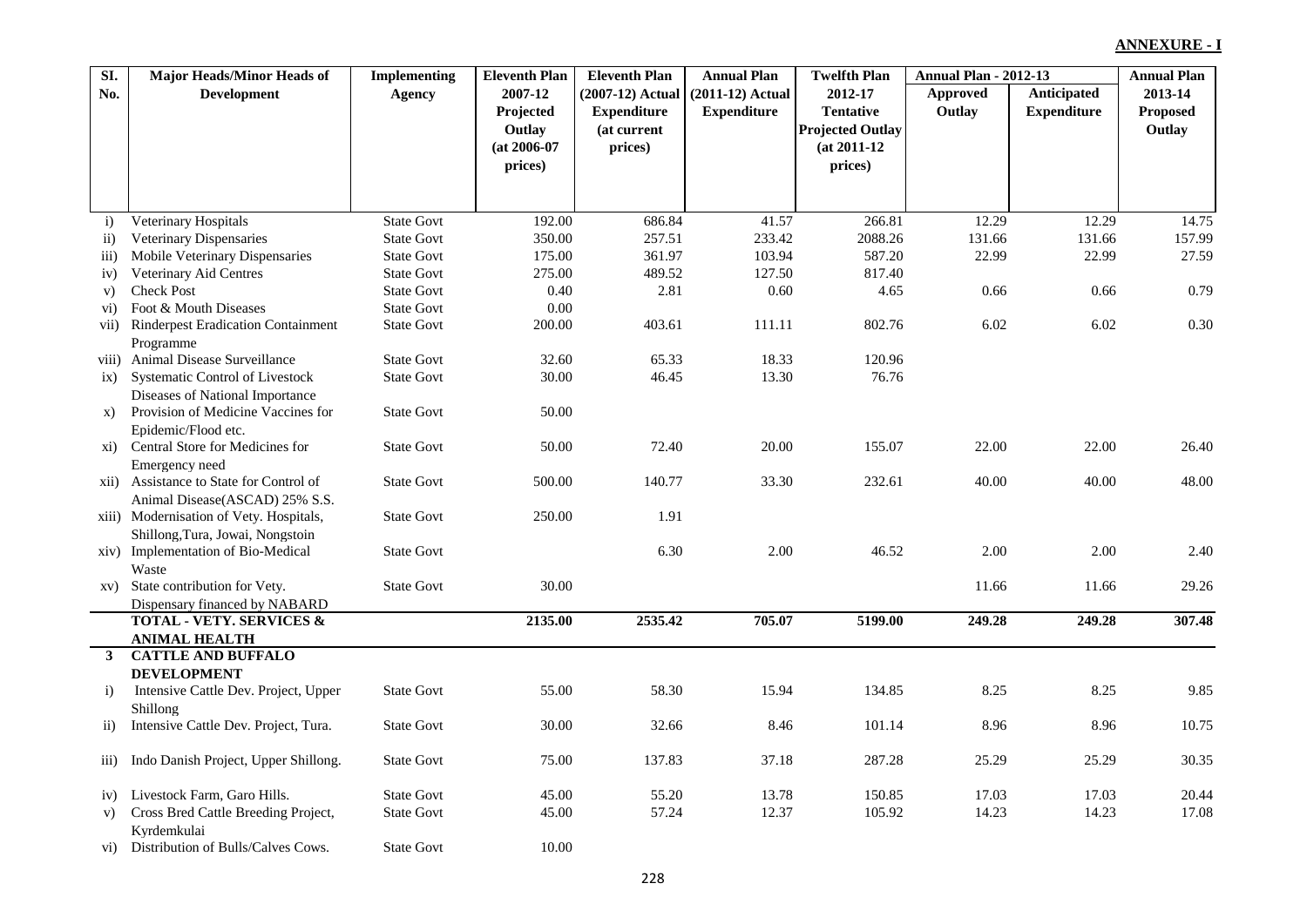| $\overline{SI}$ .  | <b>Major Heads/Minor Heads of</b>         | <b>Implementing</b> | <b>Eleventh Plan</b> | <b>Eleventh Plan</b> | <b>Annual Plan</b> | <b>Twelfth Plan</b>     | <b>Annual Plan - 2012-13</b> |                    | <b>Annual Plan</b> |
|--------------------|-------------------------------------------|---------------------|----------------------|----------------------|--------------------|-------------------------|------------------------------|--------------------|--------------------|
| No.                | <b>Development</b>                        | <b>Agency</b>       | 2007-12              | (2007-12) Actual     | $(2011-12)$ Actual | 2012-17                 | Approved                     | <b>Anticipated</b> | 2013-14            |
|                    |                                           |                     | Projected            | <b>Expenditure</b>   | <b>Expenditure</b> | <b>Tentative</b>        | Outlay                       | <b>Expenditure</b> | <b>Proposed</b>    |
|                    |                                           |                     | Outlay               | (at current          |                    | <b>Projected Outlay</b> |                              |                    | Outlay             |
|                    |                                           |                     | $(at 2006-07)$       | prices)              |                    | $(at 2011-12)$          |                              |                    |                    |
|                    |                                           |                     | prices)              |                      |                    | prices)                 |                              |                    |                    |
|                    |                                           |                     |                      |                      |                    |                         |                              |                    |                    |
|                    |                                           |                     |                      |                      |                    |                         |                              |                    |                    |
| $\mathbf{i}$       | Veterinary Hospitals                      | <b>State Govt</b>   | 192.00               | 686.84               | 41.57              | 266.81                  | 12.29                        | 12.29              | 14.75              |
| $\mathbf{ii}$      | <b>Veterinary Dispensaries</b>            | <b>State Govt</b>   | 350.00               | 257.51               | 233.42             | 2088.26                 | 131.66                       | 131.66             | 157.99             |
| $\overline{iii}$   | Mobile Veterinary Dispensaries            | <b>State Govt</b>   | 175.00               | 361.97               | 103.94             | 587.20                  | 22.99                        | 22.99              | 27.59              |
| iv)                | Veterinary Aid Centres                    | <b>State Govt</b>   | 275.00               | 489.52               | 127.50             | 817.40                  |                              |                    |                    |
| V)                 | <b>Check Post</b>                         | <b>State Govt</b>   | 0.40                 | 2.81                 | 0.60               | 4.65                    | 0.66                         | 0.66               | 0.79               |
| $\rm vi)$          | Foot & Mouth Diseases                     | <b>State Govt</b>   | 0.00                 |                      |                    |                         |                              |                    |                    |
| vii)               | <b>Rinderpest Eradication Containment</b> | <b>State Govt</b>   | 200.00               | 403.61               | 111.11             | 802.76                  | 6.02                         | 6.02               | 0.30               |
|                    | Programme                                 |                     |                      |                      |                    |                         |                              |                    |                    |
| viii)              | Animal Disease Surveillance               | <b>State Govt</b>   | 32.60                | 65.33                | 18.33              | 120.96                  |                              |                    |                    |
| ix)                | Systematic Control of Livestock           | <b>State Govt</b>   | 30.00                | 46.45                | 13.30              | 76.76                   |                              |                    |                    |
|                    | Diseases of National Importance           |                     |                      |                      |                    |                         |                              |                    |                    |
| X)                 | Provision of Medicine Vaccines for        | <b>State Govt</b>   | 50.00                |                      |                    |                         |                              |                    |                    |
|                    | Epidemic/Flood etc.                       |                     |                      |                      |                    |                         |                              |                    |                    |
| xi)                | Central Store for Medicines for           | <b>State Govt</b>   | 50.00                | 72.40                | 20.00              | 155.07                  | 22.00                        | 22.00              | 26.40              |
|                    | Emergency need                            |                     |                      |                      |                    |                         |                              |                    |                    |
| xii)               | Assistance to State for Control of        | <b>State Govt</b>   | 500.00               | 140.77               | 33.30              | 232.61                  | 40.00                        | 40.00              | 48.00              |
|                    | Animal Disease(ASCAD) 25% S.S.            |                     |                      |                      |                    |                         |                              |                    |                    |
|                    | xiii) Modernisation of Vety. Hospitals,   | <b>State Govt</b>   | 250.00               | 1.91                 |                    |                         |                              |                    |                    |
|                    | Shillong, Tura, Jowai, Nongstoin          |                     |                      |                      |                    |                         |                              |                    |                    |
| xiv)               | Implementation of Bio-Medical             | <b>State Govt</b>   |                      | 6.30                 | 2.00               | 46.52                   | 2.00                         | 2.00               | 2.40               |
|                    | Waste                                     |                     |                      |                      |                    |                         |                              |                    |                    |
|                    | xv) State contribution for Vety.          | <b>State Govt</b>   | 30.00                |                      |                    |                         | 11.66                        | 11.66              | 29.26              |
|                    | Dispensary financed by NABARD             |                     |                      |                      |                    |                         |                              |                    |                    |
|                    | <b>TOTAL - VETY. SERVICES &amp;</b>       |                     | 2135.00              | 2535.42              | 705.07             | 5199.00                 | 249.28                       | 249.28             | 307.48             |
|                    | <b>ANIMAL HEALTH</b>                      |                     |                      |                      |                    |                         |                              |                    |                    |
| $3^{\circ}$        | <b>CATTLE AND BUFFALO</b>                 |                     |                      |                      |                    |                         |                              |                    |                    |
|                    | <b>DEVELOPMENT</b>                        |                     |                      |                      |                    |                         |                              |                    |                    |
| $\ddot{i}$         | Intensive Cattle Dev. Project, Upper      | <b>State Govt</b>   | 55.00                | 58.30                | 15.94              | 134.85                  | 8.25                         | 8.25               | 9.85               |
|                    | Shillong                                  |                     |                      |                      |                    |                         |                              |                    |                    |
| $\rm ii)$          | Intensive Cattle Dev. Project, Tura.      | <b>State Govt</b>   | 30.00                | 32.66                | 8.46               | 101.14                  | 8.96                         | 8.96               | 10.75              |
|                    |                                           |                     |                      |                      |                    |                         |                              |                    |                    |
| $\overline{111}$ ) | Indo Danish Project, Upper Shillong.      | <b>State Govt</b>   | 75.00                | 137.83               | 37.18              | 287.28                  | 25.29                        | 25.29              | 30.35              |
|                    |                                           |                     |                      |                      |                    |                         |                              |                    |                    |
| iv)                | Livestock Farm, Garo Hills.               | <b>State Govt</b>   | 45.00                | 55.20                | 13.78              | 150.85                  | 17.03                        | 17.03              | 20.44              |
| V)                 | Cross Bred Cattle Breeding Project,       | <b>State Govt</b>   | 45.00                | 57.24                | 12.37              | 105.92                  | 14.23                        | 14.23              | 17.08              |
|                    | Kyrdemkulai                               |                     |                      |                      |                    |                         |                              |                    |                    |
|                    | vi) Distribution of Bulls/Calves Cows.    | <b>State Govt</b>   | 10.00                |                      |                    |                         |                              |                    |                    |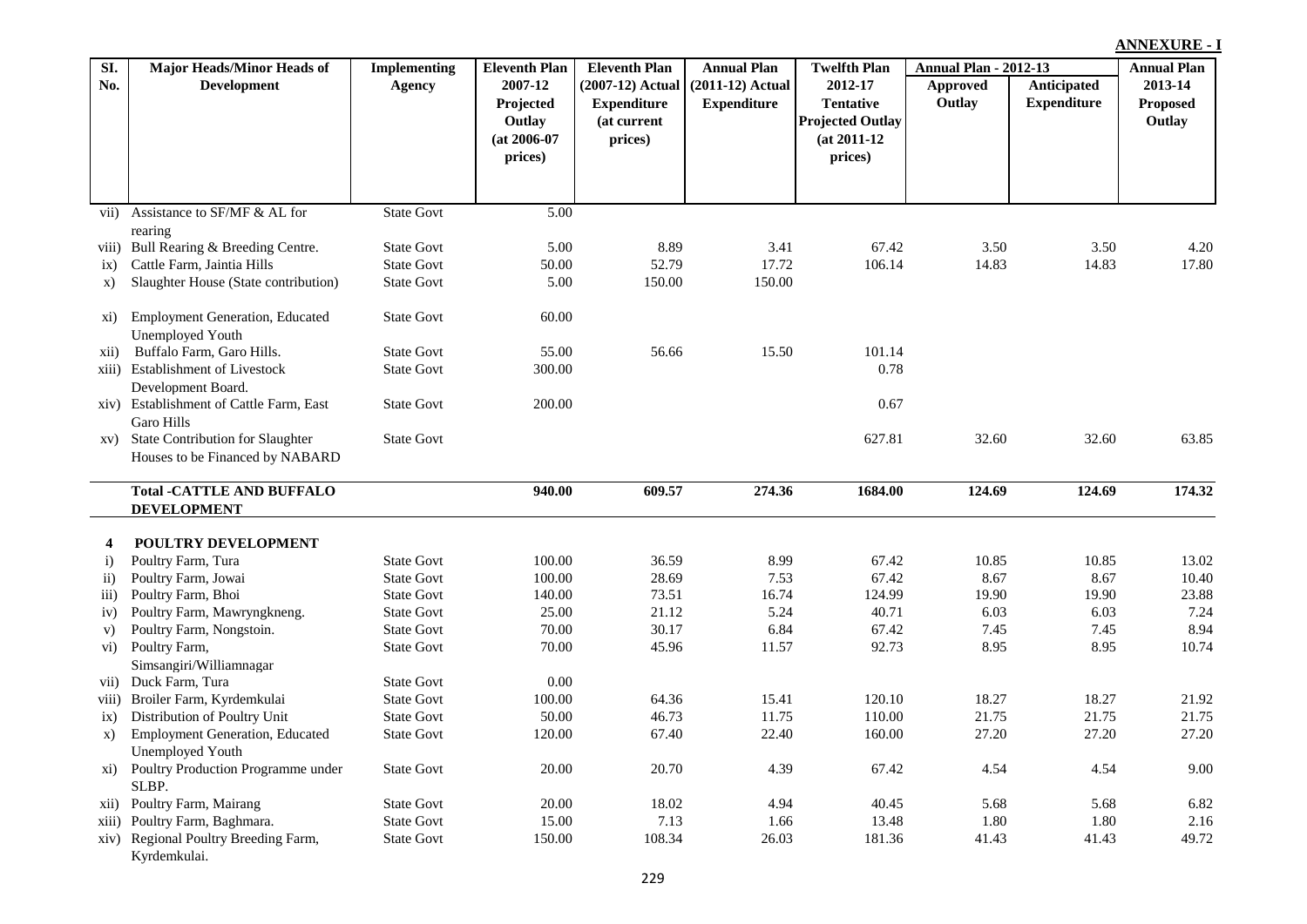|                    |                                                            |                     |                      |                      |                    |                         |                              |                    | <b>ANNEXURE - I</b> |  |
|--------------------|------------------------------------------------------------|---------------------|----------------------|----------------------|--------------------|-------------------------|------------------------------|--------------------|---------------------|--|
| SI.                | Major Heads/Minor Heads of                                 | <b>Implementing</b> | <b>Eleventh Plan</b> | <b>Eleventh Plan</b> | <b>Annual Plan</b> | <b>Twelfth Plan</b>     | <b>Annual Plan - 2012-13</b> |                    | <b>Annual Plan</b>  |  |
| No.                | <b>Development</b>                                         | <b>Agency</b>       | 2007-12              | (2007-12) Actual     | $(2011-12)$ Actual | 2012-17                 | <b>Approved</b>              | Anticipated        | 2013-14             |  |
|                    |                                                            |                     | Projected            | <b>Expenditure</b>   | <b>Expenditure</b> | <b>Tentative</b>        | Outlay                       | <b>Expenditure</b> | <b>Proposed</b>     |  |
|                    |                                                            |                     | Outlay               | (at current          |                    | <b>Projected Outlay</b> |                              |                    | Outlay              |  |
|                    |                                                            |                     | $(at 2006-07)$       | prices)              |                    | $(at 2011-12)$          |                              |                    |                     |  |
|                    |                                                            |                     | prices)              |                      |                    | prices)                 |                              |                    |                     |  |
|                    |                                                            |                     |                      |                      |                    |                         |                              |                    |                     |  |
|                    |                                                            |                     |                      |                      |                    |                         |                              |                    |                     |  |
| vii)               | Assistance to SF/MF & AL for                               | <b>State Govt</b>   | $\overline{5.00}$    |                      |                    |                         |                              |                    |                     |  |
|                    | rearing                                                    |                     |                      |                      |                    |                         |                              |                    |                     |  |
| viii)              | Bull Rearing & Breeding Centre.                            | <b>State Govt</b>   | 5.00                 | 8.89                 | 3.41               | 67.42                   | 3.50                         | 3.50               | 4.20                |  |
| ix)                | Cattle Farm, Jaintia Hills                                 | <b>State Govt</b>   | 50.00                | 52.79                | 17.72              | 106.14                  | 14.83                        | 14.83              | 17.80               |  |
| $\mathbf{x})$      | Slaughter House (State contribution)                       | <b>State Govt</b>   | 5.00                 | 150.00               | 150.00             |                         |                              |                    |                     |  |
|                    |                                                            |                     |                      |                      |                    |                         |                              |                    |                     |  |
| xi)                | <b>Employment Generation, Educated</b><br>Unemployed Youth | <b>State Govt</b>   | 60.00                |                      |                    |                         |                              |                    |                     |  |
| $\overline{X11}$ ) | Buffalo Farm, Garo Hills.                                  | <b>State Govt</b>   | 55.00                | 56.66                | 15.50              | 101.14                  |                              |                    |                     |  |
|                    | xiii) Establishment of Livestock                           | <b>State Govt</b>   | 300.00               |                      |                    | 0.78                    |                              |                    |                     |  |
|                    | Development Board.                                         |                     |                      |                      |                    |                         |                              |                    |                     |  |
|                    | xiv) Establishment of Cattle Farm, East                    | <b>State Govt</b>   | 200.00               |                      |                    | 0.67                    |                              |                    |                     |  |
|                    | Garo Hills                                                 |                     |                      |                      |                    |                         |                              |                    |                     |  |
| XV)                | <b>State Contribution for Slaughter</b>                    | <b>State Govt</b>   |                      |                      |                    | 627.81                  | 32.60                        | 32.60              | 63.85               |  |
|                    | Houses to be Financed by NABARD                            |                     |                      |                      |                    |                         |                              |                    |                     |  |
|                    |                                                            |                     |                      |                      |                    |                         |                              |                    |                     |  |
|                    | <b>Total -CATTLE AND BUFFALO</b>                           |                     | 940.00               | 609.57               | 274.36             | 1684.00                 | 124.69                       | 124.69             | 174.32              |  |
|                    | <b>DEVELOPMENT</b>                                         |                     |                      |                      |                    |                         |                              |                    |                     |  |
| 4                  | POULTRY DEVELOPMENT                                        |                     |                      |                      |                    |                         |                              |                    |                     |  |
| $\mathbf{i}$       | Poultry Farm, Tura                                         | <b>State Govt</b>   | 100.00               | 36.59                | 8.99               | 67.42                   | 10.85                        | 10.85              | 13.02               |  |
| $\mathbf{ii}$      | Poultry Farm, Jowai                                        | <b>State Govt</b>   | 100.00               | 28.69                | 7.53               | 67.42                   | 8.67                         | 8.67               | 10.40               |  |
| $\overline{iii}$   | Poultry Farm, Bhoi                                         | <b>State Govt</b>   | 140.00               | 73.51                | 16.74              | 124.99                  | 19.90                        | 19.90              | 23.88               |  |
| iv)                | Poultry Farm, Mawryngkneng.                                | <b>State Govt</b>   | 25.00                | 21.12                | 5.24               | 40.71                   | 6.03                         | 6.03               | 7.24                |  |
| V)                 | Poultry Farm, Nongstoin.                                   | <b>State Govt</b>   | 70.00                | 30.17                | 6.84               | 67.42                   | 7.45                         | 7.45               | 8.94                |  |
| $\mathbf{vi})$     | Poultry Farm,                                              | <b>State Govt</b>   | 70.00                | 45.96                | 11.57              | 92.73                   | 8.95                         | 8.95               | 10.74               |  |
|                    | Simsangiri/Williamnagar                                    |                     |                      |                      |                    |                         |                              |                    |                     |  |
| vii)               | Duck Farm, Tura                                            | <b>State Govt</b>   | 0.00                 |                      |                    |                         |                              |                    |                     |  |
| viii)              | Broiler Farm, Kyrdemkulai                                  | <b>State Govt</b>   | 100.00               | 64.36                | 15.41              | 120.10                  | 18.27                        | 18.27              | 21.92               |  |
| ix)                | Distribution of Poultry Unit                               | <b>State Govt</b>   | 50.00                | 46.73                | 11.75              | 110.00                  | 21.75                        | 21.75              | 21.75               |  |
| X)                 | <b>Employment Generation, Educated</b>                     | <b>State Govt</b>   | 120.00               | 67.40                | 22.40              | 160.00                  | 27.20                        | 27.20              | 27.20               |  |
|                    | Unemployed Youth                                           |                     |                      |                      |                    |                         |                              |                    |                     |  |
| xi)                | Poultry Production Programme under<br>SLBP.                | <b>State Govt</b>   | 20.00                | 20.70                | 4.39               | 67.42                   | 4.54                         | 4.54               | 9.00                |  |
| xii)               | Poultry Farm, Mairang                                      | <b>State Govt</b>   | 20.00                | 18.02                | 4.94               | 40.45                   | 5.68                         | 5.68               | 6.82                |  |
| xiii)              | Poultry Farm, Baghmara.                                    | <b>State Govt</b>   | 15.00                | 7.13                 | 1.66               | 13.48                   | 1.80                         | 1.80               | 2.16                |  |
|                    | xiv) Regional Poultry Breeding Farm,                       | <b>State Govt</b>   | 150.00               | 108.34               | 26.03              | 181.36                  | 41.43                        | 41.43              | 49.72               |  |

Kyrdemkulai.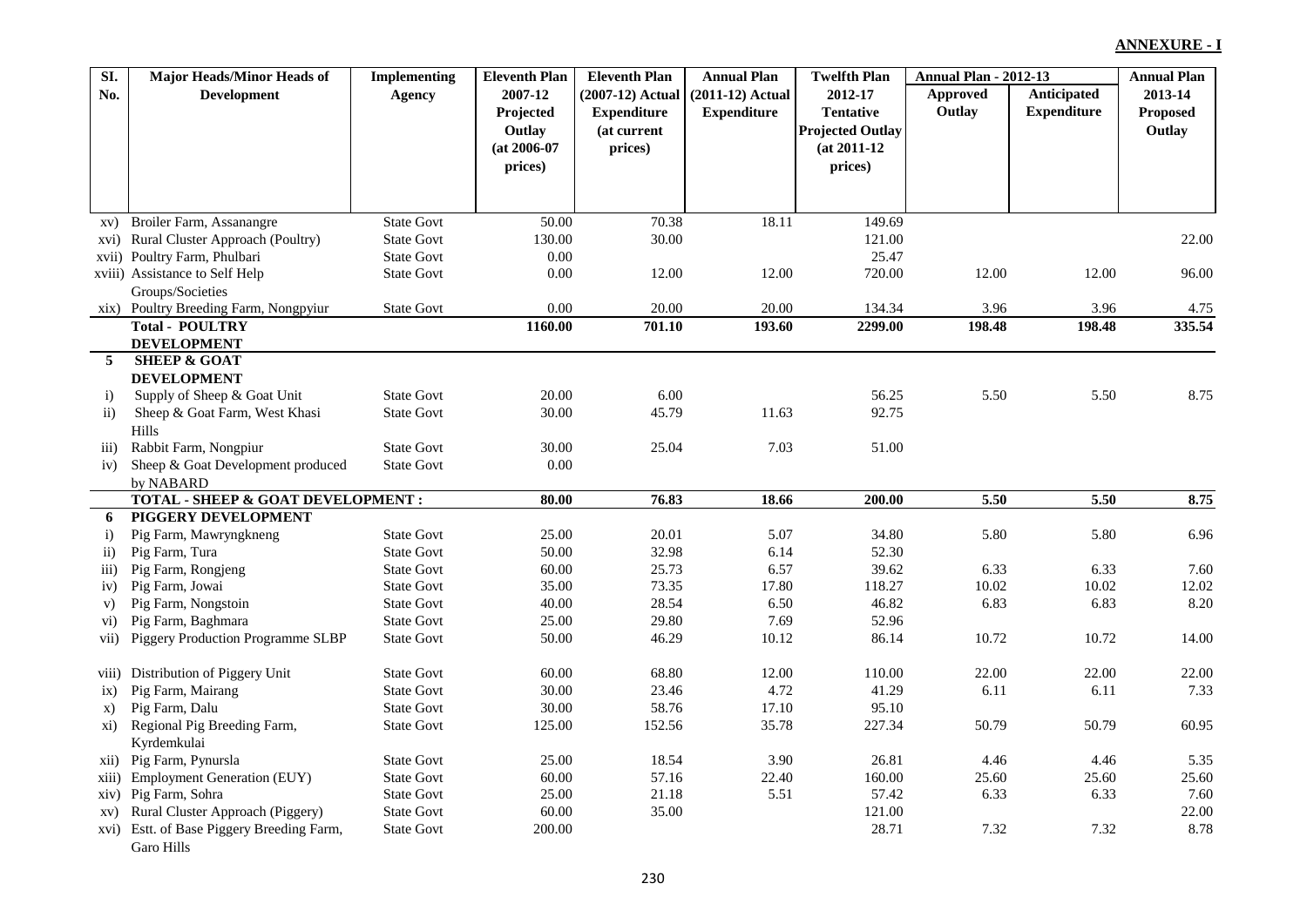| SI.                 | <b>Major Heads/Minor Heads of</b>         | <b>Implementing</b> | <b>Eleventh Plan</b> | <b>Eleventh Plan</b> | <b>Annual Plan</b> | <b>Twelfth Plan</b>     | <b>Annual Plan - 2012-13</b> |                    | <b>Annual Plan</b> |
|---------------------|-------------------------------------------|---------------------|----------------------|----------------------|--------------------|-------------------------|------------------------------|--------------------|--------------------|
| No.                 | <b>Development</b>                        | Agency              | 2007-12              | (2007-12) Actual     | $(2011-12)$ Actual | 2012-17                 | Approved                     | Anticipated        | 2013-14            |
|                     |                                           |                     | Projected            | <b>Expenditure</b>   | <b>Expenditure</b> | <b>Tentative</b>        | Outlay                       | <b>Expenditure</b> | Proposed           |
|                     |                                           |                     | Outlay               | (at current          |                    | <b>Projected Outlay</b> |                              |                    | Outlay             |
|                     |                                           |                     | $(at 2006-07)$       | prices)              |                    | $(at 2011-12)$          |                              |                    |                    |
|                     |                                           |                     | prices)              |                      |                    | prices)                 |                              |                    |                    |
|                     |                                           |                     |                      |                      |                    |                         |                              |                    |                    |
|                     |                                           |                     |                      |                      |                    |                         |                              |                    |                    |
|                     | xv) Broiler Farm, Assanangre              | <b>State Govt</b>   | 50.00                | 70.38                | 18.11              | 149.69                  |                              |                    |                    |
|                     | xvi) Rural Cluster Approach (Poultry)     | <b>State Govt</b>   | 130.00               | 30.00                |                    | 121.00                  |                              |                    | 22.00              |
|                     | xvii) Poultry Farm, Phulbari              | <b>State Govt</b>   | $0.00\,$             |                      |                    | 25.47                   |                              |                    |                    |
|                     | xviii) Assistance to Self Help            | <b>State Govt</b>   | 0.00                 | 12.00                | 12.00              | 720.00                  | 12.00                        | 12.00              | 96.00              |
|                     | Groups/Societies                          |                     |                      |                      |                    |                         |                              |                    |                    |
|                     | xix) Poultry Breeding Farm, Nongpyiur     | <b>State Govt</b>   | $0.00\,$             | 20.00                | 20.00              | 134.34                  | 3.96                         | 3.96               | 4.75               |
|                     | <b>Total - POULTRY</b>                    |                     | 1160.00              | 701.10               | 193.60             | 2299.00                 | 198.48                       | 198.48             | 335.54             |
|                     | <b>DEVELOPMENT</b>                        |                     |                      |                      |                    |                         |                              |                    |                    |
| 5                   | <b>SHEEP &amp; GOAT</b>                   |                     |                      |                      |                    |                         |                              |                    |                    |
|                     | <b>DEVELOPMENT</b>                        |                     |                      |                      |                    |                         |                              |                    |                    |
| $\ddot{\mathbf{i}}$ | Supply of Sheep & Goat Unit               | <b>State Govt</b>   | 20.00                | 6.00                 |                    | 56.25                   | 5.50                         | 5.50               | 8.75               |
| $\mathbf{ii}$       | Sheep & Goat Farm, West Khasi             | <b>State Govt</b>   | 30.00                | 45.79                | 11.63              | 92.75                   |                              |                    |                    |
|                     | Hills                                     |                     |                      |                      |                    |                         |                              |                    |                    |
| $\overline{iii}$    | Rabbit Farm, Nongpiur                     | <b>State Govt</b>   | 30.00                | 25.04                | 7.03               | 51.00                   |                              |                    |                    |
| iv)                 | Sheep & Goat Development produced         | <b>State Govt</b>   | $0.00\,$             |                      |                    |                         |                              |                    |                    |
|                     | by NABARD                                 |                     |                      |                      |                    |                         |                              |                    |                    |
|                     | TOTAL - SHEEP & GOAT DEVELOPMENT :        |                     | 80.00                | 76.83                | 18.66              | 200.00                  | 5.50                         | 5.50               | 8.75               |
| 6                   | PIGGERY DEVELOPMENT                       |                     |                      |                      |                    |                         |                              |                    |                    |
| $\mathbf{i}$        | Pig Farm, Mawryngkneng                    | <b>State Govt</b>   | 25.00                | 20.01                | 5.07               | 34.80                   | 5.80                         | 5.80               | 6.96               |
| $\mathbf{ii}$       | Pig Farm, Tura                            | <b>State Govt</b>   | 50.00                | 32.98                | 6.14               | 52.30                   |                              |                    |                    |
| $\overline{111}$ )  | Pig Farm, Rongjeng                        | <b>State Govt</b>   | 60.00                | 25.73                | 6.57               | 39.62                   | 6.33                         | 6.33               | 7.60               |
| iv)                 | Pig Farm, Jowai                           | <b>State Govt</b>   | 35.00                | 73.35                | 17.80              | 118.27                  | 10.02                        | 10.02              | 12.02              |
| V)                  | Pig Farm, Nongstoin                       | <b>State Govt</b>   | 40.00                | 28.54                | 6.50               | 46.82                   | 6.83                         | 6.83               | 8.20               |
| $\rm vi)$           | Pig Farm, Baghmara                        | <b>State Govt</b>   | 25.00                | 29.80                | 7.69               | 52.96                   |                              |                    |                    |
| vii)                | Piggery Production Programme SLBP         | <b>State Govt</b>   | 50.00                | 46.29                | 10.12              | 86.14                   | 10.72                        | 10.72              | 14.00              |
| viii)               | Distribution of Piggery Unit              | <b>State Govt</b>   | 60.00                | 68.80                | 12.00              | 110.00                  | 22.00                        | 22.00              | 22.00              |
| ix)                 | Pig Farm, Mairang                         | <b>State Govt</b>   | 30.00                | 23.46                | 4.72               | 41.29                   | 6.11                         | 6.11               | 7.33               |
| X)                  | Pig Farm, Dalu                            | <b>State Govt</b>   | 30.00                | 58.76                | 17.10              | 95.10                   |                              |                    |                    |
| xi)                 | Regional Pig Breeding Farm,               | <b>State Govt</b>   | 125.00               | 152.56               | 35.78              | 227.34                  | 50.79                        | 50.79              | 60.95              |
|                     | Kyrdemkulai                               |                     |                      |                      |                    |                         |                              |                    |                    |
| xii)                | Pig Farm, Pynursla                        | <b>State Govt</b>   | 25.00                | 18.54                | 3.90               | 26.81                   | 4.46                         | 4.46               | 5.35               |
| xiii)               | <b>Employment Generation (EUY)</b>        | <b>State Govt</b>   | 60.00                | 57.16                | 22.40              | 160.00                  | 25.60                        | 25.60              | 25.60              |
|                     | xiv) Pig Farm, Sohra                      | <b>State Govt</b>   | 25.00                | 21.18                | 5.51               | 57.42                   | 6.33                         | 6.33               | 7.60               |
| XV)                 | Rural Cluster Approach (Piggery)          | <b>State Govt</b>   | 60.00                | 35.00                |                    | 121.00                  |                              |                    | 22.00              |
|                     | xvi) Estt. of Base Piggery Breeding Farm, | <b>State Govt</b>   | 200.00               |                      |                    | 28.71                   | 7.32                         | 7.32               | 8.78               |
|                     | Garo Hills                                |                     |                      |                      |                    |                         |                              |                    |                    |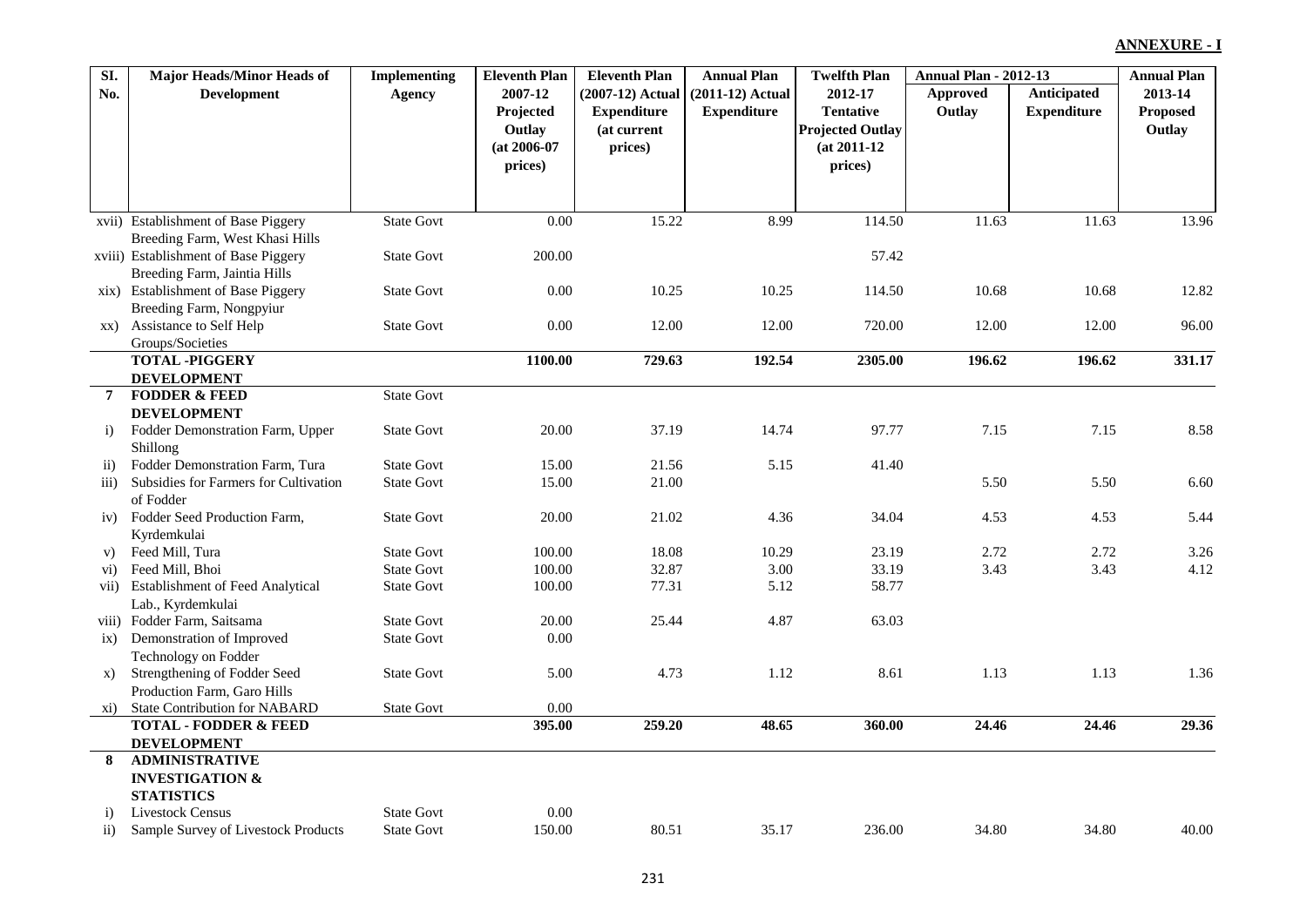| SI.              | <b>Major Heads/Minor Heads of</b>       | <b>Implementing</b> | <b>Eleventh Plan</b> | <b>Eleventh Plan</b> | <b>Annual Plan</b> | <b>Twelfth Plan</b>     | <b>Annual Plan - 2012-13</b> |                    | <b>Annual Plan</b> |
|------------------|-----------------------------------------|---------------------|----------------------|----------------------|--------------------|-------------------------|------------------------------|--------------------|--------------------|
| No.              | <b>Development</b>                      | Agency              | 2007-12              | (2007-12) Actual     | $(2011-12)$ Actual | 2012-17                 | Approved                     | Anticipated        | 2013-14            |
|                  |                                         |                     | Projected            | <b>Expenditure</b>   | <b>Expenditure</b> | <b>Tentative</b>        | Outlay                       | <b>Expenditure</b> | <b>Proposed</b>    |
|                  |                                         |                     | Outlay               | (at current          |                    | <b>Projected Outlay</b> |                              |                    | Outlay             |
|                  |                                         |                     | $(at 2006-07)$       | prices)              |                    | $(at 2011-12)$          |                              |                    |                    |
|                  |                                         |                     | prices)              |                      |                    | prices)                 |                              |                    |                    |
|                  |                                         |                     |                      |                      |                    |                         |                              |                    |                    |
|                  |                                         |                     |                      |                      |                    |                         |                              |                    |                    |
|                  | xvii) Establishment of Base Piggery     | <b>State Govt</b>   | 0.00                 | 15.22                | 8.99               | 114.50                  | 11.63                        | 11.63              | 13.96              |
|                  | Breeding Farm, West Khasi Hills         |                     |                      |                      |                    |                         |                              |                    |                    |
|                  | xviii) Establishment of Base Piggery    | <b>State Govt</b>   | 200.00               |                      |                    | 57.42                   |                              |                    |                    |
|                  | Breeding Farm, Jaintia Hills            |                     |                      |                      |                    |                         |                              |                    |                    |
|                  | xix) Establishment of Base Piggery      | <b>State Govt</b>   | 0.00                 | 10.25                | 10.25              | 114.50                  | 10.68                        | 10.68              | 12.82              |
|                  | Breeding Farm, Nongpyiur                |                     |                      |                      |                    |                         |                              |                    |                    |
| XX)              | <b>Assistance to Self Help</b>          | <b>State Govt</b>   | 0.00                 | 12.00                | 12.00              | 720.00                  | 12.00                        | 12.00              | 96.00              |
|                  | Groups/Societies                        |                     |                      |                      |                    |                         |                              |                    |                    |
|                  | <b>TOTAL-PIGGERY</b>                    |                     | 1100.00              | 729.63               | 192.54             | 2305.00                 | 196.62                       | 196.62             | 331.17             |
|                  | <b>DEVELOPMENT</b>                      |                     |                      |                      |                    |                         |                              |                    |                    |
| 7                | <b>FODDER &amp; FEED</b>                | <b>State Govt</b>   |                      |                      |                    |                         |                              |                    |                    |
|                  | <b>DEVELOPMENT</b>                      |                     |                      |                      |                    |                         |                              |                    |                    |
| i)               | Fodder Demonstration Farm, Upper        | <b>State Govt</b>   | 20.00                | 37.19                | 14.74              | 97.77                   | 7.15                         | 7.15               | 8.58               |
|                  | Shillong                                |                     |                      |                      |                    |                         |                              |                    |                    |
| $\rm ii)$        | Fodder Demonstration Farm, Tura         | <b>State Govt</b>   | 15.00                | 21.56                | 5.15               | 41.40                   |                              |                    |                    |
| $\overline{iii}$ | Subsidies for Farmers for Cultivation   | <b>State Govt</b>   | 15.00                | 21.00                |                    |                         | 5.50                         | 5.50               | 6.60               |
|                  | of Fodder                               |                     |                      |                      |                    |                         |                              |                    |                    |
| iv)              | Fodder Seed Production Farm,            | <b>State Govt</b>   | 20.00                | 21.02                | 4.36               | 34.04                   | 4.53                         | 4.53               | 5.44               |
|                  | Kyrdemkulai                             |                     |                      |                      |                    |                         |                              |                    |                    |
| V)               | Feed Mill, Tura                         | <b>State Govt</b>   | 100.00               | 18.08                | 10.29              | 23.19                   | 2.72                         | 2.72               | 3.26               |
| $\rm vi)$        | Feed Mill, Bhoi                         | <b>State Govt</b>   | 100.00               | 32.87                | 3.00               | 33.19                   | 3.43                         | 3.43               | 4.12               |
| vii)             | <b>Establishment of Feed Analytical</b> | <b>State Govt</b>   | 100.00               | 77.31                | 5.12               | 58.77                   |                              |                    |                    |
|                  | Lab., Kyrdemkulai                       |                     |                      |                      |                    |                         |                              |                    |                    |
| viii)            | Fodder Farm, Saitsama                   | <b>State Govt</b>   | 20.00                | 25.44                | 4.87               | 63.03                   |                              |                    |                    |
| $i\mathbf{x}$    | Demonstration of Improved               | <b>State Govt</b>   | 0.00                 |                      |                    |                         |                              |                    |                    |
|                  | Technology on Fodder                    |                     |                      |                      |                    |                         |                              |                    |                    |
| X)               | Strengthening of Fodder Seed            | <b>State Govt</b>   | 5.00                 | 4.73                 | 1.12               | 8.61                    | 1.13                         | 1.13               | 1.36               |
|                  | Production Farm, Garo Hills             |                     |                      |                      |                    |                         |                              |                    |                    |
| xi)              | <b>State Contribution for NABARD</b>    | <b>State Govt</b>   | $0.00\,$             |                      |                    |                         |                              |                    |                    |
|                  | <b>TOTAL - FODDER &amp; FEED</b>        |                     | 395.00               | 259.20               | 48.65              | 360.00                  | 24.46                        | 24.46              | 29.36              |
|                  | <b>DEVELOPMENT</b>                      |                     |                      |                      |                    |                         |                              |                    |                    |
| 8                | <b>ADMINISTRATIVE</b>                   |                     |                      |                      |                    |                         |                              |                    |                    |
|                  | <b>INVESTIGATION &amp;</b>              |                     |                      |                      |                    |                         |                              |                    |                    |
|                  | <b>STATISTICS</b>                       |                     |                      |                      |                    |                         |                              |                    |                    |
| $\mathbf{i}$     | <b>Livestock Census</b>                 | <b>State Govt</b>   | 0.00                 |                      |                    |                         |                              |                    |                    |
| $\mathbf{ii}$    | Sample Survey of Livestock Products     | <b>State Govt</b>   | 150.00               | 80.51                | 35.17              | 236.00                  | 34.80                        | 34.80              | 40.00              |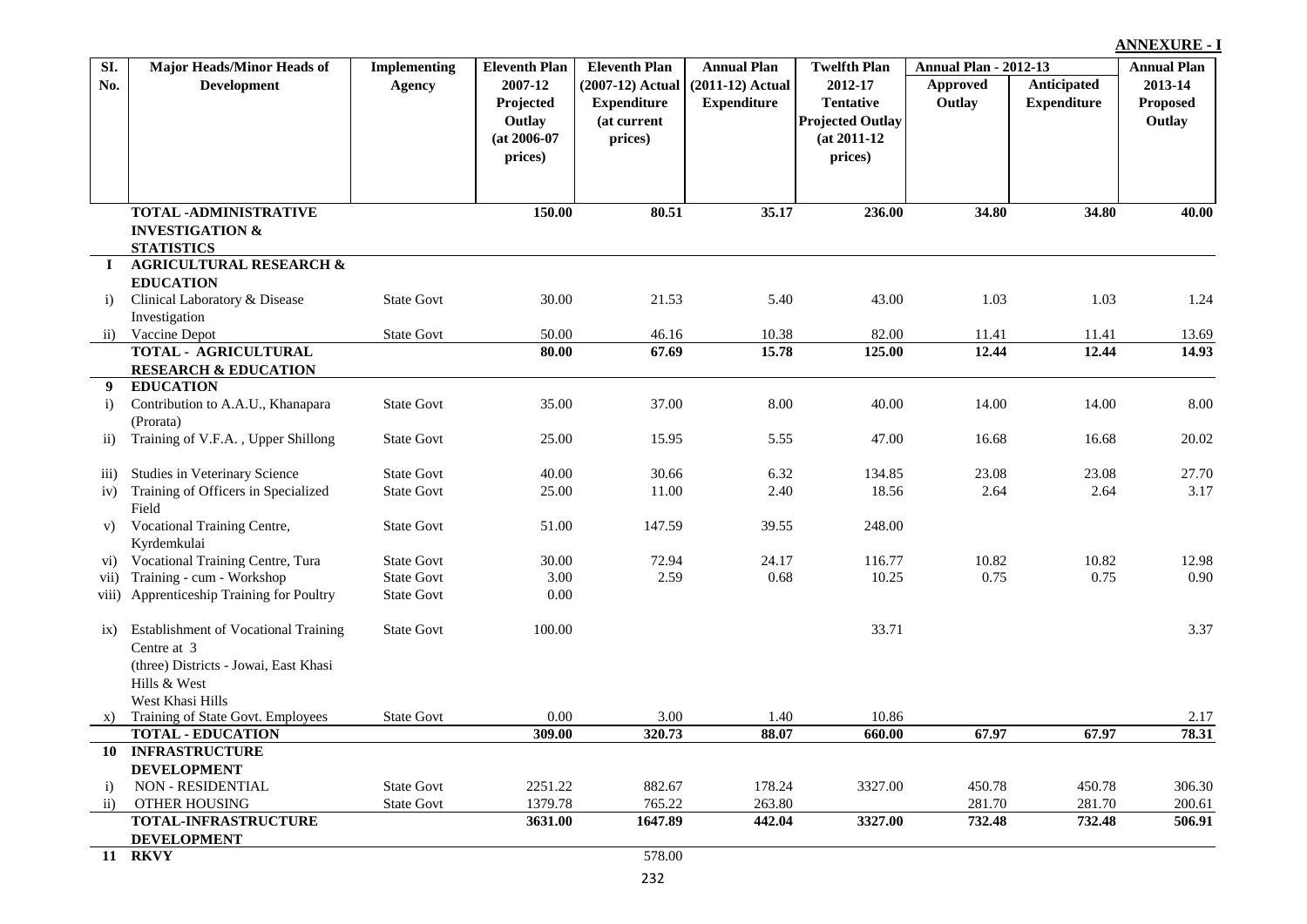| SI.                | <b>Major Heads/Minor Heads of</b>                          | <b>Implementing</b> | <b>Eleventh Plan</b> | <b>Eleventh Plan</b> | <b>Annual Plan</b> | <b>Twelfth Plan</b>     | <b>Annual Plan - 2012-13</b> |                    | <b>Annual Plan</b> |
|--------------------|------------------------------------------------------------|---------------------|----------------------|----------------------|--------------------|-------------------------|------------------------------|--------------------|--------------------|
| No.                | <b>Development</b>                                         | <b>Agency</b>       | 2007-12              | $(2007-12)$ Actual   | $(2011-12)$ Actual | 2012-17                 | <b>Approved</b>              | Anticipated        | 2013-14            |
|                    |                                                            |                     | Projected            | <b>Expenditure</b>   | <b>Expenditure</b> | <b>Tentative</b>        | Outlay                       | <b>Expenditure</b> | Proposed           |
|                    |                                                            |                     | Outlay               | (at current          |                    | <b>Projected Outlay</b> |                              |                    | Outlay             |
|                    |                                                            |                     | $(at 2006-07)$       | prices)              |                    | $(at 2011-12)$          |                              |                    |                    |
|                    |                                                            |                     | prices)              |                      |                    | prices)                 |                              |                    |                    |
|                    |                                                            |                     |                      |                      |                    |                         |                              |                    |                    |
|                    |                                                            |                     |                      |                      |                    |                         |                              |                    |                    |
|                    | <b>TOTAL -ADMINISTRATIVE</b><br><b>INVESTIGATION &amp;</b> |                     | 150.00               | 80.51                | 35.17              | 236.00                  | 34.80                        | 34.80              | 40.00              |
|                    | <b>STATISTICS</b>                                          |                     |                      |                      |                    |                         |                              |                    |                    |
| $\mathbf I$        | <b>AGRICULTURAL RESEARCH &amp;</b>                         |                     |                      |                      |                    |                         |                              |                    |                    |
|                    | <b>EDUCATION</b>                                           |                     |                      |                      |                    |                         |                              |                    |                    |
| i)                 | Clinical Laboratory & Disease                              | <b>State Govt</b>   | 30.00                | 21.53                | 5.40               | 43.00                   | 1.03                         | 1.03               | 1.24               |
|                    | Investigation                                              |                     |                      |                      |                    |                         |                              |                    |                    |
| $\overline{11}$ )  | Vaccine Depot                                              | <b>State Govt</b>   | 50.00                | 46.16                | 10.38              | 82.00                   | 11.41                        | 11.41              | 13.69              |
|                    | TOTAL - AGRICULTURAL                                       |                     | 80.00                | 67.69                | 15.78              | 125.00                  | 12.44                        | 12.44              | 14.93              |
|                    | <b>RESEARCH &amp; EDUCATION</b>                            |                     |                      |                      |                    |                         |                              |                    |                    |
| 9                  | <b>EDUCATION</b>                                           |                     |                      |                      |                    |                         |                              |                    |                    |
| i)                 | Contribution to A.A.U., Khanapara                          | <b>State Govt</b>   | 35.00                | 37.00                | 8.00               | 40.00                   | 14.00                        | 14.00              | 8.00               |
|                    | (Prorata)                                                  |                     |                      |                      |                    |                         |                              |                    |                    |
| $\overline{11}$ )  | Training of V.F.A., Upper Shillong                         | <b>State Govt</b>   | 25.00                | 15.95                | 5.55               | 47.00                   | 16.68                        | 16.68              | 20.02              |
| $\overline{111}$ ) | Studies in Veterinary Science                              | <b>State Govt</b>   | 40.00                | 30.66                | 6.32               | 134.85                  | 23.08                        | 23.08              | 27.70              |
| iv)                | Training of Officers in Specialized                        | <b>State Govt</b>   | 25.00                | 11.00                | 2.40               | 18.56                   | 2.64                         | 2.64               | 3.17               |
|                    | Field                                                      |                     |                      |                      |                    |                         |                              |                    |                    |
| V)                 | Vocational Training Centre,                                | <b>State Govt</b>   | 51.00                | 147.59               | 39.55              | 248.00                  |                              |                    |                    |
|                    | Kyrdemkulai                                                |                     |                      |                      |                    |                         |                              |                    |                    |
| $\rm\bf v\rm i)$   | Vocational Training Centre, Tura                           | <b>State Govt</b>   | 30.00                | 72.94                | 24.17              | 116.77                  | 10.82                        | 10.82              | 12.98              |
| vii)               | Training - cum - Workshop                                  | <b>State Govt</b>   | 3.00                 | 2.59                 | 0.68               | 10.25                   | 0.75                         | 0.75               | 0.90               |
| viii)              | Apprenticeship Training for Poultry                        | <b>State Govt</b>   | 0.00                 |                      |                    |                         |                              |                    |                    |
|                    | Establishment of Vocational Training                       | <b>State Govt</b>   | 100.00               |                      |                    | 33.71                   |                              |                    | 3.37               |
| $\overline{1}X$ )  | Centre at 3                                                |                     |                      |                      |                    |                         |                              |                    |                    |
|                    | (three) Districts - Jowai, East Khasi                      |                     |                      |                      |                    |                         |                              |                    |                    |
|                    | Hills & West                                               |                     |                      |                      |                    |                         |                              |                    |                    |
|                    | West Khasi Hills                                           |                     |                      |                      |                    |                         |                              |                    |                    |
| X)                 | Training of State Govt. Employees                          | <b>State Govt</b>   | 0.00                 | 3.00                 | 1.40               | 10.86                   |                              |                    | 2.17               |
|                    | <b>TOTAL - EDUCATION</b>                                   |                     | 309.00               | 320.73               | 88.07              | 660.00                  | 67.97                        | 67.97              | 78.31              |
|                    | 10 INFRASTRUCTURE                                          |                     |                      |                      |                    |                         |                              |                    |                    |
|                    | <b>DEVELOPMENT</b>                                         |                     |                      |                      |                    |                         |                              |                    |                    |
| i)                 | NON - RESIDENTIAL                                          | <b>State Govt</b>   | 2251.22              | 882.67               | 178.24             | 3327.00                 | 450.78                       | 450.78             | 306.30             |
| $\mathbf{ii}$      | OTHER HOUSING                                              | <b>State Govt</b>   | 1379.78              | 765.22               | 263.80             |                         | 281.70                       | 281.70             | 200.61             |
|                    | TOTAL-INFRASTRUCTURE                                       |                     | 3631.00              | 1647.89              | 442.04             | 3327.00                 | 732.48                       | 732.48             | 506.91             |
|                    | <b>DEVELOPMENT</b><br><b>11 RKVY</b>                       |                     |                      | 578.00               |                    |                         |                              |                    |                    |
|                    |                                                            |                     |                      |                      |                    |                         |                              |                    |                    |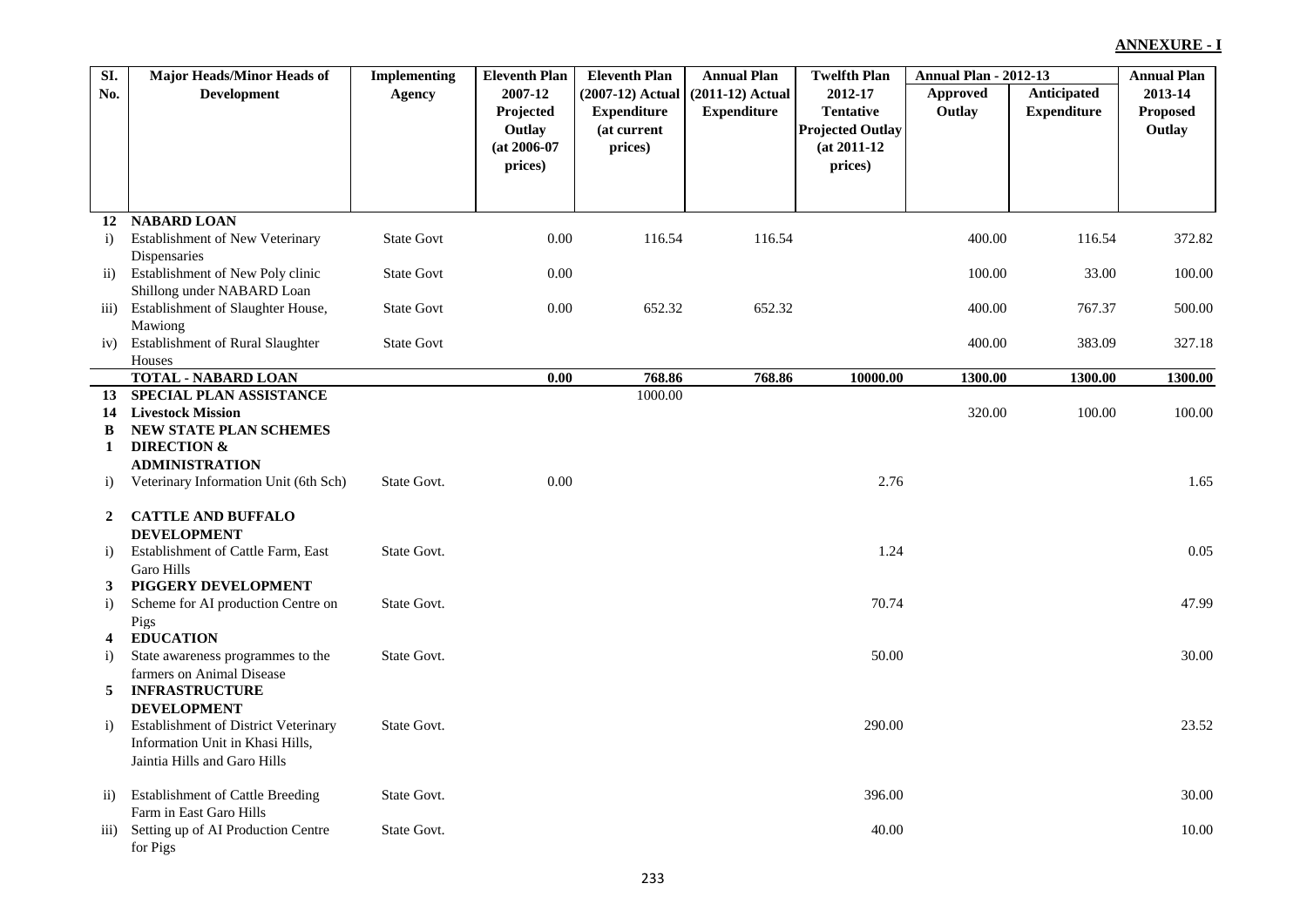| SI.                | <b>Major Heads/Minor Heads of</b>                          | <b>Implementing</b> | <b>Eleventh Plan</b> | <b>Eleventh Plan</b> | <b>Annual Plan</b> | <b>Twelfth Plan</b>     | <b>Annual Plan - 2012-13</b> |                    | <b>Annual Plan</b> |
|--------------------|------------------------------------------------------------|---------------------|----------------------|----------------------|--------------------|-------------------------|------------------------------|--------------------|--------------------|
| No.                | <b>Development</b>                                         | <b>Agency</b>       | 2007-12              | $(2007-12)$ Actual   | $(2011-12)$ Actual | 2012-17                 | Approved                     | Anticipated        | 2013-14            |
|                    |                                                            |                     | Projected            | <b>Expenditure</b>   | <b>Expenditure</b> | <b>Tentative</b>        | Outlay                       | <b>Expenditure</b> | <b>Proposed</b>    |
|                    |                                                            |                     | Outlay               | (at current          |                    | <b>Projected Outlay</b> |                              |                    | Outlay             |
|                    |                                                            |                     | $(at 2006-07)$       | prices)              |                    | $(at 2011-12)$          |                              |                    |                    |
|                    |                                                            |                     | prices)              |                      |                    | prices)                 |                              |                    |                    |
|                    |                                                            |                     |                      |                      |                    |                         |                              |                    |                    |
|                    |                                                            |                     |                      |                      |                    |                         |                              |                    |                    |
|                    | 12 NABARD LOAN                                             |                     |                      |                      |                    |                         |                              |                    |                    |
| $\mathbf{i}$       | Establishment of New Veterinary                            | <b>State Govt</b>   | 0.00                 | 116.54               | 116.54             |                         | 400.00                       | 116.54             | 372.82             |
|                    | Dispensaries                                               |                     |                      |                      |                    |                         |                              |                    |                    |
| $\mathbf{ii}$      | Establishment of New Poly clinic                           | <b>State Govt</b>   | 0.00                 |                      |                    |                         | 100.00                       | 33.00              | 100.00             |
|                    | Shillong under NABARD Loan                                 |                     |                      |                      |                    |                         |                              |                    |                    |
| $\overline{iii}$   | Establishment of Slaughter House,                          | <b>State Govt</b>   | 0.00                 | 652.32               | 652.32             |                         | 400.00                       | 767.37             | 500.00             |
|                    | Mawiong                                                    |                     |                      |                      |                    |                         |                              |                    |                    |
| iv)                | Establishment of Rural Slaughter                           | <b>State Govt</b>   |                      |                      |                    |                         | 400.00                       | 383.09             | 327.18             |
|                    | Houses                                                     |                     |                      |                      |                    |                         |                              |                    |                    |
|                    | <b>TOTAL - NABARD LOAN</b>                                 |                     | 0.00                 | 768.86               | 768.86             | 10000.00                | 1300.00                      | 1300.00            | 1300.00            |
| 13 <sup>7</sup>    | <b>SPECIAL PLAN ASSISTANCE</b><br><b>Livestock Mission</b> |                     |                      | 1000.00              |                    |                         |                              |                    |                    |
| 14<br>B            | NEW STATE PLAN SCHEMES                                     |                     |                      |                      |                    |                         | 320.00                       | 100.00             | 100.00             |
| $\mathbf{1}$       | <b>DIRECTION &amp;</b>                                     |                     |                      |                      |                    |                         |                              |                    |                    |
|                    | <b>ADMINISTRATION</b>                                      |                     |                      |                      |                    |                         |                              |                    |                    |
| $\bf{1)}$          | Veterinary Information Unit (6th Sch)                      | State Govt.         | 0.00                 |                      |                    | 2.76                    |                              |                    | 1.65               |
|                    |                                                            |                     |                      |                      |                    |                         |                              |                    |                    |
| $\mathbf{2}$       | <b>CATTLE AND BUFFALO</b>                                  |                     |                      |                      |                    |                         |                              |                    |                    |
|                    | <b>DEVELOPMENT</b>                                         |                     |                      |                      |                    |                         |                              |                    |                    |
| i)                 | Establishment of Cattle Farm, East                         | State Govt.         |                      |                      |                    | 1.24                    |                              |                    | 0.05               |
|                    | Garo Hills                                                 |                     |                      |                      |                    |                         |                              |                    |                    |
| 3                  | PIGGERY DEVELOPMENT                                        |                     |                      |                      |                    |                         |                              |                    |                    |
| i)                 | Scheme for AI production Centre on                         | State Govt.         |                      |                      |                    | 70.74                   |                              |                    | 47.99              |
|                    | Pigs                                                       |                     |                      |                      |                    |                         |                              |                    |                    |
| 4                  | <b>EDUCATION</b>                                           |                     |                      |                      |                    |                         |                              |                    |                    |
| i)                 | State awareness programmes to the                          | State Govt.         |                      |                      |                    | 50.00                   |                              |                    | 30.00              |
|                    | farmers on Animal Disease                                  |                     |                      |                      |                    |                         |                              |                    |                    |
| 5                  | <b>INFRASTRUCTURE</b>                                      |                     |                      |                      |                    |                         |                              |                    |                    |
|                    | <b>DEVELOPMENT</b>                                         |                     |                      |                      |                    |                         |                              |                    |                    |
| i)                 | Establishment of District Veterinary                       | State Govt.         |                      |                      |                    | 290.00                  |                              |                    | 23.52              |
|                    | Information Unit in Khasi Hills,                           |                     |                      |                      |                    |                         |                              |                    |                    |
|                    | Jaintia Hills and Garo Hills                               |                     |                      |                      |                    |                         |                              |                    |                    |
|                    | <b>Establishment of Cattle Breeding</b>                    | State Govt.         |                      |                      |                    | 396.00                  |                              |                    | 30.00              |
| $\overline{11}$    | Farm in East Garo Hills                                    |                     |                      |                      |                    |                         |                              |                    |                    |
| $\overline{111}$ ) | Setting up of AI Production Centre                         | State Govt.         |                      |                      |                    | 40.00                   |                              |                    | 10.00              |
|                    | for Pigs                                                   |                     |                      |                      |                    |                         |                              |                    |                    |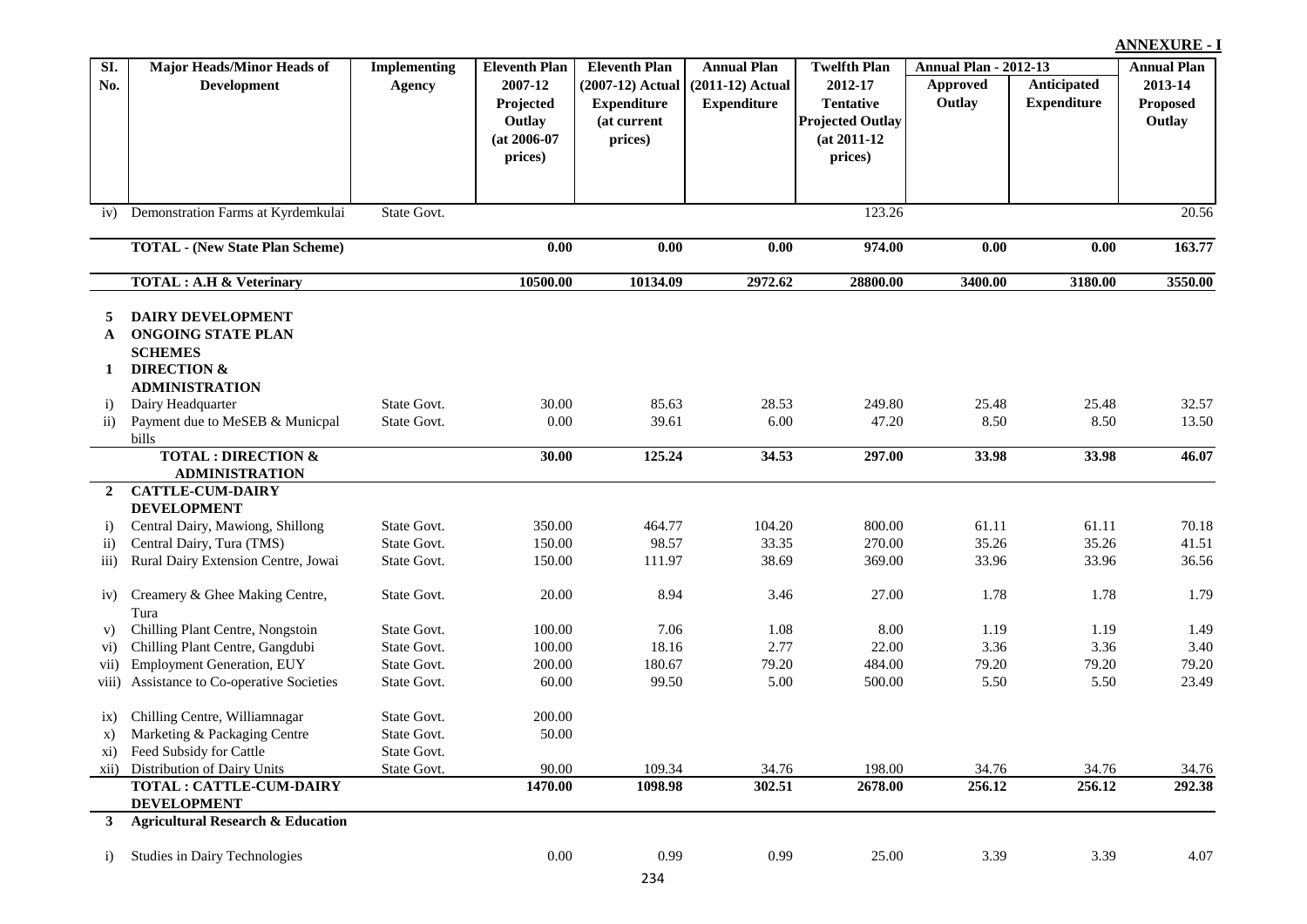| $\overline{SI}$ .  | <b>Major Heads/Minor Heads of</b>                                         | <b>Implementing</b> | <b>Eleventh Plan</b> | <b>Eleventh Plan</b> | <b>Annual Plan</b> | <b>Twelfth Plan</b>     | <b>Annual Plan - 2012-13</b> |                    | <b>Annual Plan</b> |
|--------------------|---------------------------------------------------------------------------|---------------------|----------------------|----------------------|--------------------|-------------------------|------------------------------|--------------------|--------------------|
| No.                | Development                                                               | <b>Agency</b>       | 2007-12              | (2007-12) Actual     | $(2011-12)$ Actual | 2012-17                 | Approved                     | Anticipated        | 2013-14            |
|                    |                                                                           |                     | Projected            | <b>Expenditure</b>   | <b>Expenditure</b> | <b>Tentative</b>        | Outlay                       | <b>Expenditure</b> | Proposed           |
|                    |                                                                           |                     | Outlay               | (at current          |                    | <b>Projected Outlay</b> |                              |                    | Outlay             |
|                    |                                                                           |                     | $(at 2006-07)$       | prices)              |                    | $(at 2011-12)$          |                              |                    |                    |
|                    |                                                                           |                     | prices)              |                      |                    | prices)                 |                              |                    |                    |
|                    |                                                                           |                     |                      |                      |                    |                         |                              |                    |                    |
|                    |                                                                           | State Govt.         |                      |                      |                    | 123.26                  |                              |                    | 20.56              |
| iv)                | Demonstration Farms at Kyrdemkulai                                        |                     |                      |                      |                    |                         |                              |                    |                    |
|                    | <b>TOTAL - (New State Plan Scheme)</b>                                    |                     | 0.00                 | 0.00                 | 0.00               | 974.00                  | 0.00                         | 0.00               | 163.77             |
|                    | <b>TOTAL: A.H &amp; Veterinary</b>                                        |                     | 10500.00             | 10134.09             | 2972.62            | 28800.00                | 3400.00                      | 3180.00            | 3550.00            |
| 5                  | <b>DAIRY DEVELOPMENT</b>                                                  |                     |                      |                      |                    |                         |                              |                    |                    |
| A                  | <b>ONGOING STATE PLAN</b>                                                 |                     |                      |                      |                    |                         |                              |                    |                    |
|                    | <b>SCHEMES</b>                                                            |                     |                      |                      |                    |                         |                              |                    |                    |
| 1                  | <b>DIRECTION &amp;</b>                                                    |                     |                      |                      |                    |                         |                              |                    |                    |
|                    | <b>ADMINISTRATION</b>                                                     |                     |                      |                      |                    |                         |                              |                    |                    |
| $\ddot{1}$         | Dairy Headquarter                                                         | State Govt.         | 30.00                | 85.63                | 28.53              | 249.80                  | 25.48                        | 25.48              | 32.57              |
| $\mathbf{ii}$      | Payment due to MeSEB & Municpal                                           | State Govt.         | $0.00\,$             | 39.61                | 6.00               | 47.20                   | 8.50                         | 8.50               | 13.50              |
|                    | bills                                                                     |                     |                      |                      |                    |                         |                              |                    |                    |
|                    | <b>TOTAL: DIRECTION &amp;</b><br><b>ADMINISTRATION</b>                    |                     | 30.00                | 125.24               | 34.53              | 297.00                  | 33.98                        | 33.98              | 46.07              |
| $\overline{2}$     | <b>CATTLE-CUM-DAIRY</b>                                                   |                     |                      |                      |                    |                         |                              |                    |                    |
|                    | <b>DEVELOPMENT</b>                                                        |                     |                      |                      |                    |                         |                              |                    |                    |
| $\ddot{1}$         | Central Dairy, Mawiong, Shillong                                          | State Govt.         | 350.00               | 464.77               | 104.20             | 800.00                  | 61.11                        | 61.11              | 70.18              |
| $\mathbf{ii}$      | Central Dairy, Tura (TMS)                                                 | State Govt.         | 150.00               | 98.57                | 33.35              | 270.00                  | 35.26                        | 35.26              | 41.51              |
| $\overline{111}$ ) | Rural Dairy Extension Centre, Jowai                                       | State Govt.         | 150.00               | 111.97               | 38.69              | 369.00                  | 33.96                        | 33.96              | 36.56              |
|                    |                                                                           |                     |                      |                      |                    |                         |                              |                    |                    |
| iv)                | Creamery & Ghee Making Centre,                                            | State Govt.         | 20.00                | 8.94                 | 3.46               | 27.00                   | 1.78                         | 1.78               | 1.79               |
|                    | Tura                                                                      |                     |                      |                      |                    |                         |                              |                    |                    |
| V)                 | Chilling Plant Centre, Nongstoin                                          | State Govt.         | 100.00               | 7.06                 | 1.08               | 8.00                    | 1.19                         | 1.19               | 1.49               |
| $\mathbf{vi})$     | Chilling Plant Centre, Gangdubi                                           | State Govt.         | 100.00               | 18.16                | 2.77               | 22.00                   | 3.36                         | 3.36               | 3.40               |
| vii)               | <b>Employment Generation, EUY</b><br>Assistance to Co-operative Societies | State Govt.         | 200.00               | 180.67<br>99.50      | 79.20<br>5.00      | 484.00                  | 79.20<br>5.50                | 79.20              | 79.20              |
| V(11)              |                                                                           | State Govt.         | 60.00                |                      |                    | 500.00                  |                              | 5.50               | 23.49              |
| $\overline{1}X$ )  | Chilling Centre, Williamnagar                                             | State Govt.         | 200.00               |                      |                    |                         |                              |                    |                    |
| X)                 | Marketing & Packaging Centre                                              | State Govt.         | 50.00                |                      |                    |                         |                              |                    |                    |
|                    | xi) Feed Subsidy for Cattle                                               | State Govt.         |                      |                      |                    |                         |                              |                    |                    |
|                    | xii) Distribution of Dairy Units                                          | State Govt.         | 90.00                | 109.34               | 34.76              | 198.00                  | 34.76                        | 34.76              | 34.76              |
|                    | <b>TOTAL: CATTLE-CUM-DAIRY</b>                                            |                     | 1470.00              | 1098.98              | 302.51             | 2678.00                 | 256.12                       | 256.12             | 292.38             |
|                    | <b>DEVELOPMENT</b>                                                        |                     |                      |                      |                    |                         |                              |                    |                    |
| 3                  | <b>Agricultural Research &amp; Education</b>                              |                     |                      |                      |                    |                         |                              |                    |                    |
| $\ddot{1}$         | Studies in Dairy Technologies                                             |                     | $0.00\,$             | 0.99                 | 0.99               | 25.00                   | 3.39                         | 3.39               | 4.07               |
|                    |                                                                           |                     |                      | 234                  |                    |                         |                              |                    |                    |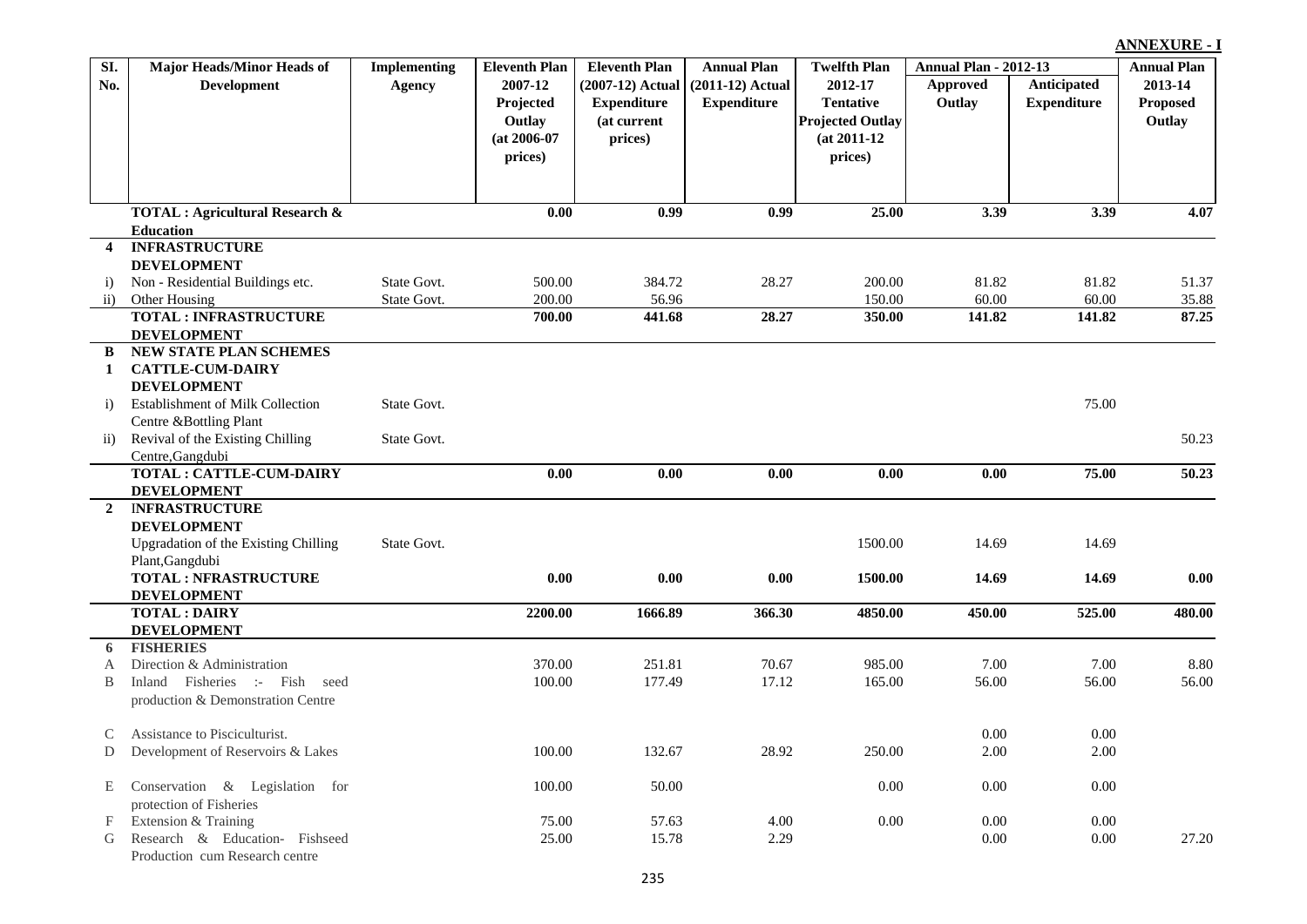| 2007-12<br>2012-17<br>Anticipated<br>No.<br><b>Development</b><br>(2007-12) Actual<br>$(2011-12)$ Actual<br>Approved<br>Agency<br>Outlay<br><b>Expenditure</b><br><b>Expenditure</b><br><b>Tentative</b><br>Projected<br><b>Expenditure</b><br><b>Projected Outlay</b><br>Outlay<br>(at current<br>$(at 2006-07)$<br>prices)<br>$(at 2011-12)$<br>prices)<br>prices)<br>0.99<br>25.00<br><b>TOTAL: Agricultural Research &amp;</b><br>0.00<br>0.99<br>3.39<br>3.39<br><b>Education</b><br><b>INFRASTRUCTURE</b><br>$\overline{4}$<br><b>DEVELOPMENT</b><br>State Govt.<br>500.00<br>384.72<br>28.27<br>200.00<br>81.82<br>81.82<br>Non - Residential Buildings etc.<br>$\ddot{1}$<br>200.00<br>56.96<br>60.00<br>60.00<br>Other Housing<br>State Govt.<br>150.00<br>$\overline{ii}$<br><b>TOTAL: INFRASTRUCTURE</b><br>441.68<br>700.00<br>28.27<br>350.00<br>141.82<br>141.82<br><b>DEVELOPMENT</b><br>NEW STATE PLAN SCHEMES<br>B<br><b>CATTLE-CUM-DAIRY</b><br>1<br><b>DEVELOPMENT</b><br>State Govt.<br>75.00<br><b>Establishment of Milk Collection</b><br>i)<br>Centre &Bottling Plant<br>Revival of the Existing Chilling<br>State Govt.<br>$\mathbf{ii}$<br>Centre, Gangdubi<br><b>TOTAL: CATTLE-CUM-DAIRY</b><br>0.00<br>75.00<br>0.00<br>0.00<br>0.00<br>0.00<br><b>DEVELOPMENT</b><br><b>INFRASTRUCTURE</b><br>$\mathbf{2}$<br><b>DEVELOPMENT</b><br>Upgradation of the Existing Chilling<br>State Govt.<br>1500.00<br>14.69<br>14.69<br>Plant, Gangdubi<br><b>TOTAL: NFRASTRUCTURE</b><br>0.00<br>0.00<br>0.00<br>1500.00<br>14.69<br>14.69<br><b>DEVELOPMENT</b><br><b>TOTAL: DAIRY</b><br>2200.00<br>1666.89<br>366.30<br>4850.00<br>450.00<br>525.00<br><b>DEVELOPMENT</b><br><b>FISHERIES</b><br>6<br>Direction & Administration<br>370.00<br>251.81<br>70.67<br>985.00<br>7.00<br>7.00<br>А<br>Inland Fisheries :- Fish seed<br>100.00<br>177.49<br>17.12<br>165.00<br>56.00<br>56.00<br>B<br>production & Demonstration Centre<br>Assistance to Pisciculturist.<br>0.00<br>0.00<br>$\mathsf{C}$<br>100.00<br>132.67<br>28.92<br>250.00<br>2.00<br>2.00<br>Development of Reservoirs & Lakes<br>D<br>100.00<br>50.00<br>0.00<br>0.00<br>0.00<br>Conservation & Legislation for<br>E<br>protection of Fisheries<br>4.00<br>$0.00\,$<br>0.00<br>Extension & Training<br>75.00<br>57.63<br>0.00<br>F | SI. | <b>Major Heads/Minor Heads of</b> | <b>Implementing</b> | <b>Eleventh Plan</b> | <b>Eleventh Plan</b> | <b>Annual Plan</b> | <b>Twelfth Plan</b> | <b>Annual Plan - 2012-13</b> | <b>Annual Plan</b> |
|--------------------------------------------------------------------------------------------------------------------------------------------------------------------------------------------------------------------------------------------------------------------------------------------------------------------------------------------------------------------------------------------------------------------------------------------------------------------------------------------------------------------------------------------------------------------------------------------------------------------------------------------------------------------------------------------------------------------------------------------------------------------------------------------------------------------------------------------------------------------------------------------------------------------------------------------------------------------------------------------------------------------------------------------------------------------------------------------------------------------------------------------------------------------------------------------------------------------------------------------------------------------------------------------------------------------------------------------------------------------------------------------------------------------------------------------------------------------------------------------------------------------------------------------------------------------------------------------------------------------------------------------------------------------------------------------------------------------------------------------------------------------------------------------------------------------------------------------------------------------------------------------------------------------------------------------------------------------------------------------------------------------------------------------------------------------------------------------------------------------------------------------------------------------------------------------------------------------------------------------------------------------------------------------------------------------|-----|-----------------------------------|---------------------|----------------------|----------------------|--------------------|---------------------|------------------------------|--------------------|
|                                                                                                                                                                                                                                                                                                                                                                                                                                                                                                                                                                                                                                                                                                                                                                                                                                                                                                                                                                                                                                                                                                                                                                                                                                                                                                                                                                                                                                                                                                                                                                                                                                                                                                                                                                                                                                                                                                                                                                                                                                                                                                                                                                                                                                                                                                                    |     |                                   |                     |                      |                      |                    |                     |                              | 2013-14            |
|                                                                                                                                                                                                                                                                                                                                                                                                                                                                                                                                                                                                                                                                                                                                                                                                                                                                                                                                                                                                                                                                                                                                                                                                                                                                                                                                                                                                                                                                                                                                                                                                                                                                                                                                                                                                                                                                                                                                                                                                                                                                                                                                                                                                                                                                                                                    |     |                                   |                     |                      |                      |                    |                     |                              | Proposed           |
|                                                                                                                                                                                                                                                                                                                                                                                                                                                                                                                                                                                                                                                                                                                                                                                                                                                                                                                                                                                                                                                                                                                                                                                                                                                                                                                                                                                                                                                                                                                                                                                                                                                                                                                                                                                                                                                                                                                                                                                                                                                                                                                                                                                                                                                                                                                    |     |                                   |                     |                      |                      |                    |                     |                              | Outlay             |
|                                                                                                                                                                                                                                                                                                                                                                                                                                                                                                                                                                                                                                                                                                                                                                                                                                                                                                                                                                                                                                                                                                                                                                                                                                                                                                                                                                                                                                                                                                                                                                                                                                                                                                                                                                                                                                                                                                                                                                                                                                                                                                                                                                                                                                                                                                                    |     |                                   |                     |                      |                      |                    |                     |                              |                    |
|                                                                                                                                                                                                                                                                                                                                                                                                                                                                                                                                                                                                                                                                                                                                                                                                                                                                                                                                                                                                                                                                                                                                                                                                                                                                                                                                                                                                                                                                                                                                                                                                                                                                                                                                                                                                                                                                                                                                                                                                                                                                                                                                                                                                                                                                                                                    |     |                                   |                     |                      |                      |                    |                     |                              |                    |
|                                                                                                                                                                                                                                                                                                                                                                                                                                                                                                                                                                                                                                                                                                                                                                                                                                                                                                                                                                                                                                                                                                                                                                                                                                                                                                                                                                                                                                                                                                                                                                                                                                                                                                                                                                                                                                                                                                                                                                                                                                                                                                                                                                                                                                                                                                                    |     |                                   |                     |                      |                      |                    |                     |                              |                    |
|                                                                                                                                                                                                                                                                                                                                                                                                                                                                                                                                                                                                                                                                                                                                                                                                                                                                                                                                                                                                                                                                                                                                                                                                                                                                                                                                                                                                                                                                                                                                                                                                                                                                                                                                                                                                                                                                                                                                                                                                                                                                                                                                                                                                                                                                                                                    |     |                                   |                     |                      |                      |                    |                     |                              |                    |
|                                                                                                                                                                                                                                                                                                                                                                                                                                                                                                                                                                                                                                                                                                                                                                                                                                                                                                                                                                                                                                                                                                                                                                                                                                                                                                                                                                                                                                                                                                                                                                                                                                                                                                                                                                                                                                                                                                                                                                                                                                                                                                                                                                                                                                                                                                                    |     |                                   |                     |                      |                      |                    |                     |                              | 4.07               |
|                                                                                                                                                                                                                                                                                                                                                                                                                                                                                                                                                                                                                                                                                                                                                                                                                                                                                                                                                                                                                                                                                                                                                                                                                                                                                                                                                                                                                                                                                                                                                                                                                                                                                                                                                                                                                                                                                                                                                                                                                                                                                                                                                                                                                                                                                                                    |     |                                   |                     |                      |                      |                    |                     |                              |                    |
|                                                                                                                                                                                                                                                                                                                                                                                                                                                                                                                                                                                                                                                                                                                                                                                                                                                                                                                                                                                                                                                                                                                                                                                                                                                                                                                                                                                                                                                                                                                                                                                                                                                                                                                                                                                                                                                                                                                                                                                                                                                                                                                                                                                                                                                                                                                    |     |                                   |                     |                      |                      |                    |                     |                              |                    |
|                                                                                                                                                                                                                                                                                                                                                                                                                                                                                                                                                                                                                                                                                                                                                                                                                                                                                                                                                                                                                                                                                                                                                                                                                                                                                                                                                                                                                                                                                                                                                                                                                                                                                                                                                                                                                                                                                                                                                                                                                                                                                                                                                                                                                                                                                                                    |     |                                   |                     |                      |                      |                    |                     |                              |                    |
|                                                                                                                                                                                                                                                                                                                                                                                                                                                                                                                                                                                                                                                                                                                                                                                                                                                                                                                                                                                                                                                                                                                                                                                                                                                                                                                                                                                                                                                                                                                                                                                                                                                                                                                                                                                                                                                                                                                                                                                                                                                                                                                                                                                                                                                                                                                    |     |                                   |                     |                      |                      |                    |                     |                              | 51.37              |
|                                                                                                                                                                                                                                                                                                                                                                                                                                                                                                                                                                                                                                                                                                                                                                                                                                                                                                                                                                                                                                                                                                                                                                                                                                                                                                                                                                                                                                                                                                                                                                                                                                                                                                                                                                                                                                                                                                                                                                                                                                                                                                                                                                                                                                                                                                                    |     |                                   |                     |                      |                      |                    |                     |                              | 35.88              |
|                                                                                                                                                                                                                                                                                                                                                                                                                                                                                                                                                                                                                                                                                                                                                                                                                                                                                                                                                                                                                                                                                                                                                                                                                                                                                                                                                                                                                                                                                                                                                                                                                                                                                                                                                                                                                                                                                                                                                                                                                                                                                                                                                                                                                                                                                                                    |     |                                   |                     |                      |                      |                    |                     |                              | 87.25              |
|                                                                                                                                                                                                                                                                                                                                                                                                                                                                                                                                                                                                                                                                                                                                                                                                                                                                                                                                                                                                                                                                                                                                                                                                                                                                                                                                                                                                                                                                                                                                                                                                                                                                                                                                                                                                                                                                                                                                                                                                                                                                                                                                                                                                                                                                                                                    |     |                                   |                     |                      |                      |                    |                     |                              |                    |
|                                                                                                                                                                                                                                                                                                                                                                                                                                                                                                                                                                                                                                                                                                                                                                                                                                                                                                                                                                                                                                                                                                                                                                                                                                                                                                                                                                                                                                                                                                                                                                                                                                                                                                                                                                                                                                                                                                                                                                                                                                                                                                                                                                                                                                                                                                                    |     |                                   |                     |                      |                      |                    |                     |                              |                    |
|                                                                                                                                                                                                                                                                                                                                                                                                                                                                                                                                                                                                                                                                                                                                                                                                                                                                                                                                                                                                                                                                                                                                                                                                                                                                                                                                                                                                                                                                                                                                                                                                                                                                                                                                                                                                                                                                                                                                                                                                                                                                                                                                                                                                                                                                                                                    |     |                                   |                     |                      |                      |                    |                     |                              |                    |
|                                                                                                                                                                                                                                                                                                                                                                                                                                                                                                                                                                                                                                                                                                                                                                                                                                                                                                                                                                                                                                                                                                                                                                                                                                                                                                                                                                                                                                                                                                                                                                                                                                                                                                                                                                                                                                                                                                                                                                                                                                                                                                                                                                                                                                                                                                                    |     |                                   |                     |                      |                      |                    |                     |                              |                    |
|                                                                                                                                                                                                                                                                                                                                                                                                                                                                                                                                                                                                                                                                                                                                                                                                                                                                                                                                                                                                                                                                                                                                                                                                                                                                                                                                                                                                                                                                                                                                                                                                                                                                                                                                                                                                                                                                                                                                                                                                                                                                                                                                                                                                                                                                                                                    |     |                                   |                     |                      |                      |                    |                     |                              |                    |
|                                                                                                                                                                                                                                                                                                                                                                                                                                                                                                                                                                                                                                                                                                                                                                                                                                                                                                                                                                                                                                                                                                                                                                                                                                                                                                                                                                                                                                                                                                                                                                                                                                                                                                                                                                                                                                                                                                                                                                                                                                                                                                                                                                                                                                                                                                                    |     |                                   |                     |                      |                      |                    |                     |                              |                    |
|                                                                                                                                                                                                                                                                                                                                                                                                                                                                                                                                                                                                                                                                                                                                                                                                                                                                                                                                                                                                                                                                                                                                                                                                                                                                                                                                                                                                                                                                                                                                                                                                                                                                                                                                                                                                                                                                                                                                                                                                                                                                                                                                                                                                                                                                                                                    |     |                                   |                     |                      |                      |                    |                     |                              | 50.23              |
|                                                                                                                                                                                                                                                                                                                                                                                                                                                                                                                                                                                                                                                                                                                                                                                                                                                                                                                                                                                                                                                                                                                                                                                                                                                                                                                                                                                                                                                                                                                                                                                                                                                                                                                                                                                                                                                                                                                                                                                                                                                                                                                                                                                                                                                                                                                    |     |                                   |                     |                      |                      |                    |                     |                              |                    |
|                                                                                                                                                                                                                                                                                                                                                                                                                                                                                                                                                                                                                                                                                                                                                                                                                                                                                                                                                                                                                                                                                                                                                                                                                                                                                                                                                                                                                                                                                                                                                                                                                                                                                                                                                                                                                                                                                                                                                                                                                                                                                                                                                                                                                                                                                                                    |     |                                   |                     |                      |                      |                    |                     |                              | 50.23              |
|                                                                                                                                                                                                                                                                                                                                                                                                                                                                                                                                                                                                                                                                                                                                                                                                                                                                                                                                                                                                                                                                                                                                                                                                                                                                                                                                                                                                                                                                                                                                                                                                                                                                                                                                                                                                                                                                                                                                                                                                                                                                                                                                                                                                                                                                                                                    |     |                                   |                     |                      |                      |                    |                     |                              |                    |
|                                                                                                                                                                                                                                                                                                                                                                                                                                                                                                                                                                                                                                                                                                                                                                                                                                                                                                                                                                                                                                                                                                                                                                                                                                                                                                                                                                                                                                                                                                                                                                                                                                                                                                                                                                                                                                                                                                                                                                                                                                                                                                                                                                                                                                                                                                                    |     |                                   |                     |                      |                      |                    |                     |                              |                    |
|                                                                                                                                                                                                                                                                                                                                                                                                                                                                                                                                                                                                                                                                                                                                                                                                                                                                                                                                                                                                                                                                                                                                                                                                                                                                                                                                                                                                                                                                                                                                                                                                                                                                                                                                                                                                                                                                                                                                                                                                                                                                                                                                                                                                                                                                                                                    |     |                                   |                     |                      |                      |                    |                     |                              |                    |
|                                                                                                                                                                                                                                                                                                                                                                                                                                                                                                                                                                                                                                                                                                                                                                                                                                                                                                                                                                                                                                                                                                                                                                                                                                                                                                                                                                                                                                                                                                                                                                                                                                                                                                                                                                                                                                                                                                                                                                                                                                                                                                                                                                                                                                                                                                                    |     |                                   |                     |                      |                      |                    |                     |                              |                    |
|                                                                                                                                                                                                                                                                                                                                                                                                                                                                                                                                                                                                                                                                                                                                                                                                                                                                                                                                                                                                                                                                                                                                                                                                                                                                                                                                                                                                                                                                                                                                                                                                                                                                                                                                                                                                                                                                                                                                                                                                                                                                                                                                                                                                                                                                                                                    |     |                                   |                     |                      |                      |                    |                     |                              |                    |
|                                                                                                                                                                                                                                                                                                                                                                                                                                                                                                                                                                                                                                                                                                                                                                                                                                                                                                                                                                                                                                                                                                                                                                                                                                                                                                                                                                                                                                                                                                                                                                                                                                                                                                                                                                                                                                                                                                                                                                                                                                                                                                                                                                                                                                                                                                                    |     |                                   |                     |                      |                      |                    |                     |                              | 0.00               |
|                                                                                                                                                                                                                                                                                                                                                                                                                                                                                                                                                                                                                                                                                                                                                                                                                                                                                                                                                                                                                                                                                                                                                                                                                                                                                                                                                                                                                                                                                                                                                                                                                                                                                                                                                                                                                                                                                                                                                                                                                                                                                                                                                                                                                                                                                                                    |     |                                   |                     |                      |                      |                    |                     |                              |                    |
|                                                                                                                                                                                                                                                                                                                                                                                                                                                                                                                                                                                                                                                                                                                                                                                                                                                                                                                                                                                                                                                                                                                                                                                                                                                                                                                                                                                                                                                                                                                                                                                                                                                                                                                                                                                                                                                                                                                                                                                                                                                                                                                                                                                                                                                                                                                    |     |                                   |                     |                      |                      |                    |                     |                              | 480.00             |
|                                                                                                                                                                                                                                                                                                                                                                                                                                                                                                                                                                                                                                                                                                                                                                                                                                                                                                                                                                                                                                                                                                                                                                                                                                                                                                                                                                                                                                                                                                                                                                                                                                                                                                                                                                                                                                                                                                                                                                                                                                                                                                                                                                                                                                                                                                                    |     |                                   |                     |                      |                      |                    |                     |                              |                    |
|                                                                                                                                                                                                                                                                                                                                                                                                                                                                                                                                                                                                                                                                                                                                                                                                                                                                                                                                                                                                                                                                                                                                                                                                                                                                                                                                                                                                                                                                                                                                                                                                                                                                                                                                                                                                                                                                                                                                                                                                                                                                                                                                                                                                                                                                                                                    |     |                                   |                     |                      |                      |                    |                     |                              |                    |
|                                                                                                                                                                                                                                                                                                                                                                                                                                                                                                                                                                                                                                                                                                                                                                                                                                                                                                                                                                                                                                                                                                                                                                                                                                                                                                                                                                                                                                                                                                                                                                                                                                                                                                                                                                                                                                                                                                                                                                                                                                                                                                                                                                                                                                                                                                                    |     |                                   |                     |                      |                      |                    |                     |                              | 8.80               |
|                                                                                                                                                                                                                                                                                                                                                                                                                                                                                                                                                                                                                                                                                                                                                                                                                                                                                                                                                                                                                                                                                                                                                                                                                                                                                                                                                                                                                                                                                                                                                                                                                                                                                                                                                                                                                                                                                                                                                                                                                                                                                                                                                                                                                                                                                                                    |     |                                   |                     |                      |                      |                    |                     |                              | 56.00              |
|                                                                                                                                                                                                                                                                                                                                                                                                                                                                                                                                                                                                                                                                                                                                                                                                                                                                                                                                                                                                                                                                                                                                                                                                                                                                                                                                                                                                                                                                                                                                                                                                                                                                                                                                                                                                                                                                                                                                                                                                                                                                                                                                                                                                                                                                                                                    |     |                                   |                     |                      |                      |                    |                     |                              |                    |
|                                                                                                                                                                                                                                                                                                                                                                                                                                                                                                                                                                                                                                                                                                                                                                                                                                                                                                                                                                                                                                                                                                                                                                                                                                                                                                                                                                                                                                                                                                                                                                                                                                                                                                                                                                                                                                                                                                                                                                                                                                                                                                                                                                                                                                                                                                                    |     |                                   |                     |                      |                      |                    |                     |                              |                    |
|                                                                                                                                                                                                                                                                                                                                                                                                                                                                                                                                                                                                                                                                                                                                                                                                                                                                                                                                                                                                                                                                                                                                                                                                                                                                                                                                                                                                                                                                                                                                                                                                                                                                                                                                                                                                                                                                                                                                                                                                                                                                                                                                                                                                                                                                                                                    |     |                                   |                     |                      |                      |                    |                     |                              |                    |
|                                                                                                                                                                                                                                                                                                                                                                                                                                                                                                                                                                                                                                                                                                                                                                                                                                                                                                                                                                                                                                                                                                                                                                                                                                                                                                                                                                                                                                                                                                                                                                                                                                                                                                                                                                                                                                                                                                                                                                                                                                                                                                                                                                                                                                                                                                                    |     |                                   |                     |                      |                      |                    |                     |                              |                    |
|                                                                                                                                                                                                                                                                                                                                                                                                                                                                                                                                                                                                                                                                                                                                                                                                                                                                                                                                                                                                                                                                                                                                                                                                                                                                                                                                                                                                                                                                                                                                                                                                                                                                                                                                                                                                                                                                                                                                                                                                                                                                                                                                                                                                                                                                                                                    |     |                                   |                     |                      |                      |                    |                     |                              |                    |
|                                                                                                                                                                                                                                                                                                                                                                                                                                                                                                                                                                                                                                                                                                                                                                                                                                                                                                                                                                                                                                                                                                                                                                                                                                                                                                                                                                                                                                                                                                                                                                                                                                                                                                                                                                                                                                                                                                                                                                                                                                                                                                                                                                                                                                                                                                                    |     |                                   |                     |                      |                      |                    |                     |                              |                    |
|                                                                                                                                                                                                                                                                                                                                                                                                                                                                                                                                                                                                                                                                                                                                                                                                                                                                                                                                                                                                                                                                                                                                                                                                                                                                                                                                                                                                                                                                                                                                                                                                                                                                                                                                                                                                                                                                                                                                                                                                                                                                                                                                                                                                                                                                                                                    |     |                                   |                     |                      |                      |                    |                     |                              |                    |
| 25.00<br>2.29<br>0.00<br>Research & Education- Fishseed<br>15.78<br>0.00<br>G                                                                                                                                                                                                                                                                                                                                                                                                                                                                                                                                                                                                                                                                                                                                                                                                                                                                                                                                                                                                                                                                                                                                                                                                                                                                                                                                                                                                                                                                                                                                                                                                                                                                                                                                                                                                                                                                                                                                                                                                                                                                                                                                                                                                                                      |     |                                   |                     |                      |                      |                    |                     |                              | 27.20              |

Production cum Research centre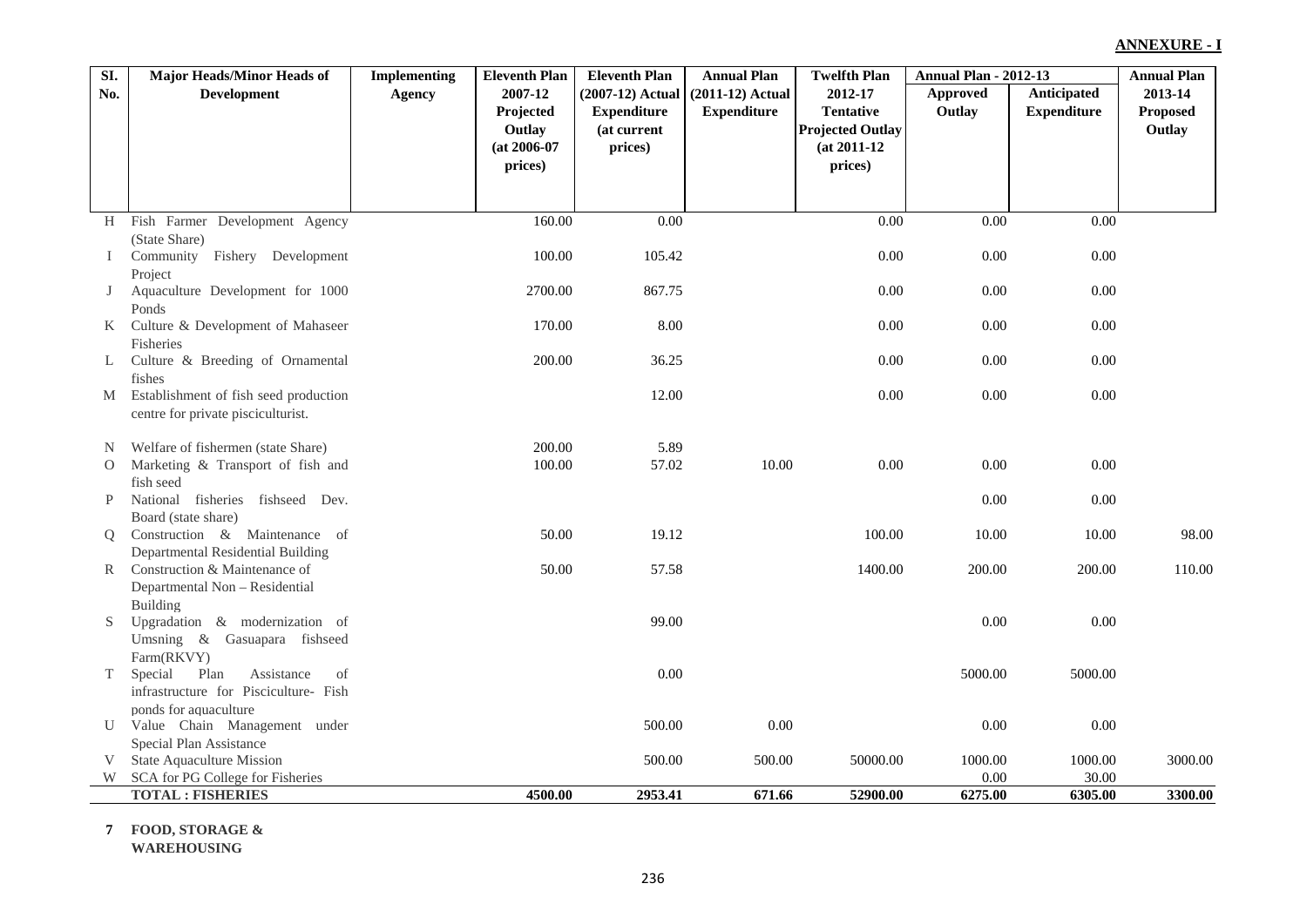| No.           |                                                                    |               | <b>Eleventh Plan</b>     | <b>Eleventh Plan</b>   | <b>Annual Plan</b> | <b>Twelfth Plan</b>                         | <b>Annual Plan - 2012-13</b> |                    | <b>Annual Plan</b>        |
|---------------|--------------------------------------------------------------------|---------------|--------------------------|------------------------|--------------------|---------------------------------------------|------------------------------|--------------------|---------------------------|
|               | <b>Development</b>                                                 | <b>Agency</b> | 2007-12                  | (2007-12) Actual       | $(2011-12)$ Actual | 2012-17                                     | <b>Approved</b>              | <b>Anticipated</b> | 2013-14                   |
|               |                                                                    |               | Projected                | <b>Expenditure</b>     | <b>Expenditure</b> | <b>Tentative</b><br><b>Projected Outlay</b> | Outlay                       | <b>Expenditure</b> | <b>Proposed</b><br>Outlay |
|               |                                                                    |               | Outlay<br>$(at 2006-07)$ | (at current<br>prices) |                    | $(at 2011-12)$                              |                              |                    |                           |
|               |                                                                    |               | prices)                  |                        |                    | prices)                                     |                              |                    |                           |
|               |                                                                    |               |                          |                        |                    |                                             |                              |                    |                           |
|               |                                                                    |               |                          |                        |                    |                                             |                              |                    |                           |
| H             | Fish Farmer Development Agency<br>(State Share)                    |               | 160.00                   | 0.00                   |                    | 0.00                                        | 0.00                         | 0.00               |                           |
| $\bf{I}$      | Community Fishery Development                                      |               | 100.00                   | 105.42                 |                    | 0.00                                        | 0.00                         | 0.00               |                           |
| J             | Project<br>Aquaculture Development for 1000                        |               | 2700.00                  | 867.75                 |                    | 0.00                                        | 0.00                         | 0.00               |                           |
| $K_{\perp}$   | Ponds<br>Culture & Development of Mahaseer                         |               | 170.00                   | 8.00                   |                    | 0.00                                        | 0.00                         | 0.00               |                           |
|               | Fisheries                                                          |               |                          |                        |                    |                                             |                              |                    |                           |
| L             | Culture & Breeding of Ornamental<br>fishes                         |               | 200.00                   | 36.25                  |                    | 0.00                                        | 0.00                         | 0.00               |                           |
|               | M Establishment of fish seed production                            |               |                          | 12.00                  |                    | 0.00                                        | 0.00                         | 0.00               |                           |
|               | centre for private pisciculturist.                                 |               |                          |                        |                    |                                             |                              |                    |                           |
| N             | Welfare of fishermen (state Share)                                 |               | 200.00                   | 5.89                   |                    |                                             |                              |                    |                           |
| $\mathcal{O}$ | Marketing & Transport of fish and                                  |               | 100.00                   | 57.02                  | 10.00              | 0.00                                        | 0.00                         | 0.00               |                           |
| P             | fish seed<br>National fisheries fishseed Dev.                      |               |                          |                        |                    |                                             | 0.00                         | 0.00               |                           |
|               | Board (state share)                                                |               |                          |                        |                    |                                             |                              |                    |                           |
| Q             | Construction & Maintenance of<br>Departmental Residential Building |               | 50.00                    | 19.12                  |                    | 100.00                                      | 10.00                        | 10.00              | 98.00                     |
| R             | Construction & Maintenance of                                      |               | 50.00                    | 57.58                  |                    | 1400.00                                     | 200.00                       | 200.00             | 110.00                    |
|               | Departmental Non - Residential                                     |               |                          |                        |                    |                                             |                              |                    |                           |
| S.            | Building<br>Upgradation & modernization of                         |               |                          | 99.00                  |                    |                                             | 0.00                         | 0.00               |                           |
|               | Umsning & Gasuapara fishseed                                       |               |                          |                        |                    |                                             |                              |                    |                           |
|               | Farm(RKVY)<br>Plan<br>Assistance<br>Special<br>of                  |               |                          | 0.00                   |                    |                                             | 5000.00                      | 5000.00            |                           |
| T             | infrastructure for Pisciculture- Fish                              |               |                          |                        |                    |                                             |                              |                    |                           |
|               | ponds for aquaculture                                              |               |                          |                        |                    |                                             |                              |                    |                           |
| U             | Value Chain Management under                                       |               |                          | 500.00                 | 0.00               |                                             | 0.00                         | 0.00               |                           |
| V             | Special Plan Assistance<br><b>State Aquaculture Mission</b>        |               |                          | 500.00                 | 500.00             | 50000.00                                    | 1000.00                      | 1000.00            | 3000.00                   |
| W             | SCA for PG College for Fisheries                                   |               |                          |                        |                    |                                             | 0.00                         | 30.00              |                           |
|               | <b>TOTAL: FISHERIES</b>                                            |               | 4500.00                  | 2953.41                | 671.66             | 52900.00                                    | 6275.00                      | 6305.00            | 3300.00                   |

**7 FOOD, STORAGE & WAREHOUSING**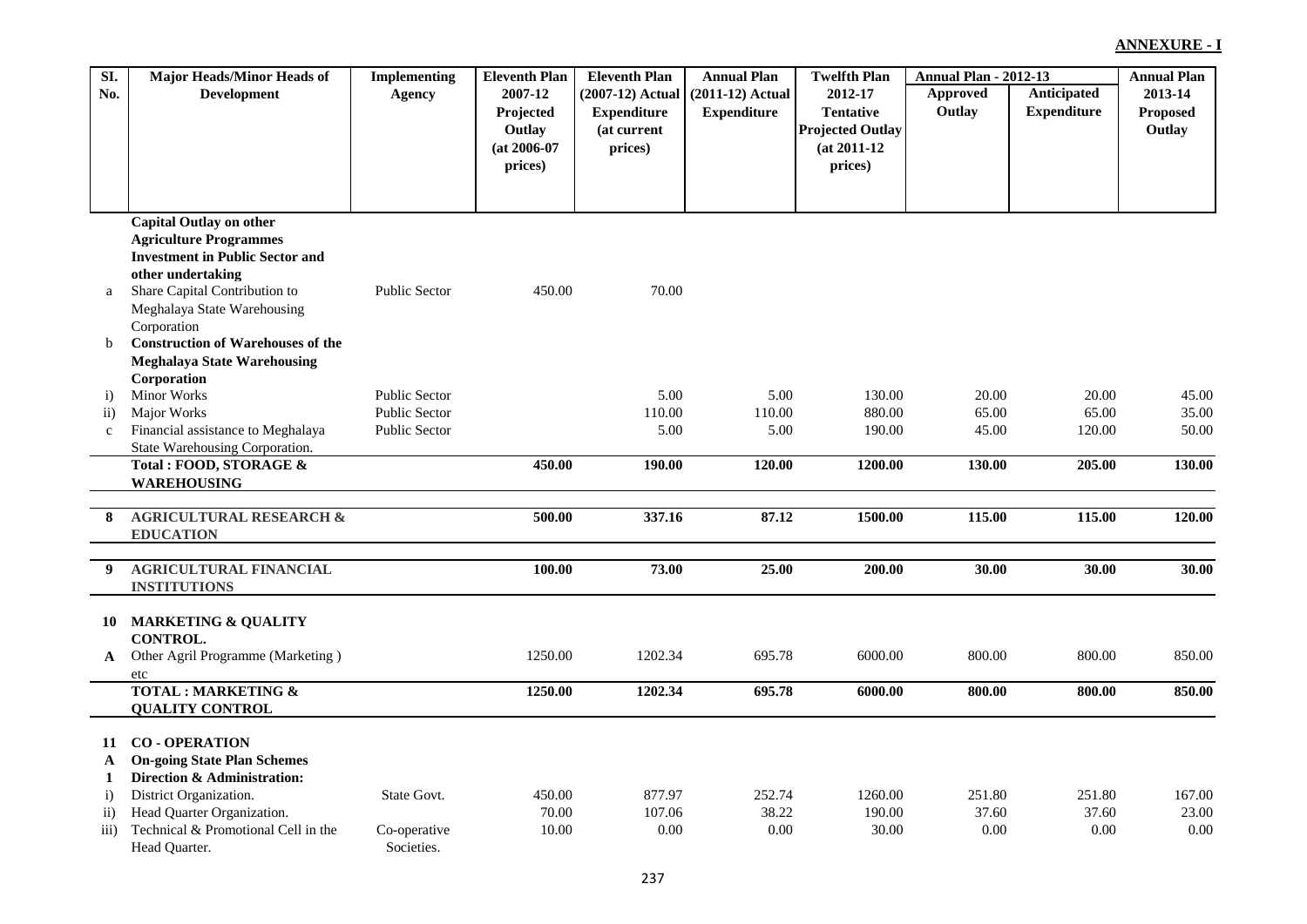| SI.             | <b>Major Heads/Minor Heads of</b>        | <b>Implementing</b>  | <b>Eleventh Plan</b> | <b>Eleventh Plan</b> | <b>Annual Plan</b> | <b>Twelfth Plan</b>     | <b>Annual Plan - 2012-13</b> |                    | <b>Annual Plan</b> |
|-----------------|------------------------------------------|----------------------|----------------------|----------------------|--------------------|-------------------------|------------------------------|--------------------|--------------------|
| No.             | <b>Development</b>                       | Agency               | 2007-12              | (2007-12) Actual     | $(2011-12)$ Actual | 2012-17                 | <b>Approved</b>              | Anticipated        | 2013-14            |
|                 |                                          |                      | Projected            | <b>Expenditure</b>   | <b>Expenditure</b> | <b>Tentative</b>        | Outlay                       | <b>Expenditure</b> | <b>Proposed</b>    |
|                 |                                          |                      | Outlay               | (at current          |                    | <b>Projected Outlay</b> |                              |                    | Outlay             |
|                 |                                          |                      | $(at 2006-07)$       | prices)              |                    | $(at 2011-12)$          |                              |                    |                    |
|                 |                                          |                      | prices)              |                      |                    | prices)                 |                              |                    |                    |
|                 |                                          |                      |                      |                      |                    |                         |                              |                    |                    |
|                 |                                          |                      |                      |                      |                    |                         |                              |                    |                    |
|                 | <b>Capital Outlay on other</b>           |                      |                      |                      |                    |                         |                              |                    |                    |
|                 | <b>Agriculture Programmes</b>            |                      |                      |                      |                    |                         |                              |                    |                    |
|                 | <b>Investment in Public Sector and</b>   |                      |                      |                      |                    |                         |                              |                    |                    |
|                 | other undertaking                        |                      |                      |                      |                    |                         |                              |                    |                    |
| a               | Share Capital Contribution to            | <b>Public Sector</b> | 450.00               | 70.00                |                    |                         |                              |                    |                    |
|                 | Meghalaya State Warehousing              |                      |                      |                      |                    |                         |                              |                    |                    |
|                 | Corporation                              |                      |                      |                      |                    |                         |                              |                    |                    |
| b               | <b>Construction of Warehouses of the</b> |                      |                      |                      |                    |                         |                              |                    |                    |
|                 | <b>Meghalaya State Warehousing</b>       |                      |                      |                      |                    |                         |                              |                    |                    |
|                 | <b>Corporation</b>                       |                      |                      |                      |                    |                         |                              |                    |                    |
| $\mathbf{i}$    | <b>Minor Works</b>                       | <b>Public Sector</b> |                      | 5.00                 | 5.00               | 130.00                  | 20.00                        | 20.00              | 45.00              |
| $\mathbf{ii}$   | Major Works                              | <b>Public Sector</b> |                      | 110.00               | 110.00             | 880.00                  | 65.00                        | 65.00              | 35.00              |
| $\mathbf{c}$    | Financial assistance to Meghalaya        | <b>Public Sector</b> |                      | 5.00                 | 5.00               | 190.00                  | 45.00                        | 120.00             | 50.00              |
|                 | State Warehousing Corporation.           |                      |                      |                      |                    |                         |                              |                    |                    |
|                 | Total : FOOD, STORAGE &                  |                      | 450.00               | 190.00               | 120.00             | 1200.00                 | 130.00                       | 205.00             | 130.00             |
|                 | <b>WAREHOUSING</b>                       |                      |                      |                      |                    |                         |                              |                    |                    |
|                 |                                          |                      |                      |                      |                    |                         |                              |                    |                    |
| 8               | <b>AGRICULTURAL RESEARCH &amp;</b>       |                      | 500.00               | 337.16               | 87.12              | 1500.00                 | 115.00                       | 115.00             | 120.00             |
|                 | <b>EDUCATION</b>                         |                      |                      |                      |                    |                         |                              |                    |                    |
| 9               | <b>AGRICULTURAL FINANCIAL</b>            |                      | 100.00               | 73.00                | 25.00              | 200.00                  | 30.00                        | 30.00              | 30.00              |
|                 | <b>INSTITUTIONS</b>                      |                      |                      |                      |                    |                         |                              |                    |                    |
|                 |                                          |                      |                      |                      |                    |                         |                              |                    |                    |
| 10              | <b>MARKETING &amp; QUALITY</b>           |                      |                      |                      |                    |                         |                              |                    |                    |
|                 | <b>CONTROL.</b>                          |                      |                      |                      |                    |                         |                              |                    |                    |
| $\mathbf{A}$    | Other Agril Programme (Marketing)        |                      | 1250.00              | 1202.34              | 695.78             | 6000.00                 | 800.00                       | 800.00             | 850.00             |
|                 | etc                                      |                      |                      |                      |                    |                         |                              |                    |                    |
|                 | <b>TOTAL: MARKETING &amp;</b>            |                      | 1250.00              | 1202.34              | 695.78             | 6000.00                 | 800.00                       | 800.00             | 850.00             |
|                 | <b>QUALITY CONTROL</b>                   |                      |                      |                      |                    |                         |                              |                    |                    |
|                 |                                          |                      |                      |                      |                    |                         |                              |                    |                    |
| 11              | <b>CO-OPERATION</b>                      |                      |                      |                      |                    |                         |                              |                    |                    |
| $\mathbf{A}$    | <b>On-going State Plan Schemes</b>       |                      |                      |                      |                    |                         |                              |                    |                    |
| 1               | Direction & Administration:              |                      |                      |                      |                    |                         |                              |                    |                    |
| $\ddot{i}$      | District Organization.                   | State Govt.          | 450.00               | 877.97               | 252.74             | 1260.00                 | 251.80                       | 251.80             | 167.00             |
| $\overline{ii}$ | Head Quarter Organization.               |                      | 70.00                | 107.06               | 38.22              | 190.00                  | 37.60                        | 37.60              | 23.00              |
| iii)            | Technical & Promotional Cell in the      | Co-operative         | 10.00                | 0.00                 | 0.00               | 30.00                   | 0.00                         | 0.00               | 0.00               |
|                 | Head Ouarter.                            | Societies.           |                      |                      |                    |                         |                              |                    |                    |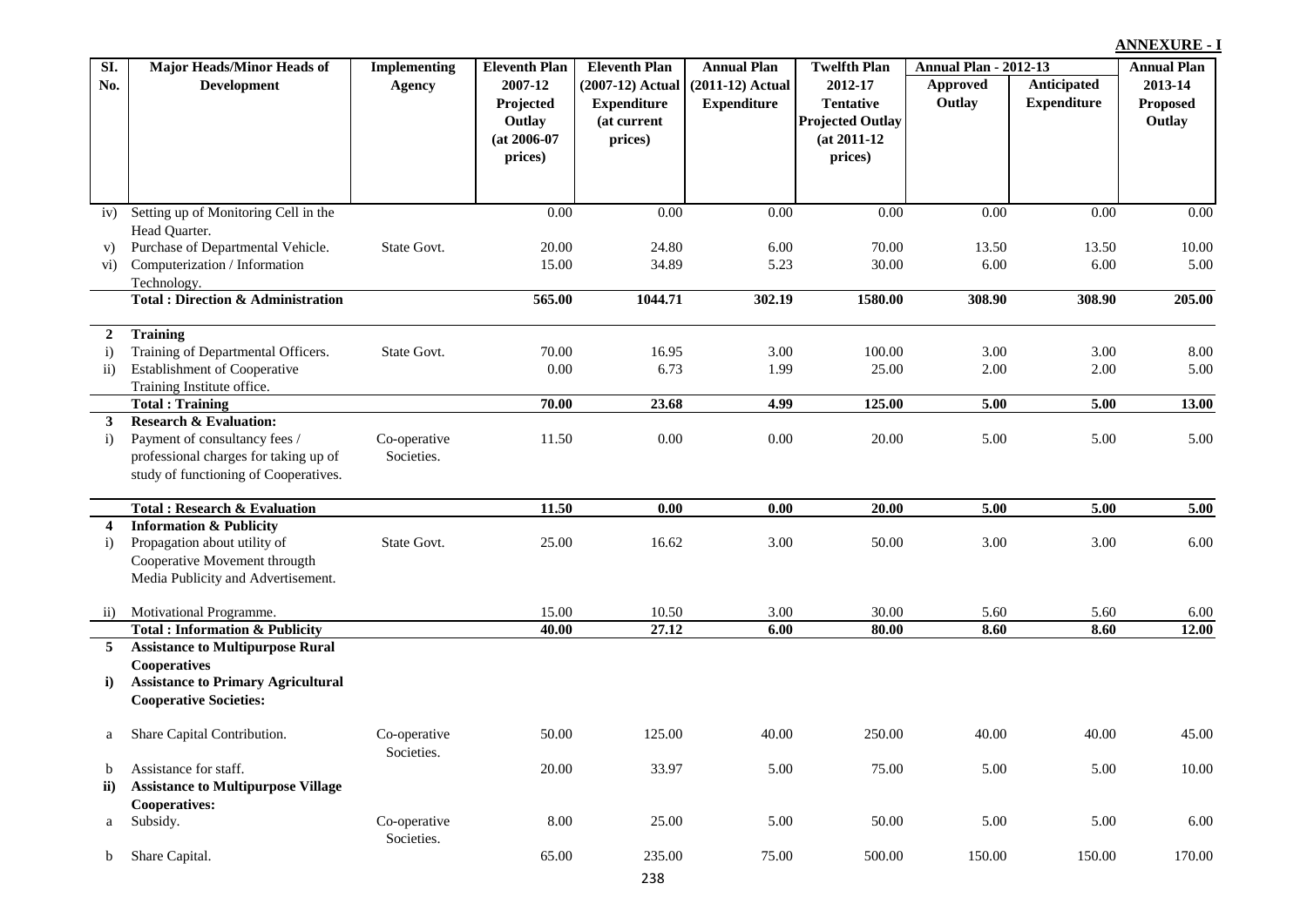| $\overline{SI}$ .       | <b>Major Heads/Minor Heads of</b>                                  | <b>Implementing</b>        | <b>Eleventh Plan</b> | <b>Eleventh Plan</b> | <b>Annual Plan</b> | <b>Twelfth Plan</b>     | <b>Annual Plan - 2012-13</b> |                    | <b>Annual Plan</b> |
|-------------------------|--------------------------------------------------------------------|----------------------------|----------------------|----------------------|--------------------|-------------------------|------------------------------|--------------------|--------------------|
| No.                     | <b>Development</b>                                                 | <b>Agency</b>              | 2007-12              | (2007-12) Actual     | $(2011-12)$ Actual | 2012-17                 | <b>Approved</b>              | Anticipated        | 2013-14            |
|                         |                                                                    |                            | Projected            | <b>Expenditure</b>   | <b>Expenditure</b> | <b>Tentative</b>        | Outlay                       | <b>Expenditure</b> | <b>Proposed</b>    |
|                         |                                                                    |                            | Outlay               | (at current          |                    | <b>Projected Outlay</b> |                              |                    | Outlay             |
|                         |                                                                    |                            | $(at 2006-07)$       | prices)              |                    | $(at 2011-12)$          |                              |                    |                    |
|                         |                                                                    |                            | prices)              |                      |                    | prices)                 |                              |                    |                    |
|                         |                                                                    |                            |                      |                      |                    |                         |                              |                    |                    |
|                         |                                                                    |                            |                      |                      |                    |                         |                              |                    |                    |
| iv)                     | Setting up of Monitoring Cell in the                               |                            | 0.00                 | 0.00                 | 0.00               | 0.00                    | 0.00                         | 0.00               | 0.00               |
|                         | Head Quarter.                                                      |                            |                      |                      |                    |                         |                              |                    |                    |
| V)                      | Purchase of Departmental Vehicle.                                  | State Govt.                | 20.00                | 24.80                | 6.00               | 70.00                   | 13.50                        | 13.50              | 10.00              |
| $\rm vi)$               | Computerization / Information                                      |                            | 15.00                | 34.89                | 5.23               | 30.00                   | 6.00                         | 6.00               | 5.00               |
|                         | Technology.<br><b>Total: Direction &amp; Administration</b>        |                            | 565.00               | 1044.71              | 302.19             | 1580.00                 | 308.90                       | 308.90             | 205.00             |
|                         |                                                                    |                            |                      |                      |                    |                         |                              |                    |                    |
| 2                       | <b>Training</b>                                                    |                            |                      |                      |                    |                         |                              |                    |                    |
| $\mathbf{i}$            | Training of Departmental Officers.                                 | State Govt.                | 70.00                | 16.95                | 3.00               | 100.00                  | 3.00                         | 3.00               | 8.00               |
| $\overline{11}$ )       | Establishment of Cooperative                                       |                            | 0.00                 | 6.73                 | 1.99               | 25.00                   | 2.00                         | 2.00               | 5.00               |
|                         | Training Institute office.                                         |                            |                      |                      |                    |                         |                              |                    |                    |
|                         | <b>Total: Training</b>                                             |                            | 70.00                | 23.68                | 4.99               | 125.00                  | 5.00                         | 5.00               | 13.00              |
| $\mathbf{3}$            | <b>Research &amp; Evaluation:</b><br>Payment of consultancy fees / |                            | 11.50                | $0.00\,$             | 0.00               | 20.00                   |                              | 5.00               | 5.00               |
| $\ddot{\mathbf{i}}$     | professional charges for taking up of                              | Co-operative<br>Societies. |                      |                      |                    |                         | 5.00                         |                    |                    |
|                         | study of functioning of Cooperatives.                              |                            |                      |                      |                    |                         |                              |                    |                    |
|                         |                                                                    |                            |                      |                      |                    |                         |                              |                    |                    |
|                         | <b>Total: Research &amp; Evaluation</b>                            |                            | 11.50                | 0.00                 | 0.00               | 20.00                   | 5.00                         | 5.00               | $\overline{5.00}$  |
| $\overline{\mathbf{4}}$ | <b>Information &amp; Publicity</b>                                 |                            |                      |                      |                    |                         |                              |                    |                    |
| $\mathbf{i}$            | Propagation about utility of                                       | State Govt.                | 25.00                | 16.62                | 3.00               | 50.00                   | 3.00                         | 3.00               | 6.00               |
|                         | Cooperative Movement througth                                      |                            |                      |                      |                    |                         |                              |                    |                    |
|                         | Media Publicity and Advertisement.                                 |                            |                      |                      |                    |                         |                              |                    |                    |
| $\overline{11}$         | Motivational Programme.                                            |                            | 15.00                | 10.50                | 3.00               | 30.00                   | 5.60                         | 5.60               | 6.00               |
|                         | <b>Total: Information &amp; Publicity</b>                          |                            | 40.00                | 27.12                | 6.00               | 80.00                   | 8.60                         | 8.60               | $\overline{12.00}$ |
| 5 <sup>5</sup>          | <b>Assistance to Multipurpose Rural</b>                            |                            |                      |                      |                    |                         |                              |                    |                    |
|                         | Cooperatives                                                       |                            |                      |                      |                    |                         |                              |                    |                    |
| $\bf i)$                | <b>Assistance to Primary Agricultural</b>                          |                            |                      |                      |                    |                         |                              |                    |                    |
|                         | <b>Cooperative Societies:</b>                                      |                            |                      |                      |                    |                         |                              |                    |                    |
| a                       | Share Capital Contribution.                                        | Co-operative               | 50.00                | 125.00               | 40.00              | 250.00                  | 40.00                        | 40.00              | 45.00              |
|                         |                                                                    | Societies.                 |                      |                      |                    |                         |                              |                    |                    |
| b                       | Assistance for staff.                                              |                            | 20.00                | 33.97                | 5.00               | 75.00                   | 5.00                         | 5.00               | 10.00              |
| ii)                     | <b>Assistance to Multipurpose Village</b>                          |                            |                      |                      |                    |                         |                              |                    |                    |
|                         | <b>Cooperatives:</b>                                               |                            |                      |                      |                    |                         |                              |                    |                    |
| a                       | Subsidy.                                                           | Co-operative               | 8.00                 | 25.00                | 5.00               | 50.00                   | 5.00                         | 5.00               | $6.00\,$           |
|                         |                                                                    | Societies.                 |                      |                      |                    |                         |                              |                    |                    |
| b                       | Share Capital.                                                     |                            | 65.00                | 235.00               | 75.00              | 500.00                  | 150.00                       | 150.00             | 170.00             |
|                         |                                                                    |                            |                      | 238                  |                    |                         |                              |                    |                    |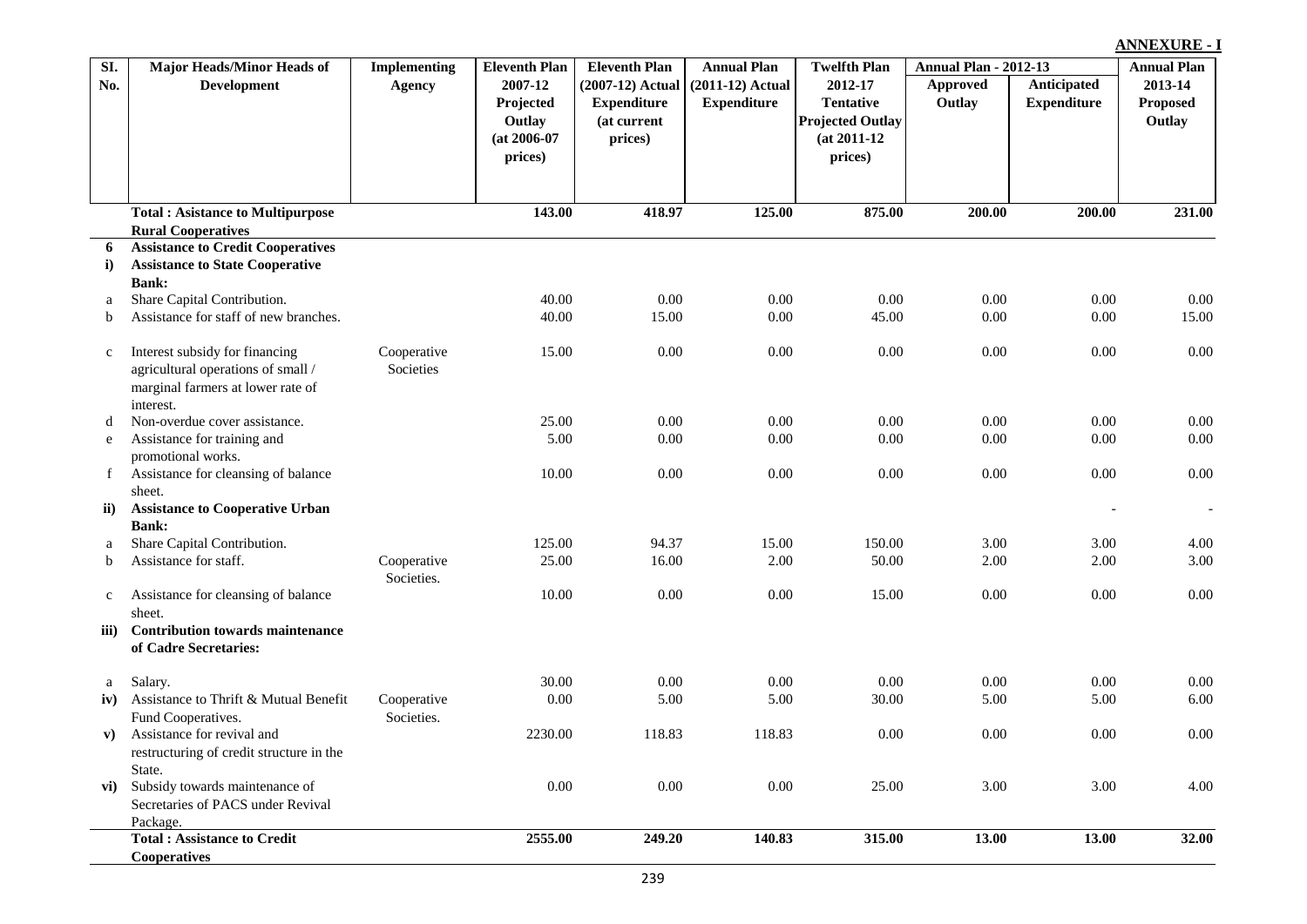| SI.          | <b>Major Heads/Minor Heads of</b>                      | <b>Implementing</b> | <b>Eleventh Plan</b> | <b>Eleventh Plan</b> | <b>Annual Plan</b> | <b>Twelfth Plan</b>     | <b>Annual Plan - 2012-13</b> |                    | <b>Annual Plan</b> |
|--------------|--------------------------------------------------------|---------------------|----------------------|----------------------|--------------------|-------------------------|------------------------------|--------------------|--------------------|
| No.          | <b>Development</b>                                     | <b>Agency</b>       | 2007-12              | (2007-12) Actual     | $(2011-12)$ Actual | 2012-17                 | Approved                     | <b>Anticipated</b> | 2013-14            |
|              |                                                        |                     | Projected            | <b>Expenditure</b>   | <b>Expenditure</b> | <b>Tentative</b>        | Outlay                       | <b>Expenditure</b> | Proposed           |
|              |                                                        |                     | Outlay               | (at current          |                    | <b>Projected Outlay</b> |                              |                    | Outlay             |
|              |                                                        |                     | $(at 2006-07)$       | prices)              |                    | $(at 2011-12)$          |                              |                    |                    |
|              |                                                        |                     | prices)              |                      |                    | prices)                 |                              |                    |                    |
|              |                                                        |                     |                      |                      |                    |                         |                              |                    |                    |
|              | <b>Total: Asistance to Multipurpose</b>                |                     | 143.00               | 418.97               | 125.00             | 875.00                  | 200.00                       | 200.00             | 231.00             |
|              | <b>Rural Cooperatives</b>                              |                     |                      |                      |                    |                         |                              |                    |                    |
| 6            | <b>Assistance to Credit Cooperatives</b>               |                     |                      |                      |                    |                         |                              |                    |                    |
| i)           | <b>Assistance to State Cooperative</b><br><b>Bank:</b> |                     |                      |                      |                    |                         |                              |                    |                    |
| a            | Share Capital Contribution.                            |                     | 40.00                | 0.00                 | 0.00               | 0.00                    | 0.00                         | 0.00               | 0.00               |
| b            | Assistance for staff of new branches.                  |                     | 40.00                | 15.00                | 0.00               | 45.00                   | 0.00                         | 0.00               | 15.00              |
|              |                                                        |                     |                      |                      |                    |                         |                              |                    |                    |
| $\mathbf{C}$ | Interest subsidy for financing                         | Cooperative         | 15.00                | 0.00                 | 0.00               | 0.00                    | 0.00                         | 0.00               | 0.00               |
|              | agricultural operations of small /                     | Societies           |                      |                      |                    |                         |                              |                    |                    |
|              | marginal farmers at lower rate of                      |                     |                      |                      |                    |                         |                              |                    |                    |
|              | interest.                                              |                     |                      |                      |                    |                         |                              |                    |                    |
| d            | Non-overdue cover assistance.                          |                     | 25.00                | 0.00                 | 0.00               | 0.00                    | 0.00                         | 0.00               | 0.00               |
| e            | Assistance for training and                            |                     | 5.00                 | 0.00                 | 0.00               | 0.00                    | 0.00                         | 0.00               | $0.00\,$           |
|              | promotional works.                                     |                     |                      |                      |                    |                         |                              |                    |                    |
| $\mathbf{f}$ | Assistance for cleansing of balance<br>sheet.          |                     | 10.00                | 0.00                 | 0.00               | 0.00                    | 0.00                         | 0.00               | 0.00               |
| ii)          | <b>Assistance to Cooperative Urban</b>                 |                     |                      |                      |                    |                         |                              |                    |                    |
|              | <b>Bank:</b>                                           |                     |                      |                      |                    |                         |                              |                    |                    |
| a            | Share Capital Contribution.                            |                     | 125.00               | 94.37                | 15.00              | 150.00                  | 3.00                         | 3.00               | 4.00               |
| $\mathbf b$  | Assistance for staff.                                  | Cooperative         | 25.00                | 16.00                | 2.00               | 50.00                   | 2.00                         | 2.00               | 3.00               |
|              |                                                        | Societies.          |                      |                      |                    |                         |                              |                    |                    |
| $\mathbf{c}$ | Assistance for cleansing of balance                    |                     | 10.00                | 0.00                 | 0.00               | 15.00                   | 0.00                         | 0.00               | 0.00               |
|              | sheet.                                                 |                     |                      |                      |                    |                         |                              |                    |                    |
| iii)         | <b>Contribution towards maintenance</b>                |                     |                      |                      |                    |                         |                              |                    |                    |
|              | of Cadre Secretaries:                                  |                     |                      |                      |                    |                         |                              |                    |                    |
| $\rm{a}$     | Salary.                                                |                     | 30.00                | 0.00                 | 0.00               | 0.00                    | 0.00                         | 0.00               | 0.00               |
| iv)          | Assistance to Thrift & Mutual Benefit                  | Cooperative         | 0.00                 | 5.00                 | 5.00               | 30.00                   | 5.00                         | 5.00               | 6.00               |
|              | Fund Cooperatives.                                     | Societies.          |                      |                      |                    |                         |                              |                    |                    |
| V)           | Assistance for revival and                             |                     | 2230.00              | 118.83               | 118.83             | 0.00                    | 0.00                         | 0.00               | 0.00               |
|              | restructuring of credit structure in the               |                     |                      |                      |                    |                         |                              |                    |                    |
|              | State.                                                 |                     |                      |                      |                    |                         |                              |                    |                    |
| vi)          | Subsidy towards maintenance of                         |                     | 0.00                 | 0.00                 | 0.00               | 25.00                   | 3.00                         | 3.00               | 4.00               |
|              | Secretaries of PACS under Revival                      |                     |                      |                      |                    |                         |                              |                    |                    |
|              | Package.                                               |                     |                      |                      |                    |                         |                              |                    |                    |
|              | <b>Total: Assistance to Credit</b>                     |                     | 2555.00              | $\overline{249.20}$  | 140.83             | 315.00                  | 13.00                        | 13.00              | 32.00              |
|              | <b>Cooperatives</b>                                    |                     |                      |                      |                    |                         |                              |                    |                    |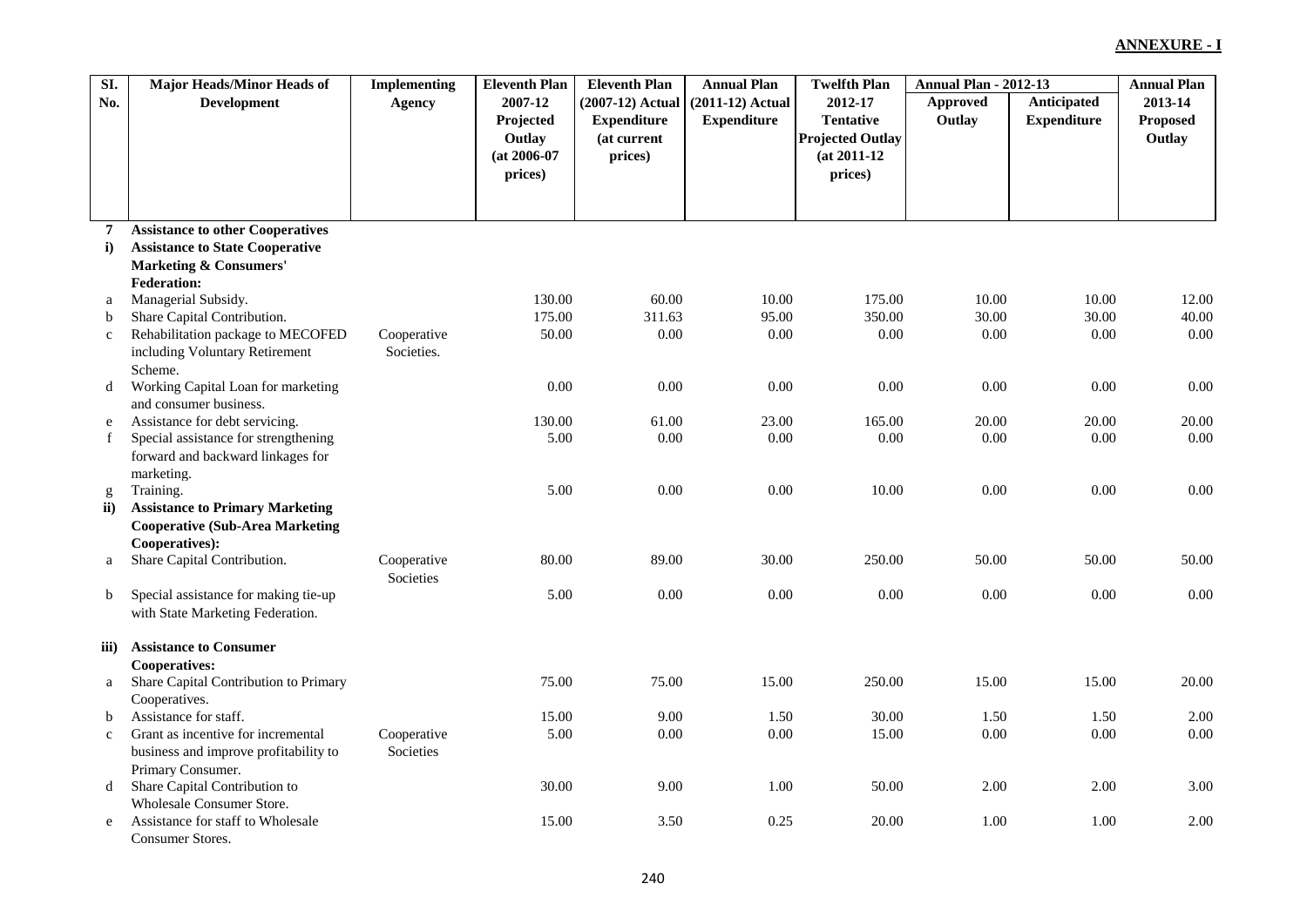| SI.           | <b>Major Heads/Minor Heads of</b>             | <b>Implementing</b> | <b>Eleventh Plan</b> | <b>Eleventh Plan</b> | <b>Annual Plan</b> | <b>Twelfth Plan</b>     | <b>Annual Plan - 2012-13</b> |                    | <b>Annual Plan</b> |
|---------------|-----------------------------------------------|---------------------|----------------------|----------------------|--------------------|-------------------------|------------------------------|--------------------|--------------------|
| No.           | <b>Development</b>                            | Agency              | 2007-12              | (2007-12) Actual     | $(2011-12)$ Actual | 2012-17                 | Approved                     | Anticipated        | 2013-14            |
|               |                                               |                     | Projected            | <b>Expenditure</b>   | <b>Expenditure</b> | <b>Tentative</b>        | Outlay                       | <b>Expenditure</b> | Proposed           |
|               |                                               |                     | Outlay               | (at current          |                    | <b>Projected Outlay</b> |                              |                    | Outlay             |
|               |                                               |                     | $(at 2006-07)$       | prices)              |                    | $(at 2011-12)$          |                              |                    |                    |
|               |                                               |                     | prices)              |                      |                    | prices)                 |                              |                    |                    |
|               |                                               |                     |                      |                      |                    |                         |                              |                    |                    |
|               |                                               |                     |                      |                      |                    |                         |                              |                    |                    |
| 7             | <b>Assistance to other Cooperatives</b>       |                     |                      |                      |                    |                         |                              |                    |                    |
| $\mathbf{i}$  | <b>Assistance to State Cooperative</b>        |                     |                      |                      |                    |                         |                              |                    |                    |
|               | <b>Marketing &amp; Consumers'</b>             |                     |                      |                      |                    |                         |                              |                    |                    |
|               | <b>Federation:</b>                            |                     |                      |                      |                    |                         |                              |                    |                    |
| a             | Managerial Subsidy.                           |                     | 130.00               | 60.00                | 10.00              | 175.00                  | 10.00                        | 10.00              | 12.00              |
| b             | Share Capital Contribution.                   |                     | 175.00               | 311.63               | 95.00              | 350.00                  | 30.00                        | 30.00              | 40.00              |
| $\mathbf c$   | Rehabilitation package to MECOFED             | Cooperative         | 50.00                | $0.00\,$             | 0.00               | 0.00                    | 0.00                         | 0.00               | 0.00               |
|               | including Voluntary Retirement                | Societies.          |                      |                      |                    |                         |                              |                    |                    |
|               | Scheme.                                       |                     |                      |                      |                    |                         |                              |                    |                    |
| d             | Working Capital Loan for marketing            |                     | 0.00                 | 0.00                 | 0.00               | 0.00                    | 0.00                         | 0.00               | 0.00               |
|               | and consumer business.                        |                     |                      |                      |                    |                         |                              |                    |                    |
| e             | Assistance for debt servicing.                |                     | 130.00               | 61.00                | 23.00              | 165.00                  | 20.00                        | 20.00              | 20.00              |
| f             | Special assistance for strengthening          |                     | 5.00                 | 0.00                 | 0.00               | 0.00                    | 0.00                         | 0.00               | 0.00               |
|               | forward and backward linkages for             |                     |                      |                      |                    |                         |                              |                    |                    |
|               | marketing.                                    |                     |                      |                      |                    |                         |                              |                    |                    |
| g             | Training.                                     |                     | 5.00                 | 0.00                 | $0.00\,$           | 10.00                   | 0.00                         | 0.00               | 0.00               |
| $\mathbf{ii}$ | <b>Assistance to Primary Marketing</b>        |                     |                      |                      |                    |                         |                              |                    |                    |
|               | <b>Cooperative (Sub-Area Marketing</b>        |                     |                      |                      |                    |                         |                              |                    |                    |
|               | Cooperatives):<br>Share Capital Contribution. | Cooperative         | 80.00                | 89.00                | 30.00              | 250.00                  | 50.00                        | 50.00              | 50.00              |
| a             |                                               | Societies           |                      |                      |                    |                         |                              |                    |                    |
| $\mathbf b$   | Special assistance for making tie-up          |                     | 5.00                 | 0.00                 | 0.00               | 0.00                    | 0.00                         | 0.00               | 0.00               |
|               | with State Marketing Federation.              |                     |                      |                      |                    |                         |                              |                    |                    |
|               |                                               |                     |                      |                      |                    |                         |                              |                    |                    |
| iii)          | <b>Assistance to Consumer</b>                 |                     |                      |                      |                    |                         |                              |                    |                    |
|               | <b>Cooperatives:</b>                          |                     |                      |                      |                    |                         |                              |                    |                    |
| a             | Share Capital Contribution to Primary         |                     | 75.00                | 75.00                | 15.00              | 250.00                  | 15.00                        | 15.00              | 20.00              |
|               | Cooperatives.                                 |                     |                      |                      |                    |                         |                              |                    |                    |
| b             | Assistance for staff.                         |                     | 15.00                | 9.00                 | 1.50               | 30.00                   | 1.50                         | 1.50               | 2.00               |
| $\mathbf{c}$  | Grant as incentive for incremental            | Cooperative         | 5.00                 | $0.00\,$             | $0.00\,$           | 15.00                   | $0.00\,$                     | $0.00\,$           | 0.00               |
|               | business and improve profitability to         | Societies           |                      |                      |                    |                         |                              |                    |                    |
|               | Primary Consumer.                             |                     |                      |                      |                    |                         |                              |                    |                    |
| d             | Share Capital Contribution to                 |                     | 30.00                | 9.00                 | 1.00               | 50.00                   | 2.00                         | 2.00               | 3.00               |
|               | <b>Wholesale Consumer Store.</b>              |                     |                      |                      |                    |                         |                              |                    |                    |
| e             | Assistance for staff to Wholesale             |                     | 15.00                | 3.50                 | 0.25               | 20.00                   | 1.00                         | 1.00               | 2.00               |
|               | Consumer Stores.                              |                     |                      |                      |                    |                         |                              |                    |                    |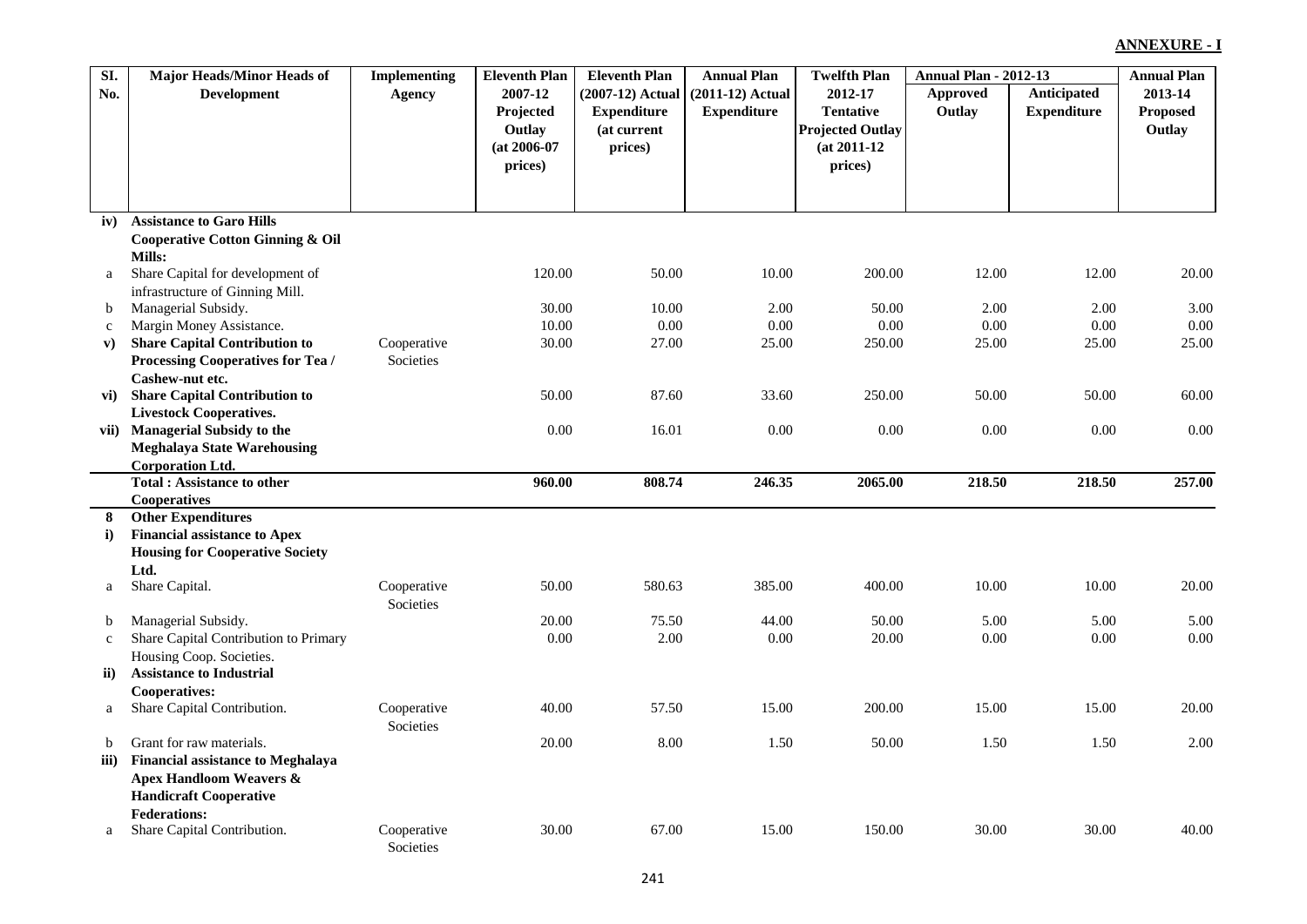| SI.         | <b>Major Heads/Minor Heads of</b>                                  | <b>Implementing</b>      | <b>Eleventh Plan</b> | <b>Eleventh Plan</b> | <b>Annual Plan</b> | <b>Twelfth Plan</b>     | <b>Annual Plan - 2012-13</b> |                    | <b>Annual Plan</b> |
|-------------|--------------------------------------------------------------------|--------------------------|----------------------|----------------------|--------------------|-------------------------|------------------------------|--------------------|--------------------|
| No.         | <b>Development</b>                                                 | Agency                   | 2007-12              | (2007-12) Actual     | $(2011-12)$ Actual | 2012-17                 | <b>Approved</b>              | Anticipated        | 2013-14            |
|             |                                                                    |                          | Projected            | <b>Expenditure</b>   | <b>Expenditure</b> | <b>Tentative</b>        | Outlay                       | <b>Expenditure</b> | <b>Proposed</b>    |
|             |                                                                    |                          | Outlay               | (at current          |                    | <b>Projected Outlay</b> |                              |                    | Outlay             |
|             |                                                                    |                          | $(at 2006-07)$       | prices)              |                    | $(at 2011-12)$          |                              |                    |                    |
|             |                                                                    |                          | prices)              |                      |                    | prices)                 |                              |                    |                    |
|             |                                                                    |                          |                      |                      |                    |                         |                              |                    |                    |
|             |                                                                    |                          |                      |                      |                    |                         |                              |                    |                    |
| iv)         | <b>Assistance to Garo Hills</b>                                    |                          |                      |                      |                    |                         |                              |                    |                    |
|             | <b>Cooperative Cotton Ginning &amp; Oil</b>                        |                          |                      |                      |                    |                         |                              |                    |                    |
|             | Mills:                                                             |                          |                      |                      |                    |                         |                              |                    |                    |
| a           | Share Capital for development of                                   |                          | 120.00               | 50.00                | 10.00              | 200.00                  | 12.00                        | 12.00              | 20.00              |
|             | infrastructure of Ginning Mill.                                    |                          |                      |                      |                    |                         |                              |                    |                    |
| $\mathbf b$ | Managerial Subsidy.                                                |                          | 30.00                | 10.00                | 2.00               | 50.00                   | 2.00                         | 2.00               | 3.00               |
| $\mathbf c$ | Margin Money Assistance.                                           |                          | 10.00                | 0.00                 | 0.00               | 0.00                    | 0.00                         | 0.00               | 0.00               |
| ${\bf v})$  | <b>Share Capital Contribution to</b>                               | Cooperative              | 30.00                | 27.00                | 25.00              | 250.00                  | 25.00                        | 25.00              | 25.00              |
|             | Processing Cooperatives for Tea /                                  | Societies                |                      |                      |                    |                         |                              |                    |                    |
|             | Cashew-nut etc.                                                    |                          |                      |                      |                    |                         |                              |                    | 60.00              |
| vi)         | <b>Share Capital Contribution to</b>                               |                          | 50.00                | 87.60                | 33.60              | 250.00                  | 50.00                        | 50.00              |                    |
|             | <b>Livestock Cooperatives.</b><br><b>Managerial Subsidy to the</b> |                          | 0.00                 | 16.01                | 0.00               | 0.00                    | 0.00                         | 0.00               | 0.00               |
| vii)        | <b>Meghalaya State Warehousing</b>                                 |                          |                      |                      |                    |                         |                              |                    |                    |
|             | <b>Corporation Ltd.</b>                                            |                          |                      |                      |                    |                         |                              |                    |                    |
|             | <b>Total: Assistance to other</b>                                  |                          | 960.00               | 808.74               | 246.35             | 2065.00                 | 218.50                       | 218.50             | 257.00             |
|             | Cooperatives                                                       |                          |                      |                      |                    |                         |                              |                    |                    |
| 8           | <b>Other Expenditures</b>                                          |                          |                      |                      |                    |                         |                              |                    |                    |
| i)          | <b>Financial assistance to Apex</b>                                |                          |                      |                      |                    |                         |                              |                    |                    |
|             | <b>Housing for Cooperative Society</b>                             |                          |                      |                      |                    |                         |                              |                    |                    |
|             | Ltd.                                                               |                          |                      |                      |                    |                         |                              |                    |                    |
| a           | Share Capital.                                                     | Cooperative<br>Societies | 50.00                | 580.63               | 385.00             | 400.00                  | 10.00                        | 10.00              | 20.00              |
| b           | Managerial Subsidy.                                                |                          | 20.00                | 75.50                | 44.00              | 50.00                   | 5.00                         | 5.00               | 5.00               |
| $\mathbf c$ | Share Capital Contribution to Primary                              |                          | 0.00                 | 2.00                 | 0.00               | 20.00                   | 0.00                         | 0.00               | 0.00               |
|             | Housing Coop. Societies.                                           |                          |                      |                      |                    |                         |                              |                    |                    |
| ii)         | <b>Assistance to Industrial</b>                                    |                          |                      |                      |                    |                         |                              |                    |                    |
|             | <b>Cooperatives:</b>                                               |                          |                      |                      |                    |                         |                              |                    |                    |
| a           | Share Capital Contribution.                                        | Cooperative<br>Societies | 40.00                | 57.50                | 15.00              | 200.00                  | 15.00                        | 15.00              | 20.00              |
| b           | Grant for raw materials.                                           |                          | 20.00                | 8.00                 | 1.50               | 50.00                   | 1.50                         | 1.50               | 2.00               |
| iii)        | <b>Financial assistance to Meghalaya</b>                           |                          |                      |                      |                    |                         |                              |                    |                    |
|             | <b>Apex Handloom Weavers &amp;</b>                                 |                          |                      |                      |                    |                         |                              |                    |                    |
|             | <b>Handicraft Cooperative</b>                                      |                          |                      |                      |                    |                         |                              |                    |                    |
|             | <b>Federations:</b>                                                |                          |                      |                      |                    |                         |                              |                    |                    |
| a           | Share Capital Contribution.                                        | Cooperative<br>Societies | 30.00                | 67.00                | 15.00              | 150.00                  | 30.00                        | 30.00              | 40.00              |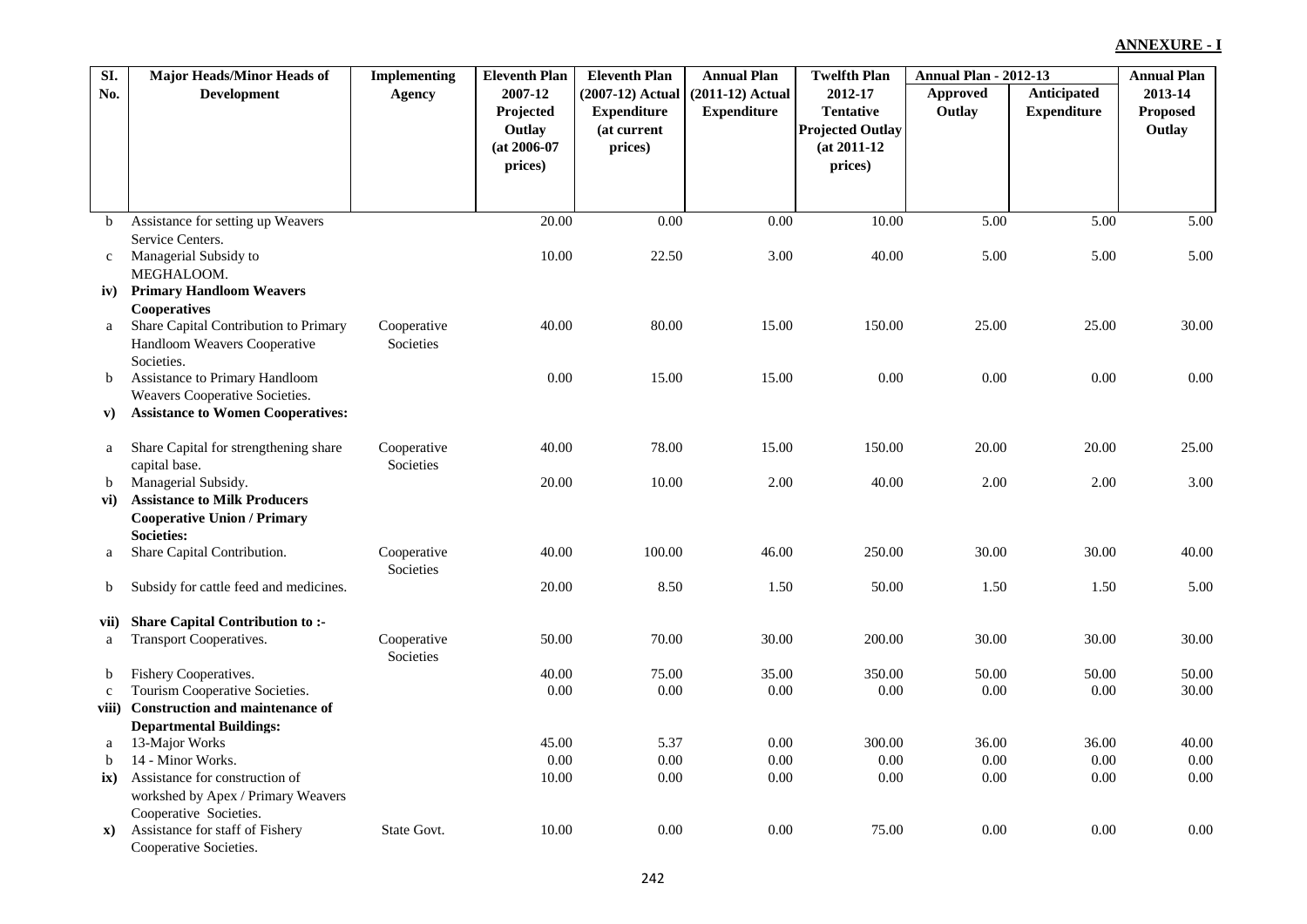| SI.         | <b>Major Heads/Minor Heads of</b>                                         | <b>Implementing</b>      | <b>Eleventh Plan</b> | <b>Eleventh Plan</b> | <b>Annual Plan</b> | <b>Twelfth Plan</b>     | <b>Annual Plan - 2012-13</b> |                    | <b>Annual Plan</b> |
|-------------|---------------------------------------------------------------------------|--------------------------|----------------------|----------------------|--------------------|-------------------------|------------------------------|--------------------|--------------------|
| No.         | <b>Development</b>                                                        | Agency                   | 2007-12              | (2007-12) Actual     | $(2011-12)$ Actual | 2012-17                 | <b>Approved</b>              | Anticipated        | 2013-14            |
|             |                                                                           |                          | Projected            | <b>Expenditure</b>   | <b>Expenditure</b> | <b>Tentative</b>        | Outlay                       | <b>Expenditure</b> | Proposed           |
|             |                                                                           |                          | Outlay               | (at current          |                    | <b>Projected Outlay</b> |                              |                    | Outlay             |
|             |                                                                           |                          | $(at 2006-07)$       | prices)              |                    | $(at 2011-12)$          |                              |                    |                    |
|             |                                                                           |                          | prices)              |                      |                    | prices)                 |                              |                    |                    |
|             |                                                                           |                          |                      |                      |                    |                         |                              |                    |                    |
| $\mathbf b$ | Assistance for setting up Weavers                                         |                          | 20.00                | 0.00                 | $0.00\,$           | 10.00                   | 5.00                         | 5.00               | 5.00               |
|             | Service Centers.                                                          |                          |                      |                      |                    |                         |                              |                    |                    |
| $\mathbf c$ | Managerial Subsidy to                                                     |                          | 10.00                | 22.50                | 3.00               | 40.00                   | 5.00                         | 5.00               | 5.00               |
|             | MEGHALOOM.                                                                |                          |                      |                      |                    |                         |                              |                    |                    |
| iv)         | <b>Primary Handloom Weavers</b>                                           |                          |                      |                      |                    |                         |                              |                    |                    |
|             | Cooperatives                                                              |                          |                      |                      |                    |                         |                              |                    |                    |
| a           | Share Capital Contribution to Primary                                     | Cooperative              | 40.00                | 80.00                | 15.00              | 150.00                  | 25.00                        | 25.00              | 30.00              |
|             | Handloom Weavers Cooperative<br>Societies.                                | Societies                |                      |                      |                    |                         |                              |                    |                    |
| $\mathbf b$ | Assistance to Primary Handloom                                            |                          | 0.00                 | 15.00                | 15.00              | 0.00                    | 0.00                         | 0.00               | 0.00               |
|             | Weavers Cooperative Societies.                                            |                          |                      |                      |                    |                         |                              |                    |                    |
| V)          | <b>Assistance to Women Cooperatives:</b>                                  |                          |                      |                      |                    |                         |                              |                    |                    |
|             |                                                                           |                          |                      |                      |                    |                         |                              |                    |                    |
| a           | Share Capital for strengthening share                                     | Cooperative              | 40.00                | 78.00                | 15.00              | 150.00                  | 20.00                        | 20.00              | 25.00              |
|             | capital base.                                                             | Societies                |                      |                      |                    |                         |                              |                    |                    |
| b           | Managerial Subsidy.                                                       |                          | 20.00                | 10.00                | 2.00               | 40.00                   | 2.00                         | 2.00               | 3.00               |
| vi)         | <b>Assistance to Milk Producers</b><br><b>Cooperative Union / Primary</b> |                          |                      |                      |                    |                         |                              |                    |                    |
|             | <b>Societies:</b>                                                         |                          |                      |                      |                    |                         |                              |                    |                    |
| a           | Share Capital Contribution.                                               | Cooperative              | 40.00                | 100.00               | 46.00              | 250.00                  | 30.00                        | 30.00              | 40.00              |
|             |                                                                           | Societies                |                      |                      |                    |                         |                              |                    |                    |
| b           | Subsidy for cattle feed and medicines.                                    |                          | 20.00                | 8.50                 | 1.50               | 50.00                   | 1.50                         | 1.50               | 5.00               |
|             |                                                                           |                          |                      |                      |                    |                         |                              |                    |                    |
| vii)        | <b>Share Capital Contribution to:-</b>                                    |                          |                      |                      |                    |                         |                              |                    |                    |
| a           | <b>Transport Cooperatives.</b>                                            | Cooperative<br>Societies | 50.00                | 70.00                | 30.00              | 200.00                  | 30.00                        | 30.00              | 30.00              |
| b           | Fishery Cooperatives.                                                     |                          | 40.00                | 75.00                | 35.00              | 350.00                  | 50.00                        | 50.00              | 50.00              |
| $\mathbf c$ | Tourism Cooperative Societies.                                            |                          | 0.00                 | 0.00                 | 0.00               | 0.00                    | 0.00                         | 0.00               | 30.00              |
| viii)       | <b>Construction and maintenance of</b>                                    |                          |                      |                      |                    |                         |                              |                    |                    |
|             | <b>Departmental Buildings:</b>                                            |                          |                      |                      |                    |                         |                              |                    |                    |
| a           | 13-Major Works                                                            |                          | 45.00                | 5.37                 | 0.00               | 300.00                  | 36.00                        | 36.00              | 40.00              |
| b           | 14 - Minor Works.                                                         |                          | 0.00                 | 0.00                 | $0.00\,$           | 0.00                    | 0.00                         | 0.00               | 0.00               |
| ix)         | Assistance for construction of                                            |                          | 10.00                | 0.00                 | 0.00               | 0.00                    | 0.00                         | 0.00               | 0.00               |
|             | workshed by Apex / Primary Weavers                                        |                          |                      |                      |                    |                         |                              |                    |                    |
|             | Cooperative Societies.<br>Assistance for staff of Fishery                 | State Govt.              | 10.00                | 0.00                 | 0.00               | 75.00                   | 0.00                         | 0.00               | 0.00               |
| <b>x</b> )  | Cooperative Societies.                                                    |                          |                      |                      |                    |                         |                              |                    |                    |
|             |                                                                           |                          |                      |                      |                    |                         |                              |                    |                    |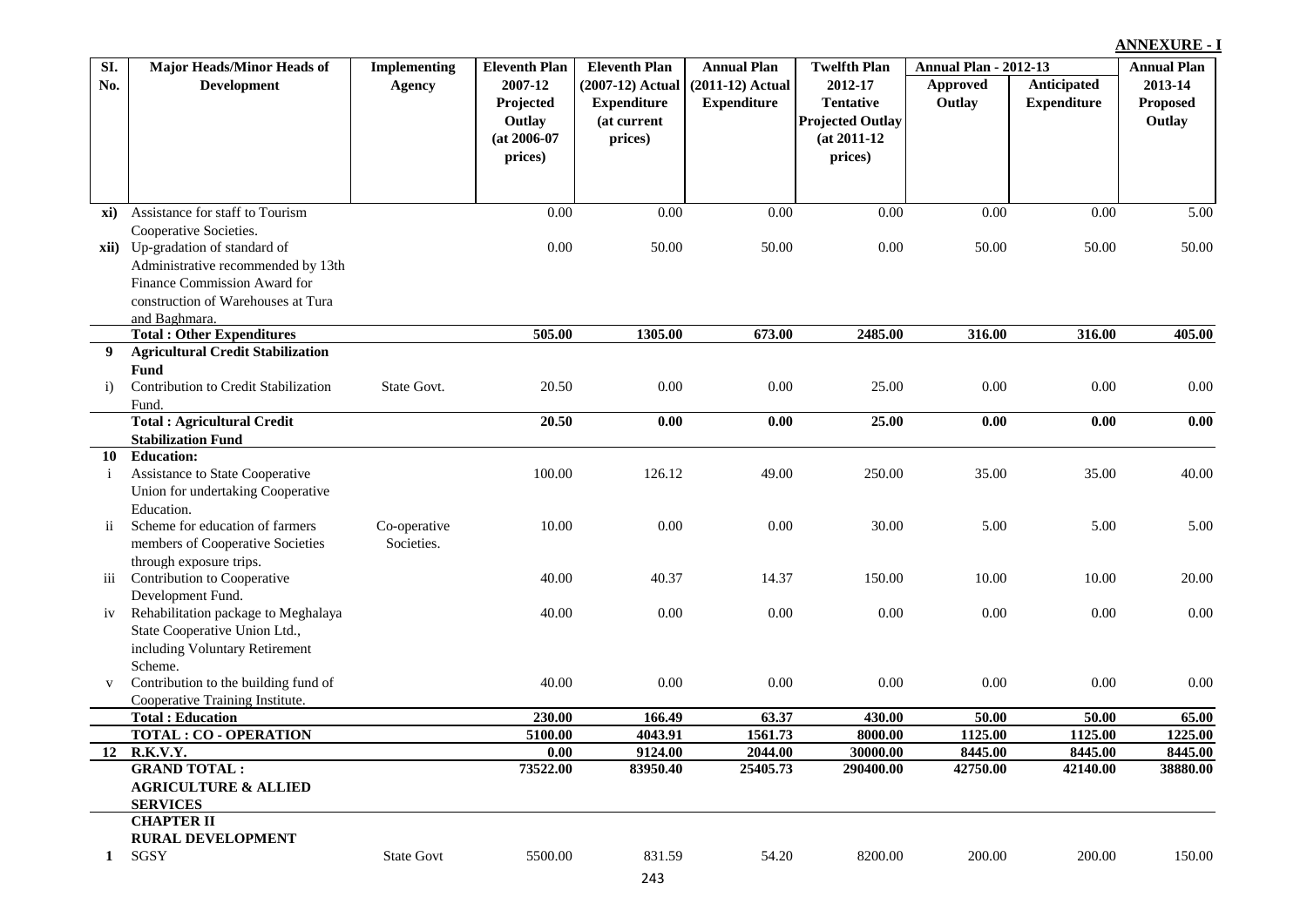| SI.          | <b>Major Heads/Minor Heads of</b>         | <b>Implementing</b> | <b>Eleventh Plan</b> | <b>Eleventh Plan</b> | <b>Annual Plan</b> | <b>Twelfth Plan</b>     | <b>Annual Plan - 2012-13</b> |                    | <b>Annual Plan</b> |
|--------------|-------------------------------------------|---------------------|----------------------|----------------------|--------------------|-------------------------|------------------------------|--------------------|--------------------|
| No.          | <b>Development</b>                        | <b>Agency</b>       | 2007-12              | $(2007-12)$ Actual   | $(2011-12)$ Actual | 2012-17                 | <b>Approved</b>              | Anticipated        | 2013-14            |
|              |                                           |                     | Projected            | <b>Expenditure</b>   | <b>Expenditure</b> | <b>Tentative</b>        | Outlay                       | <b>Expenditure</b> | <b>Proposed</b>    |
|              |                                           |                     | Outlay               | (at current          |                    | <b>Projected Outlay</b> |                              |                    | Outlay             |
|              |                                           |                     | $(at 2006-07)$       | prices)              |                    | $(at 2011-12)$          |                              |                    |                    |
|              |                                           |                     | prices)              |                      |                    | prices)                 |                              |                    |                    |
|              |                                           |                     |                      |                      |                    |                         |                              |                    |                    |
|              |                                           |                     |                      |                      |                    |                         |                              |                    |                    |
| xi)          | Assistance for staff to Tourism           |                     | 0.00                 | 0.00                 | 0.00               | 0.00                    | 0.00                         | 0.00               | 5.00               |
|              | Cooperative Societies.                    |                     |                      |                      |                    |                         |                              |                    |                    |
| xii)         | Up-gradation of standard of               |                     | 0.00                 | 50.00                | 50.00              | 0.00                    | 50.00                        | 50.00              | 50.00              |
|              | Administrative recommended by 13th        |                     |                      |                      |                    |                         |                              |                    |                    |
|              | Finance Commission Award for              |                     |                      |                      |                    |                         |                              |                    |                    |
|              | construction of Warehouses at Tura        |                     |                      |                      |                    |                         |                              |                    |                    |
|              | and Baghmara.                             |                     |                      |                      |                    |                         |                              |                    |                    |
|              | <b>Total: Other Expenditures</b>          |                     | 505.00               | 1305.00              | 673.00             | 2485.00                 | 316.00                       | 316.00             | 405.00             |
| 9            | <b>Agricultural Credit Stabilization</b>  |                     |                      |                      |                    |                         |                              |                    |                    |
|              | <b>Fund</b>                               |                     |                      |                      |                    |                         |                              |                    |                    |
| $\mathbf{i}$ | Contribution to Credit Stabilization      | State Govt.         | 20.50                | 0.00                 | 0.00               | 25.00                   | 0.00                         | $0.00\,$           | 0.00               |
|              | Fund.                                     |                     |                      |                      |                    |                         |                              |                    |                    |
|              | <b>Total: Agricultural Credit</b>         |                     | 20.50                | 0.00                 | 0.00               | 25.00                   | 0.00                         | 0.00               | 0.00               |
|              | <b>Stabilization Fund</b>                 |                     |                      |                      |                    |                         |                              |                    |                    |
| 10           | <b>Education:</b>                         |                     |                      |                      |                    |                         |                              |                    |                    |
| $\mathbf{i}$ | Assistance to State Cooperative           |                     | 100.00               | 126.12               | 49.00              | 250.00                  | 35.00                        | 35.00              | 40.00              |
|              | Union for undertaking Cooperative         |                     |                      |                      |                    |                         |                              |                    |                    |
|              | Education.                                |                     |                      |                      |                    |                         |                              |                    |                    |
| ii.          | Scheme for education of farmers           | Co-operative        | 10.00                | 0.00                 | 0.00               | 30.00                   | 5.00                         | 5.00               | 5.00               |
|              | members of Cooperative Societies          | Societies.          |                      |                      |                    |                         |                              |                    |                    |
|              | through exposure trips.                   |                     |                      |                      |                    |                         |                              |                    |                    |
| 111          | Contribution to Cooperative               |                     | 40.00                | 40.37                | 14.37              | 150.00                  | 10.00                        | 10.00              | 20.00              |
|              | Development Fund.                         |                     |                      |                      |                    |                         |                              |                    |                    |
| 1V           | Rehabilitation package to Meghalaya       |                     | 40.00                | 0.00                 | $0.00\,$           | 0.00                    | 0.00                         | $0.00\,$           | 0.00               |
|              | State Cooperative Union Ltd.,             |                     |                      |                      |                    |                         |                              |                    |                    |
|              | including Voluntary Retirement<br>Scheme. |                     |                      |                      |                    |                         |                              |                    |                    |
| $\mathbf V$  | Contribution to the building fund of      |                     | 40.00                | 0.00                 | 0.00               | 0.00                    | 0.00                         | $0.00\,$           | $0.00\,$           |
|              | Cooperative Training Institute.           |                     |                      |                      |                    |                         |                              |                    |                    |
|              | <b>Total: Education</b>                   |                     | 230.00               | 166.49               | 63.37              | 430.00                  | 50.00                        | 50.00              | 65.00              |
|              | <b>TOTAL: CO - OPERATION</b>              |                     | 5100.00              | 4043.91              | 1561.73            | 8000.00                 | 1125.00                      | 1125.00            | 1225.00            |
|              | 12 R.K.V.Y.                               |                     | $\overline{0.00}$    | 9124.00              | 2044.00            | 30000.00                | 8445.00                      | 8445.00            | 8445.00            |
|              | <b>GRAND TOTAL:</b>                       |                     | 73522.00             | 83950.40             | 25405.73           | 290400.00               | 42750.00                     | 42140.00           | 38880.00           |
|              | <b>AGRICULTURE &amp; ALLIED</b>           |                     |                      |                      |                    |                         |                              |                    |                    |
|              | <b>SERVICES</b>                           |                     |                      |                      |                    |                         |                              |                    |                    |
|              | <b>CHAPTER II</b>                         |                     |                      |                      |                    |                         |                              |                    |                    |
|              | <b>RURAL DEVELOPMENT</b>                  |                     |                      |                      |                    |                         |                              |                    |                    |
|              | 1 SGSY                                    | <b>State Govt</b>   | 5500.00              | 831.59               | 54.20              | 8200.00                 | 200.00                       | 200.00             | 150.00             |
|              |                                           |                     |                      | 243                  |                    |                         |                              |                    |                    |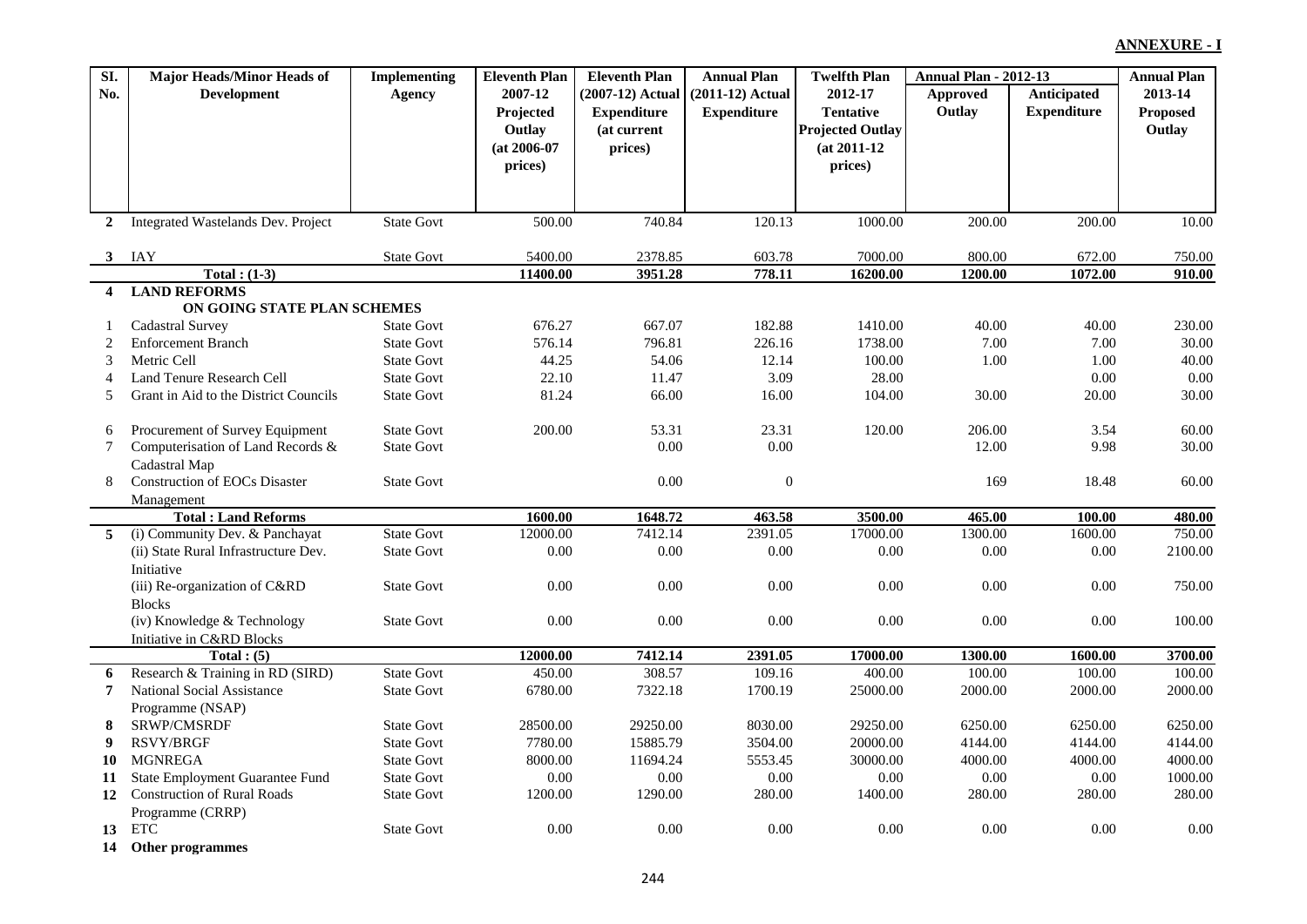| SI.                     | <b>Major Heads/Minor Heads of</b>            | <b>Implementing</b> | <b>Eleventh Plan</b> | <b>Eleventh Plan</b> | <b>Annual Plan</b> | <b>Twelfth Plan</b>     | <b>Annual Plan - 2012-13</b> |                    | <b>Annual Plan</b> |
|-------------------------|----------------------------------------------|---------------------|----------------------|----------------------|--------------------|-------------------------|------------------------------|--------------------|--------------------|
| No.                     | <b>Development</b>                           | Agency              | 2007-12              | (2007-12) Actual     | $(2011-12)$ Actual | 2012-17                 | Approved                     | Anticipated        | 2013-14            |
|                         |                                              |                     | Projected            | <b>Expenditure</b>   | <b>Expenditure</b> | <b>Tentative</b>        | Outlay                       | <b>Expenditure</b> | Proposed           |
|                         |                                              |                     | Outlay               | (at current          |                    | <b>Projected Outlay</b> |                              |                    | Outlay             |
|                         |                                              |                     | $(at 2006-07)$       | prices)              |                    | $(at 2011-12)$          |                              |                    |                    |
|                         |                                              |                     | prices)              |                      |                    | prices)                 |                              |                    |                    |
|                         |                                              |                     |                      |                      |                    |                         |                              |                    |                    |
|                         |                                              |                     |                      |                      |                    |                         |                              |                    |                    |
| $\overline{2}$          | Integrated Wastelands Dev. Project           | <b>State Govt</b>   | 500.00               | 740.84               | 120.13             | 1000.00                 | 200.00                       | 200.00             | 10.00              |
|                         |                                              |                     |                      |                      |                    |                         |                              |                    |                    |
| $3^{\circ}$             | IAY<br>Total: $(1-3)$                        | <b>State Govt</b>   | 5400.00<br>11400.00  | 2378.85<br>3951.28   | 603.78<br>778.11   | 7000.00                 | 800.00<br>1200.00            | 672.00             | 750.00             |
| $\overline{\mathbf{4}}$ | <b>LAND REFORMS</b>                          |                     |                      |                      |                    | 16200.00                |                              | 1072.00            | 910.00             |
|                         | ON GOING STATE PLAN SCHEMES                  |                     |                      |                      |                    |                         |                              |                    |                    |
| 1                       | <b>Cadastral Survey</b>                      | <b>State Govt</b>   | 676.27               | 667.07               | 182.88             | 1410.00                 | 40.00                        | 40.00              | 230.00             |
| 2                       | <b>Enforcement Branch</b>                    | <b>State Govt</b>   | 576.14               | 796.81               | 226.16             | 1738.00                 | 7.00                         | 7.00               | 30.00              |
| 3                       | Metric Cell                                  | <b>State Govt</b>   | 44.25                | 54.06                | 12.14              | 100.00                  | 1.00                         | 1.00               | 40.00              |
| 4                       | Land Tenure Research Cell                    | <b>State Govt</b>   | 22.10                | 11.47                | 3.09               | 28.00                   |                              | 0.00               | 0.00               |
| 5                       | Grant in Aid to the District Councils        | <b>State Govt</b>   | 81.24                | 66.00                | 16.00              | 104.00                  | 30.00                        | 20.00              | 30.00              |
|                         |                                              |                     |                      |                      |                    |                         |                              |                    |                    |
| 6                       | Procurement of Survey Equipment              | <b>State Govt</b>   | 200.00               | 53.31                | 23.31              | 120.00                  | 206.00                       | 3.54               | 60.00              |
| $\tau$                  | Computerisation of Land Records &            | <b>State Govt</b>   |                      | 0.00                 | $0.00\,$           |                         | 12.00                        | 9.98               | 30.00              |
|                         | Cadastral Map                                |                     |                      |                      |                    |                         |                              |                    |                    |
| 8                       | <b>Construction of EOCs Disaster</b>         | <b>State Govt</b>   |                      | 0.00                 | $\boldsymbol{0}$   |                         | 169                          | 18.48              | 60.00              |
|                         | Management                                   |                     |                      |                      |                    |                         |                              |                    |                    |
|                         | <b>Total: Land Reforms</b>                   |                     | 1600.00              | 1648.72              | 463.58             | 3500.00                 | 465.00                       | 100.00             | 480.00             |
| 5                       | (i) Community Dev. & Panchayat               | <b>State Govt</b>   | 12000.00             | 7412.14              | 2391.05            | 17000.00                | 1300.00                      | 1600.00            | 750.00             |
|                         | (ii) State Rural Infrastructure Dev.         | <b>State Govt</b>   | $0.00\,$             | $0.00\,$             | $0.00\,$           | 0.00                    | 0.00                         | 0.00               | 2100.00            |
|                         | Initiative                                   |                     |                      |                      |                    |                         |                              |                    |                    |
|                         | (iii) Re-organization of C&RD                | <b>State Govt</b>   | 0.00                 | 0.00                 | 0.00               | 0.00                    | 0.00                         | 0.00               | 750.00             |
|                         | <b>Blocks</b><br>(iv) Knowledge & Technology | <b>State Govt</b>   | 0.00                 | 0.00                 | 0.00               | 0.00                    | 0.00                         | 0.00               | 100.00             |
|                         | Initiative in C&RD Blocks                    |                     |                      |                      |                    |                         |                              |                    |                    |
|                         | Total: (5)                                   |                     | 12000.00             | 7412.14              | 2391.05            | 17000.00                | 1300.00                      | 1600.00            | 3700.00            |
| 6                       | Research & Training in RD (SIRD)             | <b>State Govt</b>   | 450.00               | 308.57               | 109.16             | 400.00                  | 100.00                       | 100.00             | 100.00             |
| $\overline{7}$          | National Social Assistance                   | <b>State Govt</b>   | 6780.00              | 7322.18              | 1700.19            | 25000.00                | 2000.00                      | 2000.00            | 2000.00            |
|                         | Programme (NSAP)                             |                     |                      |                      |                    |                         |                              |                    |                    |
| 8                       | SRWP/CMSRDF                                  | <b>State Govt</b>   | 28500.00             | 29250.00             | 8030.00            | 29250.00                | 6250.00                      | 6250.00            | 6250.00            |
| 9                       | RSVY/BRGF                                    | <b>State Govt</b>   | 7780.00              | 15885.79             | 3504.00            | 20000.00                | 4144.00                      | 4144.00            | 4144.00            |
| 10                      | <b>MGNREGA</b>                               | <b>State Govt</b>   | 8000.00              | 11694.24             | 5553.45            | 30000.00                | 4000.00                      | 4000.00            | 4000.00            |
| 11                      | State Employment Guarantee Fund              | <b>State Govt</b>   | 0.00                 | $0.00\,$             | $0.00\,$           | 0.00                    | $0.00\,$                     | 0.00               | 1000.00            |
| 12                      | <b>Construction of Rural Roads</b>           | <b>State Govt</b>   | 1200.00              | 1290.00              | 280.00             | 1400.00                 | 280.00                       | 280.00             | 280.00             |
|                         | Programme (CRRP)                             |                     |                      |                      |                    |                         |                              |                    |                    |
| 13                      | <b>ETC</b>                                   | <b>State Govt</b>   | 0.00                 | 0.00                 | 0.00               | 0.00                    | 0.00                         | 0.00               | 0.00               |
| 14                      | Other programmes                             |                     |                      |                      |                    |                         |                              |                    |                    |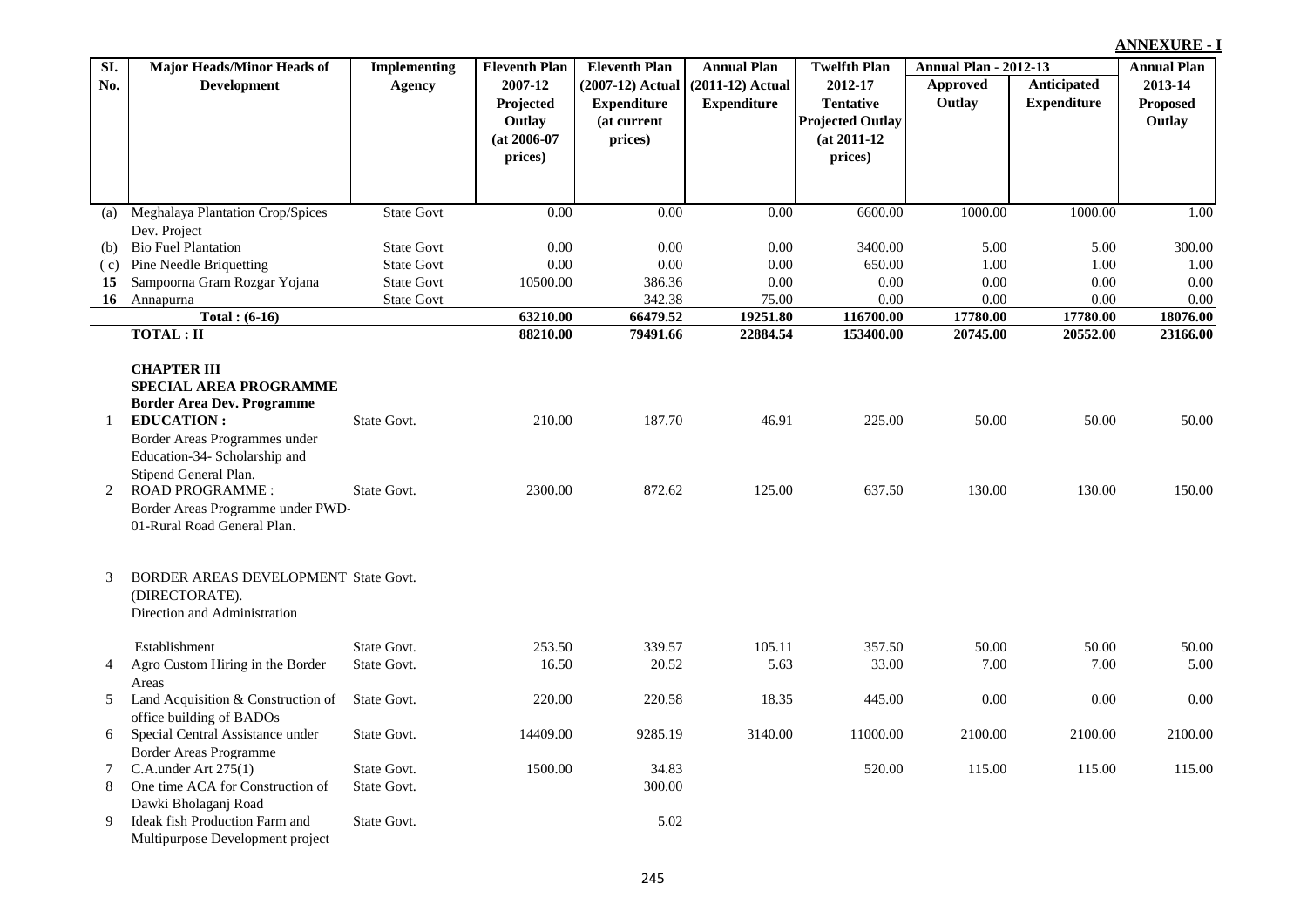| SI. | <b>Major Heads/Minor Heads of</b>    | Implementing      | <b>Eleventh Plan</b> | <b>Eleventh Plan</b> | <b>Annual Plan</b> | <b>Twelfth Plan</b>     | <b>Annual Plan - 2012-13</b> |                      | <b>Annual Plan</b>   |
|-----|--------------------------------------|-------------------|----------------------|----------------------|--------------------|-------------------------|------------------------------|----------------------|----------------------|
| No. | <b>Development</b>                   | <b>Agency</b>     | 2007-12              | (2007-12) Actual     | $(2011-12)$ Actual | 2012-17                 | Approved                     | <b>Anticipated</b>   | 2013-14              |
|     |                                      |                   | Projected            | <b>Expenditure</b>   | <b>Expenditure</b> | <b>Tentative</b>        | Outlay                       | <b>Expenditure</b>   | <b>Proposed</b>      |
|     |                                      |                   | Outlay               | (at current          |                    | <b>Projected Outlay</b> |                              |                      | Outlay               |
|     |                                      |                   | $(at 2006-07)$       | prices)              |                    | $(at 2011-12)$          |                              |                      |                      |
|     |                                      |                   | prices)              |                      |                    | prices)                 |                              |                      |                      |
|     |                                      |                   |                      |                      |                    |                         |                              |                      |                      |
|     |                                      |                   |                      |                      |                    |                         |                              |                      |                      |
|     | (a) Meghalaya Plantation Crop/Spices | <b>State Govt</b> | 0.00                 | 0.00                 | 0.00               | 6600.00                 | 1000.00                      | 1000.00              | 1.00                 |
|     | Dev. Project                         |                   |                      |                      |                    |                         |                              |                      |                      |
| (b) | <b>Bio Fuel Plantation</b>           | <b>State Govt</b> | 0.00                 | 0.00                 | 0.00               | 3400.00                 | 5.00                         | 5.00                 | 300.00               |
| (c) | Pine Needle Briquetting              | <b>State Govt</b> | 0.00                 | 0.00                 | 0.00               | 650.00                  | 1.00                         | 1.00                 | 1.00                 |
| 15  | Sampoorna Gram Rozgar Yojana         | <b>State Govt</b> | 10500.00             | 386.36               | 0.00               | 0.00                    | 0.00                         | 0.00                 | $0.00\,$             |
| 16  | Annapurna                            | <b>State Govt</b> |                      | 342.38               | 75.00<br>19251.80  | 0.00                    | 0.00                         | 0.00                 | 0.00                 |
|     | Total: $(6-16)$<br><b>TOTAL: II</b>  |                   | 63210.00<br>88210.00 | 66479.52<br>79491.66 | 22884.54           | 116700.00<br>153400.00  | 17780.00<br>20745.00         | 17780.00<br>20552.00 | 18076.00<br>23166.00 |
|     |                                      |                   |                      |                      |                    |                         |                              |                      |                      |
|     | <b>CHAPTER III</b>                   |                   |                      |                      |                    |                         |                              |                      |                      |
|     | SPECIAL AREA PROGRAMME               |                   |                      |                      |                    |                         |                              |                      |                      |
|     | <b>Border Area Dev. Programme</b>    |                   |                      |                      |                    |                         |                              |                      |                      |
| 1   | <b>EDUCATION:</b>                    | State Govt.       | 210.00               | 187.70               | 46.91              | 225.00                  | 50.00                        | 50.00                | 50.00                |
|     | Border Areas Programmes under        |                   |                      |                      |                    |                         |                              |                      |                      |
|     | Education-34- Scholarship and        |                   |                      |                      |                    |                         |                              |                      |                      |
|     | Stipend General Plan.                |                   |                      |                      |                    |                         |                              |                      |                      |
| 2   | <b>ROAD PROGRAMME:</b>               | State Govt.       | 2300.00              | 872.62               | 125.00             | 637.50                  | 130.00                       | 130.00               | 150.00               |
|     | Border Areas Programme under PWD-    |                   |                      |                      |                    |                         |                              |                      |                      |
|     | 01-Rural Road General Plan.          |                   |                      |                      |                    |                         |                              |                      |                      |
|     |                                      |                   |                      |                      |                    |                         |                              |                      |                      |
|     |                                      |                   |                      |                      |                    |                         |                              |                      |                      |
| 3   | BORDER AREAS DEVELOPMENT State Govt. |                   |                      |                      |                    |                         |                              |                      |                      |
|     | (DIRECTORATE).                       |                   |                      |                      |                    |                         |                              |                      |                      |
|     | Direction and Administration         |                   |                      |                      |                    |                         |                              |                      |                      |
|     | Establishment                        | State Govt.       | 253.50               | 339.57               | 105.11             | 357.50                  | 50.00                        | 50.00                | 50.00                |
| 4   | Agro Custom Hiring in the Border     | State Govt.       | 16.50                | 20.52                | 5.63               | 33.00                   | 7.00                         | 7.00                 | 5.00                 |
|     | Areas                                |                   |                      |                      |                    |                         |                              |                      |                      |
| 5   | Land Acquisition & Construction of   | State Govt.       | 220.00               | 220.58               | 18.35              | 445.00                  | 0.00                         | 0.00                 | 0.00                 |
|     | office building of BADOs             |                   |                      |                      |                    |                         |                              |                      |                      |
| 6   | Special Central Assistance under     | State Govt.       | 14409.00             | 9285.19              | 3140.00            | 11000.00                | 2100.00                      | 2100.00              | 2100.00              |
|     | <b>Border Areas Programme</b>        |                   |                      |                      |                    |                         |                              |                      |                      |
| 7   | C.A.under Art $275(1)$               | State Govt.       | 1500.00              | 34.83                |                    | 520.00                  | 115.00                       | 115.00               | 115.00               |
| 8   | One time ACA for Construction of     | State Govt.       |                      | 300.00               |                    |                         |                              |                      |                      |
|     | Dawki Bholaganj Road                 |                   |                      |                      |                    |                         |                              |                      |                      |
| 9   | Ideak fish Production Farm and       | State Govt.       |                      | 5.02                 |                    |                         |                              |                      |                      |
|     | Multipurpose Development project     |                   |                      |                      |                    |                         |                              |                      |                      |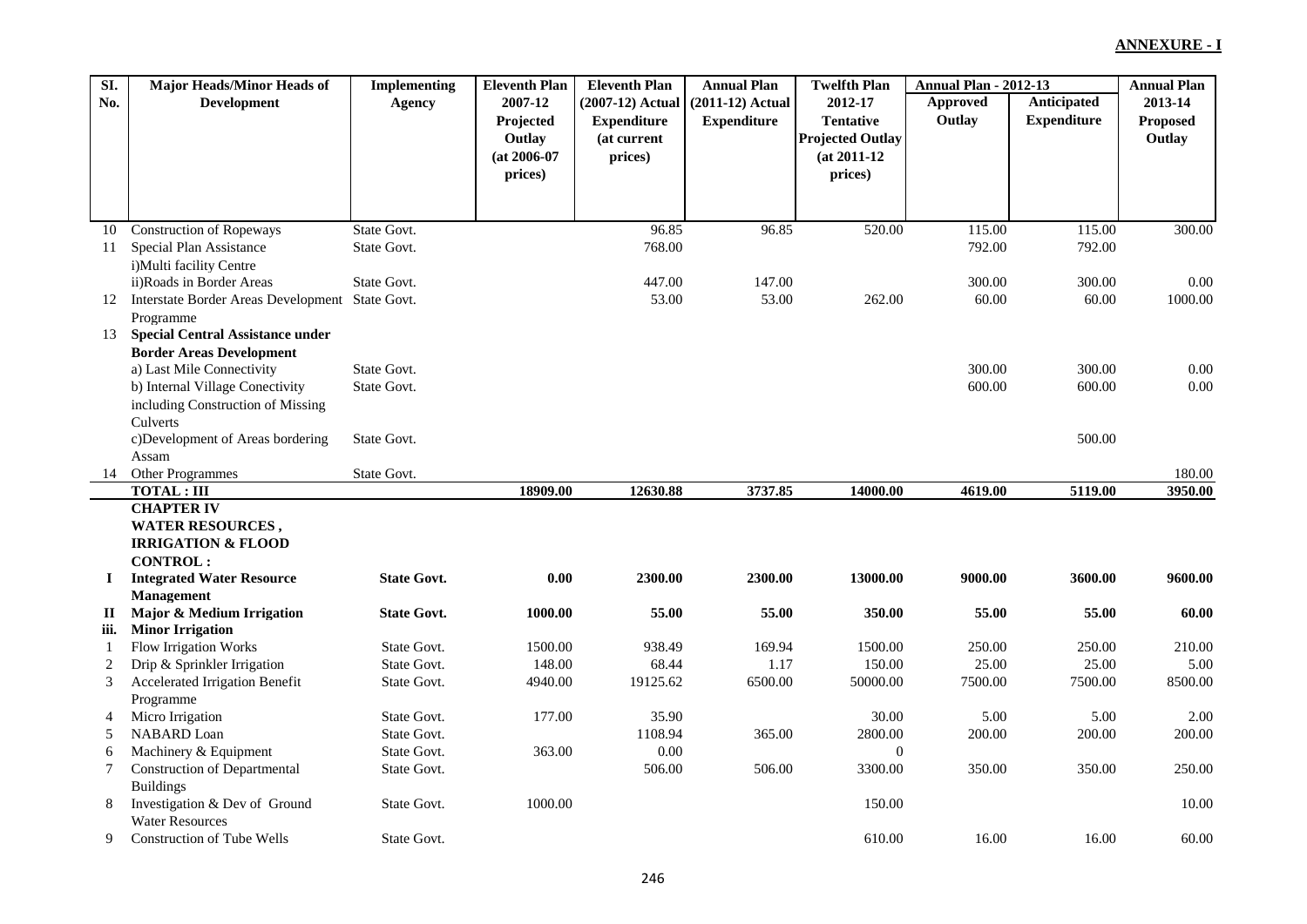| SI.          | <b>Major Heads/Minor Heads of</b>                   | <b>Implementing</b> | <b>Eleventh Plan</b> | <b>Eleventh Plan</b> | <b>Annual Plan</b> | <b>Twelfth Plan</b>     | <b>Annual Plan - 2012-13</b> |                    | <b>Annual Plan</b> |
|--------------|-----------------------------------------------------|---------------------|----------------------|----------------------|--------------------|-------------------------|------------------------------|--------------------|--------------------|
| No.          | <b>Development</b>                                  | Agency              | 2007-12              | $(2007-12)$ Actual   | $(2011-12)$ Actual | 2012-17                 | Approved                     | Anticipated        | 2013-14            |
|              |                                                     |                     | Projected            | <b>Expenditure</b>   | <b>Expenditure</b> | <b>Tentative</b>        | Outlay                       | <b>Expenditure</b> | <b>Proposed</b>    |
|              |                                                     |                     | Outlay               | (at current          |                    | <b>Projected Outlay</b> |                              |                    | Outlay             |
|              |                                                     |                     | $(at 2006-07)$       | prices)              |                    | $(at 2011-12)$          |                              |                    |                    |
|              |                                                     |                     | prices)              |                      |                    | prices)                 |                              |                    |                    |
|              |                                                     |                     |                      |                      |                    |                         |                              |                    |                    |
|              |                                                     |                     |                      |                      |                    |                         |                              |                    |                    |
| 10           | <b>Construction of Ropeways</b>                     | State Govt.         |                      | 96.85                | 96.85              | 520.00                  | 115.00                       | 115.00             | 300.00             |
| 11           | Special Plan Assistance                             | State Govt.         |                      | 768.00               |                    |                         | 792.00                       | 792.00             |                    |
|              | i) Multi facility Centre                            |                     |                      |                      |                    |                         |                              |                    |                    |
|              | ii)Roads in Border Areas                            | State Govt.         |                      | 447.00               | 147.00             |                         | 300.00                       | 300.00             | 0.00               |
| 12           | Interstate Border Areas Development State Govt.     |                     |                      | 53.00                | 53.00              | 262.00                  | 60.00                        | 60.00              | 1000.00            |
|              | Programme                                           |                     |                      |                      |                    |                         |                              |                    |                    |
| 13           | <b>Special Central Assistance under</b>             |                     |                      |                      |                    |                         |                              |                    |                    |
|              | <b>Border Areas Development</b>                     |                     |                      |                      |                    |                         |                              |                    |                    |
|              | a) Last Mile Connectivity                           | State Govt.         |                      |                      |                    |                         | 300.00                       | 300.00             | 0.00               |
|              | b) Internal Village Conectivity                     | State Govt.         |                      |                      |                    |                         | 600.00                       | 600.00             | $0.00\,$           |
|              | including Construction of Missing                   |                     |                      |                      |                    |                         |                              |                    |                    |
|              | Culverts                                            |                     |                      |                      |                    |                         |                              |                    |                    |
|              | c)Development of Areas bordering                    | State Govt.         |                      |                      |                    |                         |                              | 500.00             |                    |
|              | Assam                                               |                     |                      |                      |                    |                         |                              |                    |                    |
| 14           | Other Programmes                                    | State Govt.         |                      |                      |                    |                         |                              |                    | 180.00             |
|              | <b>TOTAL: III</b>                                   |                     | 18909.00             | 12630.88             | 3737.85            | 14000.00                | 4619.00                      | 5119.00            | 3950.00            |
|              | <b>CHAPTER IV</b>                                   |                     |                      |                      |                    |                         |                              |                    |                    |
|              | <b>WATER RESOURCES,</b>                             |                     |                      |                      |                    |                         |                              |                    |                    |
|              | <b>IRRIGATION &amp; FLOOD</b>                       |                     |                      |                      |                    |                         |                              |                    |                    |
| $\mathbf{I}$ | <b>CONTROL:</b><br><b>Integrated Water Resource</b> | <b>State Govt.</b>  | 0.00                 | 2300.00              | 2300.00            | 13000.00                | 9000.00                      | 3600.00            | 9600.00            |
|              | <b>Management</b>                                   |                     |                      |                      |                    |                         |                              |                    |                    |
| $\mathbf{I}$ | Major & Medium Irrigation                           | <b>State Govt.</b>  | 1000.00              | 55.00                | 55.00              | 350.00                  | 55.00                        | 55.00              | 60.00              |
| iii.         | <b>Minor Irrigation</b>                             |                     |                      |                      |                    |                         |                              |                    |                    |
| 1            | Flow Irrigation Works                               | State Govt.         | 1500.00              | 938.49               | 169.94             | 1500.00                 | 250.00                       | 250.00             | 210.00             |
| 2            | Drip & Sprinkler Irrigation                         | State Govt.         | 148.00               | 68.44                | 1.17               | 150.00                  | 25.00                        | 25.00              | 5.00               |
| 3            | Accelerated Irrigation Benefit                      | State Govt.         | 4940.00              | 19125.62             | 6500.00            | 50000.00                | 7500.00                      | 7500.00            | 8500.00            |
|              | Programme                                           |                     |                      |                      |                    |                         |                              |                    |                    |
| 4            | Micro Irrigation                                    | State Govt.         | 177.00               | 35.90                |                    | 30.00                   | 5.00                         | 5.00               | 2.00               |
| 5            | <b>NABARD</b> Loan                                  | State Govt.         |                      | 1108.94              | 365.00             | 2800.00                 | 200.00                       | 200.00             | 200.00             |
| 6            | Machinery & Equipment                               | State Govt.         | 363.00               | 0.00                 |                    | $\mathbf{0}$            |                              |                    |                    |
| 7            | <b>Construction of Departmental</b>                 | State Govt.         |                      | 506.00               | 506.00             | 3300.00                 | 350.00                       | 350.00             | 250.00             |
|              | <b>Buildings</b>                                    |                     |                      |                      |                    |                         |                              |                    |                    |
| 8            | Investigation & Dev of Ground                       | State Govt.         | 1000.00              |                      |                    | 150.00                  |                              |                    | 10.00              |
|              | <b>Water Resources</b>                              |                     |                      |                      |                    |                         |                              |                    |                    |
| 9            | Construction of Tube Wells                          | State Govt.         |                      |                      |                    | 610.00                  | 16.00                        | 16.00              | 60.00              |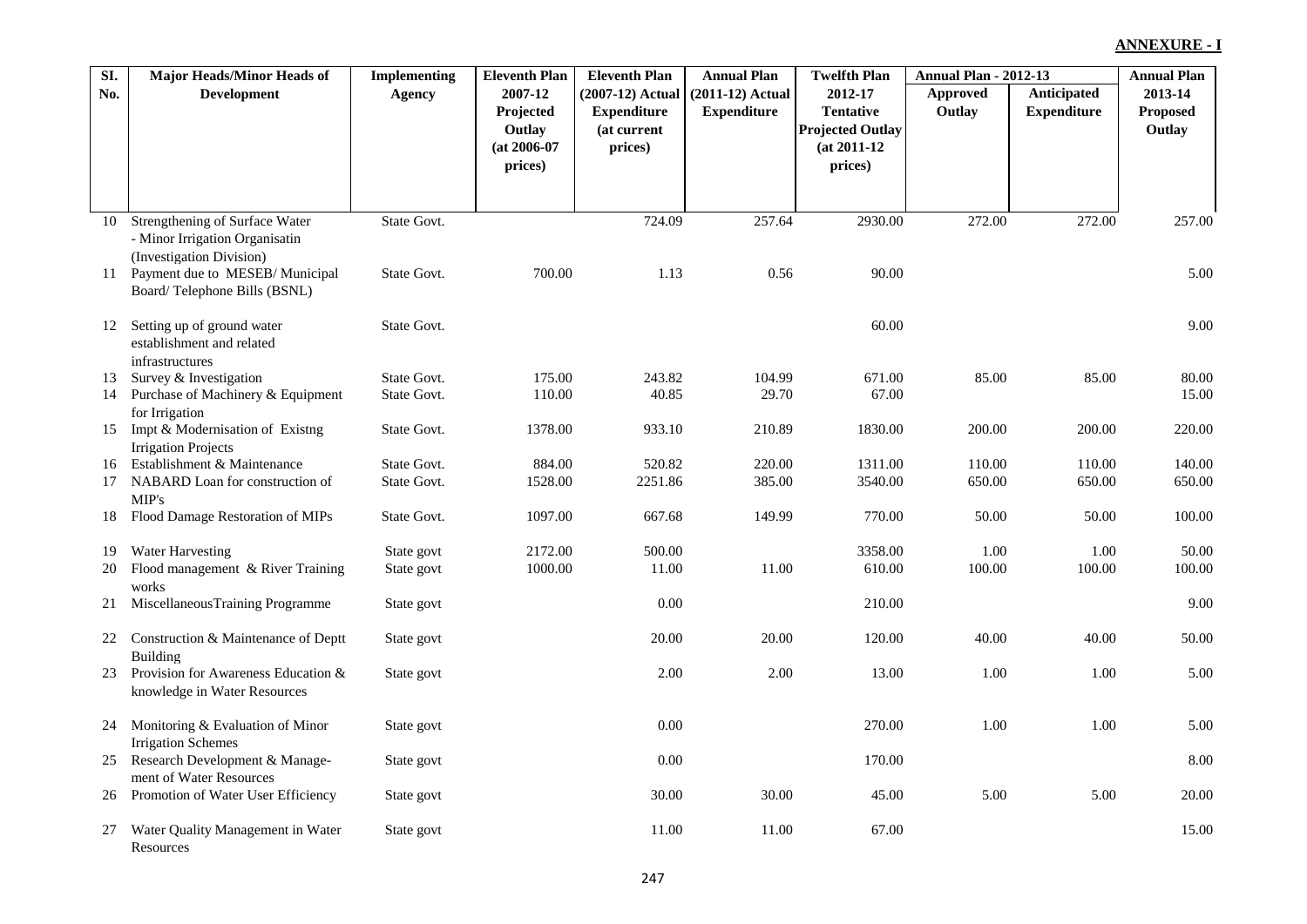| $\overline{SL}$ | <b>Major Heads/Minor Heads of</b>                         | <b>Implementing</b> | <b>Eleventh Plan</b> | <b>Eleventh Plan</b> | <b>Annual Plan</b> | <b>Twelfth Plan</b>     | <b>Annual Plan - 2012-13</b> |                    | <b>Annual Plan</b> |
|-----------------|-----------------------------------------------------------|---------------------|----------------------|----------------------|--------------------|-------------------------|------------------------------|--------------------|--------------------|
| No.             | <b>Development</b>                                        | Agency              | 2007-12              | (2007-12) Actual     | $(2011-12)$ Actual | 2012-17                 | Approved                     | <b>Anticipated</b> | 2013-14            |
|                 |                                                           |                     | Projected            | <b>Expenditure</b>   | <b>Expenditure</b> | <b>Tentative</b>        | Outlay                       | <b>Expenditure</b> | Proposed           |
|                 |                                                           |                     | Outlay               | (at current          |                    | <b>Projected Outlay</b> |                              |                    | Outlay             |
|                 |                                                           |                     | $(at 2006-07)$       | prices)              |                    | $(at 2011-12)$          |                              |                    |                    |
|                 |                                                           |                     | prices)              |                      |                    | prices)                 |                              |                    |                    |
|                 |                                                           |                     |                      |                      |                    |                         |                              |                    |                    |
| 10              | Strengthening of Surface Water                            | State Govt.         |                      | 724.09               | 257.64             | 2930.00                 | 272.00                       | 272.00             | 257.00             |
|                 | - Minor Irrigation Organisatin                            |                     |                      |                      |                    |                         |                              |                    |                    |
|                 | (Investigation Division)                                  |                     |                      |                      |                    |                         |                              |                    |                    |
| 11              | Payment due to MESEB/Municipal                            | State Govt.         | 700.00               | 1.13                 | 0.56               | 90.00                   |                              |                    | 5.00               |
|                 | Board/Telephone Bills (BSNL)                              |                     |                      |                      |                    |                         |                              |                    |                    |
|                 |                                                           | State Govt.         |                      |                      |                    | 60.00                   |                              |                    | 9.00               |
| 12              | Setting up of ground water<br>establishment and related   |                     |                      |                      |                    |                         |                              |                    |                    |
|                 | infrastructures                                           |                     |                      |                      |                    |                         |                              |                    |                    |
| 13              | Survey & Investigation                                    | State Govt.         | 175.00               | 243.82               | 104.99             | 671.00                  | 85.00                        | 85.00              | 80.00              |
| 14              | Purchase of Machinery & Equipment                         | State Govt.         | 110.00               | 40.85                | 29.70              | 67.00                   |                              |                    | 15.00              |
|                 | for Irrigation                                            |                     |                      |                      |                    |                         |                              |                    |                    |
| 15              | Impt & Modernisation of Existng                           | State Govt.         | 1378.00              | 933.10               | 210.89             | 1830.00                 | 200.00                       | 200.00             | 220.00             |
|                 | <b>Irrigation Projects</b><br>Establishment & Maintenance | State Govt.         | 884.00               | 520.82               | 220.00             | 1311.00                 | 110.00                       | 110.00             | 140.00             |
| 17              | NABARD Loan for construction of                           | State Govt.         | 1528.00              | 2251.86              | 385.00             | 3540.00                 | 650.00                       | 650.00             | 650.00             |
|                 | MIP's                                                     |                     |                      |                      |                    |                         |                              |                    |                    |
| 18              | Flood Damage Restoration of MIPs                          | State Govt.         | 1097.00              | 667.68               | 149.99             | 770.00                  | 50.00                        | 50.00              | 100.00             |
|                 |                                                           |                     |                      |                      |                    |                         |                              |                    |                    |
| 19              | Water Harvesting                                          | State govt          | 2172.00<br>1000.00   | 500.00<br>11.00      | 11.00              | 3358.00<br>610.00       | 1.00<br>100.00               | 1.00<br>100.00     | 50.00              |
| 20              | Flood management & River Training<br>works                | State govt          |                      |                      |                    |                         |                              |                    | 100.00             |
| 21              | MiscellaneousTraining Programme                           | State govt          |                      | 0.00                 |                    | 210.00                  |                              |                    | 9.00               |
|                 |                                                           |                     |                      |                      |                    |                         |                              |                    |                    |
| 22              | Construction & Maintenance of Deptt                       | State govt          |                      | 20.00                | 20.00              | 120.00                  | 40.00                        | 40.00              | 50.00              |
|                 | <b>Building</b>                                           |                     |                      |                      |                    |                         |                              |                    |                    |
| 23              | Provision for Awareness Education &                       | State govt          |                      | 2.00                 | 2.00               | 13.00                   | 1.00                         | 1.00               | 5.00               |
|                 | knowledge in Water Resources                              |                     |                      |                      |                    |                         |                              |                    |                    |
| 24              | Monitoring & Evaluation of Minor                          | State govt          |                      | 0.00                 |                    | 270.00                  | 1.00                         | 1.00               | 5.00               |
|                 | <b>Irrigation Schemes</b>                                 |                     |                      |                      |                    |                         |                              |                    |                    |
| 25              | Research Development & Manage-                            | State govt          |                      | 0.00                 |                    | 170.00                  |                              |                    | 8.00               |
|                 | ment of Water Resources                                   |                     |                      |                      |                    |                         |                              |                    |                    |
| 26              | Promotion of Water User Efficiency                        | State govt          |                      | 30.00                | 30.00              | 45.00                   | 5.00                         | 5.00               | 20.00              |
| 27              | Water Quality Management in Water                         | State govt          |                      | 11.00                | 11.00              | 67.00                   |                              |                    | 15.00              |
|                 | Resources                                                 |                     |                      |                      |                    |                         |                              |                    |                    |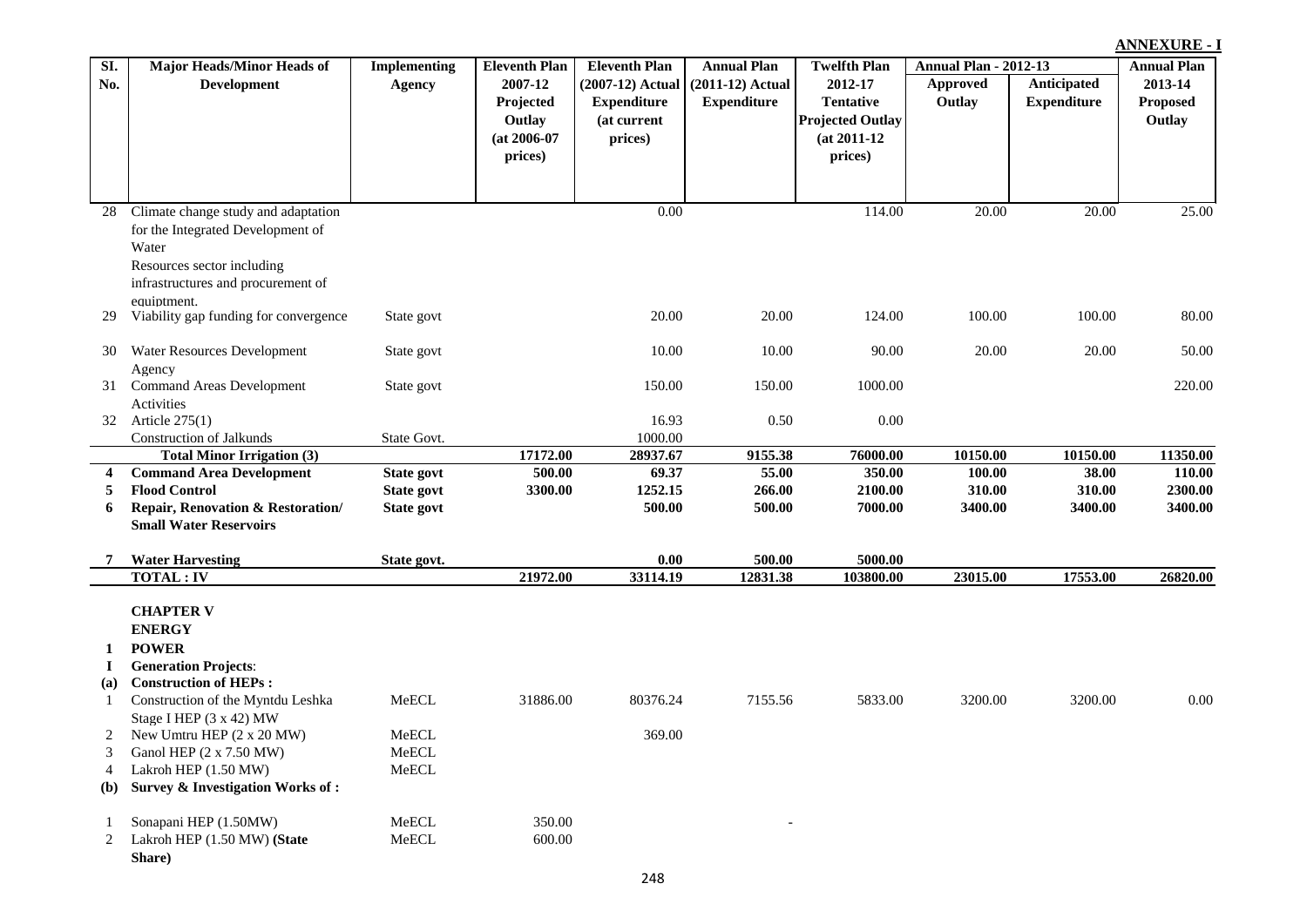|            |                                                                                                                                                       |                                      |                                                                                     |                                                                                          |                                                                |                                                                                                            |                                                    |                                   | <b>ANNEXURE - I</b>                                        |
|------------|-------------------------------------------------------------------------------------------------------------------------------------------------------|--------------------------------------|-------------------------------------------------------------------------------------|------------------------------------------------------------------------------------------|----------------------------------------------------------------|------------------------------------------------------------------------------------------------------------|----------------------------------------------------|-----------------------------------|------------------------------------------------------------|
| SI.<br>No. | <b>Major Heads/Minor Heads of</b><br><b>Development</b>                                                                                               | <b>Implementing</b><br><b>Agency</b> | <b>Eleventh Plan</b><br>2007-12<br>Projected<br>Outlay<br>$(at 2006-07)$<br>prices) | <b>Eleventh Plan</b><br>(2007-12) Actual<br><b>Expenditure</b><br>(at current<br>prices) | <b>Annual Plan</b><br>$(2011-12)$ Actual<br><b>Expenditure</b> | <b>Twelfth Plan</b><br>2012-17<br><b>Tentative</b><br><b>Projected Outlay</b><br>$(at 2011-12)$<br>prices) | <b>Annual Plan - 2012-13</b><br>Approved<br>Outlay | Anticipated<br><b>Expenditure</b> | <b>Annual Plan</b><br>2013-14<br><b>Proposed</b><br>Outlay |
|            |                                                                                                                                                       |                                      |                                                                                     |                                                                                          |                                                                |                                                                                                            |                                                    |                                   |                                                            |
| 28         | Climate change study and adaptation<br>for the Integrated Development of<br>Water<br>Resources sector including<br>infrastructures and procurement of |                                      |                                                                                     | 0.00                                                                                     |                                                                | 114.00                                                                                                     | 20.00                                              | 20.00                             | 25.00                                                      |
|            | equiptment.<br>Viability gap funding for convergence                                                                                                  | State govt                           |                                                                                     | 20.00                                                                                    | 20.00                                                          | 124.00                                                                                                     | 100.00                                             | 100.00                            | 80.00                                                      |
| 30         | Water Resources Development                                                                                                                           | State govt                           |                                                                                     | 10.00                                                                                    | 10.00                                                          | 90.00                                                                                                      | 20.00                                              | 20.00                             | 50.00                                                      |
| 31         | Agency<br><b>Command Areas Development</b><br>Activities                                                                                              | State govt                           |                                                                                     | 150.00                                                                                   | 150.00                                                         | 1000.00                                                                                                    |                                                    |                                   | 220.00                                                     |
| 32         | Article $275(1)$<br><b>Construction of Jalkunds</b>                                                                                                   | State Govt.                          |                                                                                     | 16.93<br>1000.00                                                                         | 0.50                                                           | 0.00                                                                                                       |                                                    |                                   |                                                            |
|            | <b>Total Minor Irrigation (3)</b>                                                                                                                     |                                      | 17172.00                                                                            | 28937.67                                                                                 | 9155.38                                                        | 76000.00                                                                                                   | 10150.00                                           | 10150.00                          | 11350.00                                                   |
| 4          | <b>Command Area Development</b>                                                                                                                       | State govt                           | 500.00                                                                              | 69.37                                                                                    | 55.00                                                          | 350.00                                                                                                     | 100.00                                             | 38.00                             | 110.00                                                     |
| 5          | <b>Flood Control</b>                                                                                                                                  | State govt                           | 3300.00                                                                             | 1252.15                                                                                  | 266.00                                                         | 2100.00                                                                                                    | 310.00                                             | 310.00                            | 2300.00                                                    |
| 6          | Repair, Renovation & Restoration/                                                                                                                     | <b>State govt</b>                    |                                                                                     | 500.00                                                                                   | 500.00                                                         | 7000.00                                                                                                    | 3400.00                                            | 3400.00                           | 3400.00                                                    |
|            | <b>Small Water Reservoirs</b>                                                                                                                         |                                      |                                                                                     |                                                                                          |                                                                |                                                                                                            |                                                    |                                   |                                                            |
| 7          | <b>Water Harvesting</b>                                                                                                                               | State govt.                          |                                                                                     | 0.00                                                                                     | 500.00                                                         | 5000.00                                                                                                    |                                                    |                                   |                                                            |
|            | <b>TOTAL: IV</b>                                                                                                                                      |                                      | 21972.00                                                                            | 33114.19                                                                                 | 12831.38                                                       | 103800.00                                                                                                  | 23015.00                                           | 17553.00                          | 26820.00                                                   |
|            | <b>CHAPTER V</b><br><b>ENERGY</b>                                                                                                                     |                                      |                                                                                     |                                                                                          |                                                                |                                                                                                            |                                                    |                                   |                                                            |
| 1          | <b>POWER</b>                                                                                                                                          |                                      |                                                                                     |                                                                                          |                                                                |                                                                                                            |                                                    |                                   |                                                            |
| 1          | <b>Generation Projects:</b>                                                                                                                           |                                      |                                                                                     |                                                                                          |                                                                |                                                                                                            |                                                    |                                   |                                                            |
| (a)        | <b>Construction of HEPs:</b>                                                                                                                          |                                      |                                                                                     |                                                                                          |                                                                |                                                                                                            |                                                    |                                   |                                                            |
| -1         | Construction of the Myntdu Leshka<br>Stage I HEP (3 x 42) MW                                                                                          | MeECL                                | 31886.00                                                                            | 80376.24                                                                                 | 7155.56                                                        | 5833.00                                                                                                    | 3200.00                                            | 3200.00                           | 0.00                                                       |
|            | New Umtru HEP $(2 \times 20 \text{ MW})$                                                                                                              | MeECL                                |                                                                                     | 369.00                                                                                   |                                                                |                                                                                                            |                                                    |                                   |                                                            |
| 3          | Ganol HEP (2 x 7.50 MW)                                                                                                                               | MeECL                                |                                                                                     |                                                                                          |                                                                |                                                                                                            |                                                    |                                   |                                                            |
| 4          | Lakroh HEP (1.50 MW)                                                                                                                                  | ${\sf MeECL}$                        |                                                                                     |                                                                                          |                                                                |                                                                                                            |                                                    |                                   |                                                            |
| <b>(b)</b> | Survey & Investigation Works of:                                                                                                                      |                                      |                                                                                     |                                                                                          |                                                                |                                                                                                            |                                                    |                                   |                                                            |
|            | Sonapani HEP (1.50MW)                                                                                                                                 | MeECL                                | 350.00                                                                              |                                                                                          |                                                                |                                                                                                            |                                                    |                                   |                                                            |
| 2          | Lakroh HEP (1.50 MW) (State<br>Share)                                                                                                                 | MeECL                                | 600.00                                                                              |                                                                                          |                                                                |                                                                                                            |                                                    |                                   |                                                            |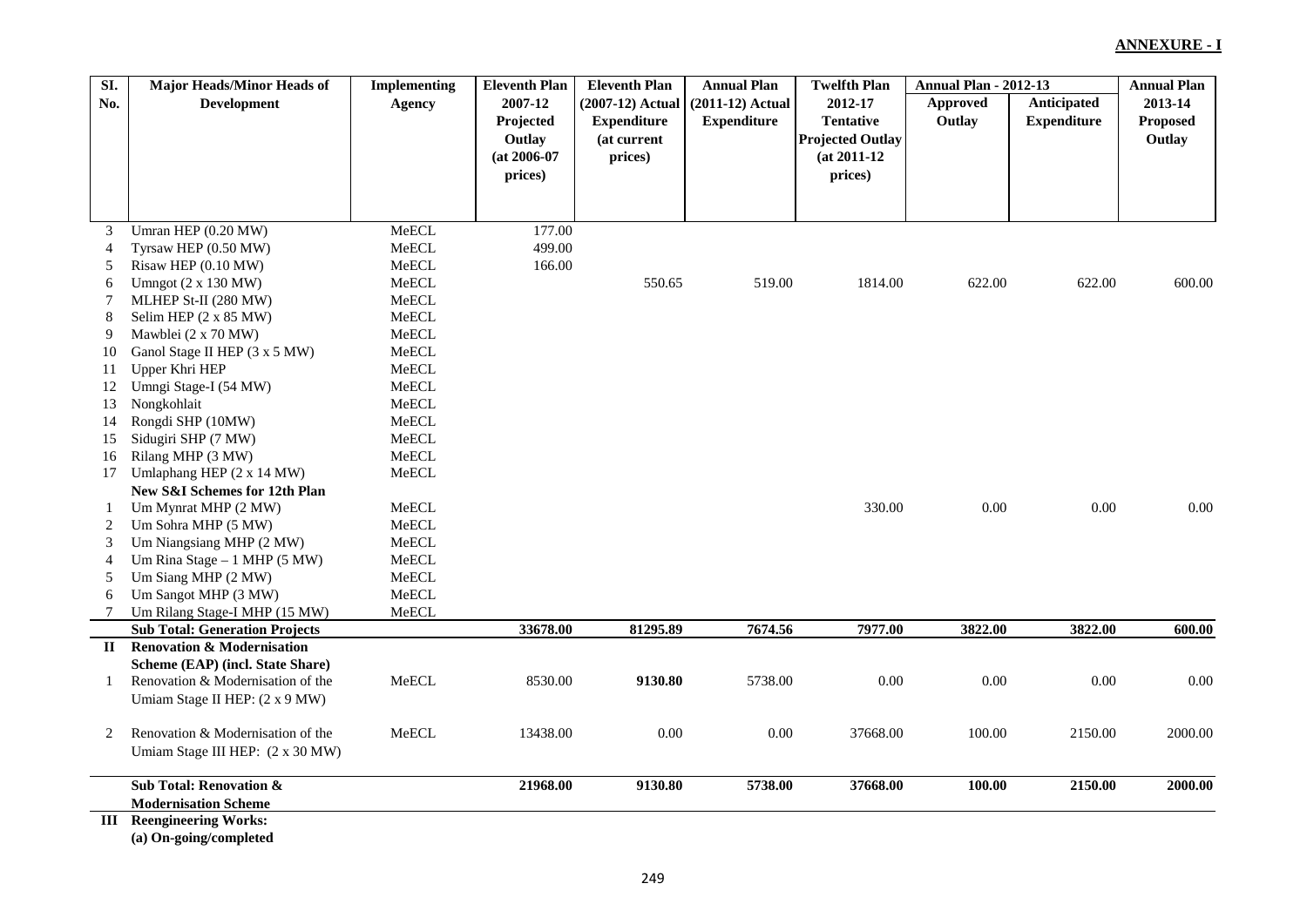| SI.                      | <b>Major Heads/Minor Heads of</b>     | <b>Implementing</b> | <b>Eleventh Plan</b> | <b>Eleventh Plan</b> | <b>Annual Plan</b> | <b>Twelfth Plan</b>     | <b>Annual Plan - 2012-13</b> |                    | <b>Annual Plan</b> |
|--------------------------|---------------------------------------|---------------------|----------------------|----------------------|--------------------|-------------------------|------------------------------|--------------------|--------------------|
| No.                      | <b>Development</b>                    | <b>Agency</b>       | 2007-12              | (2007-12) Actual     | $(2011-12)$ Actual | 2012-17                 | <b>Approved</b>              | Anticipated        | 2013-14            |
|                          |                                       |                     | Projected            | <b>Expenditure</b>   | <b>Expenditure</b> | <b>Tentative</b>        | Outlay                       | <b>Expenditure</b> | Proposed           |
|                          |                                       |                     | Outlay               | (at current          |                    | <b>Projected Outlay</b> |                              |                    | Outlay             |
|                          |                                       |                     | $(at 2006-07)$       | prices)              |                    | $(at 2011-12)$          |                              |                    |                    |
|                          |                                       |                     | prices)              |                      |                    | prices)                 |                              |                    |                    |
|                          |                                       |                     |                      |                      |                    |                         |                              |                    |                    |
|                          |                                       |                     |                      |                      |                    |                         |                              |                    |                    |
| 3                        | Umran HEP (0.20 MW)                   | MeECL               | 177.00               |                      |                    |                         |                              |                    |                    |
| $\overline{\mathcal{L}}$ | Tyrsaw HEP (0.50 MW)                  | MeECL               | 499.00               |                      |                    |                         |                              |                    |                    |
| 5                        | Risaw HEP (0.10 MW)                   | MeECL               | 166.00               |                      |                    |                         |                              |                    |                    |
| 6                        | Umngot $(2 \times 130 \text{ MW})$    | MeECL               |                      | 550.65               | 519.00             | 1814.00                 | 622.00                       | 622.00             | 600.00             |
| 7                        | MLHEP St-II (280 MW)                  | MeECL               |                      |                      |                    |                         |                              |                    |                    |
| 8                        | Selim HEP (2 x 85 MW)                 | MeECL               |                      |                      |                    |                         |                              |                    |                    |
| 9                        | Mawblei (2 x 70 MW)                   | MeECL               |                      |                      |                    |                         |                              |                    |                    |
| 10                       | Ganol Stage II HEP (3 x 5 MW)         | MeECL               |                      |                      |                    |                         |                              |                    |                    |
| 11                       | Upper Khri HEP                        | MeECL               |                      |                      |                    |                         |                              |                    |                    |
| 12                       | Umngi Stage-I (54 MW)                 | MeECL               |                      |                      |                    |                         |                              |                    |                    |
| 13                       | Nongkohlait                           | MeECL               |                      |                      |                    |                         |                              |                    |                    |
| 14                       | Rongdi SHP (10MW)                     | MeECL               |                      |                      |                    |                         |                              |                    |                    |
| 15                       | Sidugiri SHP (7 MW)                   | MeECL               |                      |                      |                    |                         |                              |                    |                    |
| 16                       | Rilang MHP (3 MW)                     | MeECL               |                      |                      |                    |                         |                              |                    |                    |
| 17                       | Umlaphang HEP (2 x 14 MW)             | MeECL               |                      |                      |                    |                         |                              |                    |                    |
|                          | New S&I Schemes for 12th Plan         |                     |                      |                      |                    |                         |                              |                    |                    |
| 1                        | Um Mynrat MHP (2 MW)                  | MeECL               |                      |                      |                    | 330.00                  | $0.00\,$                     | $0.00\,$           | 0.00               |
| 2                        | Um Sohra MHP (5 MW)                   | MeECL               |                      |                      |                    |                         |                              |                    |                    |
| 3                        | Um Niangsiang MHP (2 MW)              | MeECL               |                      |                      |                    |                         |                              |                    |                    |
| $\overline{4}$           | Um Rina Stage - 1 MHP (5 MW)          | MeECL               |                      |                      |                    |                         |                              |                    |                    |
| 5                        | Um Siang MHP (2 MW)                   | MeECL               |                      |                      |                    |                         |                              |                    |                    |
| 6                        | Um Sangot MHP (3 MW)                  | MeECL               |                      |                      |                    |                         |                              |                    |                    |
| 7                        | Um Rilang Stage-I MHP (15 MW)         | MeECL               |                      |                      |                    |                         |                              |                    |                    |
|                          | <b>Sub Total: Generation Projects</b> |                     | 33678.00             | 81295.89             | 7674.56            | 7977.00                 | 3822.00                      | 3822.00            | 600.00             |
| $\mathbf{I}$             | <b>Renovation &amp; Modernisation</b> |                     |                      |                      |                    |                         |                              |                    |                    |
|                          | Scheme (EAP) (incl. State Share)      |                     |                      |                      |                    |                         |                              |                    |                    |
| -1                       | Renovation & Modernisation of the     | MeECL               | 8530.00              | 9130.80              | 5738.00            | 0.00                    | $0.00\,$                     | $0.00\,$           | $0.00\,$           |
|                          | Umiam Stage II HEP: (2 x 9 MW)        |                     |                      |                      |                    |                         |                              |                    |                    |
| 2                        | Renovation & Modernisation of the     | MeECL               | 13438.00             | 0.00                 | 0.00               | 37668.00                | 100.00                       | 2150.00            | 2000.00            |
|                          | Umiam Stage III HEP: (2 x 30 MW)      |                     |                      |                      |                    |                         |                              |                    |                    |
|                          |                                       |                     |                      |                      |                    |                         |                              |                    |                    |
|                          | Sub Total: Renovation &               |                     | 21968.00             | 9130.80              | 5738.00            | 37668.00                | 100.00                       | 2150.00            | 2000.00            |
|                          | <b>Modernisation Scheme</b>           |                     |                      |                      |                    |                         |                              |                    |                    |
|                          | <b>III</b> Reengineering Works:       |                     |                      |                      |                    |                         |                              |                    |                    |

**(a) On-going/completed**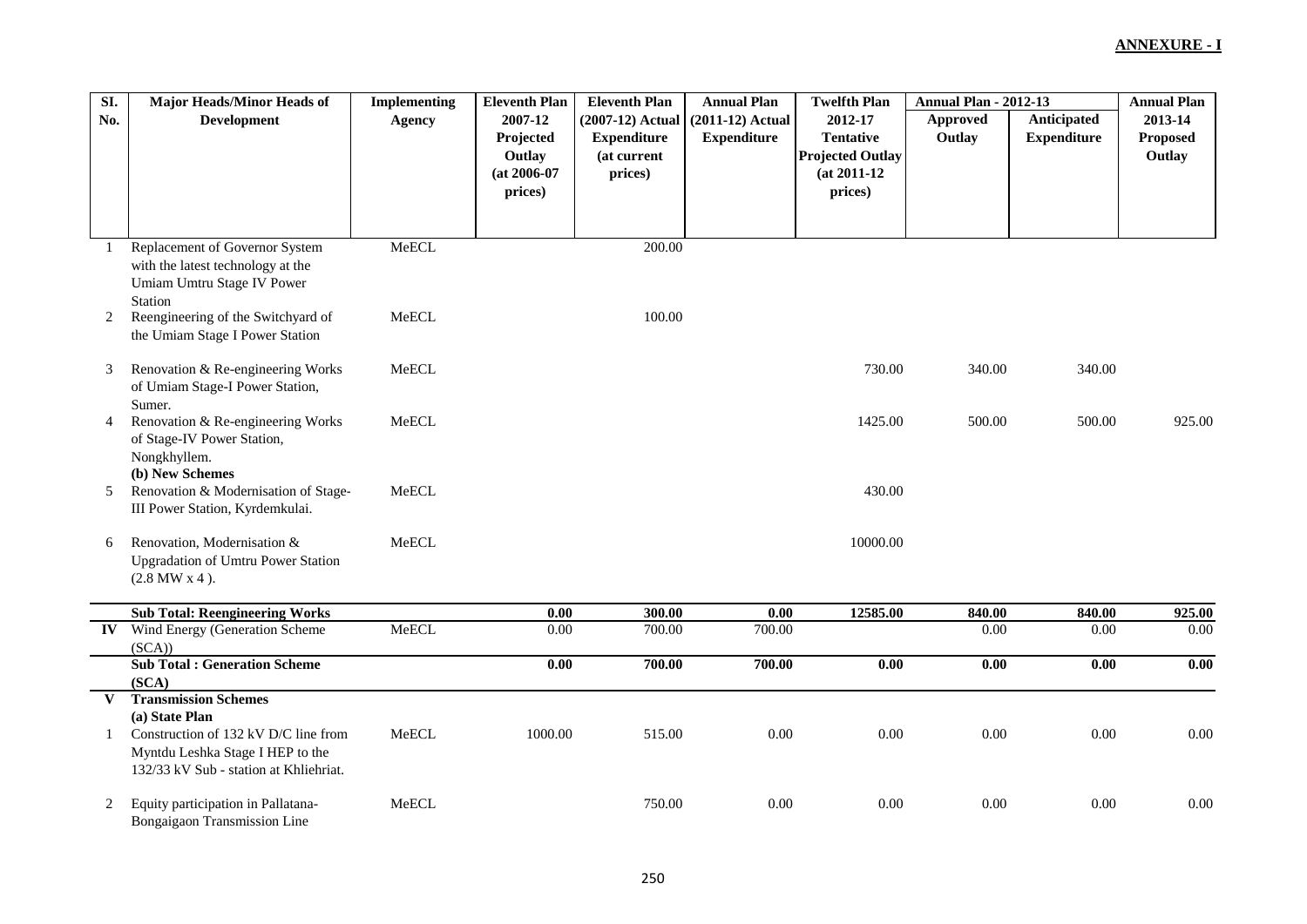| SI.           | <b>Major Heads/Minor Heads of</b>                                                                                                    | <b>Implementing</b> | <b>Eleventh Plan</b>                                        | <b>Eleventh Plan</b>                                             | <b>Annual Plan</b>                       | <b>Twelfth Plan</b>                                                                 | <b>Annual Plan - 2012-13</b> |                                   | <b>Annual Plan</b>                   |
|---------------|--------------------------------------------------------------------------------------------------------------------------------------|---------------------|-------------------------------------------------------------|------------------------------------------------------------------|------------------------------------------|-------------------------------------------------------------------------------------|------------------------------|-----------------------------------|--------------------------------------|
| No.           | <b>Development</b>                                                                                                                   | <b>Agency</b>       | 2007-12<br>Projected<br>Outlay<br>$(at 2006-07)$<br>prices) | (2007-12) Actual<br><b>Expenditure</b><br>(at current<br>prices) | $(2011-12)$ Actual<br><b>Expenditure</b> | 2012-17<br><b>Tentative</b><br><b>Projected Outlay</b><br>$(at 2011-12)$<br>prices) | <b>Approved</b><br>Outlay    | Anticipated<br><b>Expenditure</b> | 2013-14<br><b>Proposed</b><br>Outlay |
|               |                                                                                                                                      |                     |                                                             |                                                                  |                                          |                                                                                     |                              |                                   |                                      |
| 1             | Replacement of Governor System<br>with the latest technology at the<br>Umiam Umtru Stage IV Power<br>Station                         | MeECL               |                                                             | 200.00                                                           |                                          |                                                                                     |                              |                                   |                                      |
| 2             | Reengineering of the Switchyard of<br>the Umiam Stage I Power Station                                                                | MeECL               |                                                             | 100.00                                                           |                                          |                                                                                     |                              |                                   |                                      |
| 3             | Renovation & Re-engineering Works<br>of Umiam Stage-I Power Station,<br>Sumer.                                                       | MeECL               |                                                             |                                                                  |                                          | 730.00                                                                              | 340.00                       | 340.00                            |                                      |
| 4             | Renovation & Re-engineering Works<br>of Stage-IV Power Station,<br>Nongkhyllem.<br>(b) New Schemes                                   | MeECL               |                                                             |                                                                  |                                          | 1425.00                                                                             | 500.00                       | 500.00                            | 925.00                               |
| 5             | Renovation & Modernisation of Stage-<br>III Power Station, Kyrdemkulai.                                                              | MeECL               |                                                             |                                                                  |                                          | 430.00                                                                              |                              |                                   |                                      |
| 6             | Renovation, Modernisation &<br><b>Upgradation of Umtru Power Station</b><br>$(2.8$ MW $x$ 4).                                        | MeECL               |                                                             |                                                                  |                                          | 10000.00                                                                            |                              |                                   |                                      |
|               | <b>Sub Total: Reengineering Works</b>                                                                                                |                     | 0.00                                                        | 300.00                                                           | 0.00                                     | 12585.00                                                                            | 840.00                       | 840.00                            | 925.00                               |
| $\mathbf{IV}$ | Wind Energy (Generation Scheme<br>(SCA)                                                                                              | MeECL               | $0.00\,$                                                    | 700.00                                                           | 700.00                                   |                                                                                     | 0.00                         | 0.00                              | 0.00                                 |
|               | <b>Sub Total: Generation Scheme</b><br>(SCA)                                                                                         |                     | $0.00\,$                                                    | 700.00                                                           | 700.00                                   | 0.00                                                                                | 0.00                         | 0.00                              | 0.00                                 |
| $\bf{V}$      | <b>Transmission Schemes</b>                                                                                                          |                     |                                                             |                                                                  |                                          |                                                                                     |                              |                                   |                                      |
| 1             | (a) State Plan<br>Construction of 132 kV D/C line from<br>Myntdu Leshka Stage I HEP to the<br>132/33 kV Sub - station at Khliehriat. | MeECL               | 1000.00                                                     | 515.00                                                           | 0.00                                     | $0.00\,$                                                                            | 0.00                         | 0.00                              | 0.00                                 |
| 2             | Equity participation in Pallatana-<br>Bongaigaon Transmission Line                                                                   | MeECL               |                                                             | 750.00                                                           | $0.00\,$                                 | $0.00\,$                                                                            | 0.00                         | $0.00\,$                          | 0.00                                 |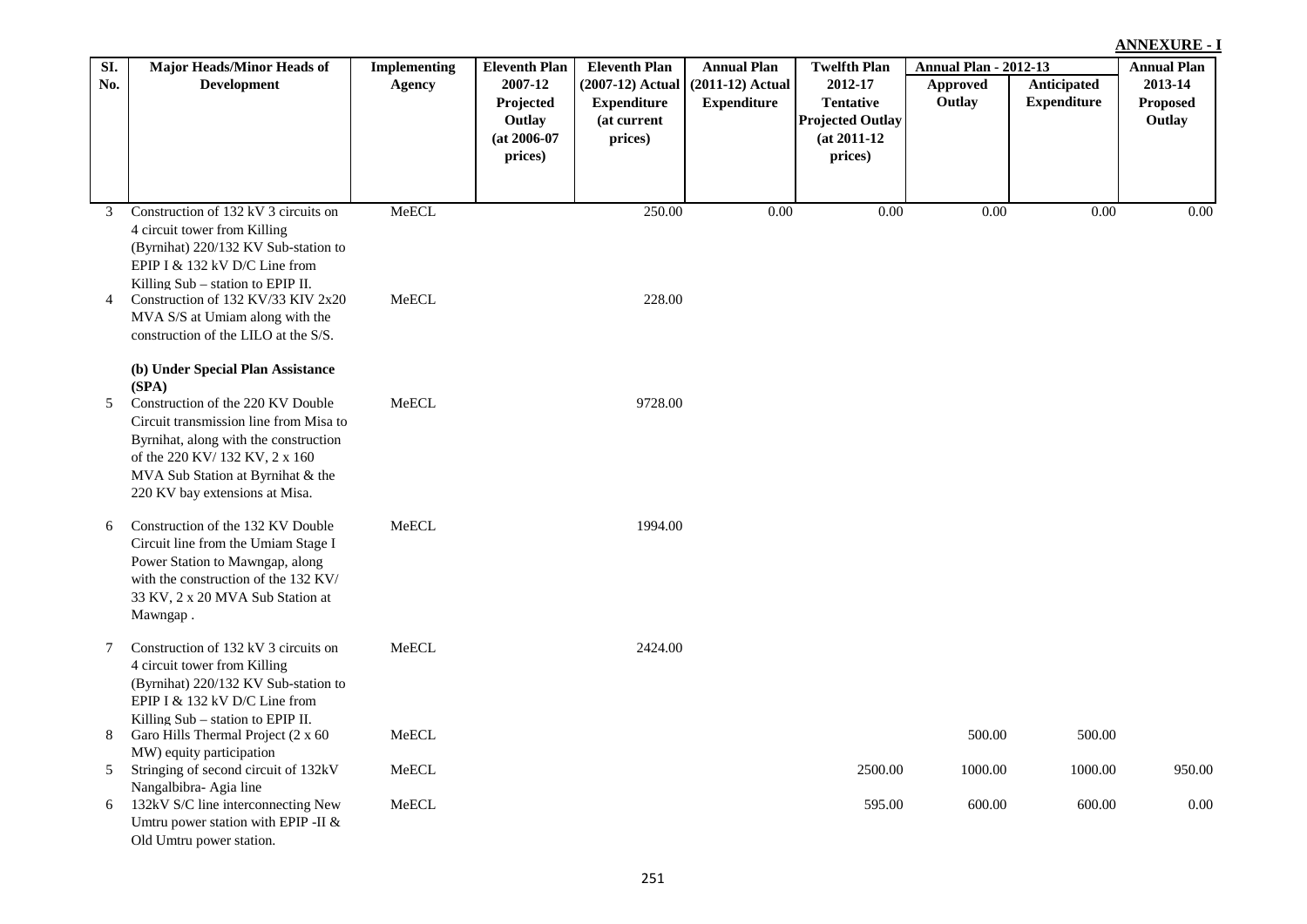| Anticipated<br><b>Development</b><br>2007-12<br>(2007-12) Actual<br>$(2011-12)$ Actual<br>2012-17<br><b>Approved</b><br>No.<br>Agency<br><b>Tentative</b><br>Outlay<br><b>Expenditure</b><br>Projected<br><b>Expenditure</b><br><b>Expenditure</b><br>(at current<br><b>Projected Outlay</b><br>Outlay<br>$(at 2011-12)$<br>$(at 2006-07)$<br>prices) | 2013-14<br>Proposed<br>Outlay |
|-------------------------------------------------------------------------------------------------------------------------------------------------------------------------------------------------------------------------------------------------------------------------------------------------------------------------------------------------------|-------------------------------|
|                                                                                                                                                                                                                                                                                                                                                       |                               |
|                                                                                                                                                                                                                                                                                                                                                       |                               |
|                                                                                                                                                                                                                                                                                                                                                       |                               |
| prices)<br>prices)                                                                                                                                                                                                                                                                                                                                    |                               |
|                                                                                                                                                                                                                                                                                                                                                       |                               |
|                                                                                                                                                                                                                                                                                                                                                       |                               |
| MeECL<br>Construction of 132 kV 3 circuits on<br>250.00<br>0.00<br>$0.00\,$<br>0.00<br>3                                                                                                                                                                                                                                                              | 0.00<br>0.00                  |
| 4 circuit tower from Killing                                                                                                                                                                                                                                                                                                                          |                               |
| (Byrnihat) 220/132 KV Sub-station to<br>EPIP I $&$ 132 kV D/C Line from                                                                                                                                                                                                                                                                               |                               |
| Killing Sub - station to EPIP II.                                                                                                                                                                                                                                                                                                                     |                               |
| 228.00<br>MeECL<br>Construction of 132 KV/33 KIV 2x20<br>$\overline{4}$                                                                                                                                                                                                                                                                               |                               |
| MVA S/S at Umiam along with the                                                                                                                                                                                                                                                                                                                       |                               |
| construction of the LILO at the S/S.                                                                                                                                                                                                                                                                                                                  |                               |
| (b) Under Special Plan Assistance                                                                                                                                                                                                                                                                                                                     |                               |
| (SPA)                                                                                                                                                                                                                                                                                                                                                 |                               |
| Construction of the 220 KV Double<br>${\sf MeECL}$<br>9728.00<br>5<br>Circuit transmission line from Misa to                                                                                                                                                                                                                                          |                               |
| Byrnihat, along with the construction                                                                                                                                                                                                                                                                                                                 |                               |
| of the 220 KV/ 132 KV, 2 x 160                                                                                                                                                                                                                                                                                                                        |                               |
| MVA Sub Station at Byrnihat & the                                                                                                                                                                                                                                                                                                                     |                               |
| 220 KV bay extensions at Misa.                                                                                                                                                                                                                                                                                                                        |                               |
| MeECL<br>Construction of the 132 KV Double<br>1994.00<br>6                                                                                                                                                                                                                                                                                            |                               |
| Circuit line from the Umiam Stage I                                                                                                                                                                                                                                                                                                                   |                               |
| Power Station to Mawngap, along                                                                                                                                                                                                                                                                                                                       |                               |
| with the construction of the 132 KV/<br>33 KV, 2 x 20 MVA Sub Station at                                                                                                                                                                                                                                                                              |                               |
| Mawngap.                                                                                                                                                                                                                                                                                                                                              |                               |
|                                                                                                                                                                                                                                                                                                                                                       |                               |
| Construction of 132 kV 3 circuits on<br>${\sf MeECL}$<br>2424.00<br>7<br>4 circuit tower from Killing                                                                                                                                                                                                                                                 |                               |
| (Byrnihat) 220/132 KV Sub-station to                                                                                                                                                                                                                                                                                                                  |                               |
| EPIP I & 132 kV D/C Line from                                                                                                                                                                                                                                                                                                                         |                               |
| Killing $Sub$ – station to EPIP II.                                                                                                                                                                                                                                                                                                                   |                               |
| MeECL<br>500.00<br>Garo Hills Thermal Project (2 x 60<br>8<br>MW) equity participation                                                                                                                                                                                                                                                                | 500.00                        |
| Stringing of second circuit of 132kV<br>MeECL<br>2500.00<br>1000.00<br>5                                                                                                                                                                                                                                                                              | 1000.00<br>950.00             |
| Nangalbibra- Agia line                                                                                                                                                                                                                                                                                                                                |                               |
| ${\sf MeECL}$<br>600.00<br>132kV S/C line interconnecting New<br>595.00<br>6                                                                                                                                                                                                                                                                          | 600.00<br>0.00                |
| Umtru power station with EPIP -II &<br>Old Umtru power station.                                                                                                                                                                                                                                                                                       |                               |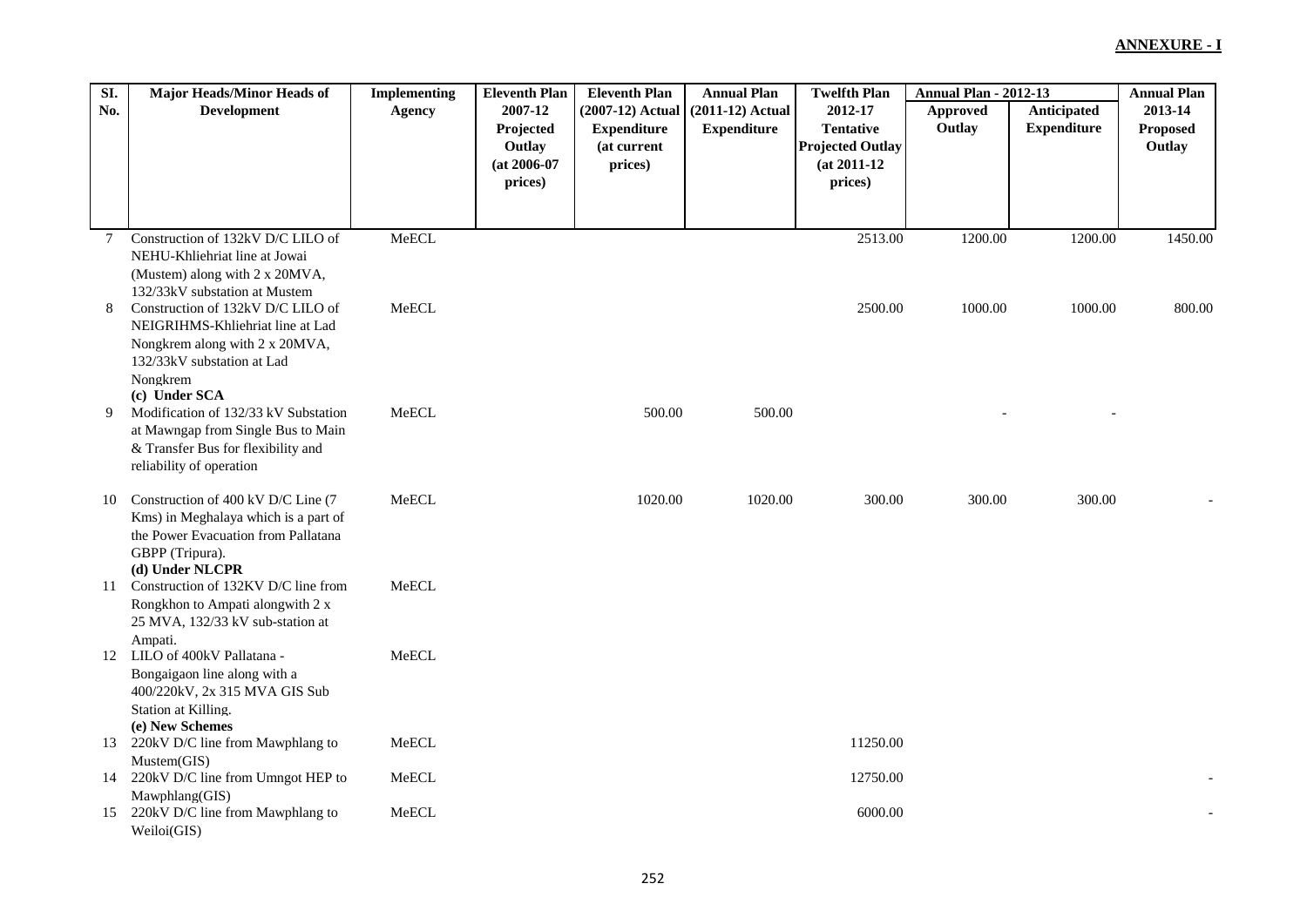| SI.         | <b>Major Heads/Minor Heads of</b>                            | <b>Implementing</b> | <b>Eleventh Plan</b> | <b>Eleventh Plan</b> | <b>Annual Plan</b> | <b>Twelfth Plan</b>     | <b>Annual Plan - 2012-13</b> |                    | <b>Annual Plan</b> |
|-------------|--------------------------------------------------------------|---------------------|----------------------|----------------------|--------------------|-------------------------|------------------------------|--------------------|--------------------|
| No.         | <b>Development</b>                                           | <b>Agency</b>       | 2007-12              | (2007-12) Actual     | $(2011-12)$ Actual | 2012-17                 | Approved                     | Anticipated        | 2013-14            |
|             |                                                              |                     | Projected            | <b>Expenditure</b>   | <b>Expenditure</b> | <b>Tentative</b>        | Outlay                       | <b>Expenditure</b> | Proposed           |
|             |                                                              |                     | Outlay               | (at current          |                    | <b>Projected Outlay</b> |                              |                    | Outlay             |
|             |                                                              |                     | $(at 2006-07)$       | prices)              |                    | $(at 2011-12)$          |                              |                    |                    |
|             |                                                              |                     | prices)              |                      |                    | prices)                 |                              |                    |                    |
|             |                                                              |                     |                      |                      |                    |                         |                              |                    |                    |
| $7^{\circ}$ | Construction of 132kV D/C LILO of                            | MeECL               |                      |                      |                    | 2513.00                 | 1200.00                      | 1200.00            | 1450.00            |
|             | NEHU-Khliehriat line at Jowai                                |                     |                      |                      |                    |                         |                              |                    |                    |
|             | (Mustem) along with 2 x 20MVA,                               |                     |                      |                      |                    |                         |                              |                    |                    |
|             | 132/33kV substation at Mustem                                |                     |                      |                      |                    |                         |                              |                    |                    |
| 8           | Construction of 132kV D/C LILO of                            | MeECL               |                      |                      |                    | 2500.00                 | 1000.00                      | 1000.00            | 800.00             |
|             | NEIGRIHMS-Khliehriat line at Lad                             |                     |                      |                      |                    |                         |                              |                    |                    |
|             | Nongkrem along with 2 x 20MVA,<br>132/33kV substation at Lad |                     |                      |                      |                    |                         |                              |                    |                    |
|             | Nongkrem                                                     |                     |                      |                      |                    |                         |                              |                    |                    |
|             | (c) Under SCA                                                |                     |                      |                      |                    |                         |                              |                    |                    |
| 9           | Modification of 132/33 kV Substation                         | MeECL               |                      | 500.00               | 500.00             |                         |                              |                    |                    |
|             | at Mawngap from Single Bus to Main                           |                     |                      |                      |                    |                         |                              |                    |                    |
|             | & Transfer Bus for flexibility and                           |                     |                      |                      |                    |                         |                              |                    |                    |
|             | reliability of operation                                     |                     |                      |                      |                    |                         |                              |                    |                    |
| 10          | Construction of 400 kV D/C Line (7)                          | MeECL               |                      | 1020.00              | 1020.00            | 300.00                  | 300.00                       | 300.00             |                    |
|             | Kms) in Meghalaya which is a part of                         |                     |                      |                      |                    |                         |                              |                    |                    |
|             | the Power Evacuation from Pallatana                          |                     |                      |                      |                    |                         |                              |                    |                    |
|             | GBPP (Tripura).                                              |                     |                      |                      |                    |                         |                              |                    |                    |
| 11          | (d) Under NLCPR<br>Construction of 132KV D/C line from       | MeECL               |                      |                      |                    |                         |                              |                    |                    |
|             | Rongkhon to Ampati alongwith 2 x                             |                     |                      |                      |                    |                         |                              |                    |                    |
|             | 25 MVA, 132/33 kV sub-station at                             |                     |                      |                      |                    |                         |                              |                    |                    |
|             | Ampati.                                                      |                     |                      |                      |                    |                         |                              |                    |                    |
|             | 12 LILO of 400kV Pallatana -                                 | MeECL               |                      |                      |                    |                         |                              |                    |                    |
|             | Bongaigaon line along with a                                 |                     |                      |                      |                    |                         |                              |                    |                    |
|             | 400/220kV, 2x 315 MVA GIS Sub<br>Station at Killing.         |                     |                      |                      |                    |                         |                              |                    |                    |
|             | (e) New Schemes                                              |                     |                      |                      |                    |                         |                              |                    |                    |
| 13          | 220kV D/C line from Mawphlang to                             | MeECL               |                      |                      |                    | 11250.00                |                              |                    |                    |
|             | Mustem(GIS)                                                  |                     |                      |                      |                    |                         |                              |                    |                    |
| 14          | 220kV D/C line from Umngot HEP to                            | MeECL               |                      |                      |                    | 12750.00                |                              |                    |                    |
|             | Mawphlang(GIS)                                               |                     |                      |                      |                    |                         |                              |                    |                    |
| 15          | 220kV D/C line from Mawphlang to<br>Weiloi(GIS)              | MeECL               |                      |                      |                    | 6000.00                 |                              |                    |                    |
|             |                                                              |                     |                      |                      |                    |                         |                              |                    |                    |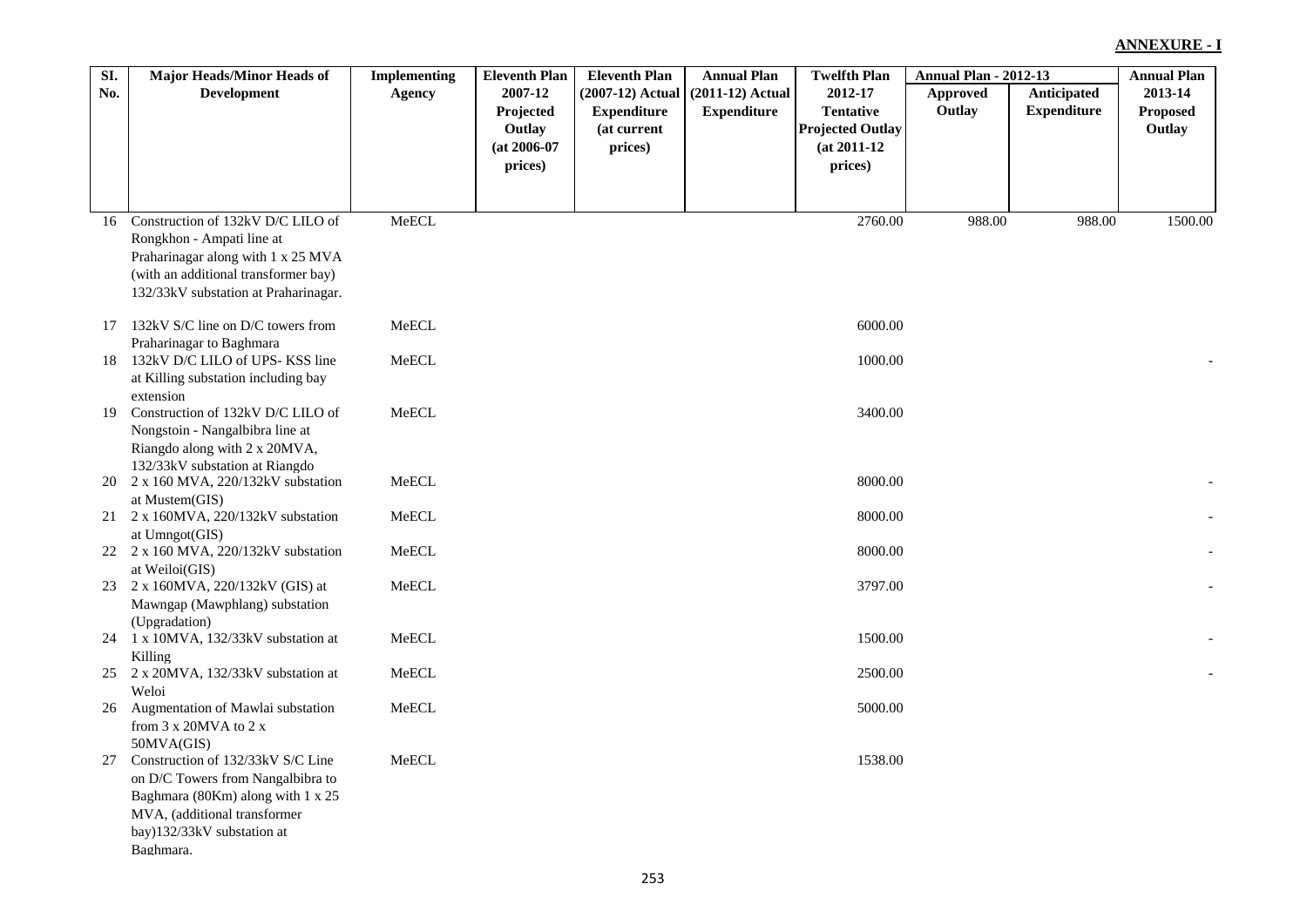| SI. | Major Heads/Minor Heads of                      | <b>Implementing</b> | <b>Eleventh Plan</b> | <b>Eleventh Plan</b> | <b>Annual Plan</b> | <b>Twelfth Plan</b>     | <b>Annual Plan - 2012-13</b> |                    | <b>Annual Plan</b> |
|-----|-------------------------------------------------|---------------------|----------------------|----------------------|--------------------|-------------------------|------------------------------|--------------------|--------------------|
| No. | <b>Development</b>                              | <b>Agency</b>       | 2007-12              | (2007-12) Actual     | $(2011-12)$ Actual | 2012-17                 | <b>Approved</b>              | Anticipated        | 2013-14            |
|     |                                                 |                     | Projected            | <b>Expenditure</b>   | <b>Expenditure</b> | <b>Tentative</b>        | Outlay                       | <b>Expenditure</b> | <b>Proposed</b>    |
|     |                                                 |                     | Outlay               | (at current          |                    | <b>Projected Outlay</b> |                              |                    | Outlay             |
|     |                                                 |                     | $(at 2006-07)$       | prices)              |                    | $(at 2011-12)$          |                              |                    |                    |
|     |                                                 |                     | prices)              |                      |                    | prices)                 |                              |                    |                    |
|     |                                                 |                     |                      |                      |                    |                         |                              |                    |                    |
|     |                                                 |                     |                      |                      |                    |                         |                              |                    |                    |
| 16  | Construction of 132kV D/C LILO of               | MeECL               |                      |                      |                    | 2760.00                 | 988.00                       | 988.00             | 1500.00            |
|     | Rongkhon - Ampati line at                       |                     |                      |                      |                    |                         |                              |                    |                    |
|     | Praharinagar along with 1 x 25 MVA              |                     |                      |                      |                    |                         |                              |                    |                    |
|     | (with an additional transformer bay)            |                     |                      |                      |                    |                         |                              |                    |                    |
|     | 132/33kV substation at Praharinagar.            |                     |                      |                      |                    |                         |                              |                    |                    |
|     | 17 132kV S/C line on D/C towers from            | MeECL               |                      |                      |                    | 6000.00                 |                              |                    |                    |
|     | Praharinagar to Baghmara                        |                     |                      |                      |                    |                         |                              |                    |                    |
| 18  | 132kV D/C LILO of UPS-KSS line                  | MeECL               |                      |                      |                    | 1000.00                 |                              |                    |                    |
|     | at Killing substation including bay             |                     |                      |                      |                    |                         |                              |                    |                    |
|     | extension                                       |                     |                      |                      |                    |                         |                              |                    |                    |
| 19  | Construction of 132kV D/C LILO of               | ${\sf MeECL}$       |                      |                      |                    | 3400.00                 |                              |                    |                    |
|     | Nongstoin - Nangalbibra line at                 |                     |                      |                      |                    |                         |                              |                    |                    |
|     | Riangdo along with 2 x 20MVA,                   |                     |                      |                      |                    |                         |                              |                    |                    |
|     | 132/33kV substation at Riangdo                  |                     |                      |                      |                    |                         |                              |                    |                    |
|     | 20 2 x 160 MVA, 220/132kV substation            | ${\sf MeECL}$       |                      |                      |                    | 8000.00                 |                              |                    |                    |
|     | at Mustem(GIS)                                  |                     |                      |                      |                    |                         |                              |                    |                    |
| 21  | 2 x 160MVA, 220/132kV substation                | MeECL               |                      |                      |                    | 8000.00                 |                              |                    |                    |
|     | at Umngot(GIS)                                  |                     |                      |                      |                    |                         |                              |                    |                    |
|     | 22 2 x 160 MVA, 220/132kV substation            | MeECL               |                      |                      |                    | 8000.00                 |                              |                    |                    |
|     | at Weiloi(GIS)                                  |                     |                      |                      |                    |                         |                              |                    |                    |
|     | 23 2 x 160MVA, 220/132kV (GIS) at               | MeECL               |                      |                      |                    | 3797.00                 |                              |                    |                    |
|     | Mawngap (Mawphlang) substation                  |                     |                      |                      |                    |                         |                              |                    |                    |
|     | (Upgradation)                                   |                     |                      |                      |                    |                         |                              |                    |                    |
|     | 24 1 x 10MVA, 132/33kV substation at            | ${\sf MeECL}$       |                      |                      |                    | 1500.00                 |                              |                    |                    |
|     | Killing                                         |                     |                      |                      |                    |                         |                              |                    |                    |
|     | 25 2 x 20MVA, 132/33kV substation at            | MeECL               |                      |                      |                    | 2500.00                 |                              |                    |                    |
|     | Weloi                                           |                     |                      |                      |                    |                         |                              |                    |                    |
| 26  | Augmentation of Mawlai substation               | MeECL               |                      |                      |                    | 5000.00                 |                              |                    |                    |
|     | from 3 x 20MVA to 2 x                           |                     |                      |                      |                    |                         |                              |                    |                    |
| 27  | 50MVA(GIS)<br>Construction of 132/33kV S/C Line | MeECL               |                      |                      |                    | 1538.00                 |                              |                    |                    |
|     | on D/C Towers from Nangalbibra to               |                     |                      |                      |                    |                         |                              |                    |                    |
|     | Baghmara (80Km) along with 1 x 25               |                     |                      |                      |                    |                         |                              |                    |                    |
|     | MVA, (additional transformer                    |                     |                      |                      |                    |                         |                              |                    |                    |
|     | bay)132/33kV substation at                      |                     |                      |                      |                    |                         |                              |                    |                    |
|     | Baghmara.                                       |                     |                      |                      |                    |                         |                              |                    |                    |
|     |                                                 |                     |                      |                      |                    |                         |                              |                    |                    |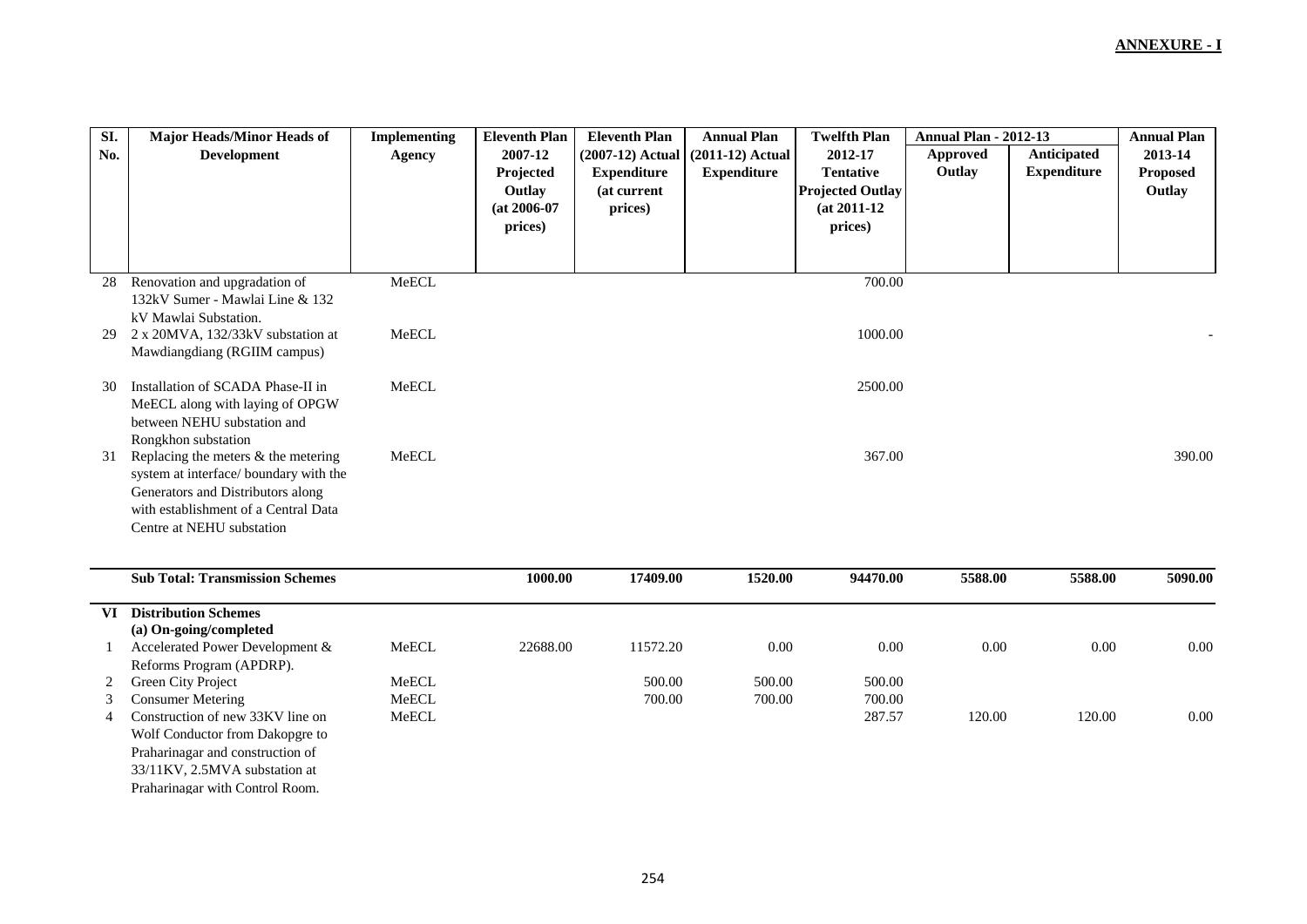| SI.            | <b>Major Heads/Minor Heads of</b>      | <b>Implementing</b> | <b>Eleventh Plan</b> | <b>Eleventh Plan</b> | <b>Annual Plan</b> | <b>Twelfth Plan</b>     | <b>Annual Plan - 2012-13</b> |                    | <b>Annual Plan</b> |
|----------------|----------------------------------------|---------------------|----------------------|----------------------|--------------------|-------------------------|------------------------------|--------------------|--------------------|
| No.            | <b>Development</b>                     | <b>Agency</b>       | 2007-12              | $(2007-12)$ Actual   | $(2011-12)$ Actual | 2012-17                 | <b>Approved</b>              | <b>Anticipated</b> | 2013-14            |
|                |                                        |                     | Projected            | <b>Expenditure</b>   | <b>Expenditure</b> | <b>Tentative</b>        | Outlay                       | <b>Expenditure</b> | <b>Proposed</b>    |
|                |                                        |                     | Outlay               | (at current          |                    | <b>Projected Outlay</b> |                              |                    | Outlay             |
|                |                                        |                     | $(at 2006-07)$       | prices)              |                    | $(at 2011-12)$          |                              |                    |                    |
|                |                                        |                     | prices)              |                      |                    | prices)                 |                              |                    |                    |
|                |                                        |                     |                      |                      |                    |                         |                              |                    |                    |
|                |                                        |                     |                      |                      |                    |                         |                              |                    |                    |
| 28             | Renovation and upgradation of          | MeECL               |                      |                      |                    | 700.00                  |                              |                    |                    |
|                | 132kV Sumer - Mawlai Line & 132        |                     |                      |                      |                    |                         |                              |                    |                    |
|                | kV Mawlai Substation.                  |                     |                      |                      |                    |                         |                              |                    |                    |
| 29             | 2 x 20MVA, 132/33kV substation at      | MeECL               |                      |                      |                    | 1000.00                 |                              |                    |                    |
|                | Mawdiangdiang (RGIIM campus)           |                     |                      |                      |                    |                         |                              |                    |                    |
|                |                                        |                     |                      |                      |                    |                         |                              |                    |                    |
| 30             | Installation of SCADA Phase-II in      | MeECL               |                      |                      |                    | 2500.00                 |                              |                    |                    |
|                | MeECL along with laying of OPGW        |                     |                      |                      |                    |                         |                              |                    |                    |
|                | between NEHU substation and            |                     |                      |                      |                    |                         |                              |                    |                    |
|                | Rongkhon substation                    |                     |                      |                      |                    |                         |                              |                    |                    |
| 31             | Replacing the meters $&$ the metering  | MeECL               |                      |                      |                    | 367.00                  |                              |                    | 390.00             |
|                | system at interface/ boundary with the |                     |                      |                      |                    |                         |                              |                    |                    |
|                | Generators and Distributors along      |                     |                      |                      |                    |                         |                              |                    |                    |
|                | with establishment of a Central Data   |                     |                      |                      |                    |                         |                              |                    |                    |
|                | Centre at NEHU substation              |                     |                      |                      |                    |                         |                              |                    |                    |
|                |                                        |                     |                      |                      |                    |                         |                              |                    |                    |
|                | <b>Sub Total: Transmission Schemes</b> |                     | 1000.00              | 17409.00             | 1520.00            | 94470.00                | 5588.00                      | 5588.00            | 5090.00            |
|                |                                        |                     |                      |                      |                    |                         |                              |                    |                    |
| VI             | <b>Distribution Schemes</b>            |                     |                      |                      |                    |                         |                              |                    |                    |
|                | (a) On-going/completed                 |                     |                      |                      |                    |                         |                              |                    |                    |
| 1              | Accelerated Power Development &        | MeECL               | 22688.00             | 11572.20             | 0.00               | 0.00                    | 0.00                         | 0.00               | 0.00               |
|                | Reforms Program (APDRP).               |                     |                      |                      |                    |                         |                              |                    |                    |
| 2              | Green City Project                     | MeECL               |                      | 500.00               | 500.00             | 500.00                  |                              |                    |                    |
| 3              | <b>Consumer Metering</b>               | MeECL               |                      | 700.00               | 700.00             | 700.00                  |                              |                    |                    |
| $\overline{4}$ | Construction of new 33KV line on       | MeECL               |                      |                      |                    | 287.57                  | 120.00                       | 120.00             | $0.00\,$           |
|                | Wolf Conductor from Dakopgre to        |                     |                      |                      |                    |                         |                              |                    |                    |
|                | Praharinagar and construction of       |                     |                      |                      |                    |                         |                              |                    |                    |
|                | 33/11KV, 2.5MVA substation at          |                     |                      |                      |                    |                         |                              |                    |                    |
|                | Praharinagar with Control Room.        |                     |                      |                      |                    |                         |                              |                    |                    |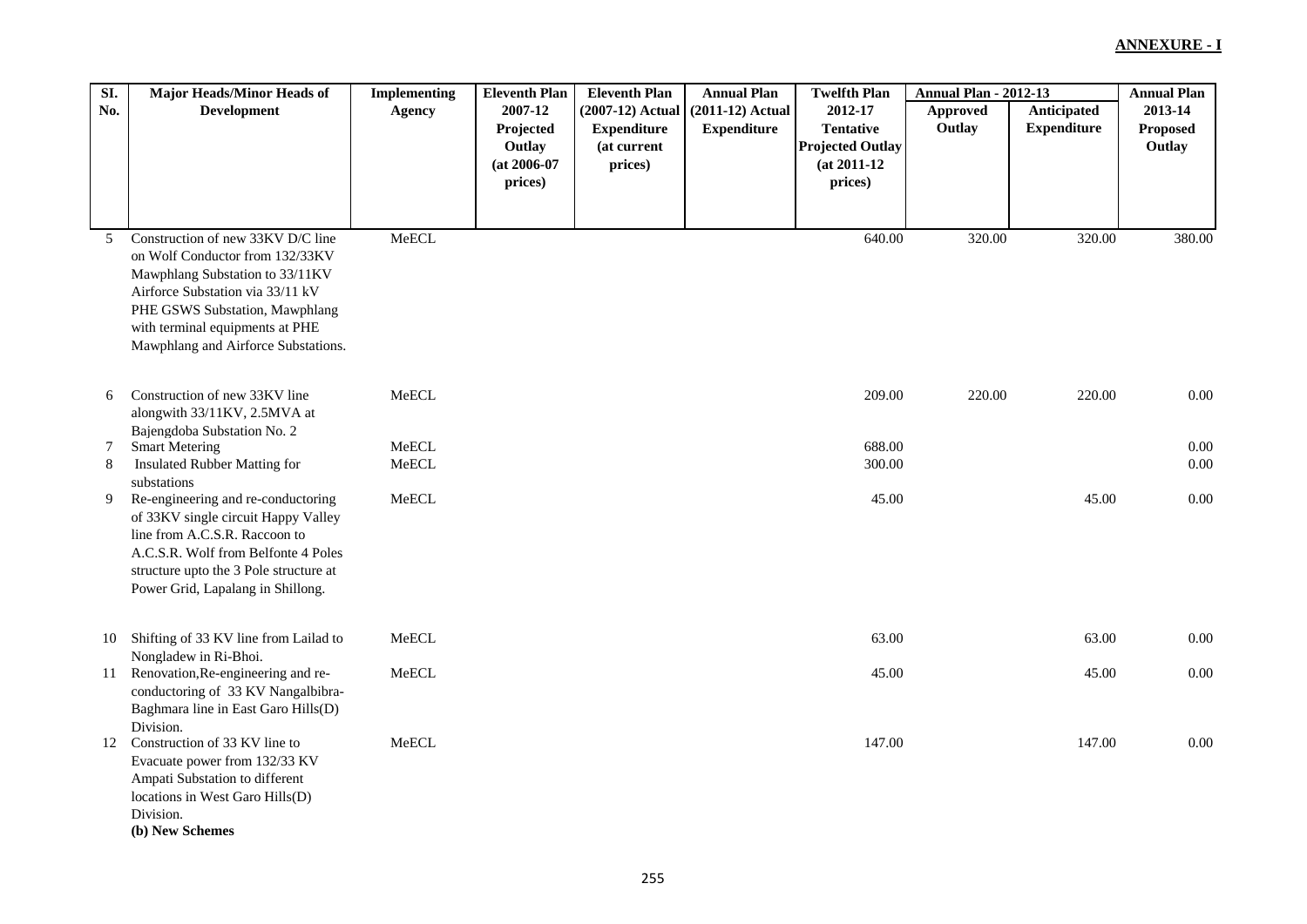| SI. | Major Heads/Minor Heads of                                                                                                                                                                                                                              | <b>Implementing</b> | <b>Eleventh Plan</b>                             | <b>Eleventh Plan</b>                                             | <b>Annual Plan</b>                       | <b>Twelfth Plan</b>                                                      | <b>Annual Plan - 2012-13</b> |                                   | <b>Annual Plan</b>                   |
|-----|---------------------------------------------------------------------------------------------------------------------------------------------------------------------------------------------------------------------------------------------------------|---------------------|--------------------------------------------------|------------------------------------------------------------------|------------------------------------------|--------------------------------------------------------------------------|------------------------------|-----------------------------------|--------------------------------------|
| No. | <b>Development</b>                                                                                                                                                                                                                                      | Agency              | 2007-12<br>Projected<br>Outlay<br>$(at 2006-07)$ | (2007-12) Actual<br><b>Expenditure</b><br>(at current<br>prices) | $(2011-12)$ Actual<br><b>Expenditure</b> | 2012-17<br><b>Tentative</b><br><b>Projected Outlay</b><br>$(at 2011-12)$ | Approved<br>Outlay           | Anticipated<br><b>Expenditure</b> | 2013-14<br><b>Proposed</b><br>Outlay |
|     |                                                                                                                                                                                                                                                         |                     | prices)                                          |                                                                  |                                          | prices)                                                                  |                              |                                   |                                      |
|     |                                                                                                                                                                                                                                                         |                     |                                                  |                                                                  |                                          |                                                                          |                              |                                   |                                      |
| 5   | Construction of new 33KV D/C line<br>on Wolf Conductor from 132/33KV<br>Mawphlang Substation to 33/11KV<br>Airforce Substation via 33/11 kV<br>PHE GSWS Substation, Mawphlang<br>with terminal equipments at PHE<br>Mawphlang and Airforce Substations. | MeECL               |                                                  |                                                                  |                                          | 640.00                                                                   | 320.00                       | 320.00                            | 380.00                               |
| 6   | Construction of new 33KV line<br>alongwith 33/11KV, 2.5MVA at                                                                                                                                                                                           | MeECL               |                                                  |                                                                  |                                          | 209.00                                                                   | 220.00                       | 220.00                            | 0.00                                 |
| 7   | Bajengdoba Substation No. 2<br><b>Smart Metering</b>                                                                                                                                                                                                    | MeECL               |                                                  |                                                                  |                                          | 688.00                                                                   |                              |                                   | 0.00                                 |
| 8   | Insulated Rubber Matting for                                                                                                                                                                                                                            | MeECL               |                                                  |                                                                  |                                          | 300.00                                                                   |                              |                                   | 0.00                                 |
| 9   | substations<br>Re-engineering and re-conductoring<br>of 33KV single circuit Happy Valley<br>line from A.C.S.R. Raccoon to<br>A.C.S.R. Wolf from Belfonte 4 Poles<br>structure upto the 3 Pole structure at<br>Power Grid, Lapalang in Shillong.         | MeECL               |                                                  |                                                                  |                                          | 45.00                                                                    |                              | 45.00                             | 0.00                                 |
| 10  | Shifting of 33 KV line from Lailad to<br>Nongladew in Ri-Bhoi.                                                                                                                                                                                          | MeECL               |                                                  |                                                                  |                                          | 63.00                                                                    |                              | 63.00                             | 0.00                                 |
| 11  | Renovation, Re-engineering and re-<br>conductoring of 33 KV Nangalbibra-<br>Baghmara line in East Garo Hills(D)<br>Division.                                                                                                                            | MeECL               |                                                  |                                                                  |                                          | 45.00                                                                    |                              | 45.00                             | 0.00                                 |
| 12  | Construction of 33 KV line to<br>Evacuate power from 132/33 KV<br>Ampati Substation to different<br>locations in West Garo Hills(D)<br>Division.<br>(b) New Schemes                                                                                     | MeECL               |                                                  |                                                                  |                                          | 147.00                                                                   |                              | 147.00                            | 0.00                                 |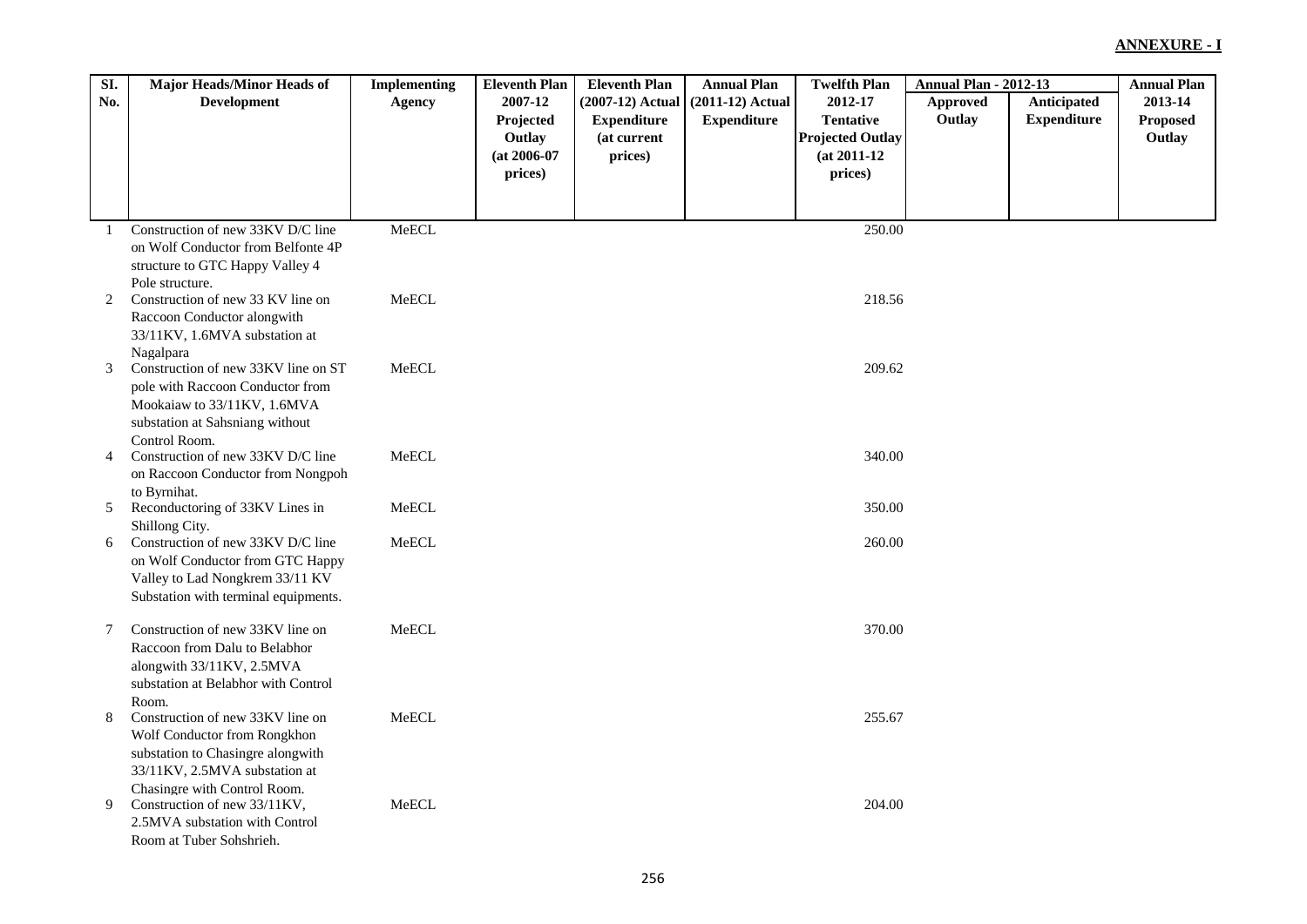| SI.          | <b>Major Heads/Minor Heads of</b>                                  | <b>Implementing</b> | <b>Eleventh Plan</b> | <b>Eleventh Plan</b> | <b>Annual Plan</b> | <b>Twelfth Plan</b>     | <b>Annual Plan - 2012-13</b> |                    | <b>Annual Plan</b> |
|--------------|--------------------------------------------------------------------|---------------------|----------------------|----------------------|--------------------|-------------------------|------------------------------|--------------------|--------------------|
| No.          | <b>Development</b>                                                 | <b>Agency</b>       | 2007-12              | (2007-12) Actual     | $(2011-12)$ Actual | 2012-17                 | Approved                     | Anticipated        | 2013-14            |
|              |                                                                    |                     | Projected            | <b>Expenditure</b>   | <b>Expenditure</b> | <b>Tentative</b>        | Outlay                       | <b>Expenditure</b> | Proposed           |
|              |                                                                    |                     | Outlay               | (at current          |                    | <b>Projected Outlay</b> |                              |                    | Outlay             |
|              |                                                                    |                     | $(at 2006-07)$       | prices)              |                    | $(at 2011-12)$          |                              |                    |                    |
|              |                                                                    |                     | prices)              |                      |                    | prices)                 |                              |                    |                    |
|              |                                                                    |                     |                      |                      |                    |                         |                              |                    |                    |
|              |                                                                    |                     |                      |                      |                    |                         |                              |                    |                    |
| $\mathbf{1}$ | Construction of new 33KV D/C line                                  | MeECL               |                      |                      |                    | 250.00                  |                              |                    |                    |
|              | on Wolf Conductor from Belfonte 4P                                 |                     |                      |                      |                    |                         |                              |                    |                    |
|              | structure to GTC Happy Valley 4                                    |                     |                      |                      |                    |                         |                              |                    |                    |
|              | Pole structure.                                                    |                     |                      |                      |                    |                         |                              |                    |                    |
| 2            | Construction of new 33 KV line on                                  | MeECL               |                      |                      |                    | 218.56                  |                              |                    |                    |
|              | Raccoon Conductor alongwith                                        |                     |                      |                      |                    |                         |                              |                    |                    |
|              | 33/11KV, 1.6MVA substation at                                      |                     |                      |                      |                    |                         |                              |                    |                    |
|              | Nagalpara                                                          |                     |                      |                      |                    |                         |                              |                    |                    |
| 3            | Construction of new 33KV line on ST                                | MeECL               |                      |                      |                    | 209.62                  |                              |                    |                    |
|              | pole with Raccoon Conductor from                                   |                     |                      |                      |                    |                         |                              |                    |                    |
|              | Mookaiaw to 33/11KV, 1.6MVA                                        |                     |                      |                      |                    |                         |                              |                    |                    |
|              | substation at Sahsniang without                                    |                     |                      |                      |                    |                         |                              |                    |                    |
|              | Control Room.                                                      |                     |                      |                      |                    |                         |                              |                    |                    |
| 4            | Construction of new 33KV D/C line                                  | MeECL               |                      |                      |                    | 340.00                  |                              |                    |                    |
|              | on Raccoon Conductor from Nongpoh                                  |                     |                      |                      |                    |                         |                              |                    |                    |
| 5            | to Byrnihat.<br>Reconductoring of 33KV Lines in                    | MeECL               |                      |                      |                    | 350.00                  |                              |                    |                    |
|              | Shillong City.                                                     |                     |                      |                      |                    |                         |                              |                    |                    |
| 6            | Construction of new 33KV D/C line                                  | MeECL               |                      |                      |                    | 260.00                  |                              |                    |                    |
|              | on Wolf Conductor from GTC Happy                                   |                     |                      |                      |                    |                         |                              |                    |                    |
|              | Valley to Lad Nongkrem 33/11 KV                                    |                     |                      |                      |                    |                         |                              |                    |                    |
|              | Substation with terminal equipments.                               |                     |                      |                      |                    |                         |                              |                    |                    |
|              |                                                                    |                     |                      |                      |                    |                         |                              |                    |                    |
| $\tau$       | Construction of new 33KV line on                                   | MeECL               |                      |                      |                    | 370.00                  |                              |                    |                    |
|              | Raccoon from Dalu to Belabhor                                      |                     |                      |                      |                    |                         |                              |                    |                    |
|              | alongwith 33/11KV, 2.5MVA                                          |                     |                      |                      |                    |                         |                              |                    |                    |
|              | substation at Belabhor with Control                                |                     |                      |                      |                    |                         |                              |                    |                    |
|              | Room.                                                              |                     |                      |                      |                    |                         |                              |                    |                    |
| 8            | Construction of new 33KV line on                                   | MeECL               |                      |                      |                    | 255.67                  |                              |                    |                    |
|              | Wolf Conductor from Rongkhon                                       |                     |                      |                      |                    |                         |                              |                    |                    |
|              | substation to Chasingre alongwith<br>33/11KV, 2.5MVA substation at |                     |                      |                      |                    |                         |                              |                    |                    |
|              | Chasingre with Control Room.                                       |                     |                      |                      |                    |                         |                              |                    |                    |
| 9            | Construction of new 33/11KV,                                       | MeECL               |                      |                      |                    | 204.00                  |                              |                    |                    |
|              | 2.5MVA substation with Control                                     |                     |                      |                      |                    |                         |                              |                    |                    |
|              | Room at Tuber Sohshrieh.                                           |                     |                      |                      |                    |                         |                              |                    |                    |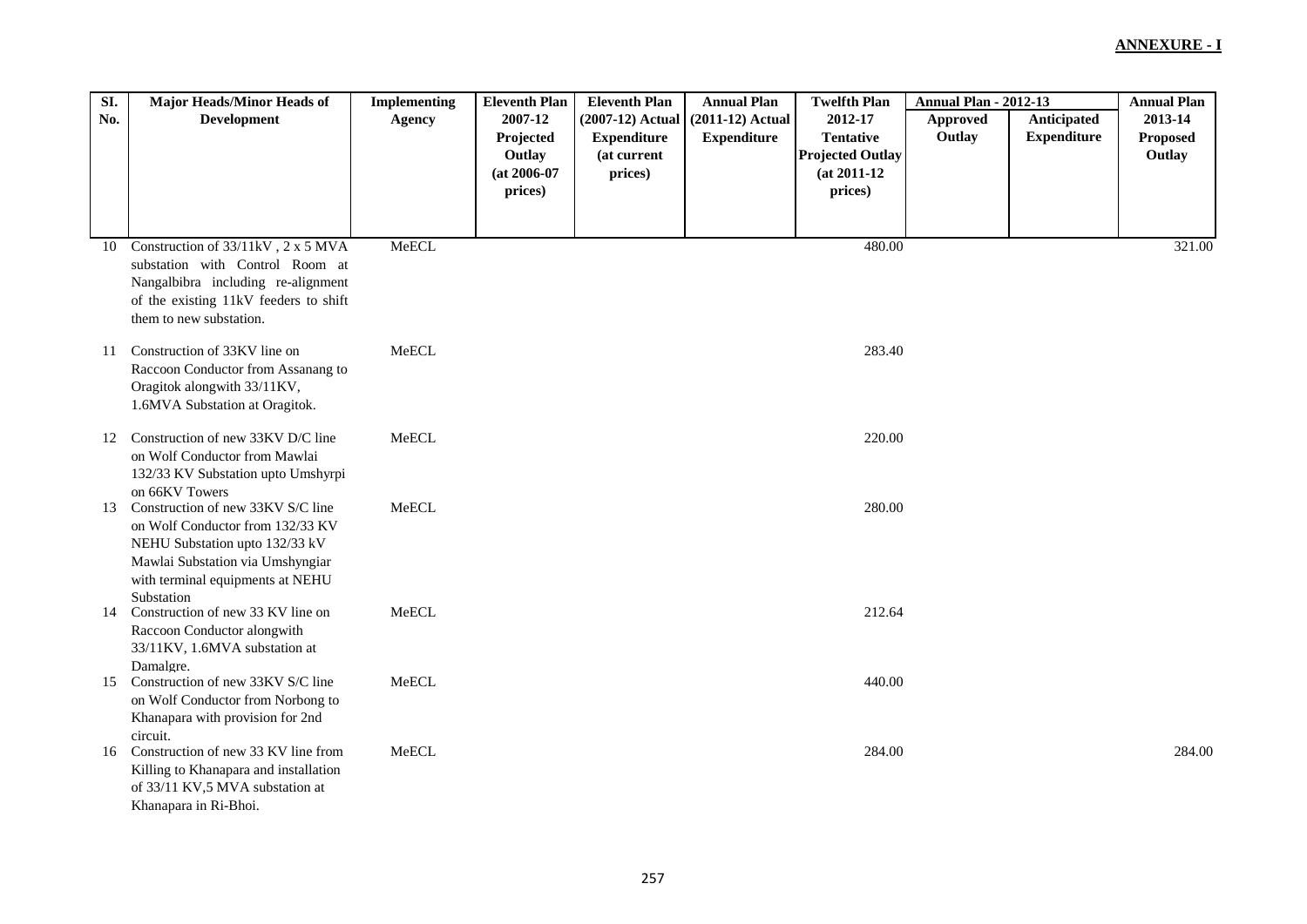| SI. | <b>Major Heads/Minor Heads of</b>                                                                                                                                                             | <b>Implementing</b> | <b>Eleventh Plan</b>                                        | <b>Eleventh Plan</b>                                             | <b>Annual Plan</b>                       | <b>Twelfth Plan</b>                                                                 | <b>Annual Plan - 2012-13</b> |                                   | <b>Annual Plan</b>                   |
|-----|-----------------------------------------------------------------------------------------------------------------------------------------------------------------------------------------------|---------------------|-------------------------------------------------------------|------------------------------------------------------------------|------------------------------------------|-------------------------------------------------------------------------------------|------------------------------|-----------------------------------|--------------------------------------|
| No. | <b>Development</b>                                                                                                                                                                            | <b>Agency</b>       | 2007-12<br>Projected<br>Outlay<br>$(at 2006-07)$<br>prices) | (2007-12) Actual<br><b>Expenditure</b><br>(at current<br>prices) | $(2011-12)$ Actual<br><b>Expenditure</b> | 2012-17<br><b>Tentative</b><br><b>Projected Outlay</b><br>$(at 2011-12)$<br>prices) | Approved<br>Outlay           | Anticipated<br><b>Expenditure</b> | 2013-14<br><b>Proposed</b><br>Outlay |
|     |                                                                                                                                                                                               |                     |                                                             |                                                                  |                                          |                                                                                     |                              |                                   |                                      |
| 10  | Construction of 33/11kV, 2 x 5 MVA<br>substation with Control Room at<br>Nangalbibra including re-alignment<br>of the existing 11kV feeders to shift<br>them to new substation.               | MeECL               |                                                             |                                                                  |                                          | 480.00                                                                              |                              |                                   | 321.00                               |
| 11  | Construction of 33KV line on<br>Raccoon Conductor from Assanang to<br>Oragitok alongwith 33/11KV,<br>1.6MVA Substation at Oragitok.                                                           | MeECL               |                                                             |                                                                  |                                          | 283.40                                                                              |                              |                                   |                                      |
| 12  | Construction of new 33KV D/C line<br>on Wolf Conductor from Mawlai<br>132/33 KV Substation upto Umshyrpi<br>on 66KV Towers                                                                    | MeECL               |                                                             |                                                                  |                                          | 220.00                                                                              |                              |                                   |                                      |
| 13  | Construction of new 33KV S/C line<br>on Wolf Conductor from 132/33 KV<br>NEHU Substation upto 132/33 kV<br>Mawlai Substation via Umshyngiar<br>with terminal equipments at NEHU<br>Substation | MeECL               |                                                             |                                                                  |                                          | 280.00                                                                              |                              |                                   |                                      |
| 14  | Construction of new 33 KV line on<br>Raccoon Conductor alongwith<br>33/11KV, 1.6MVA substation at<br>Damalgre.                                                                                | MeECL               |                                                             |                                                                  |                                          | 212.64                                                                              |                              |                                   |                                      |
| 15  | Construction of new 33KV S/C line<br>on Wolf Conductor from Norbong to<br>Khanapara with provision for 2nd<br>circuit.                                                                        | MeECL               |                                                             |                                                                  |                                          | 440.00                                                                              |                              |                                   |                                      |
| 16  | Construction of new 33 KV line from<br>Killing to Khanapara and installation<br>of 33/11 KV,5 MVA substation at<br>Khanapara in Ri-Bhoi.                                                      | MeECL               |                                                             |                                                                  |                                          | 284.00                                                                              |                              |                                   | 284.00                               |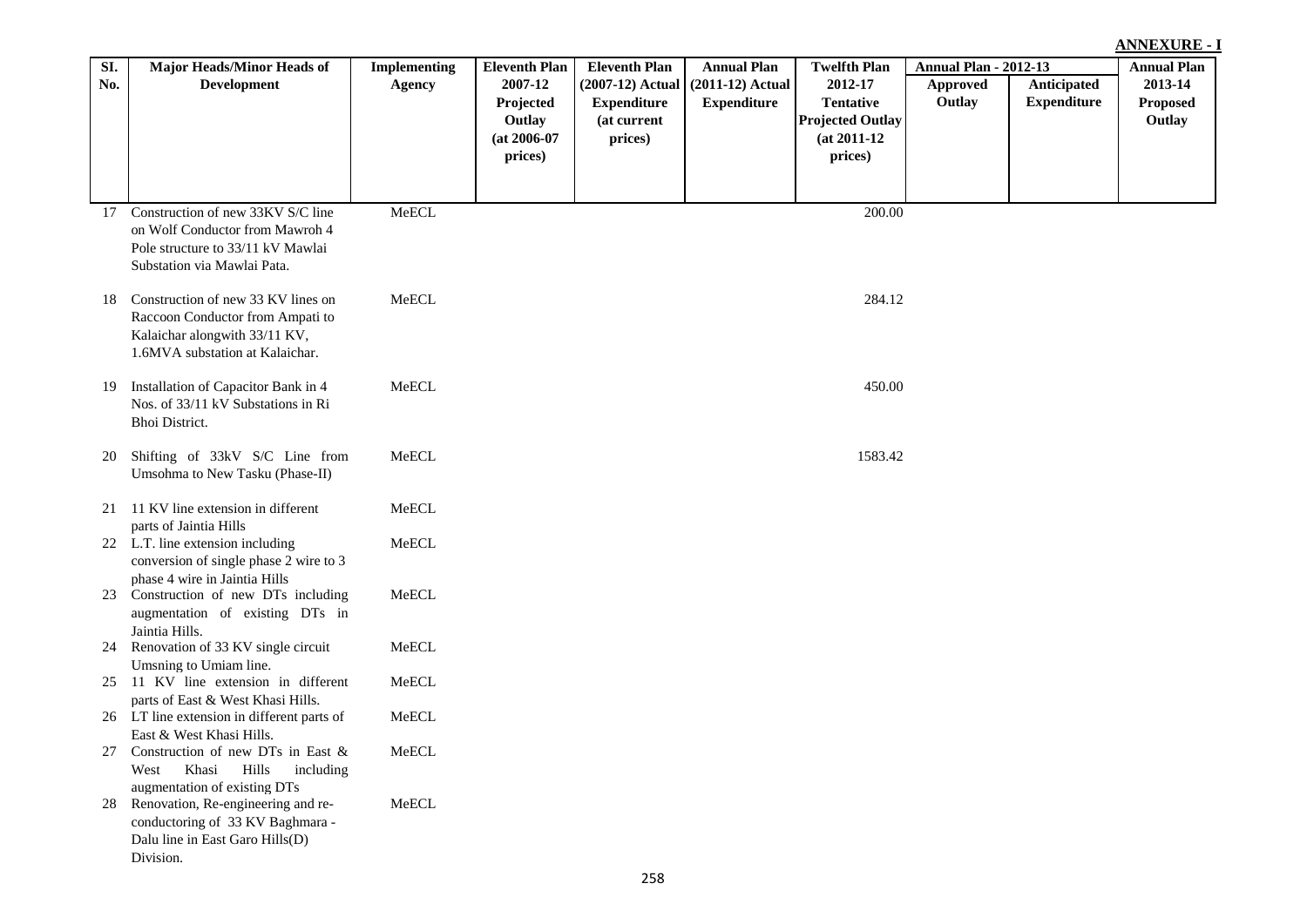| SI. | Major Heads/Minor Heads of                                                                                                                 | <b>Implementing</b> | <b>Eleventh Plan</b> | <b>Eleventh Plan</b> | <b>Annual Plan</b> | <b>Twelfth Plan</b>     | <b>Annual Plan - 2012-13</b> |                    | <b>Annual Plan</b> |
|-----|--------------------------------------------------------------------------------------------------------------------------------------------|---------------------|----------------------|----------------------|--------------------|-------------------------|------------------------------|--------------------|--------------------|
| No. | <b>Development</b>                                                                                                                         | <b>Agency</b>       | 2007-12              | (2007-12) Actual     | $(2011-12)$ Actual | 2012-17                 | Approved                     | Anticipated        | 2013-14            |
|     |                                                                                                                                            |                     | Projected            | <b>Expenditure</b>   | <b>Expenditure</b> | <b>Tentative</b>        | Outlay                       | <b>Expenditure</b> | <b>Proposed</b>    |
|     |                                                                                                                                            |                     | Outlay               | (at current          |                    | <b>Projected Outlay</b> |                              |                    | Outlay             |
|     |                                                                                                                                            |                     | $(at 2006-07)$       | prices)              |                    | $(at 2011-12)$          |                              |                    |                    |
|     |                                                                                                                                            |                     | prices)              |                      |                    | prices)                 |                              |                    |                    |
|     |                                                                                                                                            |                     |                      |                      |                    |                         |                              |                    |                    |
|     | 17 Construction of new 33KV S/C line                                                                                                       | MeECL               |                      |                      |                    | 200.00                  |                              |                    |                    |
|     | on Wolf Conductor from Mawroh 4<br>Pole structure to 33/11 kV Mawlai<br>Substation via Mawlai Pata.                                        |                     |                      |                      |                    |                         |                              |                    |                    |
|     |                                                                                                                                            |                     |                      |                      |                    |                         |                              |                    |                    |
| 18  | Construction of new 33 KV lines on<br>Raccoon Conductor from Ampati to<br>Kalaichar alongwith 33/11 KV,<br>1.6MVA substation at Kalaichar. | MeECL               |                      |                      |                    | 284.12                  |                              |                    |                    |
| 19  | Installation of Capacitor Bank in 4<br>Nos. of 33/11 kV Substations in Ri<br>Bhoi District.                                                | MeECL               |                      |                      |                    | 450.00                  |                              |                    |                    |
| 20  | Shifting of 33kV S/C Line from<br>Umsohma to New Tasku (Phase-II)                                                                          | MeECL               |                      |                      |                    | 1583.42                 |                              |                    |                    |
| 21  | 11 KV line extension in different<br>parts of Jaintia Hills                                                                                | MeECL               |                      |                      |                    |                         |                              |                    |                    |
|     | 22 L.T. line extension including<br>conversion of single phase 2 wire to 3                                                                 | MeECL               |                      |                      |                    |                         |                              |                    |                    |
|     | phase 4 wire in Jaintia Hills<br>23 Construction of new DTs including<br>augmentation of existing DTs in<br>Jaintia Hills.                 | MeECL               |                      |                      |                    |                         |                              |                    |                    |
| 24  | Renovation of 33 KV single circuit<br>Umsning to Umiam line.                                                                               | ${\sf MeECL}$       |                      |                      |                    |                         |                              |                    |                    |
|     | 25 11 KV line extension in different<br>parts of East & West Khasi Hills.                                                                  | MeECL               |                      |                      |                    |                         |                              |                    |                    |
|     | 26 LT line extension in different parts of<br>East & West Khasi Hills.                                                                     | MeECL               |                      |                      |                    |                         |                              |                    |                    |
| 27  | Construction of new DTs in East &<br>Khasi<br>West<br>Hills<br>including<br>augmentation of existing DTs                                   | MeECL               |                      |                      |                    |                         |                              |                    |                    |
| 28  | Renovation, Re-engineering and re-<br>conductoring of 33 KV Baghmara -<br>Dalu line in East Garo Hills(D)<br>Division.                     | MeECL               |                      |                      |                    |                         |                              |                    |                    |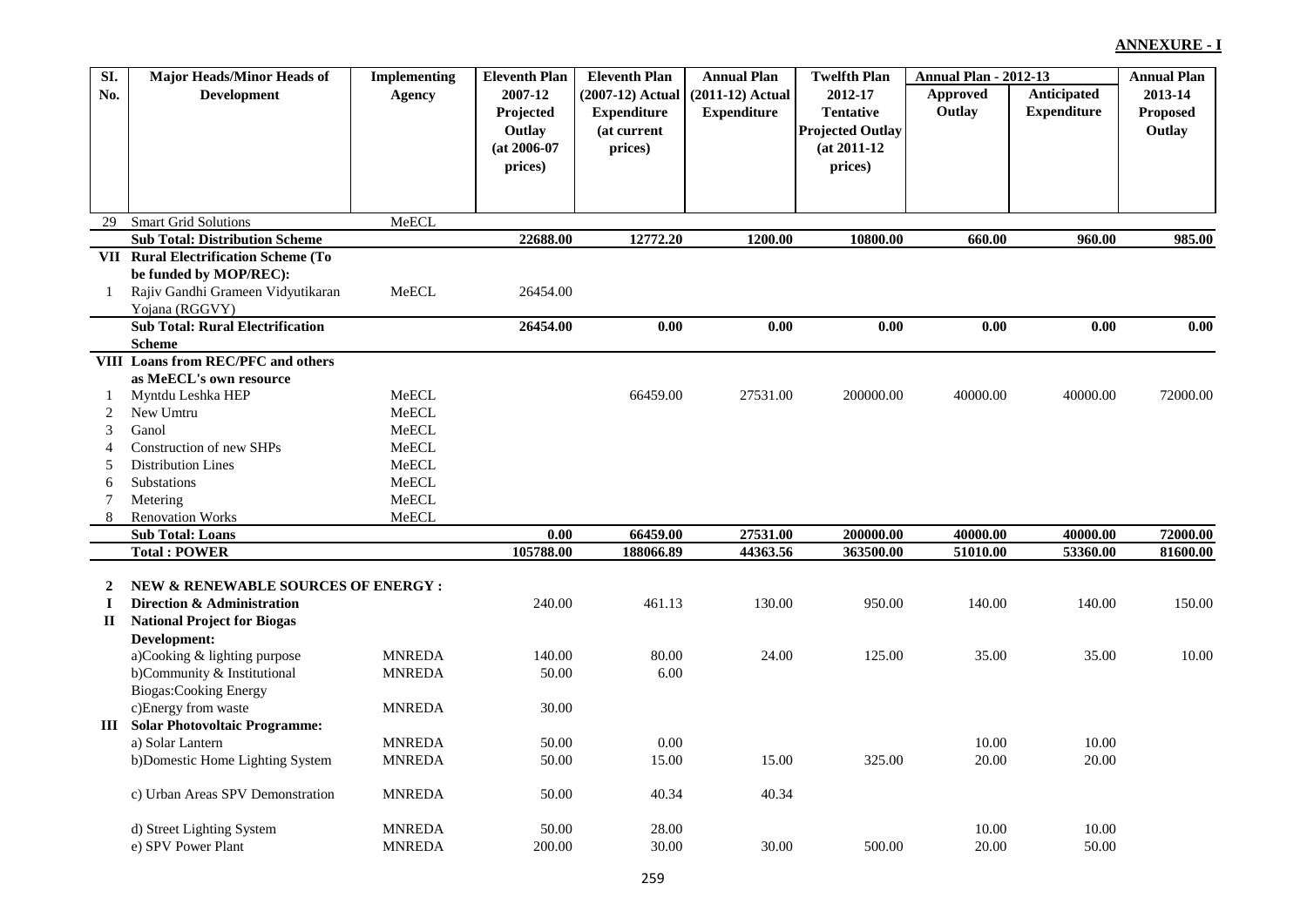| SI.          | <b>Major Heads/Minor Heads of</b>       | <b>Implementing</b> | <b>Eleventh Plan</b> | <b>Eleventh Plan</b>  | <b>Annual Plan</b> | <b>Twelfth Plan</b>     | <b>Annual Plan - 2012-13</b> |                    | <b>Annual Plan</b>   |
|--------------|-----------------------------------------|---------------------|----------------------|-----------------------|--------------------|-------------------------|------------------------------|--------------------|----------------------|
| No.          | <b>Development</b>                      | Agency              | 2007-12              | (2007-12) Actual      | $(2011-12)$ Actual | 2012-17                 | Approved                     | Anticipated        | 2013-14              |
|              |                                         |                     | Projected            | <b>Expenditure</b>    | <b>Expenditure</b> | <b>Tentative</b>        | Outlay                       | <b>Expenditure</b> | <b>Proposed</b>      |
|              |                                         |                     | Outlay               | (at current           |                    | <b>Projected Outlay</b> |                              |                    | Outlay               |
|              |                                         |                     | $(at 2006-07)$       | prices)               |                    | $(at 2011-12)$          |                              |                    |                      |
|              |                                         |                     | prices)              |                       |                    | prices)                 |                              |                    |                      |
|              |                                         |                     |                      |                       |                    |                         |                              |                    |                      |
|              |                                         |                     |                      |                       |                    |                         |                              |                    |                      |
| 29           | <b>Smart Grid Solutions</b>             | MeECL               |                      |                       |                    |                         |                              |                    |                      |
|              | <b>Sub Total: Distribution Scheme</b>   |                     | 22688.00             | 12772.20              | 1200.00            | 10800.00                | 660.00                       | 960.00             | 985.00               |
|              | VII Rural Electrification Scheme (To    |                     |                      |                       |                    |                         |                              |                    |                      |
|              | be funded by MOP/REC):                  |                     |                      |                       |                    |                         |                              |                    |                      |
| -1           | Rajiv Gandhi Grameen Vidyutikaran       | MeECL               | 26454.00             |                       |                    |                         |                              |                    |                      |
|              | Yojana (RGGVY)                          |                     |                      |                       |                    |                         |                              |                    |                      |
|              | <b>Sub Total: Rural Electrification</b> |                     | 26454.00             | 0.00                  | 0.00               | 0.00                    | 0.00                         | 0.00               | 0.00                 |
|              | <b>Scheme</b>                           |                     |                      |                       |                    |                         |                              |                    |                      |
|              | VIII Loans from REC/PFC and others      |                     |                      |                       |                    |                         |                              |                    |                      |
|              | as MeECL's own resource                 |                     |                      |                       |                    |                         |                              |                    |                      |
| 1            | Myntdu Leshka HEP                       | MeECL               |                      | 66459.00              | 27531.00           | 200000.00               | 40000.00                     | 40000.00           | 72000.00             |
| 2            | New Umtru                               | MeECL               |                      |                       |                    |                         |                              |                    |                      |
| 3            | Ganol                                   | MeECL               |                      |                       |                    |                         |                              |                    |                      |
| 4            | Construction of new SHPs                | MeECL               |                      |                       |                    |                         |                              |                    |                      |
| 5            | <b>Distribution Lines</b>               | MeECL               |                      |                       |                    |                         |                              |                    |                      |
| 6            | Substations                             | MeECL               |                      |                       |                    |                         |                              |                    |                      |
| 7            | Metering                                | MeECL               |                      |                       |                    |                         |                              |                    |                      |
| 8            | <b>Renovation Works</b>                 | MeECL               |                      |                       |                    |                         |                              |                    |                      |
|              | <b>Sub Total: Loans</b>                 |                     | 0.00                 | 66459.00<br>188066.89 | 27531.00           | 200000.00<br>363500.00  | 40000.00                     | 40000.00           | 72000.00<br>81600.00 |
|              | <b>Total: POWER</b>                     |                     | 105788.00            |                       | 44363.56           |                         | 51010.00                     | 53360.00           |                      |
| $\mathbf{2}$ | NEW & RENEWABLE SOURCES OF ENERGY :     |                     |                      |                       |                    |                         |                              |                    |                      |
| $\bf{I}$     | Direction & Administration              |                     | 240.00               | 461.13                | 130.00             | 950.00                  | 140.00                       | 140.00             | 150.00               |
| $\mathbf{I}$ | <b>National Project for Biogas</b>      |                     |                      |                       |                    |                         |                              |                    |                      |
|              | Development:                            |                     |                      |                       |                    |                         |                              |                    |                      |
|              | a)Cooking & lighting purpose            | <b>MNREDA</b>       | 140.00               | 80.00                 | 24.00              | 125.00                  | 35.00                        | 35.00              | 10.00                |
|              | b)Community & Institutional             | <b>MNREDA</b>       | 50.00                | 6.00                  |                    |                         |                              |                    |                      |
|              | <b>Biogas:Cooking Energy</b>            |                     |                      |                       |                    |                         |                              |                    |                      |
|              | c)Energy from waste                     | <b>MNREDA</b>       | 30.00                |                       |                    |                         |                              |                    |                      |
| Ш            | <b>Solar Photovoltaic Programme:</b>    |                     |                      |                       |                    |                         |                              |                    |                      |
|              | a) Solar Lantern                        | <b>MNREDA</b>       | 50.00                | 0.00                  |                    |                         | 10.00                        | 10.00              |                      |
|              | b)Domestic Home Lighting System         | <b>MNREDA</b>       | 50.00                | 15.00                 | 15.00              | 325.00                  | 20.00                        | 20.00              |                      |
|              |                                         |                     |                      |                       |                    |                         |                              |                    |                      |
|              | c) Urban Areas SPV Demonstration        | <b>MNREDA</b>       | 50.00                | 40.34                 | 40.34              |                         |                              |                    |                      |
|              | d) Street Lighting System               | <b>MNREDA</b>       | 50.00                | 28.00                 |                    |                         | 10.00                        | 10.00              |                      |
|              | e) SPV Power Plant                      | <b>MNREDA</b>       | 200.00               | 30.00                 | 30.00              | 500.00                  | 20.00                        | 50.00              |                      |
|              |                                         |                     |                      |                       |                    |                         |                              |                    |                      |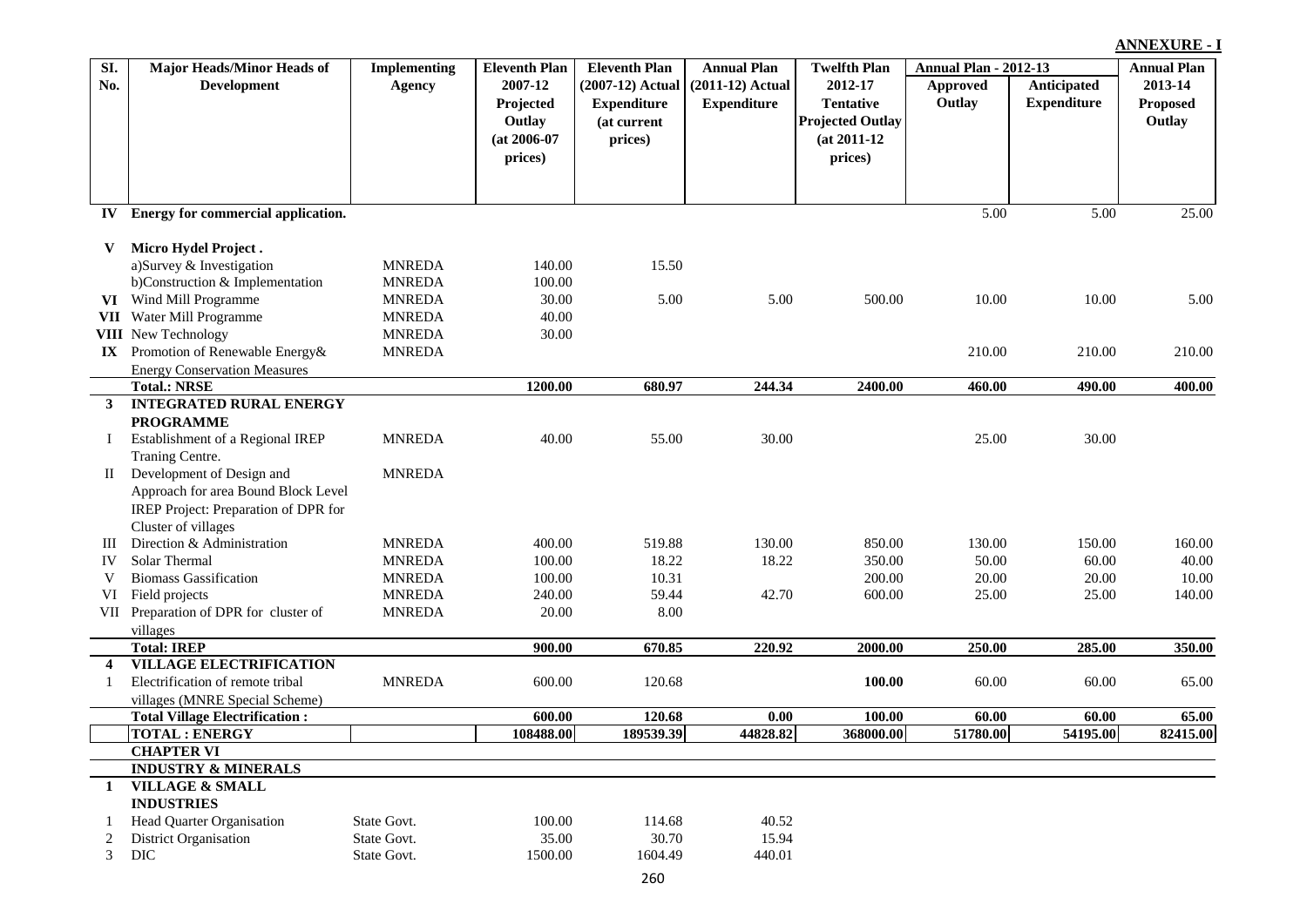| SI.                     | <b>Major Heads/Minor Heads of</b>     | <b>Implementing</b> | <b>Eleventh Plan</b> | <b>Eleventh Plan</b> | <b>Annual Plan</b> | <b>Twelfth Plan</b>     | <b>Annual Plan - 2012-13</b> |                    | <b>Annual Plan</b> |
|-------------------------|---------------------------------------|---------------------|----------------------|----------------------|--------------------|-------------------------|------------------------------|--------------------|--------------------|
| No.                     | Development                           | <b>Agency</b>       | 2007-12              | (2007-12) Actual     | $(2011-12)$ Actual | 2012-17                 | Approved                     | Anticipated        | 2013-14            |
|                         |                                       |                     | Projected            | <b>Expenditure</b>   | <b>Expenditure</b> | <b>Tentative</b>        | Outlay                       | <b>Expenditure</b> | <b>Proposed</b>    |
|                         |                                       |                     | Outlay               | (at current          |                    | <b>Projected Outlay</b> |                              |                    | Outlay             |
|                         |                                       |                     | $(at 2006-07)$       | prices)              |                    | $(at 2011-12)$          |                              |                    |                    |
|                         |                                       |                     | prices)              |                      |                    | prices)                 |                              |                    |                    |
|                         |                                       |                     |                      |                      |                    |                         |                              |                    |                    |
|                         |                                       |                     |                      |                      |                    |                         |                              |                    |                    |
|                         | IV Energy for commercial application. |                     |                      |                      |                    |                         | 5.00                         | 5.00               | 25.00              |
|                         |                                       |                     |                      |                      |                    |                         |                              |                    |                    |
| V                       | Micro Hydel Project.                  |                     |                      |                      |                    |                         |                              |                    |                    |
|                         | a)Survey & Investigation              | <b>MNREDA</b>       | 140.00               | 15.50                |                    |                         |                              |                    |                    |
|                         | b)Construction & Implementation       | <b>MNREDA</b>       | 100.00               |                      |                    |                         |                              |                    |                    |
|                         | VI Wind Mill Programme                | <b>MNREDA</b>       | 30.00                | 5.00                 | 5.00               | 500.00                  | 10.00                        | 10.00              | 5.00               |
|                         | VII Water Mill Programme              | <b>MNREDA</b>       | 40.00                |                      |                    |                         |                              |                    |                    |
|                         | <b>VIII</b> New Technology            | <b>MNREDA</b>       | 30.00                |                      |                    |                         |                              |                    |                    |
|                         | IX Promotion of Renewable Energy&     | <b>MNREDA</b>       |                      |                      |                    |                         | 210.00                       | 210.00             | 210.00             |
|                         | <b>Energy Conservation Measures</b>   |                     |                      |                      |                    |                         |                              |                    |                    |
|                         | <b>Total.: NRSE</b>                   |                     | 1200.00              | 680.97               | 244.34             | 2400.00                 | 460.00                       | 490.00             | 400.00             |
| 3                       | <b>INTEGRATED RURAL ENERGY</b>        |                     |                      |                      |                    |                         |                              |                    |                    |
|                         | <b>PROGRAMME</b>                      |                     |                      |                      |                    |                         |                              |                    |                    |
| Ι.                      | Establishment of a Regional IREP      | <b>MNREDA</b>       | 40.00                | 55.00                | 30.00              |                         | 25.00                        | 30.00              |                    |
|                         | Traning Centre.                       |                     |                      |                      |                    |                         |                              |                    |                    |
| П                       | Development of Design and             | <b>MNREDA</b>       |                      |                      |                    |                         |                              |                    |                    |
|                         | Approach for area Bound Block Level   |                     |                      |                      |                    |                         |                              |                    |                    |
|                         | IREP Project: Preparation of DPR for  |                     |                      |                      |                    |                         |                              |                    |                    |
|                         | Cluster of villages                   |                     |                      |                      |                    |                         |                              |                    |                    |
| Ш                       | Direction & Administration            | <b>MNREDA</b>       | 400.00               | 519.88               | 130.00             | 850.00                  | 130.00                       | 150.00             | 160.00             |
| IV                      | Solar Thermal                         | <b>MNREDA</b>       | 100.00               | 18.22                | 18.22              | 350.00                  | 50.00                        | 60.00              | 40.00              |
| V                       | <b>Biomass Gassification</b>          | <b>MNREDA</b>       | 100.00               | 10.31                |                    | 200.00                  | 20.00                        | 20.00              | 10.00              |
| VI                      | Field projects                        | <b>MNREDA</b>       | 240.00               | 59.44                | 42.70              | 600.00                  | 25.00                        | 25.00              | 140.00             |
| VII                     | Preparation of DPR for cluster of     | <b>MNREDA</b>       | 20.00                | 8.00                 |                    |                         |                              |                    |                    |
|                         | villages                              |                     |                      |                      |                    |                         |                              |                    |                    |
|                         | <b>Total: IREP</b>                    |                     | 900.00               | 670.85               | 220.92             | 2000.00                 | 250.00                       | 285.00             | 350.00             |
| $\overline{\mathbf{4}}$ | <b>VILLAGE ELECTRIFICATION</b>        |                     |                      |                      |                    |                         |                              |                    |                    |
|                         | Electrification of remote tribal      | <b>MNREDA</b>       | 600.00               | 120.68               |                    | 100.00                  | 60.00                        | 60.00              | 65.00              |
|                         | villages (MNRE Special Scheme)        |                     |                      |                      |                    |                         |                              |                    |                    |
|                         | <b>Total Village Electrification:</b> |                     | 600.00               | 120.68               | $0.00\,$           | 100.00                  | 60.00                        | 60.00              | 65.00              |
|                         | <b>TOTAL: ENERGY</b>                  |                     | 108488.00            | 189539.39            | 44828.82           | 368000.00               | 51780.00                     | 54195.00           | 82415.00           |
|                         | <b>CHAPTER VI</b>                     |                     |                      |                      |                    |                         |                              |                    |                    |
|                         | <b>INDUSTRY &amp; MINERALS</b>        |                     |                      |                      |                    |                         |                              |                    |                    |
| -1                      | <b>VILLAGE &amp; SMALL</b>            |                     |                      |                      |                    |                         |                              |                    |                    |
|                         | <b>INDUSTRIES</b>                     |                     |                      |                      |                    |                         |                              |                    |                    |
|                         | Head Quarter Organisation             | State Govt.         | 100.00               | 114.68               | 40.52              |                         |                              |                    |                    |
|                         | <b>District Organisation</b>          | State Govt.         | 35.00                | 30.70                | 15.94              |                         |                              |                    |                    |
| 3                       | <b>DIC</b>                            | State Govt.         | 1500.00              | 1604.49              | 440.01             |                         |                              |                    |                    |
|                         |                                       |                     |                      | 260                  |                    |                         |                              |                    |                    |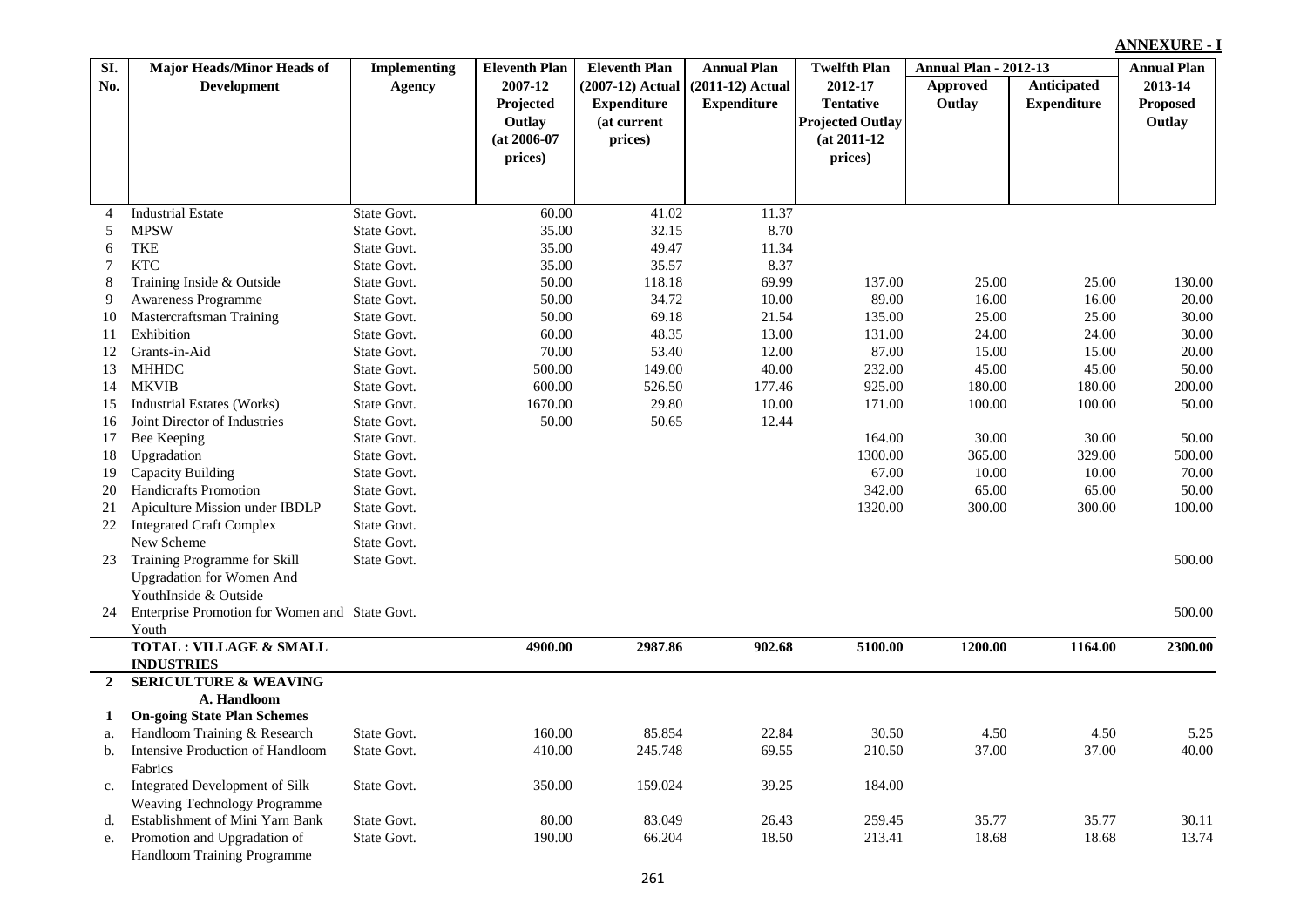| SI.            | <b>Major Heads/Minor Heads of</b>              | <b>Implementing</b> | <b>Eleventh Plan</b> | <b>Eleventh Plan</b> | <b>Annual Plan</b> | <b>Twelfth Plan</b>     | <b>Annual Plan - 2012-13</b> |                    | <b>Annual Plan</b> |
|----------------|------------------------------------------------|---------------------|----------------------|----------------------|--------------------|-------------------------|------------------------------|--------------------|--------------------|
| No.            | <b>Development</b>                             | <b>Agency</b>       | 2007-12              | (2007-12) Actual     | $(2011-12)$ Actual | 2012-17                 | <b>Approved</b>              | Anticipated        | 2013-14            |
|                |                                                |                     | Projected            | <b>Expenditure</b>   | <b>Expenditure</b> | <b>Tentative</b>        | Outlay                       | <b>Expenditure</b> | <b>Proposed</b>    |
|                |                                                |                     | Outlay               | (at current          |                    | <b>Projected Outlay</b> |                              |                    | Outlay             |
|                |                                                |                     | $(at 2006-07)$       | prices)              |                    | $(at 2011-12)$          |                              |                    |                    |
|                |                                                |                     | prices)              |                      |                    | prices)                 |                              |                    |                    |
|                |                                                |                     |                      |                      |                    |                         |                              |                    |                    |
|                |                                                |                     |                      |                      |                    |                         |                              |                    |                    |
| $\overline{4}$ | <b>Industrial Estate</b>                       | State Govt.         | 60.00                | 41.02                | 11.37              |                         |                              |                    |                    |
| 5              | <b>MPSW</b>                                    | State Govt.         | 35.00                | 32.15                | 8.70               |                         |                              |                    |                    |
| 6              | <b>TKE</b>                                     | State Govt.         | 35.00                | 49.47                | 11.34              |                         |                              |                    |                    |
| 7              | <b>KTC</b>                                     | State Govt.         | 35.00                | 35.57                | 8.37               |                         |                              |                    |                    |
| $\,8$          | Training Inside & Outside                      | State Govt.         | 50.00                | 118.18               | 69.99              | 137.00                  | 25.00                        | 25.00              | 130.00             |
| 9              | <b>Awareness Programme</b>                     | State Govt.         | 50.00                | 34.72                | 10.00              | 89.00                   | 16.00                        | 16.00              | 20.00              |
| 10             | Mastercraftsman Training                       | State Govt.         | 50.00                | 69.18                | 21.54              | 135.00                  | 25.00                        | 25.00              | 30.00              |
| 11             | Exhibition                                     | State Govt.         | 60.00                | 48.35                | 13.00              | 131.00                  | 24.00                        | 24.00              | 30.00              |
| 12             | Grants-in-Aid                                  | State Govt.         | 70.00                | 53.40                | 12.00              | 87.00                   | 15.00                        | 15.00              | 20.00              |
| 13             | <b>MHHDC</b>                                   | State Govt.         | 500.00               | 149.00               | 40.00              | 232.00                  | 45.00                        | 45.00              | 50.00              |
| 14             | <b>MKVIB</b>                                   | State Govt.         | 600.00               | 526.50               | 177.46             | 925.00                  | 180.00                       | 180.00             | 200.00             |
| 15             | <b>Industrial Estates (Works)</b>              | State Govt.         | 1670.00              | 29.80                | 10.00              | 171.00                  | 100.00                       | 100.00             | 50.00              |
| 16             | Joint Director of Industries                   | State Govt.         | 50.00                | 50.65                | 12.44              |                         |                              |                    |                    |
| 17             | Bee Keeping                                    | State Govt.         |                      |                      |                    | 164.00                  | 30.00                        | 30.00              | 50.00              |
| 18             | Upgradation                                    | State Govt.         |                      |                      |                    | 1300.00                 | 365.00                       | 329.00             | 500.00             |
| 19             | Capacity Building                              | State Govt.         |                      |                      |                    | 67.00                   | 10.00                        | 10.00              | 70.00              |
| 20             | Handicrafts Promotion                          | State Govt.         |                      |                      |                    | 342.00                  | 65.00                        | 65.00              | 50.00              |
| 21             | Apiculture Mission under IBDLP                 | State Govt.         |                      |                      |                    | 1320.00                 | 300.00                       | 300.00             | 100.00             |
| 22             | <b>Integrated Craft Complex</b>                | State Govt.         |                      |                      |                    |                         |                              |                    |                    |
|                | New Scheme                                     | State Govt.         |                      |                      |                    |                         |                              |                    |                    |
| 23             | Training Programme for Skill                   | State Govt.         |                      |                      |                    |                         |                              |                    | 500.00             |
|                | <b>Upgradation for Women And</b>               |                     |                      |                      |                    |                         |                              |                    |                    |
|                | YouthInside & Outside                          |                     |                      |                      |                    |                         |                              |                    |                    |
| 24             | Enterprise Promotion for Women and State Govt. |                     |                      |                      |                    |                         |                              |                    | 500.00             |
|                | Youth                                          |                     |                      |                      |                    |                         |                              |                    |                    |
|                | <b>TOTAL: VILLAGE &amp; SMALL</b>              |                     | 4900.00              | 2987.86              | 902.68             | 5100.00                 | 1200.00                      | 1164.00            | 2300.00            |
|                | <b>INDUSTRIES</b>                              |                     |                      |                      |                    |                         |                              |                    |                    |
| $\overline{2}$ | <b>SERICULTURE &amp; WEAVING</b>               |                     |                      |                      |                    |                         |                              |                    |                    |
|                | A. Handloom                                    |                     |                      |                      |                    |                         |                              |                    |                    |
| 1              | <b>On-going State Plan Schemes</b>             |                     |                      |                      |                    |                         |                              |                    |                    |
| a.             | Handloom Training & Research                   | State Govt.         | 160.00               | 85.854               | 22.84              | 30.50                   | 4.50                         | 4.50               | 5.25               |
| $\mathbf b$ .  | Intensive Production of Handloom               | State Govt.         | 410.00               | 245.748              | 69.55              | 210.50                  | 37.00                        | 37.00              | 40.00              |
|                | Fabrics                                        |                     |                      |                      |                    |                         |                              |                    |                    |
| c.             | <b>Integrated Development of Silk</b>          | State Govt.         | 350.00               | 159.024              | 39.25              | 184.00                  |                              |                    |                    |
|                | <b>Weaving Technology Programme</b>            |                     |                      |                      |                    |                         |                              |                    |                    |
| d.             | Establishment of Mini Yarn Bank                | State Govt.         | 80.00                | 83.049               | 26.43              | 259.45                  | 35.77                        | 35.77              | 30.11              |
| e.             | Promotion and Upgradation of                   | State Govt.         | 190.00               | 66.204               | 18.50              | 213.41                  | 18.68                        | 18.68              | 13.74              |
|                | Handloom Training Programme                    |                     |                      |                      |                    |                         |                              |                    |                    |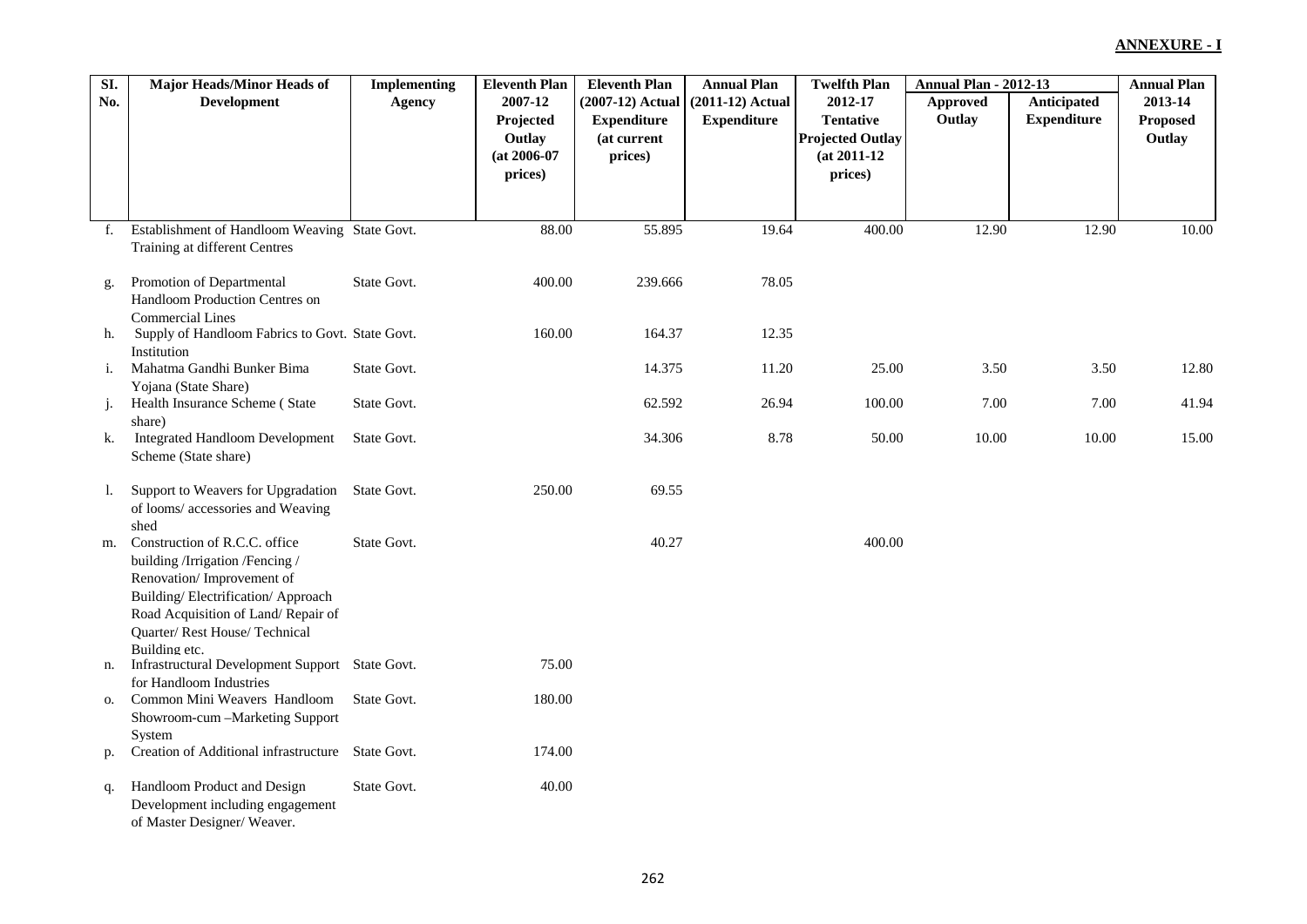| SI. | <b>Major Heads/Minor Heads of</b>                                  | <b>Implementing</b> | <b>Eleventh Plan</b>     | <b>Eleventh Plan</b>   | <b>Annual Plan</b> | <b>Twelfth Plan</b>                       | <b>Annual Plan - 2012-13</b> |                    | <b>Annual Plan</b> |
|-----|--------------------------------------------------------------------|---------------------|--------------------------|------------------------|--------------------|-------------------------------------------|------------------------------|--------------------|--------------------|
| No. | <b>Development</b>                                                 | <b>Agency</b>       | 2007-12                  | (2007-12) Actual       | $(2011-12)$ Actual | 2012-17                                   | Approved                     | Anticipated        | 2013-14            |
|     |                                                                    |                     | Projected                | <b>Expenditure</b>     | <b>Expenditure</b> | <b>Tentative</b>                          | Outlay                       | <b>Expenditure</b> | Proposed           |
|     |                                                                    |                     | Outlay<br>$(at 2006-07)$ | (at current<br>prices) |                    | <b>Projected Outlay</b><br>$(at 2011-12)$ |                              |                    | Outlay             |
|     |                                                                    |                     | prices)                  |                        |                    | prices)                                   |                              |                    |                    |
|     |                                                                    |                     |                          |                        |                    |                                           |                              |                    |                    |
|     |                                                                    |                     |                          |                        |                    |                                           |                              |                    |                    |
| f.  | Establishment of Handloom Weaving State Govt.                      |                     | 88.00                    | 55.895                 | 19.64              | 400.00                                    | 12.90                        | 12.90              | 10.00              |
|     | Training at different Centres                                      |                     |                          |                        |                    |                                           |                              |                    |                    |
| g.  | Promotion of Departmental                                          | State Govt.         | 400.00                   | 239.666                | 78.05              |                                           |                              |                    |                    |
|     | Handloom Production Centres on                                     |                     |                          |                        |                    |                                           |                              |                    |                    |
|     | <b>Commercial Lines</b>                                            |                     |                          |                        |                    |                                           |                              |                    |                    |
| h.  | Supply of Handloom Fabrics to Govt. State Govt.<br>Institution     |                     | 160.00                   | 164.37                 | 12.35              |                                           |                              |                    |                    |
| i.  | Mahatma Gandhi Bunker Bima                                         | State Govt.         |                          | 14.375                 | 11.20              | 25.00                                     | 3.50                         | 3.50               | 12.80              |
|     | Yojana (State Share)<br>Health Insurance Scheme (State             | State Govt.         |                          | 62.592                 | 26.94              | 100.00                                    | 7.00                         | 7.00               | 41.94              |
| j.  | share)                                                             |                     |                          |                        |                    |                                           |                              |                    |                    |
| k.  | <b>Integrated Handloom Development</b>                             | State Govt.         |                          | 34.306                 | 8.78               | 50.00                                     | 10.00                        | 10.00              | 15.00              |
|     | Scheme (State share)                                               |                     |                          |                        |                    |                                           |                              |                    |                    |
| 1.  | Support to Weavers for Upgradation                                 | State Govt.         | 250.00                   | 69.55                  |                    |                                           |                              |                    |                    |
|     | of looms/ accessories and Weaving                                  |                     |                          |                        |                    |                                           |                              |                    |                    |
| m.  | shed<br>Construction of R.C.C. office                              | State Govt.         |                          | 40.27                  |                    | 400.00                                    |                              |                    |                    |
|     | building /Irrigation /Fencing /                                    |                     |                          |                        |                    |                                           |                              |                    |                    |
|     | Renovation/Improvement of                                          |                     |                          |                        |                    |                                           |                              |                    |                    |
|     | Building/Electrification/Approach                                  |                     |                          |                        |                    |                                           |                              |                    |                    |
|     | Road Acquisition of Land/Repair of<br>Quarter/Rest House/Technical |                     |                          |                        |                    |                                           |                              |                    |                    |
|     | Building etc.                                                      |                     |                          |                        |                    |                                           |                              |                    |                    |
| n.  | Infrastructural Development Support State Govt.                    |                     | 75.00                    |                        |                    |                                           |                              |                    |                    |
|     | for Handloom Industries<br>Common Mini Weavers Handloom            | State Govt.         | 180.00                   |                        |                    |                                           |                              |                    |                    |
| О.  | Showroom-cum -- Marketing Support                                  |                     |                          |                        |                    |                                           |                              |                    |                    |
|     | System                                                             |                     |                          |                        |                    |                                           |                              |                    |                    |
| p.  | Creation of Additional infrastructure State Govt.                  |                     | 174.00                   |                        |                    |                                           |                              |                    |                    |
| q.  | Handloom Product and Design                                        | State Govt.         | 40.00                    |                        |                    |                                           |                              |                    |                    |
|     | Development including engagement                                   |                     |                          |                        |                    |                                           |                              |                    |                    |
|     | of Master Designer/ Weaver.                                        |                     |                          |                        |                    |                                           |                              |                    |                    |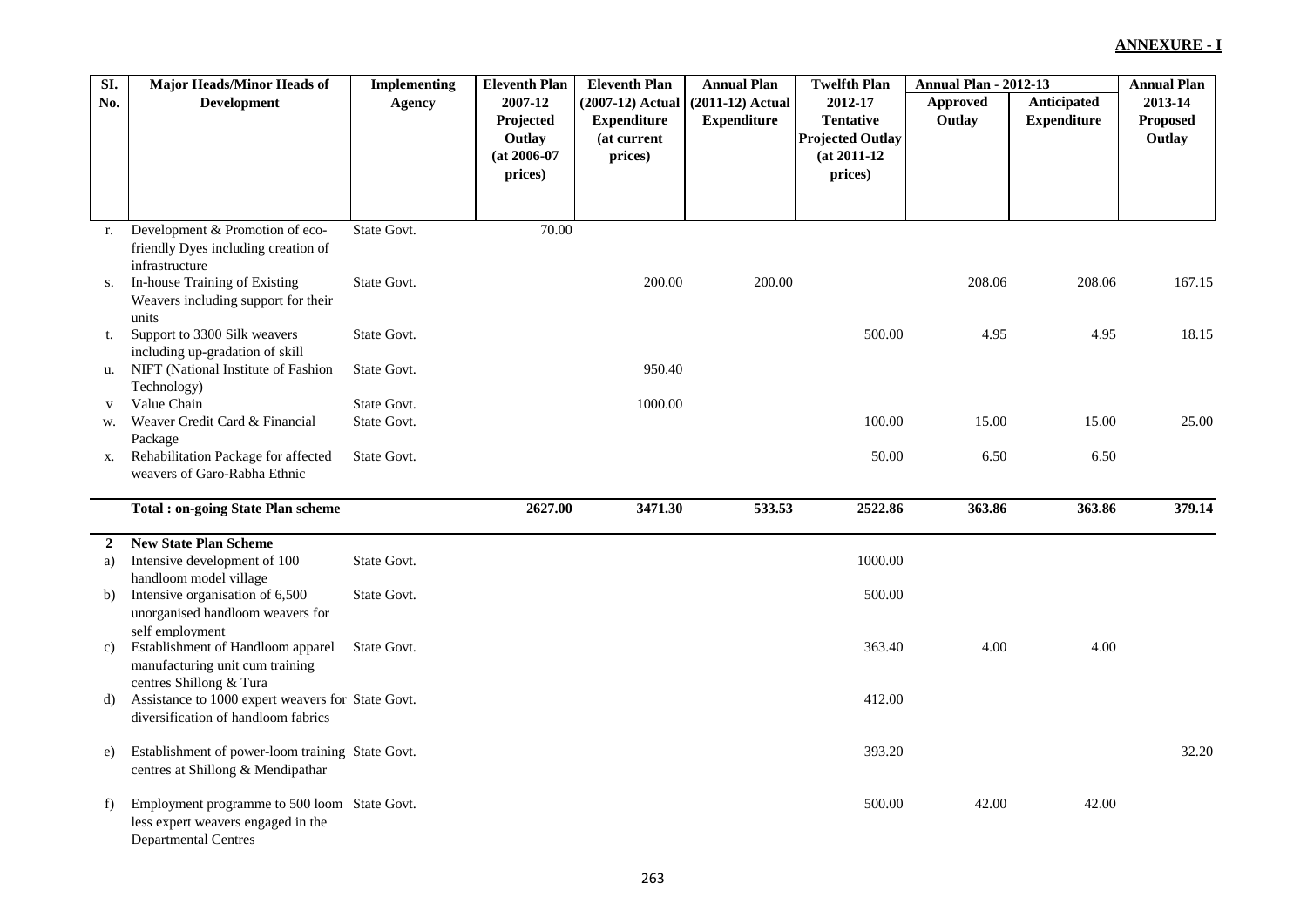| SI.            | <b>Major Heads/Minor Heads of</b>                 | <b>Implementing</b> | <b>Eleventh Plan</b> | <b>Eleventh Plan</b> | <b>Annual Plan</b> | <b>Twelfth Plan</b>     | <b>Annual Plan - 2012-13</b> |                    | <b>Annual Plan</b> |
|----------------|---------------------------------------------------|---------------------|----------------------|----------------------|--------------------|-------------------------|------------------------------|--------------------|--------------------|
| No.            | <b>Development</b>                                | Agency              | 2007-12              | (2007-12) Actual     | $(2011-12)$ Actual | 2012-17                 | Approved                     | Anticipated        | 2013-14            |
|                |                                                   |                     | Projected            | <b>Expenditure</b>   | <b>Expenditure</b> | <b>Tentative</b>        | Outlay                       | <b>Expenditure</b> | <b>Proposed</b>    |
|                |                                                   |                     | Outlay               | (at current          |                    | <b>Projected Outlay</b> |                              |                    | Outlay             |
|                |                                                   |                     | $(at 2006-07)$       | prices)              |                    | $(at 2011-12)$          |                              |                    |                    |
|                |                                                   |                     | prices)              |                      |                    | prices)                 |                              |                    |                    |
|                |                                                   |                     |                      |                      |                    |                         |                              |                    |                    |
|                |                                                   |                     |                      |                      |                    |                         |                              |                    |                    |
| r.             | Development & Promotion of eco-                   | State Govt.         | 70.00                |                      |                    |                         |                              |                    |                    |
|                | friendly Dyes including creation of               |                     |                      |                      |                    |                         |                              |                    |                    |
|                | infrastructure                                    |                     |                      |                      |                    |                         |                              |                    |                    |
| S.             | In-house Training of Existing                     | State Govt.         |                      | 200.00               | 200.00             |                         | 208.06                       | 208.06             | 167.15             |
|                | Weavers including support for their               |                     |                      |                      |                    |                         |                              |                    |                    |
|                | units                                             |                     |                      |                      |                    |                         |                              |                    |                    |
| t.             | Support to 3300 Silk weavers                      | State Govt.         |                      |                      |                    | 500.00                  | 4.95                         | 4.95               | 18.15              |
|                | including up-gradation of skill                   |                     |                      |                      |                    |                         |                              |                    |                    |
| u.             | NIFT (National Institute of Fashion               | State Govt.         |                      | 950.40               |                    |                         |                              |                    |                    |
|                | Technology)                                       |                     |                      |                      |                    |                         |                              |                    |                    |
| V              | Value Chain                                       | State Govt.         |                      | 1000.00              |                    |                         |                              |                    |                    |
| w.             | Weaver Credit Card & Financial                    | State Govt.         |                      |                      |                    | 100.00                  | 15.00                        | 15.00              | 25.00              |
|                | Package                                           |                     |                      |                      |                    |                         |                              |                    |                    |
| х.             | Rehabilitation Package for affected               | State Govt.         |                      |                      |                    | 50.00                   | 6.50                         | 6.50               |                    |
|                | weavers of Garo-Rabha Ethnic                      |                     |                      |                      |                    |                         |                              |                    |                    |
|                |                                                   |                     |                      |                      |                    |                         |                              |                    |                    |
|                | <b>Total: on-going State Plan scheme</b>          |                     | 2627.00              | 3471.30              | 533.53             | 2522.86                 | 363.86                       | 363.86             | 379.14             |
|                |                                                   |                     |                      |                      |                    |                         |                              |                    |                    |
| $\overline{2}$ | <b>New State Plan Scheme</b>                      |                     |                      |                      |                    |                         |                              |                    |                    |
| a)             | Intensive development of 100                      | State Govt.         |                      |                      |                    | 1000.00                 |                              |                    |                    |
|                | handloom model village                            |                     |                      |                      |                    |                         |                              |                    |                    |
| b)             | Intensive organisation of 6,500                   | State Govt.         |                      |                      |                    | 500.00                  |                              |                    |                    |
|                | unorganised handloom weavers for                  |                     |                      |                      |                    |                         |                              |                    |                    |
|                | self employment                                   |                     |                      |                      |                    |                         |                              |                    |                    |
| c)             | Establishment of Handloom apparel                 | State Govt.         |                      |                      |                    | 363.40                  | 4.00                         | 4.00               |                    |
|                | manufacturing unit cum training                   |                     |                      |                      |                    |                         |                              |                    |                    |
|                | centres Shillong & Tura                           |                     |                      |                      |                    |                         |                              |                    |                    |
| d)             | Assistance to 1000 expert weavers for State Govt. |                     |                      |                      |                    | 412.00                  |                              |                    |                    |
|                | diversification of handloom fabrics               |                     |                      |                      |                    |                         |                              |                    |                    |
|                |                                                   |                     |                      |                      |                    |                         |                              |                    |                    |
| e)             | Establishment of power-loom training State Govt.  |                     |                      |                      |                    | 393.20                  |                              |                    | 32.20              |
|                | centres at Shillong & Mendipathar                 |                     |                      |                      |                    |                         |                              |                    |                    |
|                | Employment programme to 500 loom State Govt.      |                     |                      |                      |                    | 500.00                  | 42.00                        | 42.00              |                    |
| f)             | less expert weavers engaged in the                |                     |                      |                      |                    |                         |                              |                    |                    |
|                | <b>Departmental Centres</b>                       |                     |                      |                      |                    |                         |                              |                    |                    |
|                |                                                   |                     |                      |                      |                    |                         |                              |                    |                    |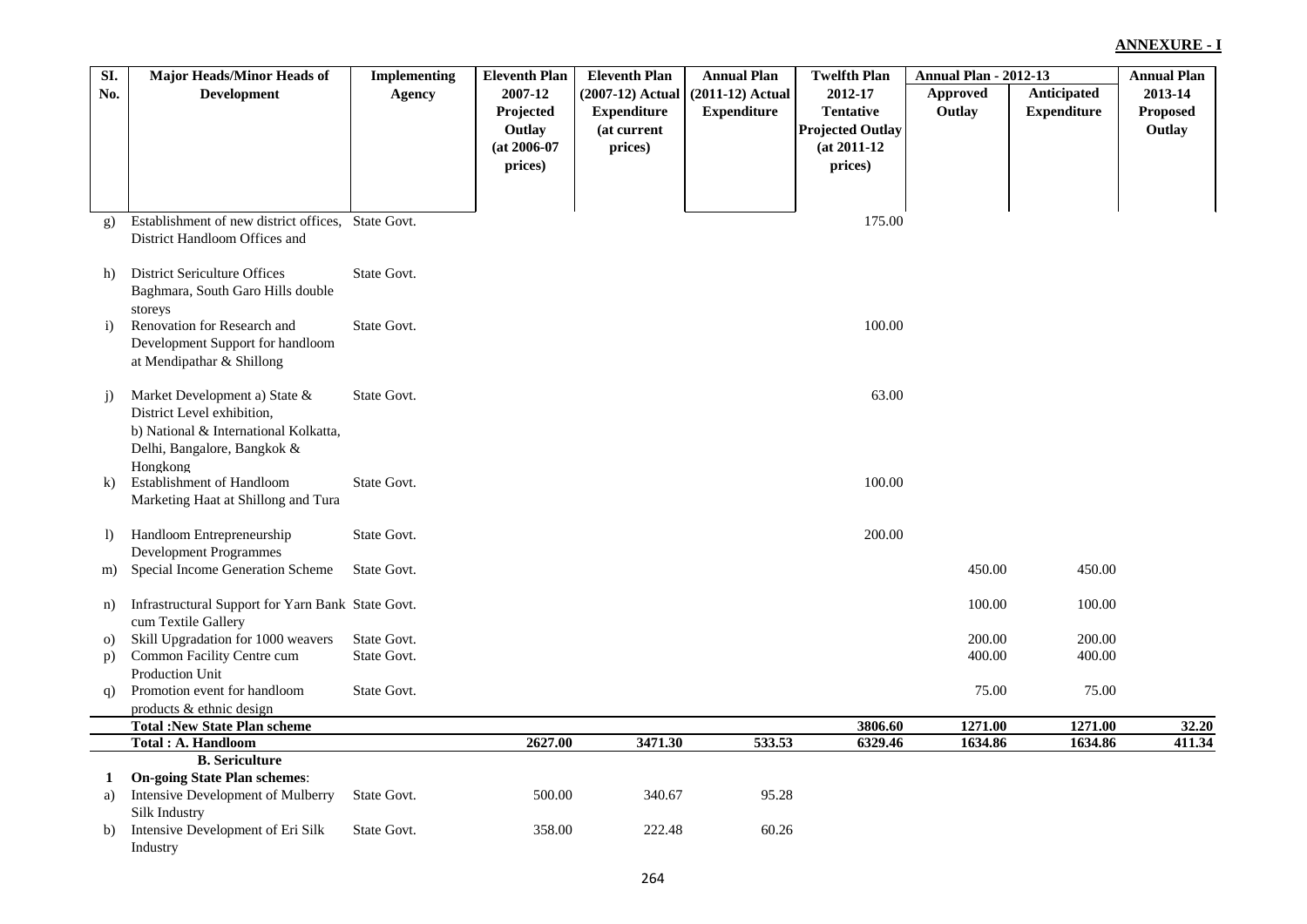| SI.            | <b>Major Heads/Minor Heads of</b>                                 | <b>Implementing</b> | <b>Eleventh Plan</b> | <b>Eleventh Plan</b> | <b>Annual Plan</b> | <b>Twelfth Plan</b>     | <b>Annual Plan - 2012-13</b> |                    | <b>Annual Plan</b> |
|----------------|-------------------------------------------------------------------|---------------------|----------------------|----------------------|--------------------|-------------------------|------------------------------|--------------------|--------------------|
| No.            | <b>Development</b>                                                | Agency              | 2007-12              | (2007-12) Actual     | $(2011-12)$ Actual | 2012-17                 | <b>Approved</b>              | <b>Anticipated</b> | 2013-14            |
|                |                                                                   |                     | Projected            | <b>Expenditure</b>   | <b>Expenditure</b> | <b>Tentative</b>        | Outlay                       | <b>Expenditure</b> | <b>Proposed</b>    |
|                |                                                                   |                     | Outlay               | (at current          |                    | <b>Projected Outlay</b> |                              |                    | Outlay             |
|                |                                                                   |                     | $(at 2006-07)$       | prices)              |                    | $(at 2011-12)$          |                              |                    |                    |
|                |                                                                   |                     | prices)              |                      |                    | prices)                 |                              |                    |                    |
|                |                                                                   |                     |                      |                      |                    |                         |                              |                    |                    |
|                |                                                                   |                     |                      |                      |                    |                         |                              |                    |                    |
| $\mathbf{g}$ ) | Establishment of new district offices, State Govt.                |                     |                      |                      |                    | 175.00                  |                              |                    |                    |
|                | District Handloom Offices and                                     |                     |                      |                      |                    |                         |                              |                    |                    |
|                |                                                                   |                     |                      |                      |                    |                         |                              |                    |                    |
| h)             | <b>District Sericulture Offices</b>                               | State Govt.         |                      |                      |                    |                         |                              |                    |                    |
|                | Baghmara, South Garo Hills double                                 |                     |                      |                      |                    |                         |                              |                    |                    |
| $\mathbf{i}$   | storeys<br>Renovation for Research and                            | State Govt.         |                      |                      |                    | 100.00                  |                              |                    |                    |
|                | Development Support for handloom                                  |                     |                      |                      |                    |                         |                              |                    |                    |
|                | at Mendipathar & Shillong                                         |                     |                      |                      |                    |                         |                              |                    |                    |
|                |                                                                   |                     |                      |                      |                    |                         |                              |                    |                    |
| $\ddot{1}$     | Market Development a) State &                                     | State Govt.         |                      |                      |                    | 63.00                   |                              |                    |                    |
|                | District Level exhibition,                                        |                     |                      |                      |                    |                         |                              |                    |                    |
|                | b) National & International Kolkatta,                             |                     |                      |                      |                    |                         |                              |                    |                    |
|                | Delhi, Bangalore, Bangkok &                                       |                     |                      |                      |                    |                         |                              |                    |                    |
|                | Hongkong                                                          |                     |                      |                      |                    |                         |                              |                    |                    |
| $\bf k$        | Establishment of Handloom                                         | State Govt.         |                      |                      |                    | 100.00                  |                              |                    |                    |
|                | Marketing Haat at Shillong and Tura                               |                     |                      |                      |                    |                         |                              |                    |                    |
|                |                                                                   |                     |                      |                      |                    |                         |                              |                    |                    |
| $\vert$        | Handloom Entrepreneurship                                         | State Govt.         |                      |                      |                    | 200.00                  |                              |                    |                    |
|                | <b>Development Programmes</b><br>Special Income Generation Scheme | State Govt.         |                      |                      |                    |                         | 450.00                       | 450.00             |                    |
| m)             |                                                                   |                     |                      |                      |                    |                         |                              |                    |                    |
| n)             | Infrastructural Support for Yarn Bank State Govt.                 |                     |                      |                      |                    |                         | 100.00                       | 100.00             |                    |
|                | cum Textile Gallery                                               |                     |                      |                      |                    |                         |                              |                    |                    |
| $\Omega$       | Skill Upgradation for 1000 weavers                                | State Govt.         |                      |                      |                    |                         | 200.00                       | 200.00             |                    |
| p)             | Common Facility Centre cum                                        | State Govt.         |                      |                      |                    |                         | 400.00                       | 400.00             |                    |
|                | Production Unit                                                   |                     |                      |                      |                    |                         |                              |                    |                    |
| q)             | Promotion event for handloom                                      | State Govt.         |                      |                      |                    |                         | 75.00                        | 75.00              |                    |
|                | products & ethnic design                                          |                     |                      |                      |                    |                         |                              |                    |                    |
|                | <b>Total: New State Plan scheme</b>                               |                     |                      |                      |                    | 3806.60                 | 1271.00                      | 1271.00            | 32.20              |
|                | Total: A. Handloom                                                |                     | 2627.00              | 3471.30              | 533.53             | 6329.46                 | 1634.86                      | 1634.86            | 411.34             |
|                | <b>B.</b> Sericulture                                             |                     |                      |                      |                    |                         |                              |                    |                    |
| 1              | <b>On-going State Plan schemes:</b>                               |                     |                      |                      |                    |                         |                              |                    |                    |
| a)             | Intensive Development of Mulberry                                 | State Govt.         | 500.00               | 340.67               | 95.28              |                         |                              |                    |                    |
| b)             | Silk Industry<br>Intensive Development of Eri Silk                | State Govt.         | 358.00               | 222.48               | 60.26              |                         |                              |                    |                    |
|                | Industry                                                          |                     |                      |                      |                    |                         |                              |                    |                    |
|                |                                                                   |                     |                      |                      |                    |                         |                              |                    |                    |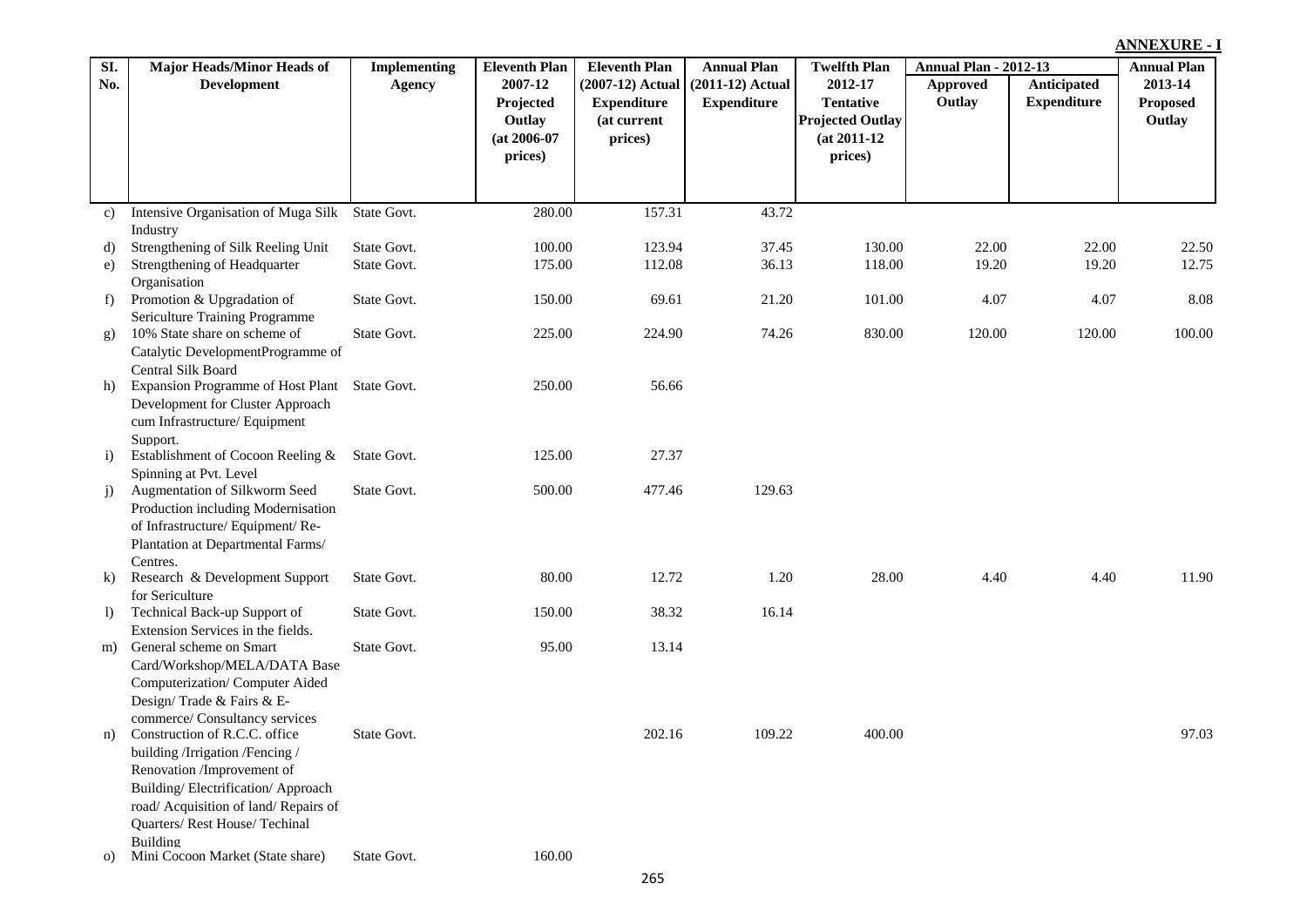| SI.                    | <b>Major Heads/Minor Heads of</b>                            | Implementing | <b>Eleventh Plan</b>                                        | <b>Eleventh Plan</b>                                             | <b>Annual Plan</b>                       | <b>Twelfth Plan</b>                                                                 | <b>Annual Plan - 2012-13</b> |                                   | <b>Annual Plan</b>            |
|------------------------|--------------------------------------------------------------|--------------|-------------------------------------------------------------|------------------------------------------------------------------|------------------------------------------|-------------------------------------------------------------------------------------|------------------------------|-----------------------------------|-------------------------------|
| No.                    | <b>Development</b>                                           | Agency       | 2007-12<br>Projected<br>Outlay<br>$(at 2006-07)$<br>prices) | (2007-12) Actual<br><b>Expenditure</b><br>(at current<br>prices) | $(2011-12)$ Actual<br><b>Expenditure</b> | 2012-17<br><b>Tentative</b><br><b>Projected Outlay</b><br>$(at 2011-12)$<br>prices) | Approved<br>Outlay           | Anticipated<br><b>Expenditure</b> | 2013-14<br>Proposed<br>Outlay |
|                        |                                                              |              |                                                             |                                                                  |                                          |                                                                                     |                              |                                   |                               |
| c)                     | Intensive Organisation of Muga Silk                          | State Govt.  | 280.00                                                      | 157.31                                                           | 43.72                                    |                                                                                     |                              |                                   |                               |
|                        | Industry                                                     |              |                                                             |                                                                  |                                          |                                                                                     |                              |                                   |                               |
| d)                     | Strengthening of Silk Reeling Unit                           | State Govt.  | 100.00                                                      | 123.94                                                           | 37.45                                    | 130.00                                                                              | 22.00                        | 22.00                             | 22.50                         |
| e)                     | Strengthening of Headquarter                                 | State Govt.  | 175.00                                                      | 112.08                                                           | 36.13                                    | 118.00                                                                              | 19.20                        | 19.20                             | 12.75                         |
|                        | Organisation                                                 |              |                                                             |                                                                  |                                          |                                                                                     |                              |                                   |                               |
| f)                     | Promotion & Upgradation of<br>Sericulture Training Programme | State Govt.  | 150.00                                                      | 69.61                                                            | 21.20                                    | 101.00                                                                              | 4.07                         | 4.07                              | 8.08                          |
|                        | 10% State share on scheme of                                 | State Govt.  | 225.00                                                      | 224.90                                                           | 74.26                                    | 830.00                                                                              | 120.00                       | 120.00                            | 100.00                        |
| g)                     | Catalytic DevelopmentProgramme of                            |              |                                                             |                                                                  |                                          |                                                                                     |                              |                                   |                               |
|                        | Central Silk Board                                           |              |                                                             |                                                                  |                                          |                                                                                     |                              |                                   |                               |
| h)                     | Expansion Programme of Host Plant State Govt.                |              | 250.00                                                      | 56.66                                                            |                                          |                                                                                     |                              |                                   |                               |
|                        | Development for Cluster Approach                             |              |                                                             |                                                                  |                                          |                                                                                     |                              |                                   |                               |
|                        | cum Infrastructure/ Equipment                                |              |                                                             |                                                                  |                                          |                                                                                     |                              |                                   |                               |
|                        | Support.                                                     |              |                                                             |                                                                  |                                          |                                                                                     |                              |                                   |                               |
| $\left( i\right)$      | Establishment of Cocoon Reeling &                            | State Govt.  | 125.00                                                      | 27.37                                                            |                                          |                                                                                     |                              |                                   |                               |
|                        | Spinning at Pvt. Level                                       |              |                                                             |                                                                  |                                          |                                                                                     |                              |                                   |                               |
| j)                     | Augmentation of Silkworm Seed                                | State Govt.  | 500.00                                                      | 477.46                                                           | 129.63                                   |                                                                                     |                              |                                   |                               |
|                        | Production including Modernisation                           |              |                                                             |                                                                  |                                          |                                                                                     |                              |                                   |                               |
|                        | of Infrastructure/Equipment/Re-                              |              |                                                             |                                                                  |                                          |                                                                                     |                              |                                   |                               |
|                        | Plantation at Departmental Farms/                            |              |                                                             |                                                                  |                                          |                                                                                     |                              |                                   |                               |
|                        | Centres.                                                     |              |                                                             |                                                                  |                                          |                                                                                     |                              |                                   |                               |
| $\bf k$                | Research & Development Support                               | State Govt.  | 80.00                                                       | 12.72                                                            | 1.20                                     | 28.00                                                                               | 4.40                         | 4.40                              | 11.90                         |
|                        | for Sericulture<br>Technical Back-up Support of              | State Govt.  | 150.00                                                      | 38.32                                                            | 16.14                                    |                                                                                     |                              |                                   |                               |
| $\left  \right\rangle$ | Extension Services in the fields.                            |              |                                                             |                                                                  |                                          |                                                                                     |                              |                                   |                               |
| m)                     | General scheme on Smart                                      | State Govt.  | 95.00                                                       | 13.14                                                            |                                          |                                                                                     |                              |                                   |                               |
|                        | Card/Workshop/MELA/DATA Base                                 |              |                                                             |                                                                  |                                          |                                                                                     |                              |                                   |                               |
|                        | Computerization/Computer Aided                               |              |                                                             |                                                                  |                                          |                                                                                     |                              |                                   |                               |
|                        | Design/Trade & Fairs & E-                                    |              |                                                             |                                                                  |                                          |                                                                                     |                              |                                   |                               |
|                        | commerce/ Consultancy services                               |              |                                                             |                                                                  |                                          |                                                                                     |                              |                                   |                               |
| n)                     | Construction of R.C.C. office                                | State Govt.  |                                                             | 202.16                                                           | 109.22                                   | 400.00                                                                              |                              |                                   | 97.03                         |
|                        | building /Irrigation /Fencing /                              |              |                                                             |                                                                  |                                          |                                                                                     |                              |                                   |                               |
|                        | Renovation /Improvement of                                   |              |                                                             |                                                                  |                                          |                                                                                     |                              |                                   |                               |
|                        | Building/Electrification/Approach                            |              |                                                             |                                                                  |                                          |                                                                                     |                              |                                   |                               |
|                        | road/ Acquisition of land/ Repairs of                        |              |                                                             |                                                                  |                                          |                                                                                     |                              |                                   |                               |
|                        | Quarters/Rest House/Techinal                                 |              |                                                             |                                                                  |                                          |                                                                                     |                              |                                   |                               |
|                        | Building                                                     |              |                                                             |                                                                  |                                          |                                                                                     |                              |                                   |                               |
| O                      | Mini Cocoon Market (State share)                             | State Govt.  | 160.00                                                      |                                                                  |                                          |                                                                                     |                              |                                   |                               |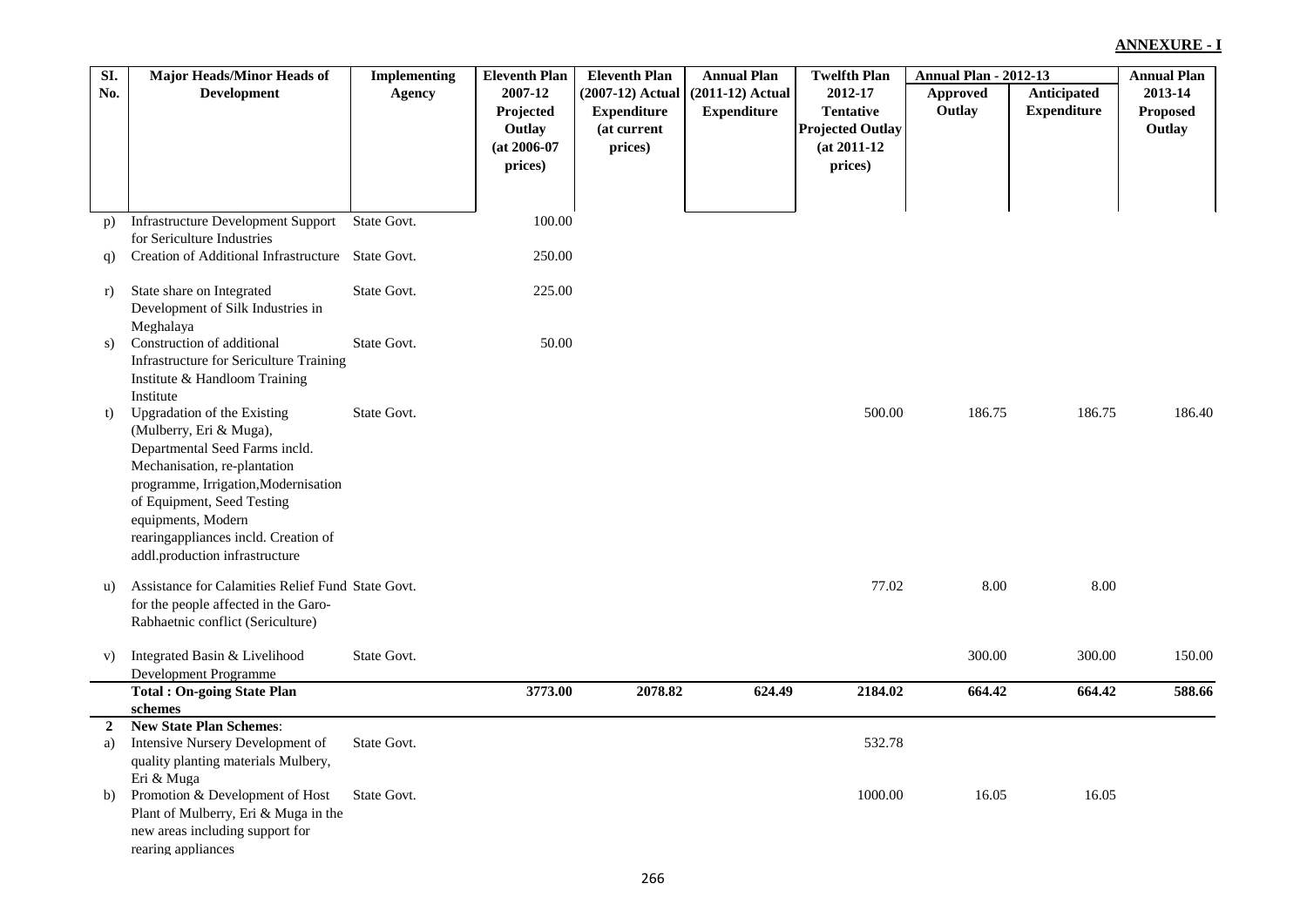| SI.            | <b>Major Heads/Minor Heads of</b>                                        | <b>Implementing</b> | <b>Eleventh Plan</b> | <b>Eleventh Plan</b> | <b>Annual Plan</b> | <b>Twelfth Plan</b>     | <b>Annual Plan - 2012-13</b> |                    | <b>Annual Plan</b> |
|----------------|--------------------------------------------------------------------------|---------------------|----------------------|----------------------|--------------------|-------------------------|------------------------------|--------------------|--------------------|
| No.            | <b>Development</b>                                                       | Agency              | 2007-12              | (2007-12) Actual     | $(2011-12)$ Actual | 2012-17                 | Approved                     | Anticipated        | 2013-14            |
|                |                                                                          |                     | Projected            | <b>Expenditure</b>   | <b>Expenditure</b> | <b>Tentative</b>        | Outlay                       | <b>Expenditure</b> | Proposed           |
|                |                                                                          |                     | Outlay               | (at current          |                    | <b>Projected Outlay</b> |                              |                    | Outlay             |
|                |                                                                          |                     | $(at 2006-07)$       | prices)              |                    | $(at 2011-12)$          |                              |                    |                    |
|                |                                                                          |                     | prices)              |                      |                    | prices)                 |                              |                    |                    |
|                |                                                                          |                     |                      |                      |                    |                         |                              |                    |                    |
| p)             | <b>Infrastructure Development Support</b><br>for Sericulture Industries  | State Govt.         | 100.00               |                      |                    |                         |                              |                    |                    |
| q)             | Creation of Additional Infrastructure State Govt.                        |                     | 250.00               |                      |                    |                         |                              |                    |                    |
| r)             | State share on Integrated                                                | State Govt.         | 225.00               |                      |                    |                         |                              |                    |                    |
|                | Development of Silk Industries in                                        |                     |                      |                      |                    |                         |                              |                    |                    |
|                | Meghalaya                                                                |                     |                      |                      |                    |                         |                              |                    |                    |
| s)             | Construction of additional                                               | State Govt.         | 50.00                |                      |                    |                         |                              |                    |                    |
|                | Infrastructure for Sericulture Training<br>Institute & Handloom Training |                     |                      |                      |                    |                         |                              |                    |                    |
|                | Institute                                                                |                     |                      |                      |                    |                         |                              |                    |                    |
| t)             | <b>Upgradation of the Existing</b>                                       | State Govt.         |                      |                      |                    | 500.00                  | 186.75                       | 186.75             | 186.40             |
|                | (Mulberry, Eri & Muga),                                                  |                     |                      |                      |                    |                         |                              |                    |                    |
|                | Departmental Seed Farms incld.                                           |                     |                      |                      |                    |                         |                              |                    |                    |
|                | Mechanisation, re-plantation                                             |                     |                      |                      |                    |                         |                              |                    |                    |
|                | programme, Irrigation, Modernisation                                     |                     |                      |                      |                    |                         |                              |                    |                    |
|                | of Equipment, Seed Testing                                               |                     |                      |                      |                    |                         |                              |                    |                    |
|                | equipments, Modern<br>rearingappliances incld. Creation of               |                     |                      |                      |                    |                         |                              |                    |                    |
|                | addl.production infrastructure                                           |                     |                      |                      |                    |                         |                              |                    |                    |
|                |                                                                          |                     |                      |                      |                    |                         |                              |                    |                    |
| u)             | Assistance for Calamities Relief Fund State Govt.                        |                     |                      |                      |                    | 77.02                   | 8.00                         | 8.00               |                    |
|                | for the people affected in the Garo-                                     |                     |                      |                      |                    |                         |                              |                    |                    |
|                | Rabhaetnic conflict (Sericulture)                                        |                     |                      |                      |                    |                         |                              |                    |                    |
| V)             | Integrated Basin & Livelihood                                            | State Govt.         |                      |                      |                    |                         | 300.00                       | 300.00             | 150.00             |
|                | Development Programme                                                    |                     |                      |                      |                    |                         |                              |                    |                    |
|                | <b>Total: On-going State Plan</b>                                        |                     | 3773.00              | 2078.82              | 624.49             | 2184.02                 | 664.42                       | 664.42             | 588.66             |
|                | schemes                                                                  |                     |                      |                      |                    |                         |                              |                    |                    |
| $\overline{2}$ | <b>New State Plan Schemes:</b>                                           |                     |                      |                      |                    |                         |                              |                    |                    |
| a)             | Intensive Nursery Development of                                         | State Govt.         |                      |                      |                    | 532.78                  |                              |                    |                    |
|                | quality planting materials Mulbery,<br>Eri & Muga                        |                     |                      |                      |                    |                         |                              |                    |                    |
| b)             | Promotion & Development of Host                                          | State Govt.         |                      |                      |                    | 1000.00                 | 16.05                        | 16.05              |                    |
|                | Plant of Mulberry, Eri & Muga in the                                     |                     |                      |                      |                    |                         |                              |                    |                    |
|                | new areas including support for                                          |                     |                      |                      |                    |                         |                              |                    |                    |
|                | rearing appliances                                                       |                     |                      |                      |                    |                         |                              |                    |                    |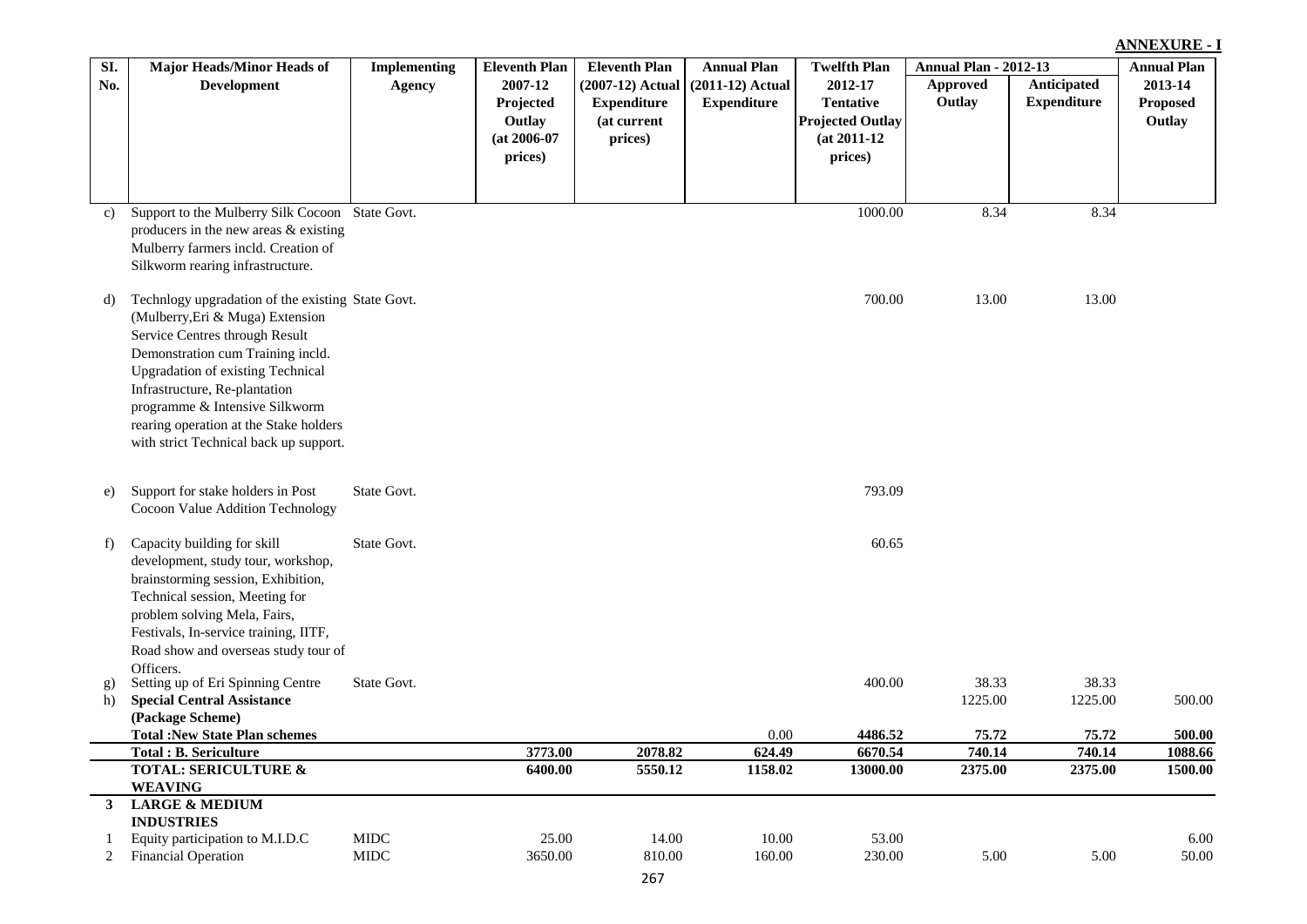| SI. | <b>Major Heads/Minor Heads of</b>                               | <b>Implementing</b> | <b>Eleventh Plan</b> | <b>Eleventh Plan</b> | <b>Annual Plan</b> | <b>Twelfth Plan</b>     | <b>Annual Plan - 2012-13</b> |                    | <b>Annual Plan</b> |
|-----|-----------------------------------------------------------------|---------------------|----------------------|----------------------|--------------------|-------------------------|------------------------------|--------------------|--------------------|
| No. | <b>Development</b>                                              | <b>Agency</b>       | 2007-12              | (2007-12) Actual     | $(2011-12)$ Actual | 2012-17                 | Approved                     | Anticipated        | 2013-14            |
|     |                                                                 |                     | Projected            | <b>Expenditure</b>   | <b>Expenditure</b> | <b>Tentative</b>        | Outlay                       | <b>Expenditure</b> | <b>Proposed</b>    |
|     |                                                                 |                     | Outlay               | (at current          |                    | <b>Projected Outlay</b> |                              |                    | Outlay             |
|     |                                                                 |                     | $(at 2006-07)$       | prices)              |                    | $(at 2011-12)$          |                              |                    |                    |
|     |                                                                 |                     | prices)              |                      |                    | prices)                 |                              |                    |                    |
|     |                                                                 |                     |                      |                      |                    |                         |                              |                    |                    |
|     |                                                                 |                     |                      |                      |                    |                         |                              |                    |                    |
| C)  | Support to the Mulberry Silk Cocoon State Govt.                 |                     |                      |                      |                    | 1000.00                 | 8.34                         | 8.34               |                    |
|     | producers in the new areas & existing                           |                     |                      |                      |                    |                         |                              |                    |                    |
|     | Mulberry farmers incld. Creation of                             |                     |                      |                      |                    |                         |                              |                    |                    |
|     | Silkworm rearing infrastructure.                                |                     |                      |                      |                    |                         |                              |                    |                    |
|     |                                                                 |                     |                      |                      |                    |                         |                              |                    |                    |
| d)  | Technlogy upgradation of the existing State Govt.               |                     |                      |                      |                    | 700.00                  | 13.00                        | 13.00              |                    |
|     | (Mulberry, Eri & Muga) Extension                                |                     |                      |                      |                    |                         |                              |                    |                    |
|     | Service Centres through Result                                  |                     |                      |                      |                    |                         |                              |                    |                    |
|     | Demonstration cum Training incld.                               |                     |                      |                      |                    |                         |                              |                    |                    |
|     | <b>Upgradation of existing Technical</b>                        |                     |                      |                      |                    |                         |                              |                    |                    |
|     | Infrastructure, Re-plantation                                   |                     |                      |                      |                    |                         |                              |                    |                    |
|     | programme & Intensive Silkworm                                  |                     |                      |                      |                    |                         |                              |                    |                    |
|     | rearing operation at the Stake holders                          |                     |                      |                      |                    |                         |                              |                    |                    |
|     | with strict Technical back up support.                          |                     |                      |                      |                    |                         |                              |                    |                    |
|     |                                                                 |                     |                      |                      |                    |                         |                              |                    |                    |
| e)  | Support for stake holders in Post                               | State Govt.         |                      |                      |                    | 793.09                  |                              |                    |                    |
|     | Cocoon Value Addition Technology                                |                     |                      |                      |                    |                         |                              |                    |                    |
|     |                                                                 |                     |                      |                      |                    |                         |                              |                    |                    |
| f)  | Capacity building for skill                                     | State Govt.         |                      |                      |                    | 60.65                   |                              |                    |                    |
|     | development, study tour, workshop,                              |                     |                      |                      |                    |                         |                              |                    |                    |
|     | brainstorming session, Exhibition,                              |                     |                      |                      |                    |                         |                              |                    |                    |
|     | Technical session, Meeting for                                  |                     |                      |                      |                    |                         |                              |                    |                    |
|     | problem solving Mela, Fairs,                                    |                     |                      |                      |                    |                         |                              |                    |                    |
|     | Festivals, In-service training, IITF,                           |                     |                      |                      |                    |                         |                              |                    |                    |
|     | Road show and overseas study tour of                            |                     |                      |                      |                    |                         |                              |                    |                    |
|     | Officers.                                                       |                     |                      |                      |                    |                         |                              |                    |                    |
| g)  | Setting up of Eri Spinning Centre                               | State Govt.         |                      |                      |                    | 400.00                  | 38.33                        | 38.33              |                    |
| h)  | <b>Special Central Assistance</b>                               |                     |                      |                      |                    |                         | 1225.00                      | 1225.00            | 500.00             |
|     | (Package Scheme)                                                |                     |                      |                      |                    |                         |                              |                    |                    |
|     | <b>Total: New State Plan schemes</b>                            |                     |                      |                      | 0.00               | 4486.52                 | 75.72                        | 75.72              | 500.00             |
|     | <b>Total: B. Sericulture</b><br><b>TOTAL: SERICULTURE &amp;</b> |                     | 3773.00<br>6400.00   | 2078.82<br>5550.12   | 624.49<br>1158.02  | 6670.54<br>13000.00     | 740.14<br>2375.00            | 740.14<br>2375.00  | 1088.66<br>1500.00 |
|     | <b>WEAVING</b>                                                  |                     |                      |                      |                    |                         |                              |                    |                    |
| 3   | <b>LARGE &amp; MEDIUM</b>                                       |                     |                      |                      |                    |                         |                              |                    |                    |
|     | <b>INDUSTRIES</b>                                               |                     |                      |                      |                    |                         |                              |                    |                    |
|     | Equity participation to M.I.D.C                                 | <b>MIDC</b>         | 25.00                | 14.00                | 10.00              | 53.00                   |                              |                    | 6.00               |
| 2   | <b>Financial Operation</b>                                      | <b>MIDC</b>         | 3650.00              | 810.00               | 160.00             | 230.00                  | 5.00                         | 5.00               | 50.00              |
|     |                                                                 |                     |                      |                      |                    |                         |                              |                    |                    |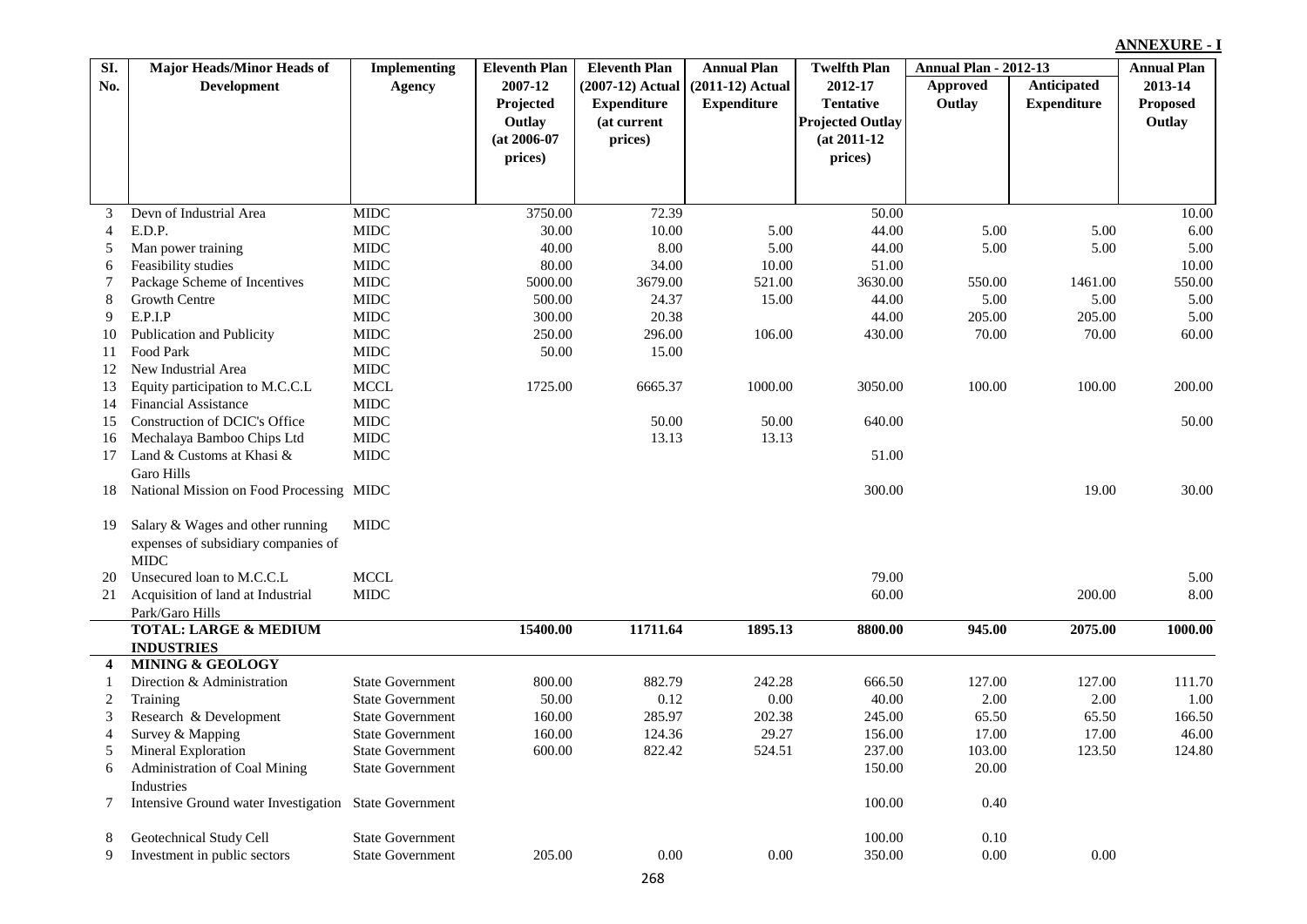| SI.                      | <b>Major Heads/Minor Heads of</b>                     | <b>Implementing</b>         | <b>Eleventh Plan</b> | <b>Eleventh Plan</b> | <b>Annual Plan</b> | <b>Twelfth Plan</b>     | <b>Annual Plan - 2012-13</b> |                    | <b>Annual Plan</b> |
|--------------------------|-------------------------------------------------------|-----------------------------|----------------------|----------------------|--------------------|-------------------------|------------------------------|--------------------|--------------------|
| No.                      | <b>Development</b>                                    | <b>Agency</b>               | 2007-12              | (2007-12) Actual     | $(2011-12)$ Actual | 2012-17                 | <b>Approved</b>              | Anticipated        | 2013-14            |
|                          |                                                       |                             | Projected            | <b>Expenditure</b>   | <b>Expenditure</b> | <b>Tentative</b>        | Outlay                       | <b>Expenditure</b> | <b>Proposed</b>    |
|                          |                                                       |                             | Outlay               | (at current          |                    | <b>Projected Outlay</b> |                              |                    | Outlay             |
|                          |                                                       |                             | $(at 2006-07)$       | prices)              |                    | $(at 2011-12)$          |                              |                    |                    |
|                          |                                                       |                             | prices)              |                      |                    | prices)                 |                              |                    |                    |
|                          |                                                       |                             |                      |                      |                    |                         |                              |                    |                    |
|                          |                                                       |                             |                      |                      |                    |                         |                              |                    |                    |
| 3                        | Devn of Industrial Area                               | <b>MIDC</b>                 | 3750.00              | 72.39                |                    | 50.00                   |                              |                    | 10.00              |
| $\overline{4}$           | E.D.P.                                                | <b>MIDC</b>                 | 30.00                | 10.00                | 5.00               | 44.00                   | 5.00                         | 5.00               | 6.00               |
| 5                        | Man power training                                    | <b>MIDC</b>                 | 40.00                | 8.00                 | 5.00               | 44.00                   | 5.00                         | 5.00               | 5.00               |
| 6                        | Feasibility studies                                   | <b>MIDC</b>                 | 80.00                | 34.00                | 10.00              | 51.00                   |                              |                    | 10.00              |
| 7                        | Package Scheme of Incentives                          | MIDC                        | 5000.00              | 3679.00              | 521.00             | 3630.00                 | 550.00                       | 1461.00            | 550.00             |
| 8                        | Growth Centre                                         | <b>MIDC</b>                 | 500.00               | 24.37                | 15.00              | 44.00                   | 5.00                         | 5.00               | 5.00               |
| 9                        | E.P.I.P                                               | <b>MIDC</b>                 | 300.00               | 20.38                |                    | 44.00                   | 205.00                       | 205.00             | 5.00               |
| 10                       | Publication and Publicity                             | <b>MIDC</b>                 | 250.00               | 296.00               | 106.00             | 430.00                  | 70.00                        | 70.00              | 60.00              |
| 11                       | Food Park                                             | <b>MIDC</b>                 | 50.00                | 15.00                |                    |                         |                              |                    |                    |
| 12                       | New Industrial Area                                   | <b>MIDC</b>                 |                      |                      |                    |                         |                              |                    |                    |
| 13                       | Equity participation to M.C.C.L.                      | <b>MCCL</b><br>${\rm MIDC}$ | 1725.00              | 6665.37              | 1000.00            | 3050.00                 | 100.00                       | 100.00             | 200.00             |
| 14                       | <b>Financial Assistance</b>                           |                             |                      |                      |                    |                         |                              |                    |                    |
| 15                       | Construction of DCIC's Office                         | <b>MIDC</b><br>$MIDC$       |                      | 50.00<br>13.13       | 50.00              | 640.00                  |                              |                    | 50.00              |
| 16                       | Mechalaya Bamboo Chips Ltd                            |                             |                      |                      | 13.13              |                         |                              |                    |                    |
| 17                       | Land & Customs at Khasi &                             | MIDC                        |                      |                      |                    | 51.00                   |                              |                    |                    |
|                          | <b>Garo Hills</b>                                     |                             |                      |                      |                    |                         |                              |                    |                    |
| 18                       | National Mission on Food Processing MIDC              |                             |                      |                      |                    | 300.00                  |                              | 19.00              | 30.00              |
|                          |                                                       |                             |                      |                      |                    |                         |                              |                    |                    |
| 19                       | Salary & Wages and other running                      | MIDC                        |                      |                      |                    |                         |                              |                    |                    |
|                          | expenses of subsidiary companies of                   |                             |                      |                      |                    |                         |                              |                    |                    |
|                          | <b>MIDC</b><br>Unsecured loan to M.C.C.L              | <b>MCCL</b>                 |                      |                      |                    | 79.00                   |                              |                    | 5.00               |
| 20                       |                                                       |                             |                      |                      |                    |                         |                              |                    | 8.00               |
| 21                       | Acquisition of land at Industrial                     | <b>MIDC</b>                 |                      |                      |                    | 60.00                   |                              | 200.00             |                    |
|                          | Park/Garo Hills<br><b>TOTAL: LARGE &amp; MEDIUM</b>   |                             | 15400.00             | 11711.64             | 1895.13            | 8800.00                 | 945.00                       | 2075.00            | 1000.00            |
|                          | <b>INDUSTRIES</b>                                     |                             |                      |                      |                    |                         |                              |                    |                    |
| 4                        | <b>MINING &amp; GEOLOGY</b>                           |                             |                      |                      |                    |                         |                              |                    |                    |
| 1                        | Direction & Administration                            | <b>State Government</b>     | 800.00               | 882.79               | 242.28             | 666.50                  | 127.00                       | 127.00             | 111.70             |
| $\overline{c}$           | Training                                              | <b>State Government</b>     | 50.00                | 0.12                 | $0.00\,$           | 40.00                   | 2.00                         | 2.00               | 1.00               |
| 3                        | Research & Development                                | <b>State Government</b>     | 160.00               | 285.97               | 202.38             | 245.00                  | 65.50                        | 65.50              | 166.50             |
| $\overline{\mathcal{L}}$ | Survey & Mapping                                      | <b>State Government</b>     | 160.00               | 124.36               | 29.27              | 156.00                  | 17.00                        | 17.00              | 46.00              |
| 5                        | Mineral Exploration                                   | <b>State Government</b>     | 600.00               | 822.42               | 524.51             | 237.00                  | 103.00                       | 123.50             | 124.80             |
| 6                        | Administration of Coal Mining                         | <b>State Government</b>     |                      |                      |                    | 150.00                  | 20.00                        |                    |                    |
|                          | Industries                                            |                             |                      |                      |                    |                         |                              |                    |                    |
| 7                        | Intensive Ground water Investigation State Government |                             |                      |                      |                    | 100.00                  | 0.40                         |                    |                    |
|                          |                                                       |                             |                      |                      |                    |                         |                              |                    |                    |
| 8                        | Geotechnical Study Cell                               | <b>State Government</b>     |                      |                      |                    | 100.00                  | 0.10                         |                    |                    |
| 9                        | Investment in public sectors                          | <b>State Government</b>     | 205.00               | 0.00                 | 0.00               | 350.00                  | 0.00                         | 0.00               |                    |
|                          |                                                       |                             |                      |                      |                    |                         |                              |                    |                    |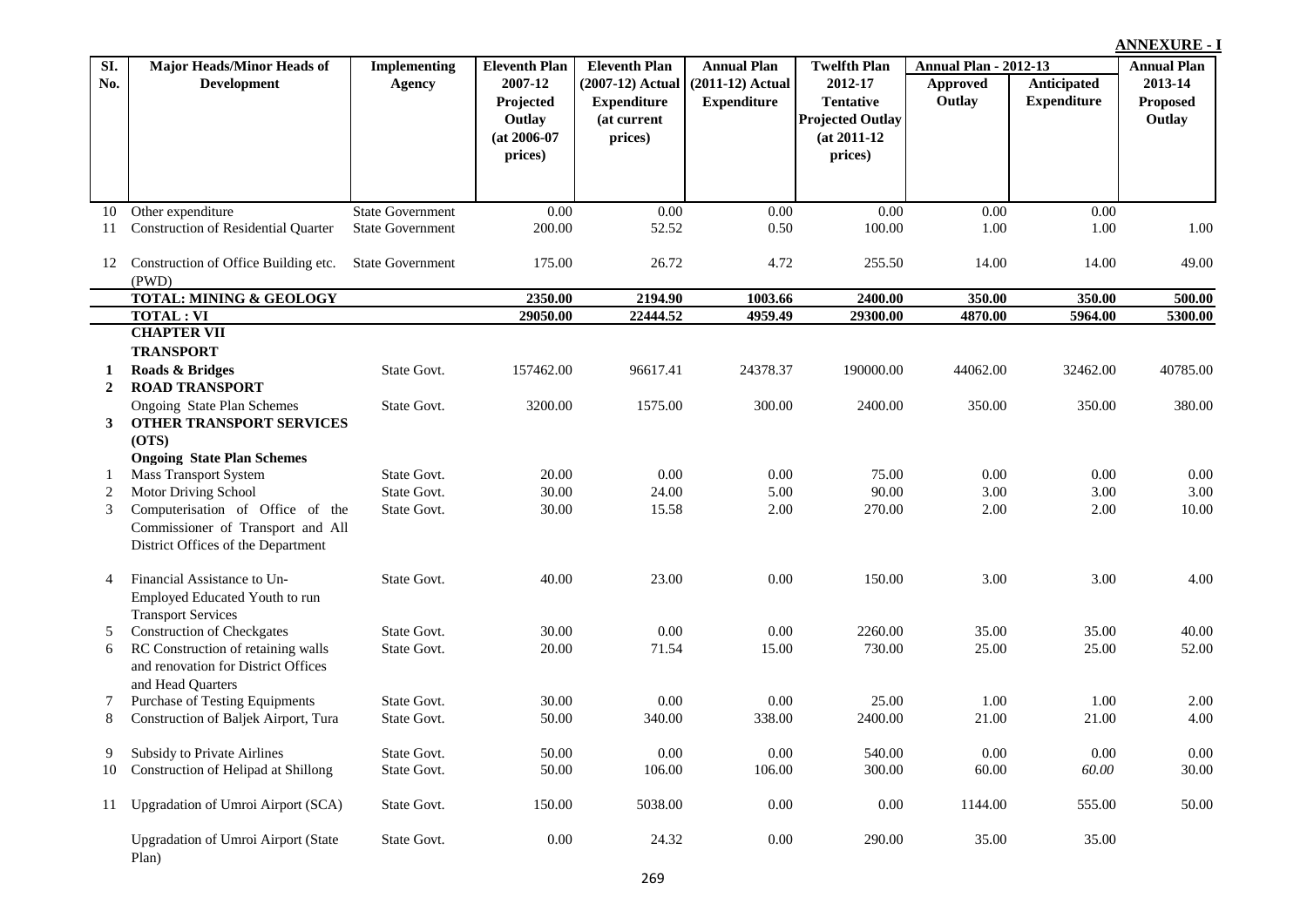| SI.            | Major Heads/Minor Heads of                                              | Implementing            | <b>Eleventh Plan</b> | <b>Eleventh Plan</b> | <b>Annual Plan</b> | <b>Twelfth Plan</b>     | <b>Annual Plan - 2012-13</b> |                    | <b>Annual Plan</b> |
|----------------|-------------------------------------------------------------------------|-------------------------|----------------------|----------------------|--------------------|-------------------------|------------------------------|--------------------|--------------------|
| No.            | <b>Development</b>                                                      | <b>Agency</b>           | 2007-12              | $(2007-12)$ Actual   | $(2011-12)$ Actual | 2012-17                 | <b>Approved</b>              | Anticipated        | 2013-14            |
|                |                                                                         |                         | Projected            | <b>Expenditure</b>   | <b>Expenditure</b> | <b>Tentative</b>        | Outlay                       | <b>Expenditure</b> | <b>Proposed</b>    |
|                |                                                                         |                         | Outlay               | (at current          |                    | <b>Projected Outlay</b> |                              |                    | Outlay             |
|                |                                                                         |                         | $(at 2006-07)$       | prices)              |                    | $(at 2011-12)$          |                              |                    |                    |
|                |                                                                         |                         | prices)              |                      |                    | prices)                 |                              |                    |                    |
|                |                                                                         |                         |                      |                      |                    |                         |                              |                    |                    |
| 10             | Other expenditure                                                       | <b>State Government</b> | 0.00                 | 0.00                 | 0.00               | 0.00                    | $0.00\,$                     | 0.00               |                    |
| 11             | <b>Construction of Residential Quarter</b>                              | <b>State Government</b> | 200.00               | 52.52                | 0.50               | 100.00                  | 1.00                         | 1.00               | 1.00               |
|                |                                                                         |                         |                      |                      |                    |                         |                              |                    |                    |
| 12             | Construction of Office Building etc.                                    | <b>State Government</b> | 175.00               | 26.72                | 4.72               | 255.50                  | 14.00                        | 14.00              | 49.00              |
|                | (PWD)                                                                   |                         |                      |                      |                    |                         |                              |                    |                    |
|                | TOTAL: MINING & GEOLOGY                                                 |                         | 2350.00              | 2194.90              | 1003.66            | 2400.00                 | 350.00                       | 350.00             | 500.00             |
|                | <b>TOTAL: VI</b>                                                        |                         | 29050.00             | 22444.52             | 4959.49            | 29300.00                | 4870.00                      | 5964.00            | 5300.00            |
|                | <b>CHAPTER VII</b>                                                      |                         |                      |                      |                    |                         |                              |                    |                    |
|                | <b>TRANSPORT</b>                                                        |                         |                      |                      |                    |                         |                              |                    |                    |
| 1              | Roads & Bridges                                                         | State Govt.             | 157462.00            | 96617.41             | 24378.37           | 190000.00               | 44062.00                     | 32462.00           | 40785.00           |
| $\overline{2}$ | <b>ROAD TRANSPORT</b>                                                   |                         |                      |                      |                    |                         |                              |                    |                    |
|                | Ongoing State Plan Schemes                                              | State Govt.             | 3200.00              | 1575.00              | 300.00             | 2400.00                 | 350.00                       | 350.00             | 380.00             |
| 3              | OTHER TRANSPORT SERVICES                                                |                         |                      |                      |                    |                         |                              |                    |                    |
|                | (OTS)                                                                   |                         |                      |                      |                    |                         |                              |                    |                    |
|                | <b>Ongoing State Plan Schemes</b>                                       |                         |                      |                      |                    |                         |                              |                    |                    |
|                | <b>Mass Transport System</b>                                            | State Govt.             | 20.00                | 0.00                 | 0.00               | 75.00                   | 0.00                         | 0.00               | 0.00               |
| 2              | Motor Driving School                                                    | State Govt.             | 30.00                | 24.00                | 5.00               | 90.00                   | 3.00                         | 3.00               | 3.00               |
| 3              | Computerisation of Office of the                                        | State Govt.             | 30.00                | 15.58                | 2.00               | 270.00                  | 2.00                         | 2.00               | 10.00              |
|                | Commissioner of Transport and All<br>District Offices of the Department |                         |                      |                      |                    |                         |                              |                    |                    |
|                |                                                                         |                         |                      |                      |                    |                         |                              |                    |                    |
| 4              | Financial Assistance to Un-                                             | State Govt.             | 40.00                | 23.00                | 0.00               | 150.00                  | 3.00                         | 3.00               | 4.00               |
|                | Employed Educated Youth to run                                          |                         |                      |                      |                    |                         |                              |                    |                    |
|                | <b>Transport Services</b>                                               |                         |                      |                      |                    |                         |                              |                    |                    |
| 5              | <b>Construction of Checkgates</b>                                       | State Govt.             | 30.00                | 0.00                 | 0.00               | 2260.00                 | 35.00                        | 35.00              | 40.00              |
| 6              | RC Construction of retaining walls                                      | State Govt.             | 20.00                | 71.54                | 15.00              | 730.00                  | 25.00                        | 25.00              | 52.00              |
|                | and renovation for District Offices                                     |                         |                      |                      |                    |                         |                              |                    |                    |
|                | and Head Quarters                                                       |                         |                      |                      |                    |                         |                              |                    |                    |
| 7              | <b>Purchase of Testing Equipments</b>                                   | State Govt.             | 30.00                | $0.00\,$             | 0.00               | 25.00                   | 1.00                         | 1.00               | 2.00               |
| 8              | Construction of Baljek Airport, Tura                                    | State Govt.             | 50.00                | 340.00               | 338.00             | 2400.00                 | 21.00                        | 21.00              | 4.00               |
|                |                                                                         |                         |                      |                      |                    |                         |                              |                    |                    |
| 9              | Subsidy to Private Airlines                                             | State Govt.             | 50.00                | 0.00                 | 0.00               | 540.00                  | 0.00                         | 0.00               | $0.00\,$           |
| 10             | Construction of Helipad at Shillong                                     | State Govt.             | 50.00                | 106.00               | 106.00             | 300.00                  | 60.00                        | 60.00              | 30.00              |
| 11             | Upgradation of Umroi Airport (SCA)                                      | State Govt.             | 150.00               | 5038.00              | $0.00\,$           | $0.00\,$                | 1144.00                      | 555.00             | 50.00              |
|                | <b>Upgradation of Umroi Airport (State</b>                              | State Govt.             | $0.00\,$             | 24.32                | $0.00\,$           | 290.00                  | 35.00                        | 35.00              |                    |
|                | Plan)                                                                   |                         |                      |                      |                    |                         |                              |                    |                    |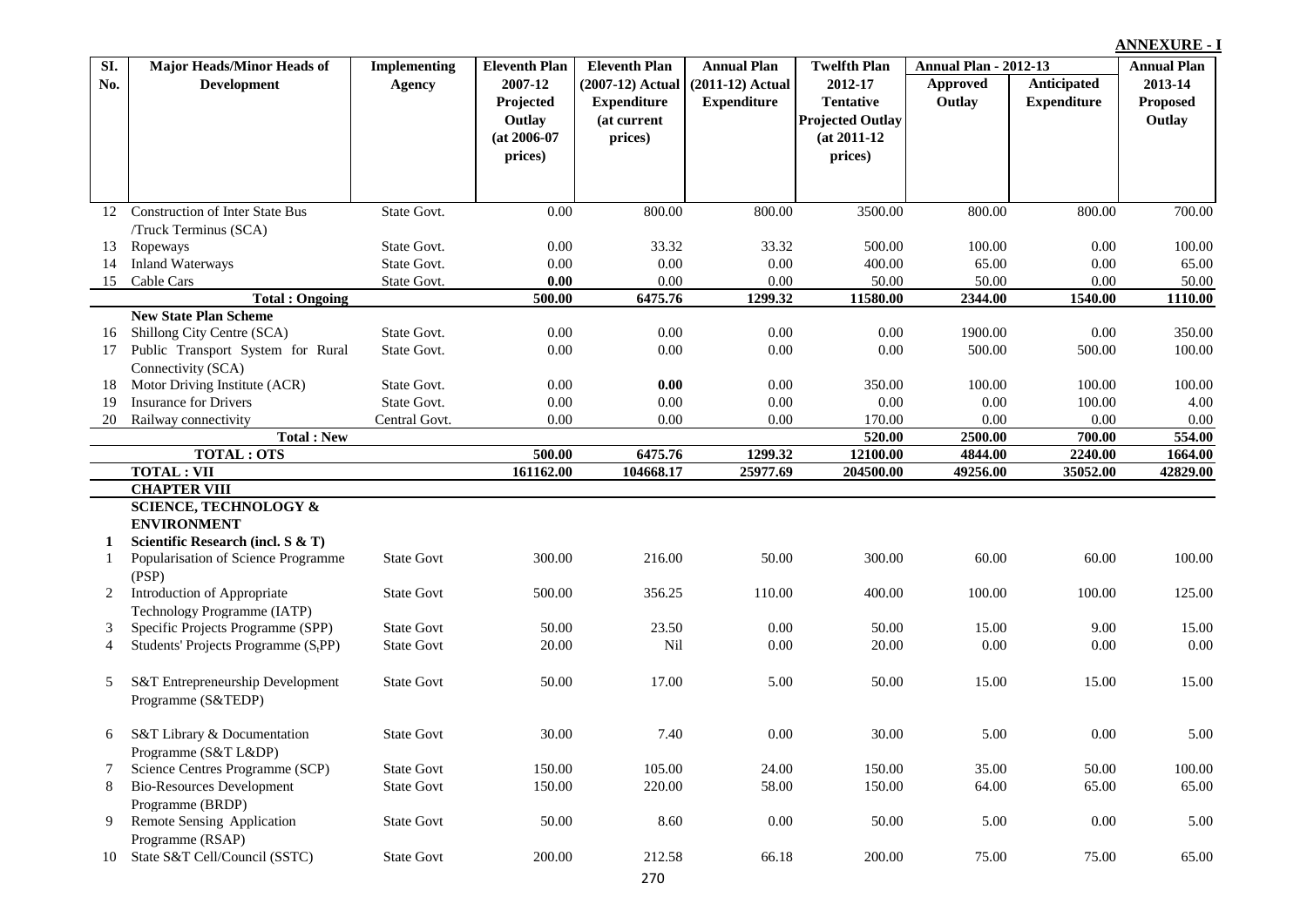**Approved Outlay Anticipated Expenditure Eleventh Plan | Annual Plan | Twelfth Plan | Annual Plan - 2012-13 (2007-12) Actual Expenditure (at current prices) Annual Plan (2011-12) Actual Expenditure Twelfth Plan 2012-17 Tentative Projected Outlay (at 2011-12 prices) Annual Plan 2013-14 Proposed Outlay SI. No. Major Heads/Minor Heads of Development Implementing Agency Eleventh Plan 2007-12 Projected Outlay (at 2006-07 prices)** 12 Construction of Inter State Bus /Truck Terminus (SCA) State Govt. 0.00 800.00 800.00 3500.00 800.00 800.00 700.00 13 Ropeways 2001 2001 State Govt. 2000 33.32 33.32 500.00 100.00 0.00 100.00 14 Inland Waterways 65.00 State Govt. 0.00 0.00 0.00 0.00 0.00 0.00 65.00 0.00 65.00 0.00 65.00 15 Cable Cars State Govt. **0.00** 0.00 0.00 50.00 50.00 0.00 50.00 **Total : Ongoing 500.00 6475.76 1299.32 11580.00 2344.00 1540.00 1110.00 New State Plan Scheme** 16 Shillong City Centre (SCA) State Govt. 0.00 0.00 0.00 0.00 1900.00 0.00 350.00 17 Public Transport System for Rural Connectivity (SCA) State Govt. 0.00 0.00 0.00 0.00 500.00 500.00 100.00 18 Motor Driving Institute (ACR) State Govt. 0.00 **0.00** 0.00 350.00 100.00 100.00 100.00 19 Insurance for Drivers State Govt. 0.00 0.00 0.00 0.00 0.00 0.00 0.00 100.00 4.00 20 Railway connectivity Central Govt. 0.00 0.00 0.00 170.00 0.00 0.00 0.00 **Total : New 520.00 2500.00 700.00 554.00 TOTAL : OTS 500.00 6475.76 1299.32 12100.00 4844.00 2240.00 1664.00 TOTAL : VII 161162.00 104668.17 25977.69 204500.00 49256.00 35052.00 42829.00 CHAPTER VIII SCIENCE, TECHNOLOGY & ENVIRONMENT 1 Scientific Research (incl. S & T)** 1 Popularisation of Science Programme (PSP) State Govt 300.00 216.00 50.00 300.00 60.00 60.00 100.00 2 Introduction of Appropriate Technology Programme (IATP) State Govt 500.00 356.25 110.00 400.00 100.00 100.00 125.00 3 Specific Projects Programme (SPP) State Govt 50.00 23.50 0.00 50.00 15.00 9.00 15.00 4 Students' Projects Programme (S,PP) PP) State Govt 20.00 Nil 0.00 20.00 0.00 0.00 0.00 5 S&T Entrepreneurship Development Programme (S&TEDP) State Govt 50.00 17.00 5.00 50.00 15.00 15.00 15.00 15.00 6 S&T Library & Documentation Programme (S&T L&DP) State Govt 30.00 7.40 0.00 30.00 5.00 0.00 5.00 7 Science Centres Programme (SCP) State Govt 150.00 105.00 24.00 150.00 35.00 50.00 100.00 8 Bio-Resources Development Programme (BRDP) State Govt 150.00 220.00 58.00 150.00 64.00 65.00 65.00 65.00 9 Remote Sensing Application Programme (RSAP) State Govt 50.00 8.60 0.00 50.00 5.00 0.00 5.00 10 State S&T Cell/Council (SSTC) State Govt 200.00 212.58 66.18 200.00 75.00 75.00 65.00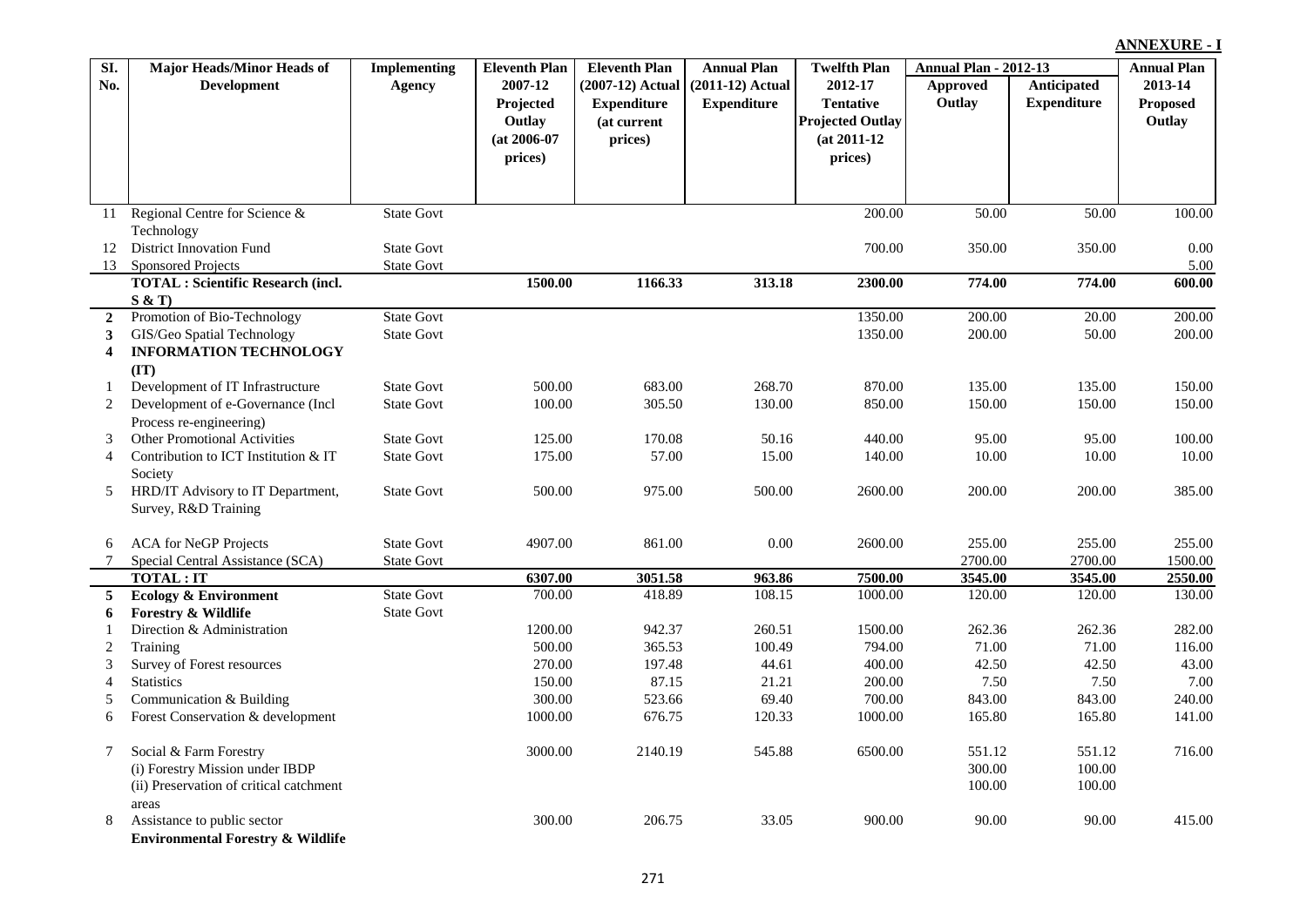| SI.            | Major Heads/Minor Heads of                   | <b>Implementing</b> | <b>Eleventh Plan</b> | <b>Eleventh Plan</b> | <b>Annual Plan</b> | <b>Twelfth Plan</b>     | <b>Annual Plan - 2012-13</b> |                    | <b>Annual Plan</b> |
|----------------|----------------------------------------------|---------------------|----------------------|----------------------|--------------------|-------------------------|------------------------------|--------------------|--------------------|
| No.            | <b>Development</b>                           | Agency              | 2007-12              | (2007-12) Actual     | (2011-12) Actual   | 2012-17                 | Approved                     | Anticipated        | 2013-14            |
|                |                                              |                     | Projected            | <b>Expenditure</b>   | <b>Expenditure</b> | <b>Tentative</b>        | Outlay                       | <b>Expenditure</b> | <b>Proposed</b>    |
|                |                                              |                     | Outlay               | (at current          |                    | <b>Projected Outlay</b> |                              |                    | Outlay             |
|                |                                              |                     | $(at 2006-07)$       | prices)              |                    | $(at 2011-12)$          |                              |                    |                    |
|                |                                              |                     | prices)              |                      |                    | prices)                 |                              |                    |                    |
|                |                                              |                     |                      |                      |                    |                         |                              |                    |                    |
|                |                                              |                     |                      |                      |                    |                         |                              |                    |                    |
| 11             | Regional Centre for Science &                | <b>State Govt</b>   |                      |                      |                    | 200.00                  | 50.00                        | 50.00              | 100.00             |
|                | Technology                                   |                     |                      |                      |                    |                         |                              |                    |                    |
| 12             | <b>District Innovation Fund</b>              | <b>State Govt</b>   |                      |                      |                    | 700.00                  | 350.00                       | 350.00             | 0.00               |
| 13             | <b>Sponsored Projects</b>                    | <b>State Govt</b>   |                      |                      |                    |                         |                              |                    | 5.00               |
|                | <b>TOTAL</b> : Scientific Research (incl.    |                     | 1500.00              | 1166.33              | 313.18             | 2300.00                 | 774.00                       | 774.00             | 600.00             |
|                | S & T                                        |                     |                      |                      |                    |                         |                              |                    |                    |
| $\overline{2}$ | Promotion of Bio-Technology                  | <b>State Govt</b>   |                      |                      |                    | 1350.00                 | 200.00                       | 20.00              | 200.00             |
| 3              | GIS/Geo Spatial Technology                   | <b>State Govt</b>   |                      |                      |                    | 1350.00                 | 200.00                       | 50.00              | 200.00             |
| 4              | <b>INFORMATION TECHNOLOGY</b>                |                     |                      |                      |                    |                         |                              |                    |                    |
| 1              | (TT)<br>Development of IT Infrastructure     | <b>State Govt</b>   | 500.00               | 683.00               | 268.70             | 870.00                  | 135.00                       | 135.00             | 150.00             |
| 2              | Development of e-Governance (Incl            | <b>State Govt</b>   | 100.00               | 305.50               | 130.00             | 850.00                  | 150.00                       | 150.00             | 150.00             |
|                | Process re-engineering)                      |                     |                      |                      |                    |                         |                              |                    |                    |
| 3              | <b>Other Promotional Activities</b>          | <b>State Govt</b>   | 125.00               | 170.08               | 50.16              | 440.00                  | 95.00                        | 95.00              | 100.00             |
| $\overline{4}$ | Contribution to ICT Institution & IT         | <b>State Govt</b>   | 175.00               | 57.00                | 15.00              | 140.00                  | 10.00                        | 10.00              | 10.00              |
|                | Society                                      |                     |                      |                      |                    |                         |                              |                    |                    |
| 5              | HRD/IT Advisory to IT Department,            | <b>State Govt</b>   | 500.00               | 975.00               | 500.00             | 2600.00                 | 200.00                       | 200.00             | 385.00             |
|                | Survey, R&D Training                         |                     |                      |                      |                    |                         |                              |                    |                    |
|                |                                              |                     |                      |                      |                    |                         |                              |                    |                    |
| 6              | <b>ACA</b> for NeGP Projects                 | <b>State Govt</b>   | 4907.00              | 861.00               | $0.00\,$           | 2600.00                 | 255.00                       | 255.00             | 255.00             |
| 7              | Special Central Assistance (SCA)             | <b>State Govt</b>   |                      |                      |                    |                         | 2700.00                      | 2700.00            | 1500.00            |
|                | <b>TOTAL: IT</b>                             |                     | 6307.00              | 3051.58              | 963.86             | 7500.00                 | 3545.00                      | 3545.00            | 2550.00            |
| 5              | <b>Ecology &amp; Environment</b>             | <b>State Govt</b>   | 700.00               | 418.89               | 108.15             | 1000.00                 | 120.00                       | 120.00             | 130.00             |
| 6              | <b>Forestry &amp; Wildlife</b>               | <b>State Govt</b>   |                      |                      |                    |                         |                              |                    |                    |
| $\overline{1}$ | Direction & Administration                   |                     | 1200.00              | 942.37               | 260.51             | 1500.00                 | 262.36                       | 262.36             | 282.00             |
| 2              | Training                                     |                     | 500.00               | 365.53               | 100.49             | 794.00                  | 71.00                        | 71.00              | 116.00             |
| 3              | Survey of Forest resources                   |                     | 270.00               | 197.48               | 44.61              | 400.00                  | 42.50                        | 42.50              | 43.00              |
| 4              | <b>Statistics</b>                            |                     | 150.00               | 87.15                | 21.21              | 200.00                  | 7.50                         | 7.50               | 7.00               |
| 5              | Communication & Building                     |                     | 300.00               | 523.66               | 69.40              | 700.00                  | 843.00                       | 843.00             | 240.00             |
| 6              | Forest Conservation & development            |                     | 1000.00              | 676.75               | 120.33             | 1000.00                 | 165.80                       | 165.80             | 141.00             |
| 7              | Social & Farm Forestry                       |                     | 3000.00              | 2140.19              | 545.88             | 6500.00                 | 551.12                       | 551.12             | 716.00             |
|                | (i) Forestry Mission under IBDP              |                     |                      |                      |                    |                         | 300.00                       | 100.00             |                    |
|                | (ii) Preservation of critical catchment      |                     |                      |                      |                    |                         | 100.00                       | 100.00             |                    |
|                | areas                                        |                     |                      |                      |                    |                         |                              |                    |                    |
| 8              | Assistance to public sector                  |                     | 300.00               | 206.75               | 33.05              | 900.00                  | 90.00                        | 90.00              | 415.00             |
|                | <b>Environmental Forestry &amp; Wildlife</b> |                     |                      |                      |                    |                         |                              |                    |                    |
|                |                                              |                     |                      |                      |                    |                         |                              |                    |                    |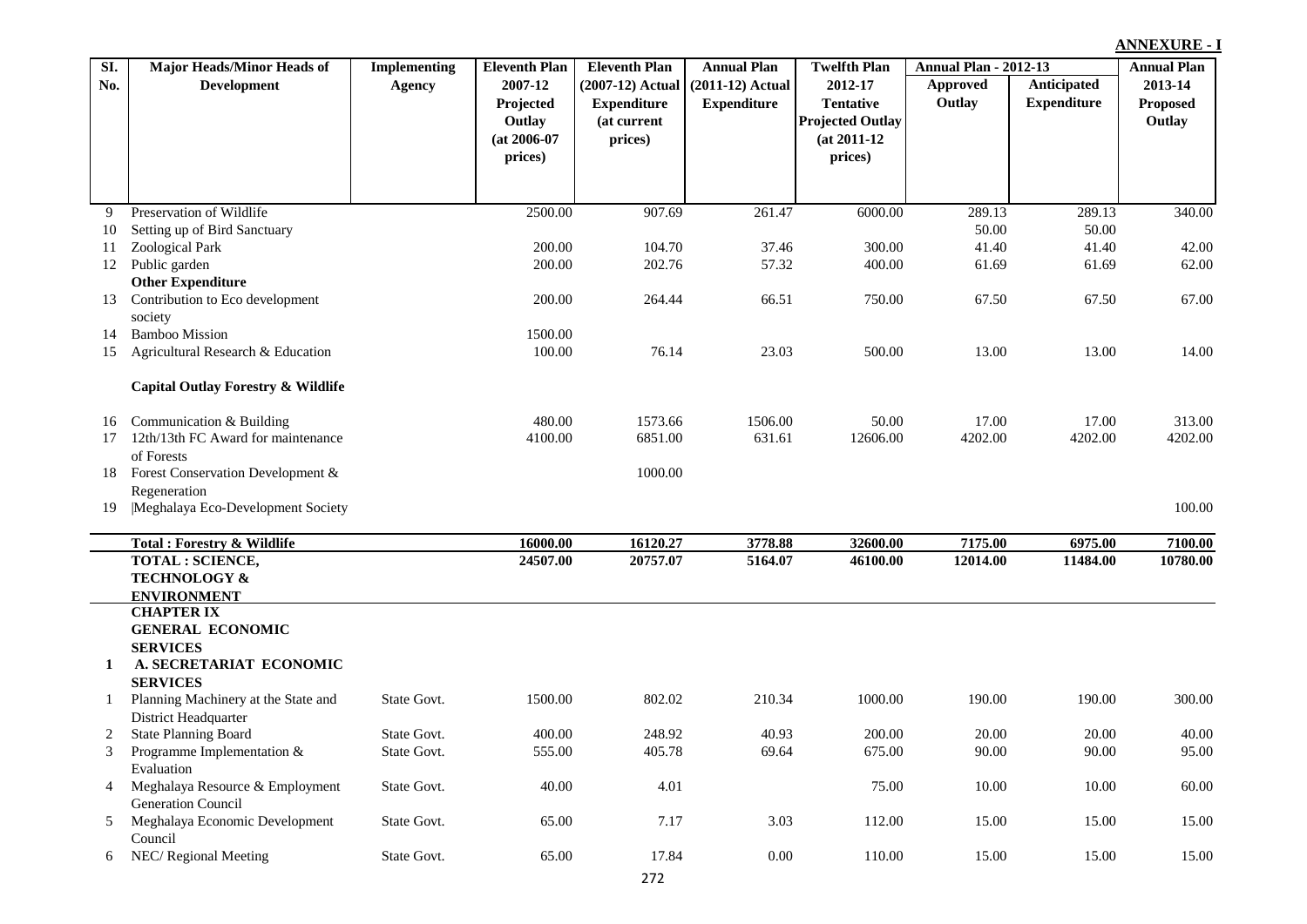| SI.          | <b>Major Heads/Minor Heads of</b>             | Implementing | <b>Eleventh Plan</b> | <b>Eleventh Plan</b> | <b>Annual Plan</b> | <b>Twelfth Plan</b>     | <b>Annual Plan - 2012-13</b> |                    | <b>Annual Plan</b> |
|--------------|-----------------------------------------------|--------------|----------------------|----------------------|--------------------|-------------------------|------------------------------|--------------------|--------------------|
| No.          | <b>Development</b>                            | Agency       | 2007-12              | $(2007-12)$ Actual   | (2011-12) Actual   | 2012-17                 | <b>Approved</b>              | Anticipated        | 2013-14            |
|              |                                               |              | Projected            | <b>Expenditure</b>   | <b>Expenditure</b> | <b>Tentative</b>        | Outlay                       | <b>Expenditure</b> | <b>Proposed</b>    |
|              |                                               |              | Outlay               | (at current          |                    | <b>Projected Outlay</b> |                              |                    | Outlay             |
|              |                                               |              | $(at 2006-07)$       | prices)              |                    | $(at 2011-12)$          |                              |                    |                    |
|              |                                               |              | prices)              |                      |                    | prices)                 |                              |                    |                    |
|              |                                               |              |                      |                      |                    |                         |                              |                    |                    |
|              |                                               |              |                      |                      |                    |                         |                              |                    |                    |
| 9            | Preservation of Wildlife                      |              | 2500.00              | 907.69               | 261.47             | 6000.00                 | 289.13                       | 289.13             | 340.00             |
| 10           | Setting up of Bird Sanctuary                  |              |                      |                      |                    |                         | 50.00                        | 50.00              |                    |
| 11           | Zoological Park                               |              | 200.00               | 104.70               | 37.46              | 300.00                  | 41.40                        | 41.40              | 42.00              |
| 12           | Public garden<br><b>Other Expenditure</b>     |              | 200.00               | 202.76               | 57.32              | 400.00                  | 61.69                        | 61.69              | 62.00              |
| 13           | Contribution to Eco development               |              | 200.00               | 264.44               | 66.51              | 750.00                  | 67.50                        | 67.50              | 67.00              |
|              | society                                       |              |                      |                      |                    |                         |                              |                    |                    |
| 14           | <b>Bamboo Mission</b>                         |              | 1500.00              |                      |                    |                         |                              |                    |                    |
| 15           | Agricultural Research & Education             |              | 100.00               | 76.14                | 23.03              | 500.00                  | 13.00                        | 13.00              | 14.00              |
|              |                                               |              |                      |                      |                    |                         |                              |                    |                    |
|              | <b>Capital Outlay Forestry &amp; Wildlife</b> |              |                      |                      |                    |                         |                              |                    |                    |
|              |                                               |              |                      |                      |                    |                         |                              |                    |                    |
| 16           | Communication & Building                      |              | 480.00               | 1573.66              | 1506.00            | 50.00                   | 17.00                        | 17.00              | 313.00             |
| 17           | 12th/13th FC Award for maintenance            |              | 4100.00              | 6851.00              | 631.61             | 12606.00                | 4202.00                      | 4202.00            | 4202.00            |
|              | of Forests                                    |              |                      |                      |                    |                         |                              |                    |                    |
| 18           | Forest Conservation Development &             |              |                      | 1000.00              |                    |                         |                              |                    |                    |
|              | Regeneration                                  |              |                      |                      |                    |                         |                              |                    |                    |
| 19           | Meghalaya Eco-Development Society             |              |                      |                      |                    |                         |                              |                    | 100.00             |
|              | <b>Total: Forestry &amp; Wildlife</b>         |              | 16000.00             | 16120.27             | 3778.88            | 32600.00                | 7175.00                      | 6975.00            | 7100.00            |
|              | <b>TOTAL: SCIENCE,</b>                        |              | 24507.00             | 20757.07             | 5164.07            | 46100.00                | 12014.00                     | 11484.00           | 10780.00           |
|              | <b>TECHNOLOGY &amp;</b>                       |              |                      |                      |                    |                         |                              |                    |                    |
|              | <b>ENVIRONMENT</b>                            |              |                      |                      |                    |                         |                              |                    |                    |
|              | <b>CHAPTER IX</b>                             |              |                      |                      |                    |                         |                              |                    |                    |
|              | <b>GENERAL ECONOMIC</b>                       |              |                      |                      |                    |                         |                              |                    |                    |
|              | <b>SERVICES</b>                               |              |                      |                      |                    |                         |                              |                    |                    |
| $\mathbf{1}$ | A. SECRETARIAT ECONOMIC                       |              |                      |                      |                    |                         |                              |                    |                    |
|              | <b>SERVICES</b>                               |              |                      |                      |                    |                         |                              |                    |                    |
|              | Planning Machinery at the State and           | State Govt.  | 1500.00              | 802.02               | 210.34             | 1000.00                 | 190.00                       | 190.00             | 300.00             |
|              | District Headquarter                          |              |                      |                      |                    |                         |                              |                    |                    |
|              | <b>State Planning Board</b>                   | State Govt.  | 400.00               | 248.92               | 40.93              | 200.00                  | 20.00                        | 20.00              | 40.00              |
|              | Programme Implementation &<br>Evaluation      | State Govt.  | 555.00               | 405.78               | 69.64              | 675.00                  | 90.00                        | 90.00              | 95.00              |
| 4            | Meghalaya Resource & Employment               | State Govt.  | 40.00                | 4.01                 |                    | 75.00                   | 10.00                        | 10.00              | 60.00              |
|              | Generation Council                            |              |                      |                      |                    |                         |                              |                    |                    |
| 5            | Meghalaya Economic Development                | State Govt.  | 65.00                | 7.17                 | 3.03               | 112.00                  | 15.00                        | 15.00              | 15.00              |
|              | Council                                       |              |                      |                      |                    |                         |                              |                    |                    |
| 6            | NEC/ Regional Meeting                         | State Govt.  | 65.00                | 17.84                | $0.00\,$           | 110.00                  | 15.00                        | 15.00              | 15.00              |
|              |                                               |              |                      |                      |                    |                         |                              |                    |                    |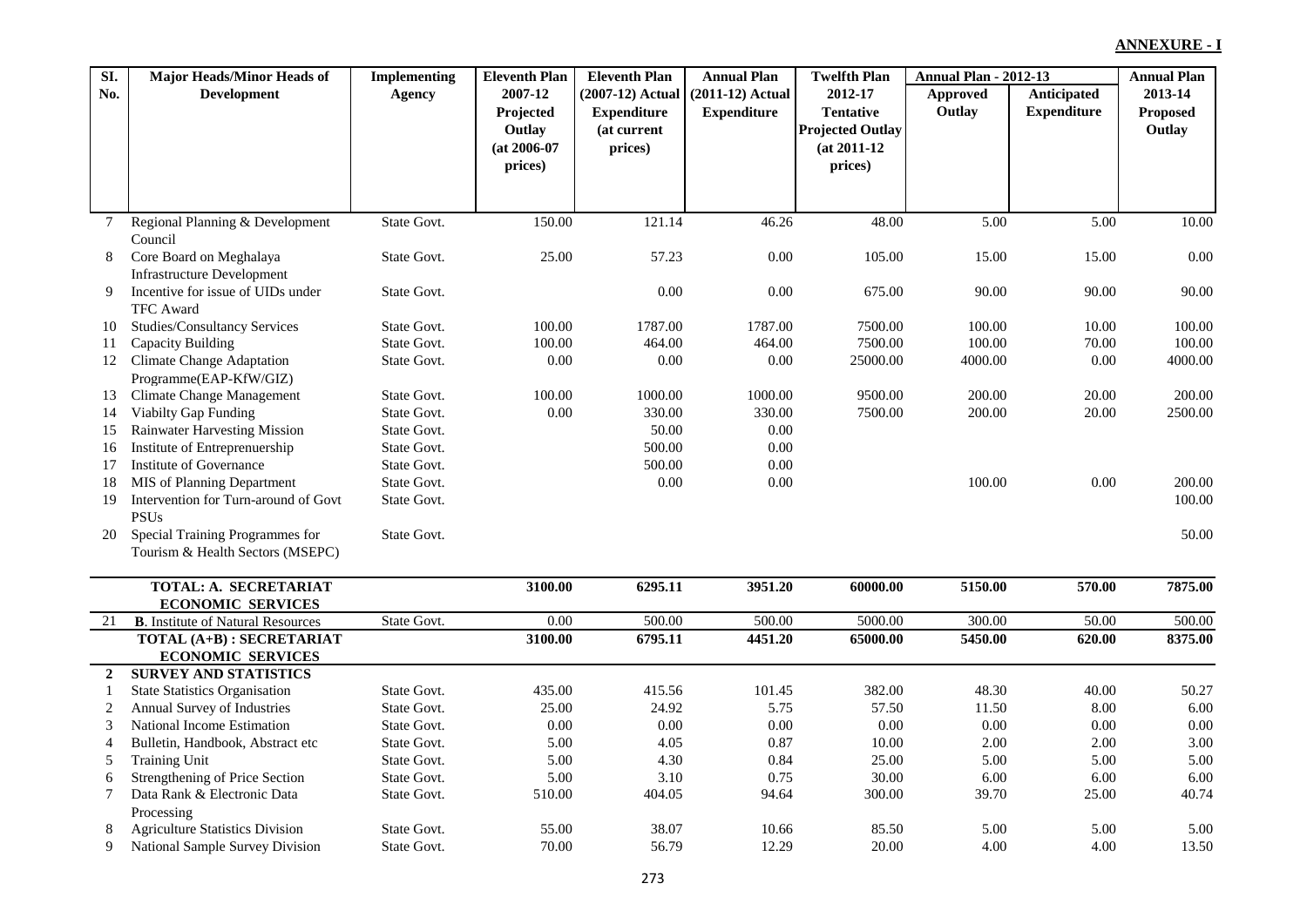| SI.            | <b>Major Heads/Minor Heads of</b>                                    | <b>Implementing</b>        | <b>Eleventh Plan</b> | <b>Eleventh Plan</b> | <b>Annual Plan</b> | <b>Twelfth Plan</b>     | <b>Annual Plan - 2012-13</b> |                    | <b>Annual Plan</b> |
|----------------|----------------------------------------------------------------------|----------------------------|----------------------|----------------------|--------------------|-------------------------|------------------------------|--------------------|--------------------|
| No.            | <b>Development</b>                                                   | <b>Agency</b>              | 2007-12              | (2007-12) Actual     | $(2011-12)$ Actual | 2012-17                 | Approved                     | Anticipated        | 2013-14            |
|                |                                                                      |                            | Projected            | <b>Expenditure</b>   | <b>Expenditure</b> | <b>Tentative</b>        | Outlay                       | <b>Expenditure</b> | <b>Proposed</b>    |
|                |                                                                      |                            | Outlay               | (at current          |                    | <b>Projected Outlay</b> |                              |                    | Outlay             |
|                |                                                                      |                            | $(at 2006-07)$       | prices)              |                    | $(at 2011-12)$          |                              |                    |                    |
|                |                                                                      |                            | prices)              |                      |                    | prices)                 |                              |                    |                    |
|                |                                                                      |                            |                      |                      |                    |                         |                              |                    |                    |
| 7              | Regional Planning & Development                                      | State Govt.                | 150.00               | 121.14               | 46.26              | 48.00                   | 5.00                         | 5.00               | 10.00              |
|                | Council                                                              |                            |                      |                      |                    |                         |                              |                    |                    |
| 8              | Core Board on Meghalaya                                              | State Govt.                | 25.00                | 57.23                | 0.00               | 105.00                  | 15.00                        | 15.00              | 0.00               |
|                | <b>Infrastructure Development</b>                                    |                            |                      |                      |                    |                         |                              |                    |                    |
| 9              | Incentive for issue of UIDs under                                    | State Govt.                |                      | 0.00                 | 0.00               | 675.00                  | 90.00                        | 90.00              | 90.00              |
|                | <b>TFC</b> Award                                                     |                            |                      |                      |                    |                         |                              |                    |                    |
| 10             | Studies/Consultancy Services                                         | State Govt.                | 100.00               | 1787.00              | 1787.00            | 7500.00                 | 100.00                       | 10.00              | 100.00             |
| 11             | Capacity Building                                                    | State Govt.                | 100.00               | 464.00               | 464.00             | 7500.00                 | 100.00                       | 70.00              | 100.00             |
| 12             | Climate Change Adaptation                                            | State Govt.                | 0.00                 | $0.00\,$             | 0.00               | 25000.00                | 4000.00                      | 0.00               | 4000.00            |
|                | Programme(EAP-KfW/GIZ)                                               |                            |                      |                      |                    |                         |                              |                    |                    |
| 13             | Climate Change Management                                            | State Govt.                | 100.00               | 1000.00              | 1000.00            | 9500.00                 | 200.00                       | 20.00              | 200.00             |
| 14             | <b>Viabilty Gap Funding</b>                                          | State Govt.                | $0.00\,$             | 330.00               | 330.00             | 7500.00                 | 200.00                       | 20.00              | 2500.00            |
| 15             | <b>Rainwater Harvesting Mission</b><br>Institute of Entreprenuership | State Govt.<br>State Govt. |                      | 50.00<br>500.00      | 0.00<br>$0.00\,$   |                         |                              |                    |                    |
| 16<br>17       | Institute of Governance                                              | State Govt.                |                      | 500.00               | 0.00               |                         |                              |                    |                    |
| 18             | MIS of Planning Department                                           | State Govt.                |                      | 0.00                 | $0.00\,$           |                         | 100.00                       | 0.00               | 200.00             |
| 19             | Intervention for Turn-around of Govt                                 | State Govt.                |                      |                      |                    |                         |                              |                    | 100.00             |
|                | <b>PSUs</b>                                                          |                            |                      |                      |                    |                         |                              |                    |                    |
| 20             | Special Training Programmes for                                      | State Govt.                |                      |                      |                    |                         |                              |                    | 50.00              |
|                | Tourism & Health Sectors (MSEPC)                                     |                            |                      |                      |                    |                         |                              |                    |                    |
|                |                                                                      |                            |                      |                      |                    |                         |                              |                    |                    |
|                | TOTAL: A. SECRETARIAT                                                |                            | 3100.00              | 6295.11              | 3951.20            | 60000.00                | 5150.00                      | 570.00             | 7875.00            |
|                | <b>ECONOMIC SERVICES</b>                                             |                            |                      |                      |                    |                         |                              |                    |                    |
| 21             | <b>B.</b> Institute of Natural Resources                             | State Govt.                | 0.00                 | 500.00               | 500.00             | 5000.00                 | 300.00                       | 50.00              | 500.00             |
|                | TOTAL (A+B) : SECRETARIAT                                            |                            | 3100.00              | 6795.11              | 4451.20            | 65000.00                | 5450.00                      | 620.00             | 8375.00            |
|                | <b>ECONOMIC SERVICES</b>                                             |                            |                      |                      |                    |                         |                              |                    |                    |
| $\overline{2}$ | <b>SURVEY AND STATISTICS</b>                                         |                            |                      |                      |                    |                         |                              |                    |                    |
| -1             | <b>State Statistics Organisation</b>                                 | State Govt.                | 435.00               | 415.56               | 101.45             | 382.00                  | 48.30                        | 40.00              | 50.27              |
| 2              | Annual Survey of Industries                                          | State Govt.                | 25.00                | 24.92                | 5.75               | 57.50                   | 11.50                        | 8.00               | 6.00               |
| 3              | National Income Estimation                                           | State Govt.                | 0.00                 | 0.00                 | 0.00               | 0.00                    | 0.00                         | 0.00               | 0.00               |
| $\overline{4}$ | Bulletin, Handbook, Abstract etc                                     | State Govt.                | 5.00                 | 4.05                 | 0.87               | 10.00                   | 2.00                         | 2.00               | 3.00               |
| 5              | <b>Training Unit</b>                                                 | State Govt.                | 5.00                 | 4.30                 | 0.84               | 25.00                   | 5.00                         | 5.00               | 5.00               |
| 6              | Strengthening of Price Section                                       | State Govt.                | 5.00                 | 3.10                 | 0.75               | 30.00                   | 6.00                         | 6.00               | 6.00               |
| 7              | Data Rank & Electronic Data                                          | State Govt.                | 510.00               | 404.05               | 94.64              | 300.00                  | 39.70                        | 25.00              | 40.74              |
| 8              | Processing<br><b>Agriculture Statistics Division</b>                 | State Govt.                | 55.00                | 38.07                | 10.66              | 85.50                   | 5.00                         | 5.00               | 5.00               |
| 9              | National Sample Survey Division                                      | State Govt.                | 70.00                | 56.79                | 12.29              | 20.00                   | 4.00                         | 4.00               | 13.50              |
|                |                                                                      |                            |                      |                      |                    |                         |                              |                    |                    |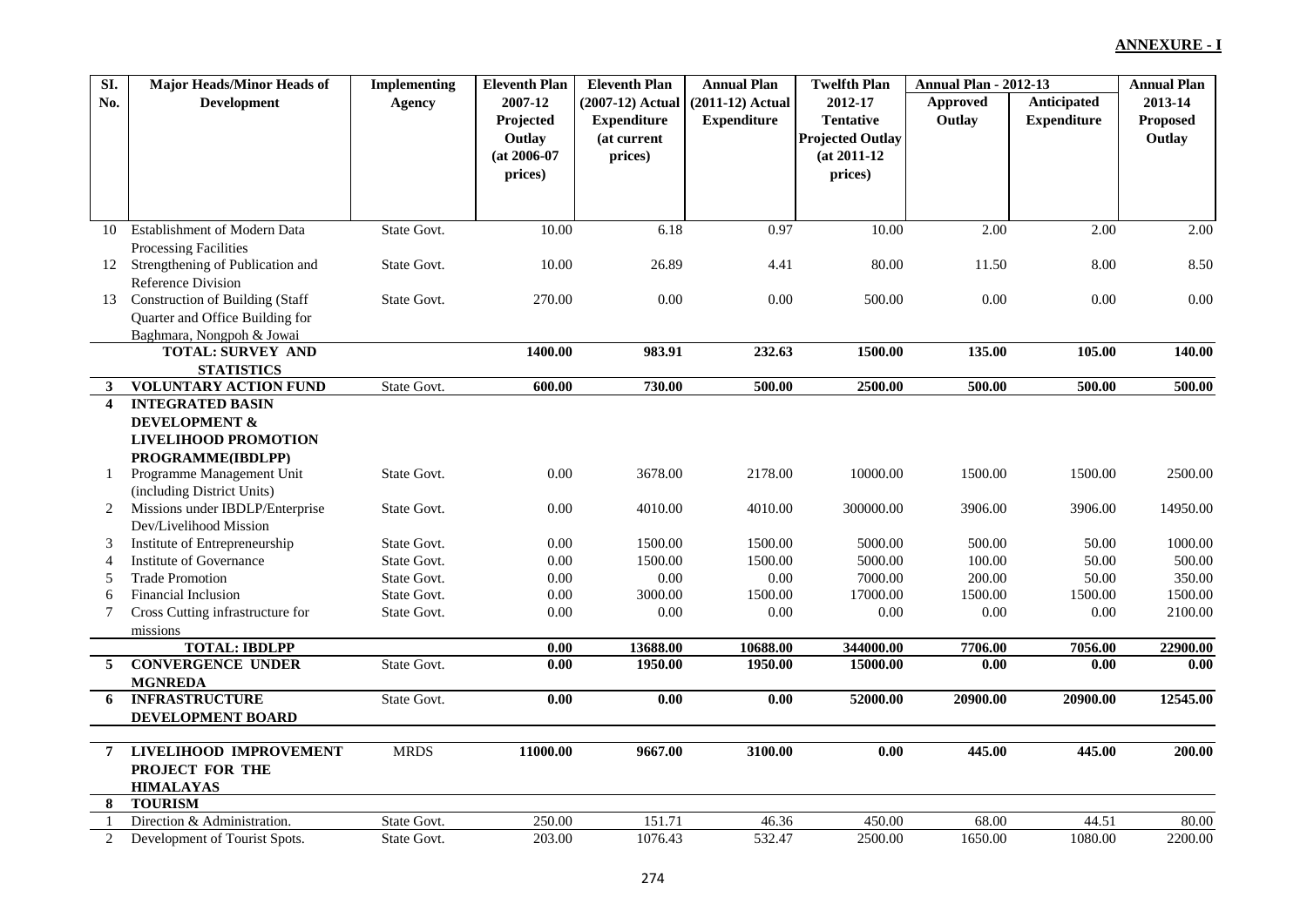| SI.                     | <b>Major Heads/Minor Heads of</b>      | <b>Implementing</b> | <b>Eleventh Plan</b> | <b>Eleventh Plan</b> | <b>Annual Plan</b> | <b>Twelfth Plan</b>     | <b>Annual Plan - 2012-13</b> |                    | <b>Annual Plan</b> |
|-------------------------|----------------------------------------|---------------------|----------------------|----------------------|--------------------|-------------------------|------------------------------|--------------------|--------------------|
| No.                     | <b>Development</b>                     | <b>Agency</b>       | 2007-12              | (2007-12) Actual     | $(2011-12)$ Actual | 2012-17                 | Approved                     | Anticipated        | 2013-14            |
|                         |                                        |                     | Projected            | <b>Expenditure</b>   | <b>Expenditure</b> | <b>Tentative</b>        | Outlay                       | <b>Expenditure</b> | Proposed           |
|                         |                                        |                     | Outlay               | (at current          |                    | <b>Projected Outlay</b> |                              |                    | Outlay             |
|                         |                                        |                     | (at 2006-07          | prices)              |                    | $(at 2011-12)$          |                              |                    |                    |
|                         |                                        |                     | prices)              |                      |                    | prices)                 |                              |                    |                    |
|                         |                                        |                     |                      |                      |                    |                         |                              |                    |                    |
|                         |                                        |                     |                      |                      |                    |                         |                              |                    |                    |
| 10                      | Establishment of Modern Data           | State Govt.         | 10.00                | 6.18                 | 0.97               | 10.00                   | 2.00                         | 2.00               | 2.00               |
|                         | <b>Processing Facilities</b>           |                     |                      |                      |                    |                         |                              |                    |                    |
| 12                      | Strengthening of Publication and       | State Govt.         | 10.00                | 26.89                | 4.41               | 80.00                   | 11.50                        | 8.00               | 8.50               |
|                         | <b>Reference Division</b>              |                     |                      |                      |                    |                         |                              |                    |                    |
| 13                      | <b>Construction of Building (Staff</b> | State Govt.         | 270.00               | 0.00                 | 0.00               | 500.00                  | $0.00\,$                     | 0.00               | 0.00               |
|                         | Quarter and Office Building for        |                     |                      |                      |                    |                         |                              |                    |                    |
|                         | Baghmara, Nongpoh & Jowai              |                     |                      |                      |                    |                         |                              |                    |                    |
|                         | <b>TOTAL: SURVEY AND</b>               |                     | 1400.00              | 983.91               | 232.63             | 1500.00                 | 135.00                       | 105.00             | 140.00             |
|                         | <b>STATISTICS</b>                      |                     |                      |                      |                    |                         |                              |                    |                    |
| 3                       | <b>VOLUNTARY ACTION FUND</b>           | State Govt.         | 600.00               | 730.00               | 500.00             | 2500.00                 | 500.00                       | 500.00             | 500.00             |
| $\overline{\mathbf{4}}$ | <b>INTEGRATED BASIN</b>                |                     |                      |                      |                    |                         |                              |                    |                    |
|                         | <b>DEVELOPMENT &amp;</b>               |                     |                      |                      |                    |                         |                              |                    |                    |
|                         | <b>LIVELIHOOD PROMOTION</b>            |                     |                      |                      |                    |                         |                              |                    |                    |
|                         | PROGRAMME(IBDLPP)                      |                     |                      |                      |                    |                         |                              |                    |                    |
|                         | Programme Management Unit              | State Govt.         | 0.00                 | 3678.00              | 2178.00            | 10000.00                | 1500.00                      | 1500.00            | 2500.00            |
|                         | (including District Units)             |                     |                      |                      |                    |                         |                              |                    |                    |
| 2                       | Missions under IBDLP/Enterprise        | State Govt.         | 0.00                 | 4010.00              | 4010.00            | 300000.00               | 3906.00                      | 3906.00            | 14950.00           |
|                         | Dev/Livelihood Mission                 |                     |                      |                      |                    |                         |                              |                    |                    |
| 3                       | Institute of Entrepreneurship          | State Govt.         | $0.00\,$             | 1500.00              | 1500.00            | 5000.00                 | 500.00                       | 50.00              | 1000.00            |
| 4                       | Institute of Governance                | State Govt.         | $0.00\,$             | 1500.00              | 1500.00            | 5000.00                 | 100.00                       | 50.00              | 500.00             |
| 5                       | <b>Trade Promotion</b>                 | State Govt.         | 0.00                 | 0.00                 | $0.00\,$           | 7000.00                 | 200.00                       | 50.00              | 350.00             |
| 6                       | <b>Financial Inclusion</b>             | State Govt.         | 0.00                 | 3000.00              | 1500.00            | 17000.00                | 1500.00                      | 1500.00            | 1500.00            |
| 7                       | Cross Cutting infrastructure for       | State Govt.         | 0.00                 | $0.00\,$             | 0.00               | 0.00                    | 0.00                         | 0.00               | 2100.00            |
|                         | missions                               |                     |                      |                      |                    |                         |                              |                    |                    |
|                         | <b>TOTAL: IBDLPP</b>                   |                     | 0.00                 | 13688.00             | 10688.00           | 344000.00               | 7706.00                      | 7056.00            | 22900.00           |
| 5                       | <b>CONVERGENCE UNDER</b>               | State Govt.         | $\overline{0.00}$    | 1950.00              | 1950.00            | 15000.00                | $\overline{0.00}$            | 0.00               | 0.00               |
|                         | <b>MGNREDA</b>                         |                     |                      |                      |                    |                         |                              |                    |                    |
| 6                       | <b>INFRASTRUCTURE</b>                  | State Govt.         | $\overline{0.00}$    | 0.00                 | 0.00               | 52000.00                | 20900.00                     | 20900.00           | 12545.00           |
|                         | DEVELOPMENT BOARD                      |                     |                      |                      |                    |                         |                              |                    |                    |
|                         |                                        |                     |                      |                      |                    |                         |                              |                    |                    |
| $\overline{7}$          | <b>LIVELIHOOD IMPROVEMENT</b>          | <b>MRDS</b>         | 11000.00             | 9667.00              | 3100.00            | 0.00                    | 445.00                       | 445.00             | 200.00             |
|                         | PROJECT FOR THE                        |                     |                      |                      |                    |                         |                              |                    |                    |
|                         | <b>HIMALAYAS</b>                       |                     |                      |                      |                    |                         |                              |                    |                    |
| 8                       | <b>TOURISM</b>                         |                     |                      |                      |                    |                         |                              |                    |                    |
|                         | Direction & Administration.            | State Govt.         | 250.00               | 151.71               | 46.36              | 450.00                  | 68.00                        | 44.51              | 80.00              |
| 2                       | Development of Tourist Spots.          | State Govt.         | 203.00               | 1076.43              | 532.47             | 2500.00                 | 1650.00                      | 1080.00            | 2200.00            |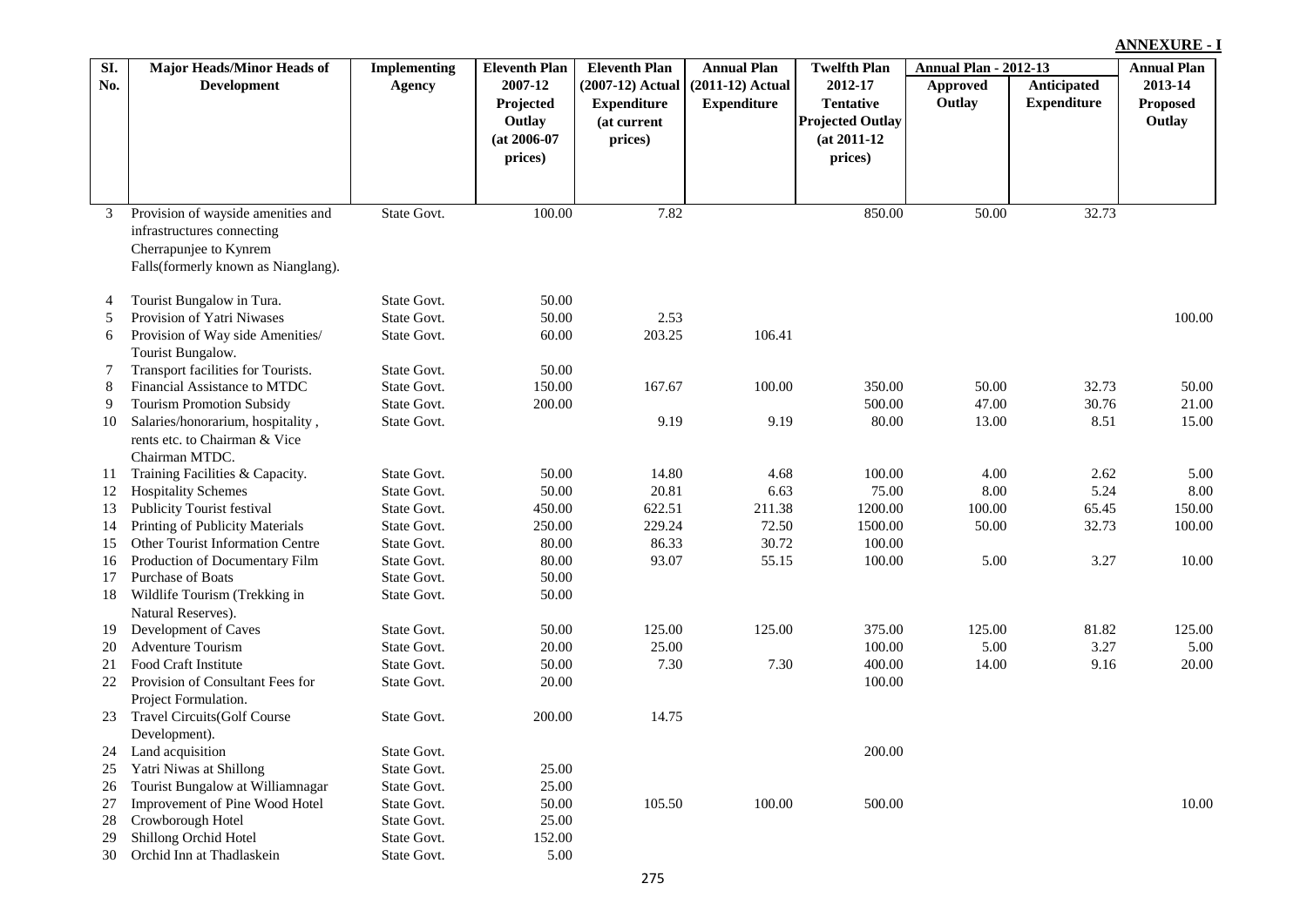|          |                                                     |                            |                      |                      |                    |                         |                              |                    | <b>ANNEXURE - I</b> |  |
|----------|-----------------------------------------------------|----------------------------|----------------------|----------------------|--------------------|-------------------------|------------------------------|--------------------|---------------------|--|
| SI.      | Major Heads/Minor Heads of                          | <b>Implementing</b>        | <b>Eleventh Plan</b> | <b>Eleventh Plan</b> | <b>Annual Plan</b> | <b>Twelfth Plan</b>     | <b>Annual Plan - 2012-13</b> |                    | <b>Annual Plan</b>  |  |
| No.      | <b>Development</b>                                  | <b>Agency</b>              | 2007-12              | (2007-12) Actual     | $(2011-12)$ Actual | 2012-17                 | <b>Approved</b>              | Anticipated        | 2013-14             |  |
|          |                                                     |                            | Projected            | <b>Expenditure</b>   | <b>Expenditure</b> | <b>Tentative</b>        | Outlay                       | <b>Expenditure</b> | <b>Proposed</b>     |  |
|          |                                                     |                            | Outlay               | (at current          |                    | <b>Projected Outlay</b> |                              |                    | Outlay              |  |
|          |                                                     |                            | $(at 2006-07$        | prices)              |                    | $(at 2011-12)$          |                              |                    |                     |  |
|          |                                                     |                            | prices)              |                      |                    | prices)                 |                              |                    |                     |  |
|          |                                                     |                            |                      |                      |                    |                         |                              |                    |                     |  |
|          |                                                     |                            |                      |                      |                    |                         |                              |                    |                     |  |
| 3        | Provision of wayside amenities and                  | State Govt.                | 100.00               | 7.82                 |                    | 850.00                  | 50.00                        | 32.73              |                     |  |
|          | infrastructures connecting                          |                            |                      |                      |                    |                         |                              |                    |                     |  |
|          | Cherrapunjee to Kynrem                              |                            |                      |                      |                    |                         |                              |                    |                     |  |
|          | Falls(formerly known as Nianglang).                 |                            |                      |                      |                    |                         |                              |                    |                     |  |
| 4        | Tourist Bungalow in Tura.                           | State Govt.                | 50.00                |                      |                    |                         |                              |                    |                     |  |
| 5        | Provision of Yatri Niwases                          | State Govt.                | 50.00                | 2.53                 |                    |                         |                              |                    | 100.00              |  |
| 6        | Provision of Way side Amenities/                    | State Govt.                | 60.00                | 203.25               | 106.41             |                         |                              |                    |                     |  |
|          | Tourist Bungalow.                                   |                            |                      |                      |                    |                         |                              |                    |                     |  |
| 7        | Transport facilities for Tourists.                  | State Govt.                | 50.00                |                      |                    |                         |                              |                    |                     |  |
| 8        | Financial Assistance to MTDC                        | State Govt.                | 150.00               | 167.67               | 100.00             | 350.00                  | 50.00                        | 32.73              | 50.00               |  |
| 9        | <b>Tourism Promotion Subsidy</b>                    | State Govt.                | 200.00               |                      |                    | 500.00                  | 47.00                        | 30.76              | 21.00               |  |
| 10       | Salaries/honorarium, hospitality,                   | State Govt.                |                      | 9.19                 | 9.19               | 80.00                   | 13.00                        | 8.51               | 15.00               |  |
|          | rents etc. to Chairman & Vice                       |                            |                      |                      |                    |                         |                              |                    |                     |  |
|          | Chairman MTDC.                                      |                            |                      |                      |                    |                         |                              |                    |                     |  |
| 11       | Training Facilities & Capacity.                     | State Govt.                | 50.00                | 14.80                | 4.68               | 100.00                  | 4.00                         | 2.62               | 5.00                |  |
| 12       | <b>Hospitality Schemes</b>                          | State Govt.                | 50.00                | 20.81                | 6.63               | 75.00                   | 8.00                         | 5.24               | 8.00                |  |
| 13       | <b>Publicity Tourist festival</b>                   | State Govt.                | 450.00               | 622.51               | 211.38             | 1200.00                 | 100.00                       | 65.45              | 150.00              |  |
| 14       | Printing of Publicity Materials                     | State Govt.                | 250.00               | 229.24               | 72.50              | 1500.00                 | 50.00                        | 32.73              | 100.00              |  |
| 15       | Other Tourist Information Centre                    | State Govt.                | 80.00                | 86.33                | 30.72              | 100.00                  |                              |                    |                     |  |
| 16<br>17 | Production of Documentary Film<br>Purchase of Boats | State Govt.<br>State Govt. | 80.00<br>50.00       | 93.07                | 55.15              | 100.00                  | 5.00                         | 3.27               | 10.00               |  |
| 18       | Wildlife Tourism (Trekking in                       | State Govt.                | 50.00                |                      |                    |                         |                              |                    |                     |  |
|          | Natural Reserves).                                  |                            |                      |                      |                    |                         |                              |                    |                     |  |
| 19       | Development of Caves                                | State Govt.                | 50.00                | 125.00               | 125.00             | 375.00                  | 125.00                       | 81.82              | 125.00              |  |
| 20       | <b>Adventure Tourism</b>                            | State Govt.                | 20.00                | 25.00                |                    | 100.00                  | 5.00                         | 3.27               | 5.00                |  |
| 21       | Food Craft Institute                                | State Govt.                | 50.00                | 7.30                 | 7.30               | 400.00                  | 14.00                        | 9.16               | 20.00               |  |
| 22       | Provision of Consultant Fees for                    | State Govt.                | 20.00                |                      |                    | 100.00                  |                              |                    |                     |  |
|          | Project Formulation.                                |                            |                      |                      |                    |                         |                              |                    |                     |  |
| 23       | <b>Travel Circuits (Golf Course)</b>                | State Govt.                | 200.00               | 14.75                |                    |                         |                              |                    |                     |  |
|          | Development).                                       |                            |                      |                      |                    |                         |                              |                    |                     |  |
| 24       | Land acquisition                                    | State Govt.                |                      |                      |                    | 200.00                  |                              |                    |                     |  |
| 25       | Yatri Niwas at Shillong                             | State Govt.                | 25.00                |                      |                    |                         |                              |                    |                     |  |
| 26       | Tourist Bungalow at Williamnagar                    | State Govt.                | 25.00                |                      |                    |                         |                              |                    |                     |  |
| 27       | Improvement of Pine Wood Hotel                      | State Govt.                | 50.00                | 105.50               | 100.00             | 500.00                  |                              |                    | 10.00               |  |
| 28       | Crowborough Hotel                                   | State Govt.                | 25.00                |                      |                    |                         |                              |                    |                     |  |
| 29       | Shillong Orchid Hotel                               | State Govt.                | 152.00               |                      |                    |                         |                              |                    |                     |  |
| 30       | Orchid Inn at Thadlaskein                           | State Govt.                | 5.00                 |                      |                    |                         |                              |                    |                     |  |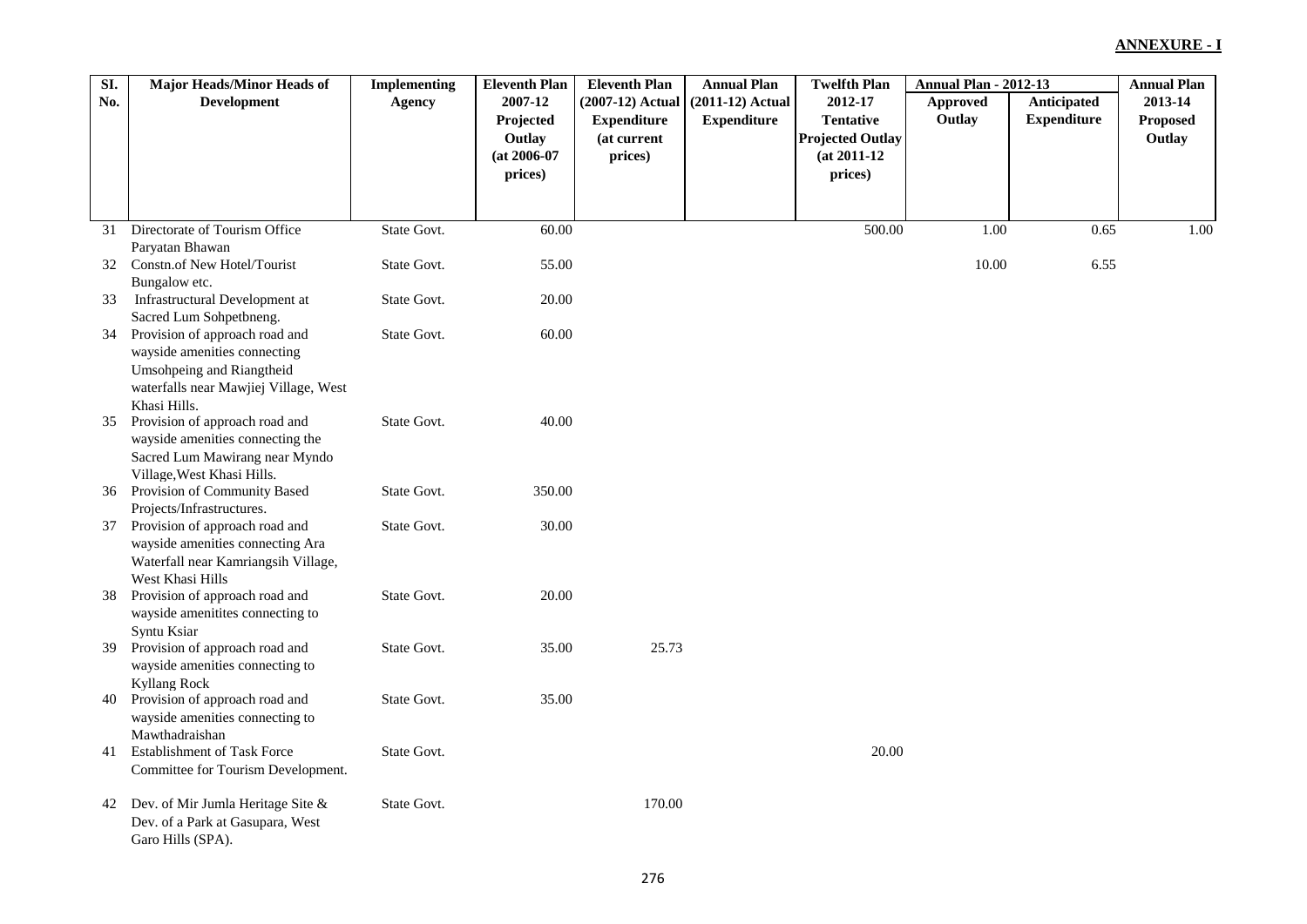| SI. | <b>Major Heads/Minor Heads of</b>                  | <b>Implementing</b> | <b>Eleventh Plan</b> | <b>Eleventh Plan</b> | <b>Annual Plan</b> | <b>Twelfth Plan</b>     | <b>Annual Plan - 2012-13</b> |                    | <b>Annual Plan</b> |
|-----|----------------------------------------------------|---------------------|----------------------|----------------------|--------------------|-------------------------|------------------------------|--------------------|--------------------|
| No. | <b>Development</b>                                 | <b>Agency</b>       | 2007-12              | $(2007-12)$ Actual   | $(2011-12)$ Actual | 2012-17                 | <b>Approved</b>              | <b>Anticipated</b> | 2013-14            |
|     |                                                    |                     | Projected            | <b>Expenditure</b>   | <b>Expenditure</b> | <b>Tentative</b>        | Outlay                       | <b>Expenditure</b> | Proposed           |
|     |                                                    |                     | Outlay               | (at current          |                    | <b>Projected Outlay</b> |                              |                    | Outlay             |
|     |                                                    |                     | $(at 2006-07)$       | prices)              |                    | $(at 2011-12)$          |                              |                    |                    |
|     |                                                    |                     | prices)              |                      |                    | prices)                 |                              |                    |                    |
|     |                                                    |                     |                      |                      |                    |                         |                              |                    |                    |
|     |                                                    |                     |                      |                      |                    |                         |                              |                    |                    |
|     | 31 Directorate of Tourism Office                   | State Govt.         | 60.00                |                      |                    | 500.00                  | 1.00                         | 0.65               | 1.00               |
|     | Paryatan Bhawan                                    |                     |                      |                      |                    |                         |                              |                    |                    |
|     | 32 Constn.of New Hotel/Tourist                     | State Govt.         | 55.00                |                      |                    |                         | 10.00                        | 6.55               |                    |
|     | Bungalow etc.                                      |                     |                      |                      |                    |                         |                              |                    |                    |
| 33  | Infrastructural Development at                     | State Govt.         | 20.00                |                      |                    |                         |                              |                    |                    |
|     | Sacred Lum Sohpetbneng.                            |                     |                      |                      |                    |                         |                              |                    |                    |
| 34  | Provision of approach road and                     | State Govt.         | 60.00                |                      |                    |                         |                              |                    |                    |
|     | wayside amenities connecting                       |                     |                      |                      |                    |                         |                              |                    |                    |
|     | Umsohpeing and Riangtheid                          |                     |                      |                      |                    |                         |                              |                    |                    |
|     | waterfalls near Mawjiej Village, West              |                     |                      |                      |                    |                         |                              |                    |                    |
|     | Khasi Hills.                                       |                     |                      |                      |                    |                         |                              |                    |                    |
| 35  | Provision of approach road and                     | State Govt.         | 40.00                |                      |                    |                         |                              |                    |                    |
|     | wayside amenities connecting the                   |                     |                      |                      |                    |                         |                              |                    |                    |
|     | Sacred Lum Mawirang near Myndo                     |                     |                      |                      |                    |                         |                              |                    |                    |
|     | Village, West Khasi Hills.                         |                     |                      |                      |                    |                         |                              |                    |                    |
| 36  | Provision of Community Based                       | State Govt.         | 350.00               |                      |                    |                         |                              |                    |                    |
|     | Projects/Infrastructures.                          |                     |                      |                      |                    |                         |                              |                    |                    |
| 37  | Provision of approach road and                     | State Govt.         | 30.00                |                      |                    |                         |                              |                    |                    |
|     | wayside amenities connecting Ara                   |                     |                      |                      |                    |                         |                              |                    |                    |
|     | Waterfall near Kamriangsih Village,                |                     |                      |                      |                    |                         |                              |                    |                    |
| 38  | West Khasi Hills<br>Provision of approach road and | State Govt.         | 20.00                |                      |                    |                         |                              |                    |                    |
|     | wayside amenitites connecting to                   |                     |                      |                      |                    |                         |                              |                    |                    |
|     | Syntu Ksiar                                        |                     |                      |                      |                    |                         |                              |                    |                    |
| 39  | Provision of approach road and                     | State Govt.         | 35.00                | 25.73                |                    |                         |                              |                    |                    |
|     | wayside amenities connecting to                    |                     |                      |                      |                    |                         |                              |                    |                    |
|     | <b>Kyllang Rock</b>                                |                     |                      |                      |                    |                         |                              |                    |                    |
| 40  | Provision of approach road and                     | State Govt.         | 35.00                |                      |                    |                         |                              |                    |                    |
|     | wayside amenities connecting to                    |                     |                      |                      |                    |                         |                              |                    |                    |
|     | Mawthadraishan                                     |                     |                      |                      |                    |                         |                              |                    |                    |
| 41  | <b>Establishment of Task Force</b>                 | State Govt.         |                      |                      |                    | 20.00                   |                              |                    |                    |
|     | Committee for Tourism Development.                 |                     |                      |                      |                    |                         |                              |                    |                    |
|     |                                                    |                     |                      |                      |                    |                         |                              |                    |                    |
| 42  | Dev. of Mir Jumla Heritage Site &                  | State Govt.         |                      | 170.00               |                    |                         |                              |                    |                    |
|     | Dev. of a Park at Gasupara, West                   |                     |                      |                      |                    |                         |                              |                    |                    |
|     | Garo Hills (SPA).                                  |                     |                      |                      |                    |                         |                              |                    |                    |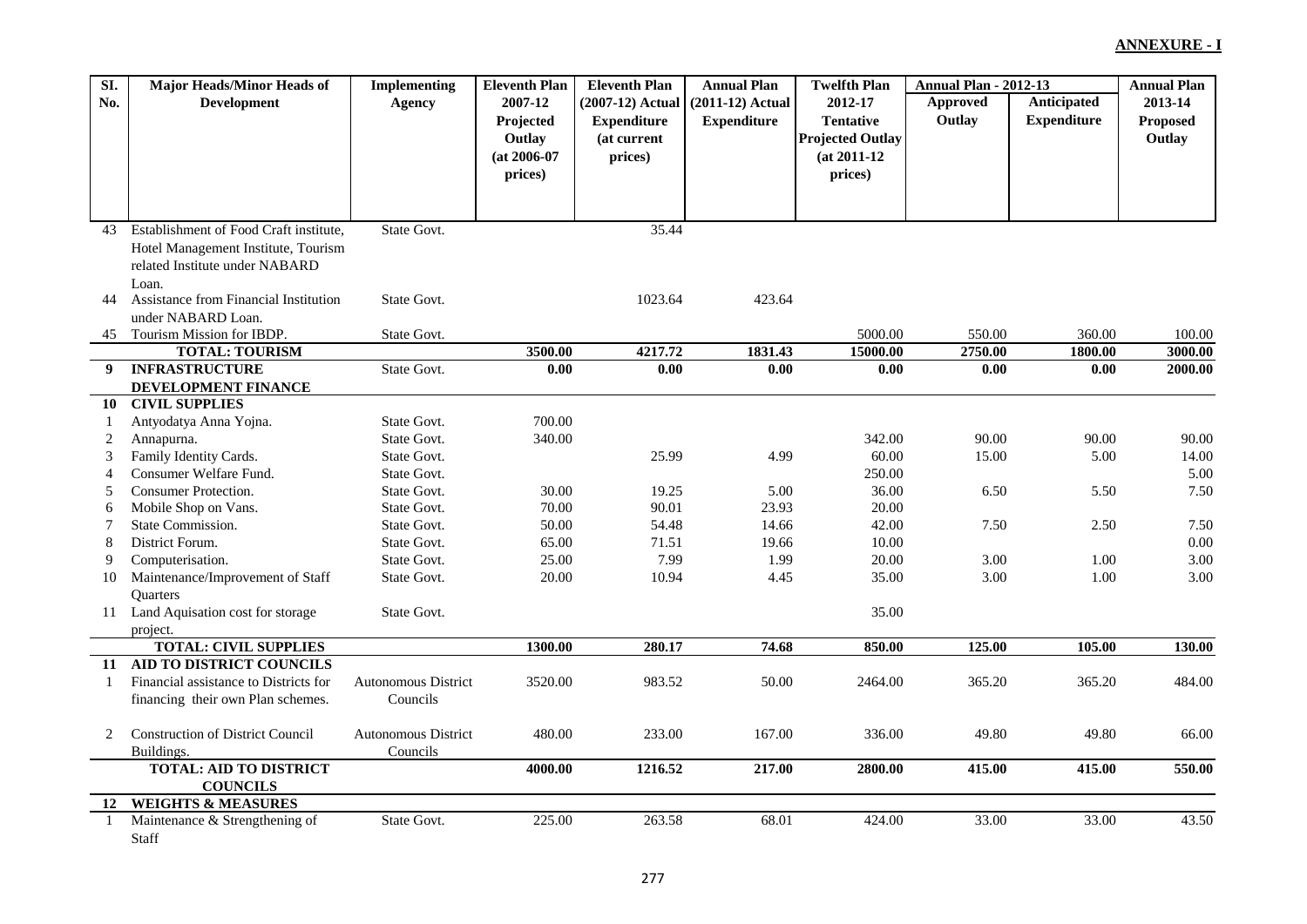| SI.                | Major Heads/Minor Heads of                       | <b>Implementing</b>        | <b>Eleventh Plan</b> | <b>Eleventh Plan</b> | <b>Annual Plan</b> | <b>Twelfth Plan</b>     | <b>Annual Plan - 2012-13</b> |                    | <b>Annual Plan</b> |
|--------------------|--------------------------------------------------|----------------------------|----------------------|----------------------|--------------------|-------------------------|------------------------------|--------------------|--------------------|
| No.                | <b>Development</b>                               | <b>Agency</b>              | 2007-12              | (2007-12) Actual     | (2011-12) Actual   | 2012-17                 | <b>Approved</b>              | Anticipated        | 2013-14            |
|                    |                                                  |                            | Projected            | <b>Expenditure</b>   | <b>Expenditure</b> | <b>Tentative</b>        | Outlay                       | <b>Expenditure</b> | <b>Proposed</b>    |
|                    |                                                  |                            | Outlay               | (at current          |                    | <b>Projected Outlay</b> |                              |                    | Outlay             |
|                    |                                                  |                            | $(at 2006-07)$       | prices)              |                    | $(at 2011-12)$          |                              |                    |                    |
|                    |                                                  |                            | prices)              |                      |                    | prices)                 |                              |                    |                    |
|                    |                                                  |                            |                      |                      |                    |                         |                              |                    |                    |
|                    |                                                  |                            |                      |                      |                    |                         |                              |                    |                    |
| 43                 | Establishment of Food Craft institute,           | State Govt.                |                      | 35.44                |                    |                         |                              |                    |                    |
|                    | Hotel Management Institute, Tourism              |                            |                      |                      |                    |                         |                              |                    |                    |
|                    | related Institute under NABARD                   |                            |                      |                      |                    |                         |                              |                    |                    |
|                    | Loan.                                            |                            |                      |                      |                    |                         |                              |                    |                    |
| 44                 | Assistance from Financial Institution            | State Govt.                |                      | 1023.64              | 423.64             |                         |                              |                    |                    |
|                    | under NABARD Loan.                               |                            |                      |                      |                    |                         |                              |                    |                    |
| 45                 | Tourism Mission for IBDP.                        | State Govt.                |                      |                      |                    | 5000.00                 | 550.00                       | 360.00             | 100.00             |
|                    | <b>TOTAL: TOURISM</b>                            |                            | 3500.00              | 4217.72              | 1831.43            | 15000.00                | 2750.00                      | 1800.00            | 3000.00            |
| 9                  | <b>INFRASTRUCTURE</b>                            | State Govt.                | 0.00                 | 0.00                 | 0.00               | 0.00                    | 0.00                         | 0.00               | 2000.00            |
|                    | DEVELOPMENT FINANCE                              |                            |                      |                      |                    |                         |                              |                    |                    |
| 10                 | <b>CIVIL SUPPLIES</b>                            |                            |                      |                      |                    |                         |                              |                    |                    |
| 1                  | Antyodatya Anna Yojna.                           | State Govt.                | 700.00               |                      |                    |                         |                              |                    |                    |
| 2                  | Annapurna.                                       | State Govt.                | 340.00               |                      |                    | 342.00                  | 90.00                        | 90.00              | 90.00              |
| 3                  | Family Identity Cards.                           | State Govt.                |                      | 25.99                | 4.99               | 60.00                   | 15.00                        | 5.00               | 14.00              |
| $\overline{4}$     | Consumer Welfare Fund.                           | State Govt.                |                      |                      |                    | 250.00                  |                              |                    | 5.00               |
| 5                  | Consumer Protection.                             | State Govt.                | 30.00                | 19.25                | 5.00               | 36.00                   | 6.50                         | 5.50               | 7.50               |
| 6                  | Mobile Shop on Vans.                             | State Govt.                | 70.00                | 90.01                | 23.93              | 20.00                   |                              |                    |                    |
| 7                  | State Commission.                                | State Govt.                | 50.00                | 54.48                | 14.66              | 42.00                   | 7.50                         | 2.50               | 7.50               |
| 8                  | District Forum.                                  | State Govt.                | 65.00                | 71.51                | 19.66              | 10.00                   |                              |                    | 0.00               |
| 9                  | Computerisation.                                 | State Govt.                | 25.00                | 7.99                 | 1.99               | 20.00                   | 3.00                         | 1.00               | 3.00               |
| 10                 | Maintenance/Improvement of Staff                 | State Govt.                | 20.00                | 10.94                | 4.45               | 35.00                   | 3.00                         | 1.00               | 3.00               |
|                    | <b>Ouarters</b>                                  |                            |                      |                      |                    |                         |                              |                    |                    |
|                    | 11 Land Aquisation cost for storage              | State Govt.                |                      |                      |                    | 35.00                   |                              |                    |                    |
|                    | project.                                         |                            |                      |                      |                    |                         |                              |                    |                    |
|                    | <b>TOTAL: CIVIL SUPPLIES</b>                     |                            | 1300.00              | 280.17               | 74.68              | 850.00                  | 125.00                       | 105.00             | 130.00             |
| 11                 | AID TO DISTRICT COUNCILS                         |                            |                      |                      |                    |                         |                              |                    |                    |
| $\mathbf{1}$       | Financial assistance to Districts for            | Autonomous District        | 3520.00              | 983.52               | 50.00              | 2464.00                 | 365.20                       | 365.20             | 484.00             |
|                    | financing their own Plan schemes.                | Councils                   |                      |                      |                    |                         |                              |                    |                    |
|                    |                                                  |                            |                      |                      |                    |                         |                              |                    |                    |
| 2                  | <b>Construction of District Council</b>          | <b>Autonomous District</b> | 480.00               | 233.00               | 167.00             | 336.00                  | 49.80                        | 49.80              | 66.00              |
|                    | Buildings.                                       | Councils                   |                      |                      |                    |                         |                              |                    |                    |
|                    | <b>TOTAL: AID TO DISTRICT</b>                    |                            | 4000.00              | 1216.52              | 217.00             | 2800.00                 | 415.00                       | 415.00             | 550.00             |
|                    | <b>COUNCILS</b><br><b>WEIGHTS &amp; MEASURES</b> |                            |                      |                      |                    |                         |                              |                    |                    |
| 12<br>$\mathbf{1}$ | Maintenance & Strengthening of                   | State Govt.                | 225.00               | 263.58               | 68.01              | 424.00                  | 33.00                        | 33.00              | 43.50              |
|                    | Staff                                            |                            |                      |                      |                    |                         |                              |                    |                    |
|                    |                                                  |                            |                      |                      |                    |                         |                              |                    |                    |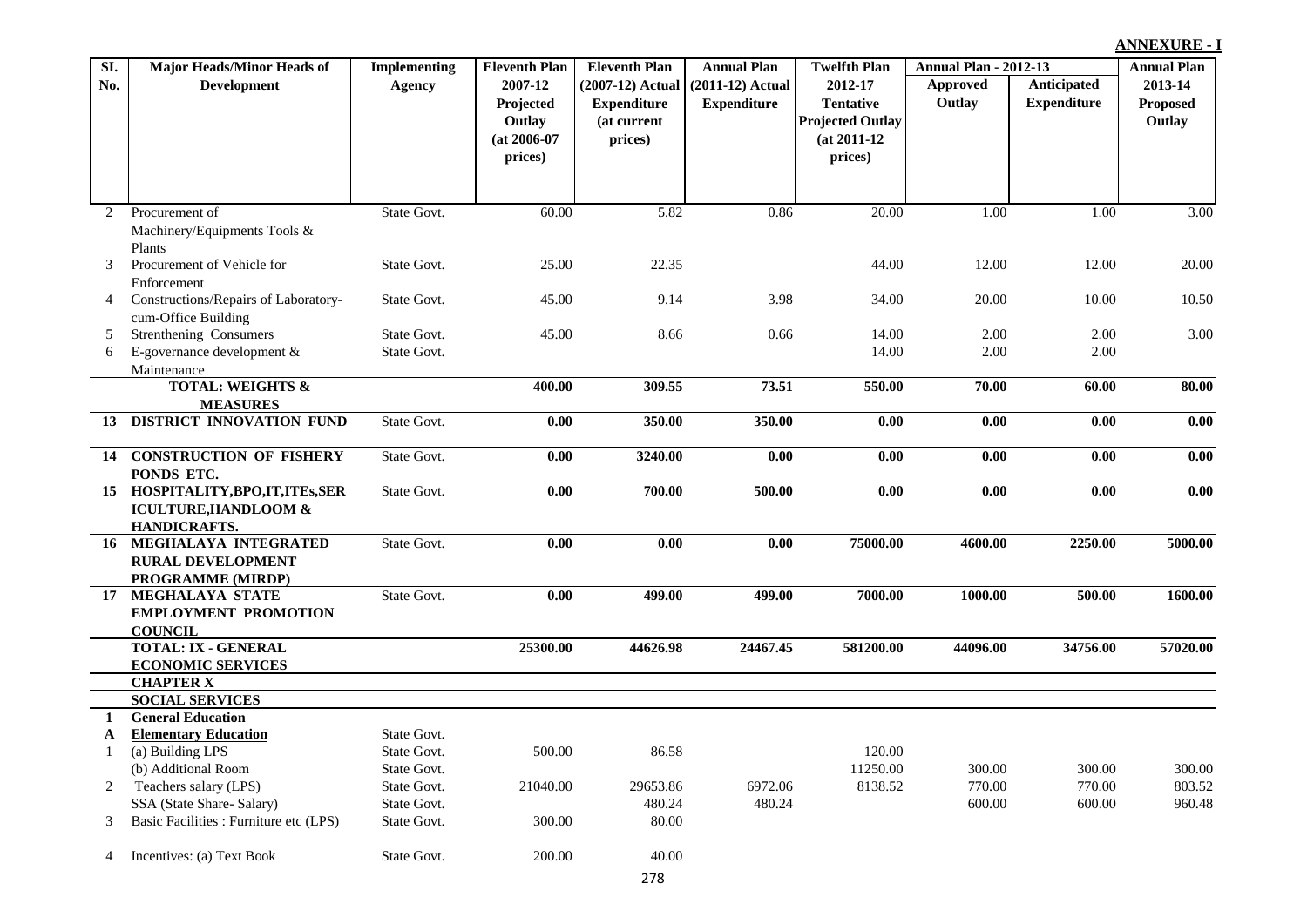| SI.            | <b>Major Heads/Minor Heads of</b>      | <b>Implementing</b> | <b>Eleventh Plan</b> | <b>Eleventh Plan</b> | <b>Annual Plan</b> | <b>Twelfth Plan</b>     | <b>Annual Plan - 2012-13</b> |                    | <b>Annual Plan</b> |
|----------------|----------------------------------------|---------------------|----------------------|----------------------|--------------------|-------------------------|------------------------------|--------------------|--------------------|
| No.            | <b>Development</b>                     | Agency              | 2007-12              | $(2007-12)$ Actual   | $(2011-12)$ Actual | 2012-17                 | Approved                     | Anticipated        | 2013-14            |
|                |                                        |                     | Projected            | <b>Expenditure</b>   | <b>Expenditure</b> | <b>Tentative</b>        | Outlay                       | <b>Expenditure</b> | Proposed           |
|                |                                        |                     | Outlay               | (at current          |                    | <b>Projected Outlay</b> |                              |                    | Outlay             |
|                |                                        |                     | $(at 2006-07)$       | prices)              |                    | $(at 2011-12)$          |                              |                    |                    |
|                |                                        |                     | prices)              |                      |                    | prices)                 |                              |                    |                    |
|                |                                        |                     |                      |                      |                    |                         |                              |                    |                    |
|                |                                        |                     |                      |                      |                    |                         |                              |                    |                    |
| $\overline{2}$ | Procurement of                         | State Govt.         | 60.00                | 5.82                 | 0.86               | 20.00                   | 1.00                         | 1.00               | 3.00               |
|                | Machinery/Equipments Tools &           |                     |                      |                      |                    |                         |                              |                    |                    |
|                | Plants                                 |                     |                      |                      |                    |                         |                              |                    |                    |
| 3              | Procurement of Vehicle for             | State Govt.         | 25.00                | 22.35                |                    | 44.00                   | 12.00                        | 12.00              | 20.00              |
|                | Enforcement                            |                     |                      |                      |                    |                         |                              |                    |                    |
| 4              | Constructions/Repairs of Laboratory-   | State Govt.         | 45.00                | 9.14                 | 3.98               | 34.00                   | 20.00                        | 10.00              | 10.50              |
|                | cum-Office Building                    |                     |                      |                      |                    |                         |                              |                    |                    |
| 5              | Strenthening Consumers                 | State Govt.         | 45.00                | 8.66                 | 0.66               | 14.00                   | 2.00                         | 2.00               | 3.00               |
| 6              | E-governance development &             | State Govt.         |                      |                      |                    | 14.00                   | 2.00                         | 2.00               |                    |
|                | Maintenance                            |                     |                      |                      |                    |                         |                              |                    |                    |
|                | <b>TOTAL: WEIGHTS &amp;</b>            |                     | 400.00               | 309.55               | 73.51              | 550.00                  | 70.00                        | 60.00              | 80.00              |
|                | <b>MEASURES</b>                        |                     |                      |                      |                    |                         |                              |                    |                    |
| 13             | <b>DISTRICT INNOVATION FUND</b>        | State Govt.         | 0.00                 | 350.00               | 350.00             | 0.00                    | 0.00                         | 0.00               | 0.00               |
|                | 14 CONSTRUCTION OF FISHERY             | State Govt.         | 0.00                 | 3240.00              | 0.00               | 0.00                    | 0.00                         | 0.00               | 0.00               |
|                | PONDS ETC.                             |                     |                      |                      |                    |                         |                              |                    |                    |
|                | 15 HOSPITALITY, BPO, IT, ITES, SER     | State Govt.         | 0.00                 | 700.00               | 500.00             | 0.00                    | 0.00                         | 0.00               | 0.00               |
|                | <b>ICULTURE, HANDLOOM &amp;</b>        |                     |                      |                      |                    |                         |                              |                    |                    |
|                | <b>HANDICRAFTS.</b>                    |                     |                      |                      |                    |                         |                              |                    |                    |
| 16             | MEGHALAYA INTEGRATED                   | State Govt.         | 0.00                 | 0.00                 | 0.00               | 75000.00                | 4600.00                      | 2250.00            | 5000.00            |
|                | <b>RURAL DEVELOPMENT</b>               |                     |                      |                      |                    |                         |                              |                    |                    |
|                | PROGRAMME (MIRDP)                      |                     |                      |                      |                    |                         |                              |                    |                    |
| 17             | MEGHALAYA STATE                        | State Govt.         | $\overline{0.00}$    | 499.00               | 499.00             | 7000.00                 | 1000.00                      | 500.00             | 1600.00            |
|                | <b>EMPLOYMENT PROMOTION</b>            |                     |                      |                      |                    |                         |                              |                    |                    |
|                | <b>COUNCIL</b>                         |                     |                      |                      |                    |                         |                              |                    |                    |
|                | <b>TOTAL: IX - GENERAL</b>             |                     | 25300.00             | 44626.98             | 24467.45           | 581200.00               | 44096.00                     | 34756.00           | 57020.00           |
|                | <b>ECONOMIC SERVICES</b>               |                     |                      |                      |                    |                         |                              |                    |                    |
|                | <b>CHAPTER X</b>                       |                     |                      |                      |                    |                         |                              |                    |                    |
|                | <b>SOCIAL SERVICES</b>                 |                     |                      |                      |                    |                         |                              |                    |                    |
| 1              | <b>General Education</b>               |                     |                      |                      |                    |                         |                              |                    |                    |
| $\mathbf{A}$   | <b>Elementary Education</b>            | State Govt.         |                      |                      |                    |                         |                              |                    |                    |
| $\mathbf{1}$   | (a) Building LPS                       | State Govt.         | 500.00               | 86.58                |                    | 120.00                  |                              |                    |                    |
|                | (b) Additional Room                    | State Govt.         |                      |                      |                    | 11250.00                | 300.00                       | 300.00             | 300.00             |
| 2              | Teachers salary (LPS)                  | State Govt.         | 21040.00             | 29653.86             | 6972.06            | 8138.52                 | 770.00                       | 770.00             | 803.52             |
|                | SSA (State Share-Salary)               | State Govt.         |                      | 480.24               | 480.24             |                         | 600.00                       | 600.00             | 960.48             |
| 3              | Basic Facilities : Furniture etc (LPS) | State Govt.         | 300.00               | 80.00                |                    |                         |                              |                    |                    |
|                |                                        |                     |                      |                      |                    |                         |                              |                    |                    |
| 4              | Incentives: (a) Text Book              | State Govt.         | 200.00               | 40.00                |                    |                         |                              |                    |                    |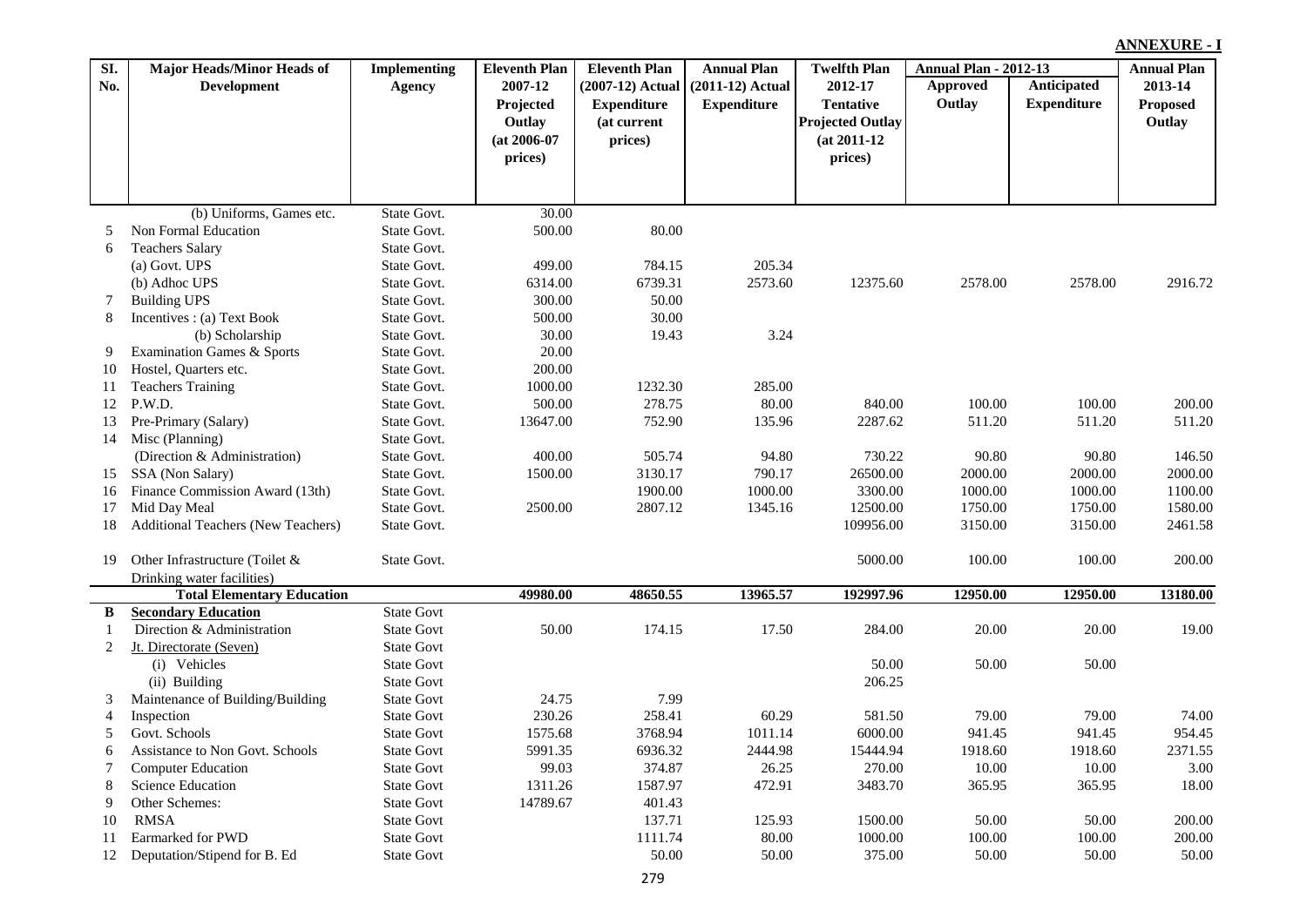| SI.            | Major Heads/Minor Heads of         | <b>Implementing</b> | <b>Eleventh Plan</b> | <b>Eleventh Plan</b> | <b>Annual Plan</b> | <b>Twelfth Plan</b>     | <b>Annual Plan - 2012-13</b> |                    | <b>Annual Plan</b> |
|----------------|------------------------------------|---------------------|----------------------|----------------------|--------------------|-------------------------|------------------------------|--------------------|--------------------|
| No.            | <b>Development</b>                 | Agency              | 2007-12              | $(2007-12)$ Actual   | $(2011-12)$ Actual | 2012-17                 | <b>Approved</b>              | Anticipated        | 2013-14            |
|                |                                    |                     | Projected            | <b>Expenditure</b>   | <b>Expenditure</b> | <b>Tentative</b>        | Outlay                       | <b>Expenditure</b> | <b>Proposed</b>    |
|                |                                    |                     | Outlay               | (at current          |                    | <b>Projected Outlay</b> |                              |                    | Outlay             |
|                |                                    |                     | $(at 2006-07)$       | prices)              |                    | $(at 2011-12)$          |                              |                    |                    |
|                |                                    |                     | prices)              |                      |                    | prices)                 |                              |                    |                    |
|                |                                    |                     |                      |                      |                    |                         |                              |                    |                    |
|                |                                    |                     |                      |                      |                    |                         |                              |                    |                    |
|                | (b) Uniforms, Games etc.           | State Govt.         | 30.00                |                      |                    |                         |                              |                    |                    |
| 5              | Non Formal Education               | State Govt.         | 500.00               | 80.00                |                    |                         |                              |                    |                    |
| 6              | <b>Teachers Salary</b>             | State Govt.         |                      |                      |                    |                         |                              |                    |                    |
|                | (a) Govt. UPS                      | State Govt.         | 499.00               | 784.15               | 205.34             |                         |                              |                    |                    |
|                | (b) Adhoc UPS                      | State Govt.         | 6314.00              | 6739.31              | 2573.60            | 12375.60                | 2578.00                      | 2578.00            | 2916.72            |
| 7              | <b>Building UPS</b>                | State Govt.         | 300.00               | 50.00                |                    |                         |                              |                    |                    |
| 8              | Incentives : (a) Text Book         | State Govt.         | 500.00               | 30.00                |                    |                         |                              |                    |                    |
|                | (b) Scholarship                    | State Govt.         | 30.00                | 19.43                | 3.24               |                         |                              |                    |                    |
| 9              | Examination Games & Sports         | State Govt.         | 20.00                |                      |                    |                         |                              |                    |                    |
| 10             | Hostel, Quarters etc.              | State Govt.         | 200.00               |                      |                    |                         |                              |                    |                    |
| 11             | <b>Teachers Training</b>           | State Govt.         | 1000.00              | 1232.30              | 285.00             |                         |                              |                    |                    |
| 12             | P.W.D.                             | State Govt.         | 500.00               | 278.75               | 80.00              | 840.00                  | 100.00                       | 100.00             | 200.00             |
| 13             | Pre-Primary (Salary)               | State Govt.         | 13647.00             | 752.90               | 135.96             | 2287.62                 | 511.20                       | 511.20             | 511.20             |
| 14             | Misc (Planning)                    | State Govt.         |                      |                      |                    |                         |                              |                    |                    |
|                | (Direction & Administration)       | State Govt.         | 400.00               | 505.74               | 94.80              | 730.22                  | 90.80                        | 90.80              | 146.50             |
| 15             | SSA (Non Salary)                   | State Govt.         | 1500.00              | 3130.17              | 790.17             | 26500.00                | 2000.00                      | 2000.00            | 2000.00            |
| 16             | Finance Commission Award (13th)    | State Govt.         |                      | 1900.00              | 1000.00            | 3300.00                 | 1000.00                      | 1000.00            | 1100.00            |
| 17             | Mid Day Meal                       | State Govt.         | 2500.00              | 2807.12              | 1345.16            | 12500.00                | 1750.00                      | 1750.00            | 1580.00            |
| 18             | Additional Teachers (New Teachers) | State Govt.         |                      |                      |                    | 109956.00               | 3150.00                      | 3150.00            | 2461.58            |
|                |                                    |                     |                      |                      |                    |                         |                              |                    |                    |
| 19             | Other Infrastructure (Toilet &     | State Govt.         |                      |                      |                    | 5000.00                 | 100.00                       | 100.00             | 200.00             |
|                | Drinking water facilities)         |                     |                      |                      |                    |                         |                              |                    |                    |
|                | <b>Total Elementary Education</b>  |                     | 49980.00             | 48650.55             | 13965.57           | 192997.96               | 12950.00                     | 12950.00           | 13180.00           |
| B              | <b>Secondary Education</b>         | <b>State Govt</b>   |                      |                      |                    |                         |                              |                    |                    |
| $\mathbf{1}$   | Direction & Administration         | <b>State Govt</b>   | 50.00                | 174.15               | 17.50              | 284.00                  | 20.00                        | 20.00              | 19.00              |
| 2              | Jt. Directorate (Seven)            | <b>State Govt</b>   |                      |                      |                    |                         |                              |                    |                    |
|                | (i) Vehicles                       | <b>State Govt</b>   |                      |                      |                    | 50.00                   | 50.00                        | 50.00              |                    |
|                | (ii) Building                      | <b>State Govt</b>   |                      |                      |                    | 206.25                  |                              |                    |                    |
| 3              | Maintenance of Building/Building   | <b>State Govt</b>   | 24.75                | 7.99                 |                    |                         |                              |                    |                    |
| $\overline{4}$ | Inspection                         | <b>State Govt</b>   | 230.26               | 258.41               | 60.29              | 581.50                  | 79.00                        | 79.00              | 74.00              |
| 5              | Govt. Schools                      | <b>State Govt</b>   | 1575.68              | 3768.94              | 1011.14            | 6000.00                 | 941.45                       | 941.45             | 954.45             |
|                | Assistance to Non Govt. Schools    | <b>State Govt</b>   | 5991.35              | 6936.32              | 2444.98            | 15444.94                | 1918.60                      | 1918.60            | 2371.55            |
| 7              | <b>Computer Education</b>          | <b>State Govt</b>   | 99.03                | 374.87               | 26.25              | 270.00                  | 10.00                        | 10.00              | 3.00               |
| 8              | Science Education                  | <b>State Govt</b>   | 1311.26              | 1587.97              | 472.91             | 3483.70                 | 365.95                       | 365.95             | 18.00              |
| 9              | Other Schemes:                     | <b>State Govt</b>   | 14789.67             | 401.43               |                    |                         |                              |                    |                    |
| 10             | <b>RMSA</b>                        | <b>State Govt</b>   |                      | 137.71               | 125.93             | 1500.00                 | 50.00                        | 50.00              | 200.00             |
| 11             | Earmarked for PWD                  | <b>State Govt</b>   |                      | 1111.74              | 80.00              | 1000.00                 | 100.00                       | 100.00             | 200.00             |
| 12             | Deputation/Stipend for B. Ed       | <b>State Govt</b>   |                      | 50.00                | 50.00              | 375.00                  | 50.00                        | 50.00              | 50.00              |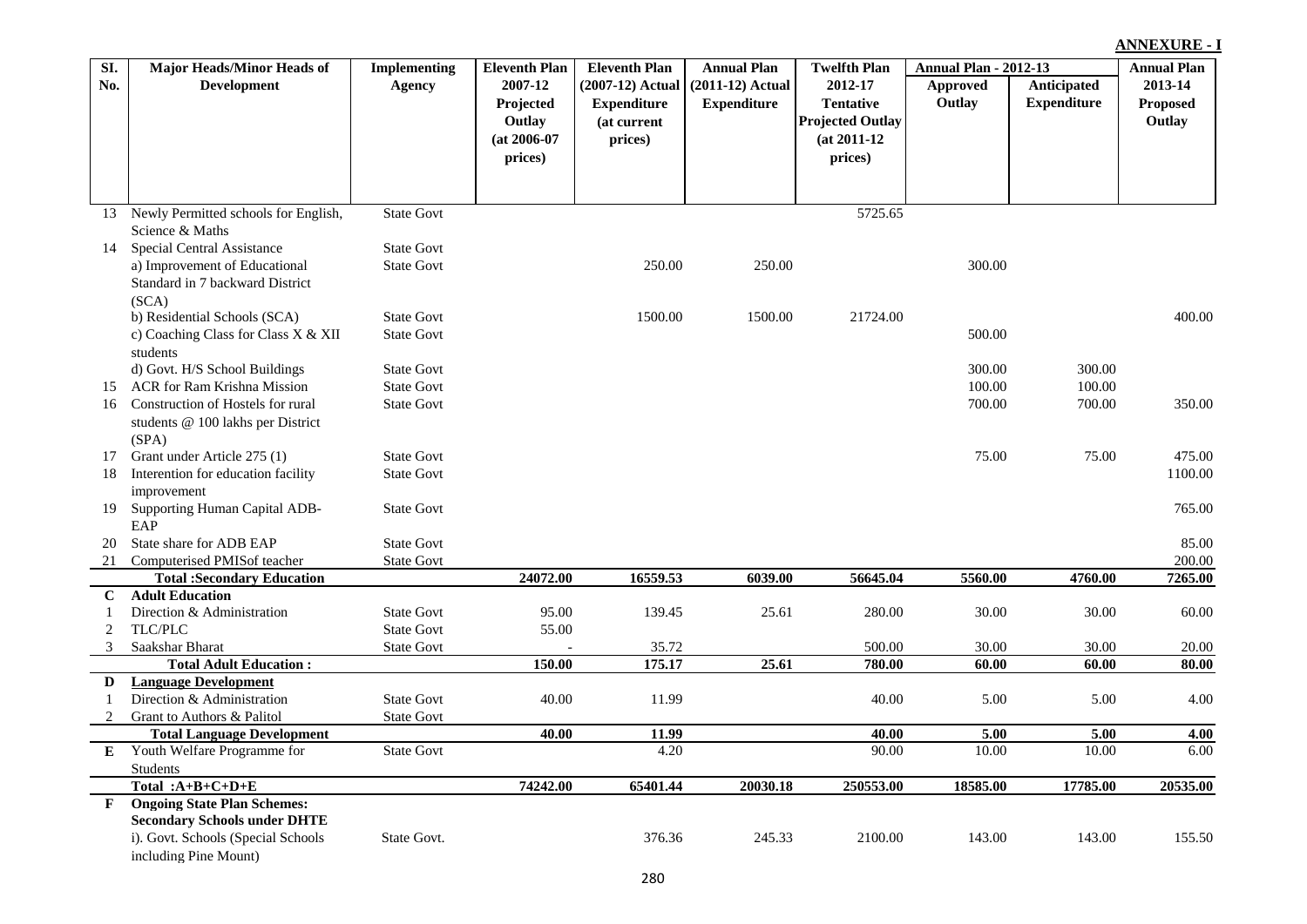#### **Approved Outlay Anticipated Expenditure (2007-12) Actual Expenditure (at current prices) (2011-12) Actual Expenditure 2012-17 Tentative Projected Outlay (at 2011-12 prices) 2013-14 Proposed Outlay No. Development Agency 2007-12 Projected Outlay (at 2006-07 prices)** 13 Newly Permitted schools for English, Science & Maths State Govt 5725.65 14 Special Central Assistance State Govt a) Improvement of Educational Standard in 7 backward District (SCA) State Govt 250.00 250.00 250.00 250.00 250.00 300.00 b) Residential Schools (SCA) State Govt 1500.00 1500.00 21724.00 400.00 c) Coaching Class for Class X & XII students State Govt 500.00 d) Govt. H/S School Buildings State Govt 500.00 State State Govt 300.00 300.00 300.00 300.00 15 ACR for Ram Krishna Mission State Govt State Govt 100.00 100.00 100.00 100.00 100.00 100.00 100.00 100.00 100.00 16 Construction of Hostels for rural students @ 100 lakhs per District (SPA) State Govt 700.00 700.00 350.00 17 Grant under Article 275 (1) State Govt 5.00 5 State Govt 5.00 75.00 75.00 475.00 18 Interention for education facility improvement State Govt 1100.00 19 Supporting Human Capital ADB-EAP State Govt 765.00 20 State share for ADB EAP State Govt 85.00 21 Computerised PMISof teacher 5tate Govt 200.00 State Govt 200.00 200.00 200.00 200.00 200.00 200.00 200.00 2<br>20072.00 16559.53 6039.00 56645.04 5560.00 4760.00 7265.00 2465.00 **Total :Secondary Education 24072.00 16559.53 6039.00 56645.04 5560.00 4760.00 7265.00 C Adult Education** 1 Direction & Administration State Govt 95.00 139.45 25.61 280.00 30.00 30.00 60.00 2 TLC/PLC State Govt 55.00 3 Saakshar Bharat State Govt - 35.72 500.00 30.00 30.00 20.00 **Total Adult Education : 150.00 175.17 25.61 780.00 60.00 60.00 80.00 D Language Development** 1 Direction & Administration State Govt 40.00 11.99 40.00 5.00 5.00 4.00 2 Grant to Authors & Palitol State Govt **Total Language Development 40.00 11.99 40.00 5.00 5.00 4.00 E** Youth Welfare Programme for Students<br>Total: $A+B+C+D+E$ State Govt 6.00 10.00 10.00 10.00 10.00 6.00 **Total :A+B+C+D+E 74242.00 65401.44 20030.18 250553.00 18585.00 17785.00 20535.00 F Ongoing State Plan Schemes: Secondary Schools under DHTE** i). Govt. Schools (Special Schools including Pine Mount) State Govt. 376.36 245.33 2100.00 143.00 143.00 155.50

**SI.** 

**Major Heads/Minor Heads of** 

**Implementing** 

**Eleventh Plan** 

**Eleventh Plan Annual Plan Twelfth Plan Annual Plan - 2012-13** 

**Twelfth Plan** 

**Annual Plan** 

**ANNEXURE - I Annual Plan**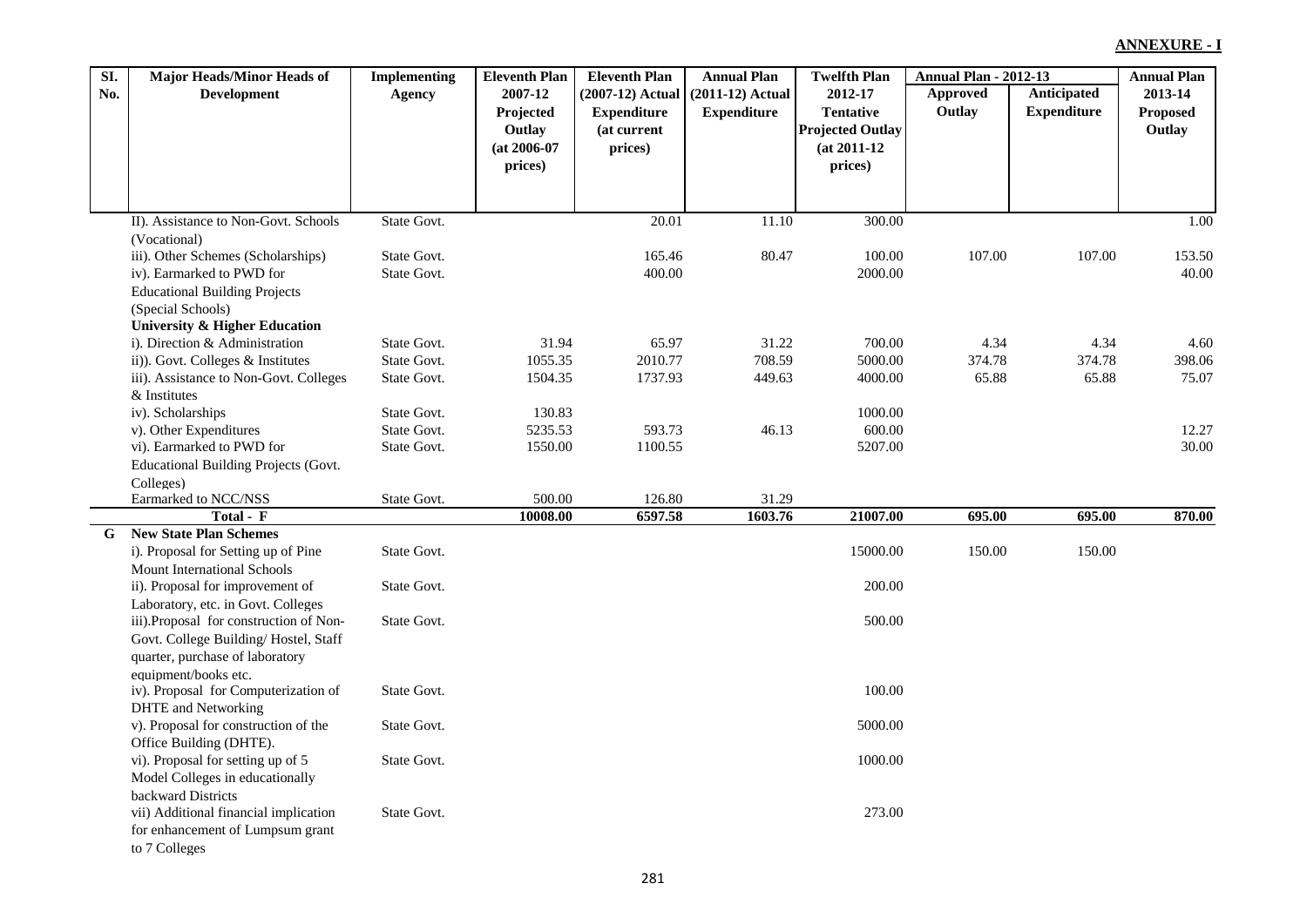| SI. | <b>Major Heads/Minor Heads of</b>           | <b>Implementing</b>        | <b>Eleventh Plan</b> | <b>Eleventh Plan</b> | <b>Annual Plan</b> | <b>Twelfth Plan</b>     | <b>Annual Plan - 2012-13</b> |                    | <b>Annual Plan</b> |
|-----|---------------------------------------------|----------------------------|----------------------|----------------------|--------------------|-------------------------|------------------------------|--------------------|--------------------|
| No. | <b>Development</b>                          | Agency                     | 2007-12              | $(2007-12)$ Actual   | $(2011-12)$ Actual | 2012-17                 | Approved                     | Anticipated        | 2013-14            |
|     |                                             |                            | Projected            | <b>Expenditure</b>   | <b>Expenditure</b> | <b>Tentative</b>        | Outlay                       | <b>Expenditure</b> | <b>Proposed</b>    |
|     |                                             |                            | Outlay               | (at current          |                    | <b>Projected Outlay</b> |                              |                    | Outlay             |
|     |                                             |                            | $(at 2006-07)$       | prices)              |                    | $(at 2011-12)$          |                              |                    |                    |
|     |                                             |                            | prices)              |                      |                    | prices)                 |                              |                    |                    |
|     |                                             |                            |                      |                      |                    |                         |                              |                    |                    |
|     |                                             |                            |                      |                      |                    |                         |                              |                    |                    |
|     | II). Assistance to Non-Govt. Schools        | State Govt.                |                      | 20.01                | 11.10              | 300.00                  |                              |                    | 1.00               |
|     | (Vocational)                                |                            |                      |                      |                    |                         |                              |                    |                    |
|     | iii). Other Schemes (Scholarships)          | State Govt.                |                      | 165.46               | 80.47              | 100.00                  | 107.00                       | 107.00             | 153.50             |
|     | iv). Earmarked to PWD for                   | State Govt.                |                      | 400.00               |                    | 2000.00                 |                              |                    | 40.00              |
|     | <b>Educational Building Projects</b>        |                            |                      |                      |                    |                         |                              |                    |                    |
|     | (Special Schools)                           |                            |                      |                      |                    |                         |                              |                    |                    |
|     | University & Higher Education               |                            |                      |                      |                    |                         |                              |                    |                    |
|     | i). Direction & Administration              | State Govt.                | 31.94                | 65.97                | 31.22              | 700.00                  | 4.34                         | 4.34               | 4.60               |
|     | ii)). Govt. Colleges & Institutes           | State Govt.                | 1055.35              | 2010.77              | 708.59             | 5000.00                 | 374.78                       | 374.78             | 398.06             |
|     | iii). Assistance to Non-Govt. Colleges      | State Govt.                | 1504.35              | 1737.93              | 449.63             | 4000.00                 | 65.88                        | 65.88              | 75.07              |
|     | & Institutes                                |                            |                      |                      |                    |                         |                              |                    |                    |
|     | iv). Scholarships                           | State Govt.<br>State Govt. | 130.83<br>5235.53    | 593.73               |                    | 1000.00<br>600.00       |                              |                    |                    |
|     | v). Other Expenditures                      |                            |                      |                      | 46.13              |                         |                              |                    | 12.27              |
|     | vi). Earmarked to PWD for                   | State Govt.                | 1550.00              | 1100.55              |                    | 5207.00                 |                              |                    | 30.00              |
|     | <b>Educational Building Projects (Govt.</b> |                            |                      |                      |                    |                         |                              |                    |                    |
|     | Colleges)<br>Earmarked to NCC/NSS           | State Govt.                | 500.00               | 126.80               | 31.29              |                         |                              |                    |                    |
|     | Total - F                                   |                            | 10008.00             | 6597.58              | 1603.76            | 21007.00                | 695.00                       | 695.00             | 870.00             |
| G   | <b>New State Plan Schemes</b>               |                            |                      |                      |                    |                         |                              |                    |                    |
|     | i). Proposal for Setting up of Pine         | State Govt.                |                      |                      |                    | 15000.00                | 150.00                       | 150.00             |                    |
|     | <b>Mount International Schools</b>          |                            |                      |                      |                    |                         |                              |                    |                    |
|     | ii). Proposal for improvement of            | State Govt.                |                      |                      |                    | 200.00                  |                              |                    |                    |
|     | Laboratory, etc. in Govt. Colleges          |                            |                      |                      |                    |                         |                              |                    |                    |
|     | iii).Proposal for construction of Non-      | State Govt.                |                      |                      |                    | 500.00                  |                              |                    |                    |
|     | Govt. College Building/Hostel, Staff        |                            |                      |                      |                    |                         |                              |                    |                    |
|     | quarter, purchase of laboratory             |                            |                      |                      |                    |                         |                              |                    |                    |
|     | equipment/books etc.                        |                            |                      |                      |                    |                         |                              |                    |                    |
|     | iv). Proposal for Computerization of        | State Govt.                |                      |                      |                    | 100.00                  |                              |                    |                    |
|     | <b>DHTE</b> and Networking                  |                            |                      |                      |                    |                         |                              |                    |                    |
|     | v). Proposal for construction of the        | State Govt.                |                      |                      |                    | 5000.00                 |                              |                    |                    |
|     | Office Building (DHTE).                     |                            |                      |                      |                    |                         |                              |                    |                    |
|     | vi). Proposal for setting up of 5           | State Govt.                |                      |                      |                    | 1000.00                 |                              |                    |                    |
|     | Model Colleges in educationally             |                            |                      |                      |                    |                         |                              |                    |                    |
|     | backward Districts                          |                            |                      |                      |                    |                         |                              |                    |                    |
|     | vii) Additional financial implication       | State Govt.                |                      |                      |                    | 273.00                  |                              |                    |                    |
|     | for enhancement of Lumpsum grant            |                            |                      |                      |                    |                         |                              |                    |                    |
|     | to 7 Colleges                               |                            |                      |                      |                    |                         |                              |                    |                    |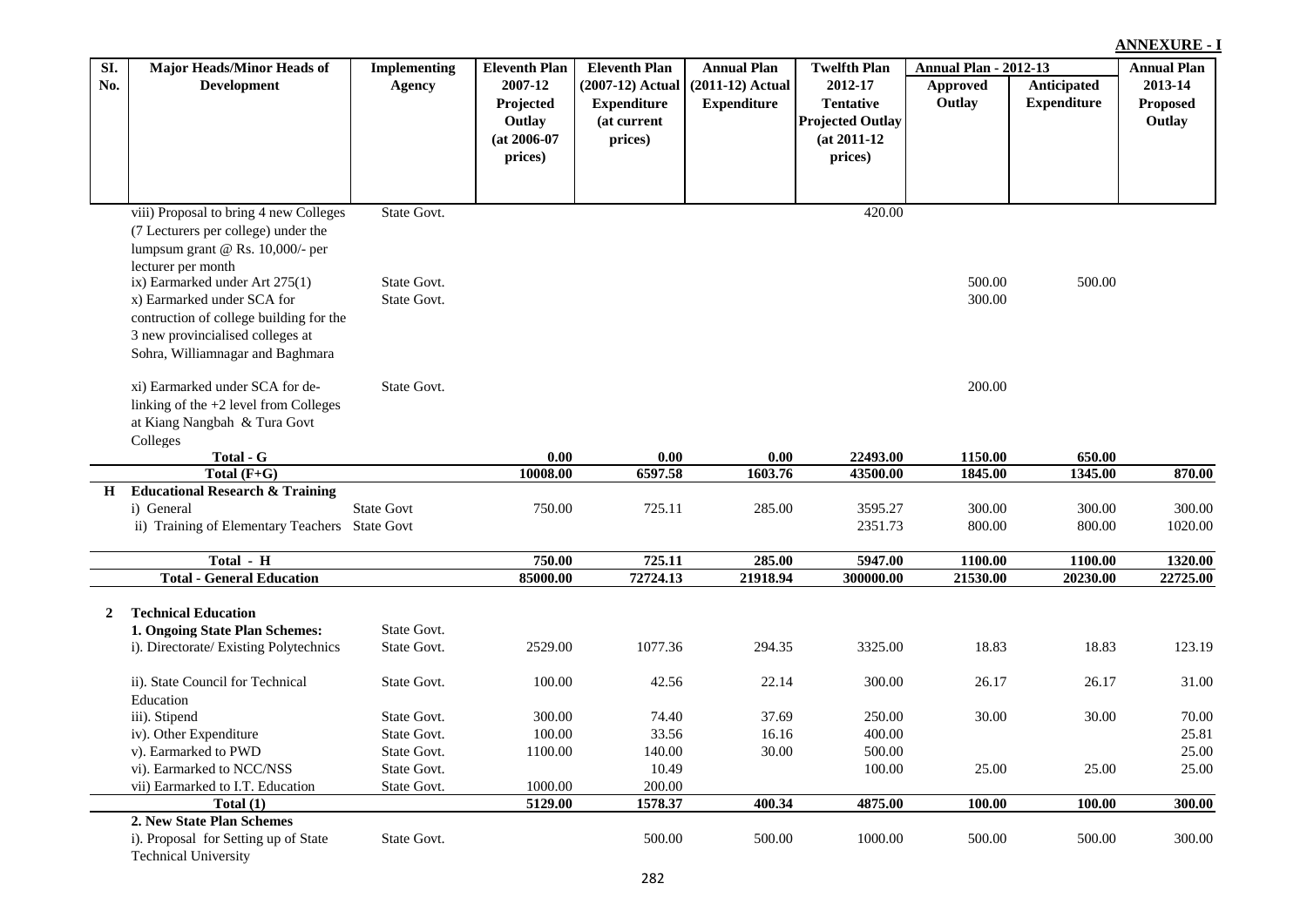### **Approved Outlay Anticipated Expenditure (2007-12) Actual Expenditure (at current prices) (2011-12) Actual Expenditure 2012-17 Tentative Projected Outlay (at 2011-12 prices) 2013-14 Proposed Outlay No. Development Implementing Agency 2007-12 Projected Outlay (at 2006-07 prices)** viii) Proposal to bring 4 new Colleges (7 Lecturers per college) under the lumpsum grant @ Rs. 10,000/- per lecturer per month State Govt. 420.00 ix) Earmarked under Art 275(1) State Govt. State Govt. Subset of the State Govt. Subset of the State Govt. x) Earmarked under SCA for contruction of college building for the 3 new provincialised colleges at Sohra, Williamnagar and Baghmara State Govt. 300.00 xi) Earmarked under SCA for delinking of the +2 level from Colleges at Kiang Nangbah & Tura Govt Colleges State Govt. 200.00 **Total - G 0.00 0.00 0.00 22493.00 1150.00 650.00 Total (F+G) 10008.00 6597.58 1603.76 43500.00 1845.00 1345.00 870.00 H Educational Research & Training** i) General 2001 2003 State Govt 250.00 750.00 725.11 285.00 3595.27 300.00 300.00 300.00 ii) Training of Elementary Teachers State Govt 2351.73 800.00 800.00 1020.00 **Total - H 750.00 725.11 285.00 5947.00 1100.00 1100.00 1320.00 Total - General Education 85000.00 72724.13 21918.94 300000.00 21530.00 20230.00 22725.00 2 Technical Education 1. Ongoing State Plan Schemes:** State Govt. i). Directorate/ Existing Polytechnics State Govt. 2529.00 1077.36 294.35 3325.00 18.83 18.83 123.19 ii). State Council for Technical Education State Govt. 100.00 42.56 22.14 300.00 26.17 26.17 31.00 iii). Stipend State Govt. 300.00 74.40 37.69 250.00 30.00 30.00 30.00 70.00 iv). Other Expenditure State Govt. 100.00 33.56 16.16 400.00 325.81 v). Earmarked to PWD State Govt. 1100.00 140.00 30.00 500.00 100.00 25.00 vi). Earmarked to NCC/NSS State Govt. 10.49 100.00 25.00 25.00 25.00 25.00 25.00 vii) Earmarked to I.T. Education State Govt. 1000.00 200.00 200.00<br>Total (1) 5129.00 1578.37 **Total (1) 5129.00 1578.37 400.34 4875.00 100.00 100.00 300.00 2. New State Plan Schemes** i). Proposal for Setting up of State State Govt. 500.00 500.00 1000.00 500.00 500.00 300.00

**Eleventh Plan** 

**Eleventh Plan** Annual Plan Twelfth Plan Annual Plan - 2012-13

**Twelfth Plan** 

**Annual Plan** 

Technical University

**SI.** 

**Major Heads/Minor Heads of** 

### **ANNEXURE - I Annual Plan**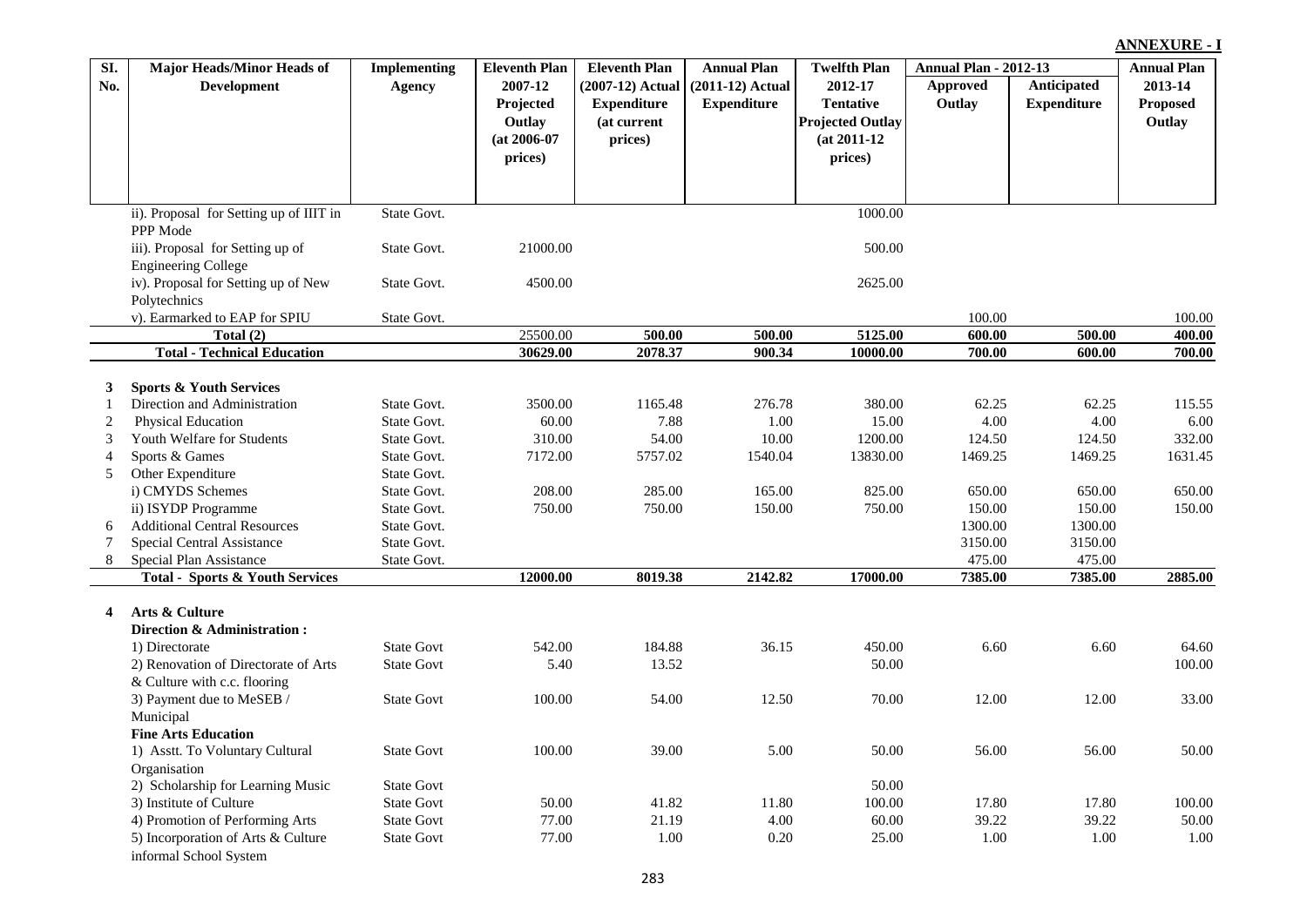| SI.            | <b>Major Heads/Minor Heads of</b>          | <b>Implementing</b> | <b>Eleventh Plan</b> | <b>Eleventh Plan</b> | <b>Annual Plan</b> | <b>Twelfth Plan</b>     | <b>Annual Plan - 2012-13</b> |                    | <b>Annual Plan</b> |
|----------------|--------------------------------------------|---------------------|----------------------|----------------------|--------------------|-------------------------|------------------------------|--------------------|--------------------|
| No.            | <b>Development</b>                         | Agency              | 2007-12              | (2007-12) Actual     | $(2011-12)$ Actual | 2012-17                 | Approved                     | Anticipated        | 2013-14            |
|                |                                            |                     | Projected            | <b>Expenditure</b>   | <b>Expenditure</b> | <b>Tentative</b>        | Outlay                       | <b>Expenditure</b> | <b>Proposed</b>    |
|                |                                            |                     | Outlay               | (at current          |                    | <b>Projected Outlay</b> |                              |                    | Outlay             |
|                |                                            |                     | $(at 2006-07)$       | prices)              |                    | $(at 2011-12)$          |                              |                    |                    |
|                |                                            |                     | prices)              |                      |                    | prices)                 |                              |                    |                    |
|                |                                            |                     |                      |                      |                    |                         |                              |                    |                    |
|                |                                            |                     |                      |                      |                    |                         |                              |                    |                    |
|                | ii). Proposal for Setting up of IIIT in    | State Govt.         |                      |                      |                    | 1000.00                 |                              |                    |                    |
|                | PPP Mode                                   |                     |                      |                      |                    |                         |                              |                    |                    |
|                | iii). Proposal for Setting up of           | State Govt.         | 21000.00             |                      |                    | 500.00                  |                              |                    |                    |
|                | <b>Engineering College</b>                 |                     |                      |                      |                    |                         |                              |                    |                    |
|                | iv). Proposal for Setting up of New        | State Govt.         | 4500.00              |                      |                    | 2625.00                 |                              |                    |                    |
|                | Polytechnics                               |                     |                      |                      |                    |                         |                              |                    |                    |
|                | v). Earmarked to EAP for SPIU              | State Govt.         |                      |                      |                    |                         | 100.00                       |                    | 100.00             |
|                | Total $(2)$                                |                     | 25500.00             | 500.00               | 500.00             | 5125.00                 | 600.00                       | 500.00             | 400.00             |
|                | <b>Total - Technical Education</b>         |                     | 30629.00             | 2078.37              | 900.34             | 10000.00                | 700.00                       | 600.00             | 700.00             |
|                |                                            |                     |                      |                      |                    |                         |                              |                    |                    |
| 3              | <b>Sports &amp; Youth Services</b>         |                     |                      |                      |                    |                         |                              |                    |                    |
| 1              | Direction and Administration               | State Govt.         | 3500.00              | 1165.48              | 276.78             | 380.00                  | 62.25                        | 62.25              | 115.55             |
| $\overline{c}$ | <b>Physical Education</b>                  | State Govt.         | 60.00                | 7.88                 | 1.00               | 15.00                   | 4.00                         | 4.00               | 6.00               |
| 3              | Youth Welfare for Students                 | State Govt.         | 310.00               | 54.00                | 10.00              | 1200.00                 | 124.50                       | 124.50             | 332.00             |
| $\overline{4}$ | Sports & Games                             | State Govt.         | 7172.00              | 5757.02              | 1540.04            | 13830.00                | 1469.25                      | 1469.25            | 1631.45            |
| 5              | Other Expenditure                          | State Govt.         |                      |                      |                    |                         |                              |                    |                    |
|                | i) CMYDS Schemes                           | State Govt.         | 208.00               | 285.00               | 165.00             | 825.00                  | 650.00                       | 650.00             | 650.00             |
|                | ii) ISYDP Programme                        | State Govt.         | 750.00               | 750.00               | 150.00             | 750.00                  | 150.00                       | 150.00             | 150.00             |
| 6              | <b>Additional Central Resources</b>        | State Govt.         |                      |                      |                    |                         | 1300.00                      | 1300.00            |                    |
| $\tau$         | Special Central Assistance                 | State Govt.         |                      |                      |                    |                         | 3150.00                      | 3150.00            |                    |
| 8              | Special Plan Assistance                    | State Govt.         |                      |                      |                    |                         | 475.00                       | 475.00             |                    |
|                | <b>Total - Sports &amp; Youth Services</b> |                     | 12000.00             | 8019.38              | 2142.82            | 17000.00                | 7385.00                      | 7385.00            | 2885.00            |
|                | Arts & Culture                             |                     |                      |                      |                    |                         |                              |                    |                    |
| 4              | Direction & Administration:                |                     |                      |                      |                    |                         |                              |                    |                    |
|                | 1) Directorate                             | <b>State Govt</b>   | 542.00               | 184.88               | 36.15              | 450.00                  | 6.60                         | 6.60               | 64.60              |
|                | 2) Renovation of Directorate of Arts       | <b>State Govt</b>   | 5.40                 | 13.52                |                    | 50.00                   |                              |                    | 100.00             |
|                |                                            |                     |                      |                      |                    |                         |                              |                    |                    |
|                | & Culture with c.c. flooring               |                     |                      |                      |                    |                         |                              |                    | 33.00              |
|                | 3) Payment due to MeSEB /                  | <b>State Govt</b>   | 100.00               | 54.00                | 12.50              | 70.00                   | 12.00                        | 12.00              |                    |
|                | Municipal                                  |                     |                      |                      |                    |                         |                              |                    |                    |
|                | <b>Fine Arts Education</b>                 |                     |                      |                      |                    |                         |                              |                    |                    |
|                | 1) Asstt. To Voluntary Cultural            | <b>State Govt</b>   | 100.00               | 39.00                | 5.00               | 50.00                   | 56.00                        | 56.00              | 50.00              |
|                | Organisation                               |                     |                      |                      |                    |                         |                              |                    |                    |
|                | 2) Scholarship for Learning Music          | <b>State Govt</b>   |                      |                      |                    | 50.00                   |                              |                    |                    |
|                | 3) Institute of Culture                    | <b>State Govt</b>   | 50.00                | 41.82                | 11.80              | 100.00                  | 17.80                        | 17.80              | 100.00             |
|                | 4) Promotion of Performing Arts            | <b>State Govt</b>   | 77.00                | 21.19                | 4.00               | 60.00                   | 39.22                        | 39.22              | 50.00              |
|                | 5) Incorporation of Arts & Culture         | <b>State Govt</b>   | 77.00                | 1.00                 | 0.20               | 25.00                   | 1.00                         | 1.00               | 1.00               |
|                | informal School System                     |                     |                      |                      |                    |                         |                              |                    |                    |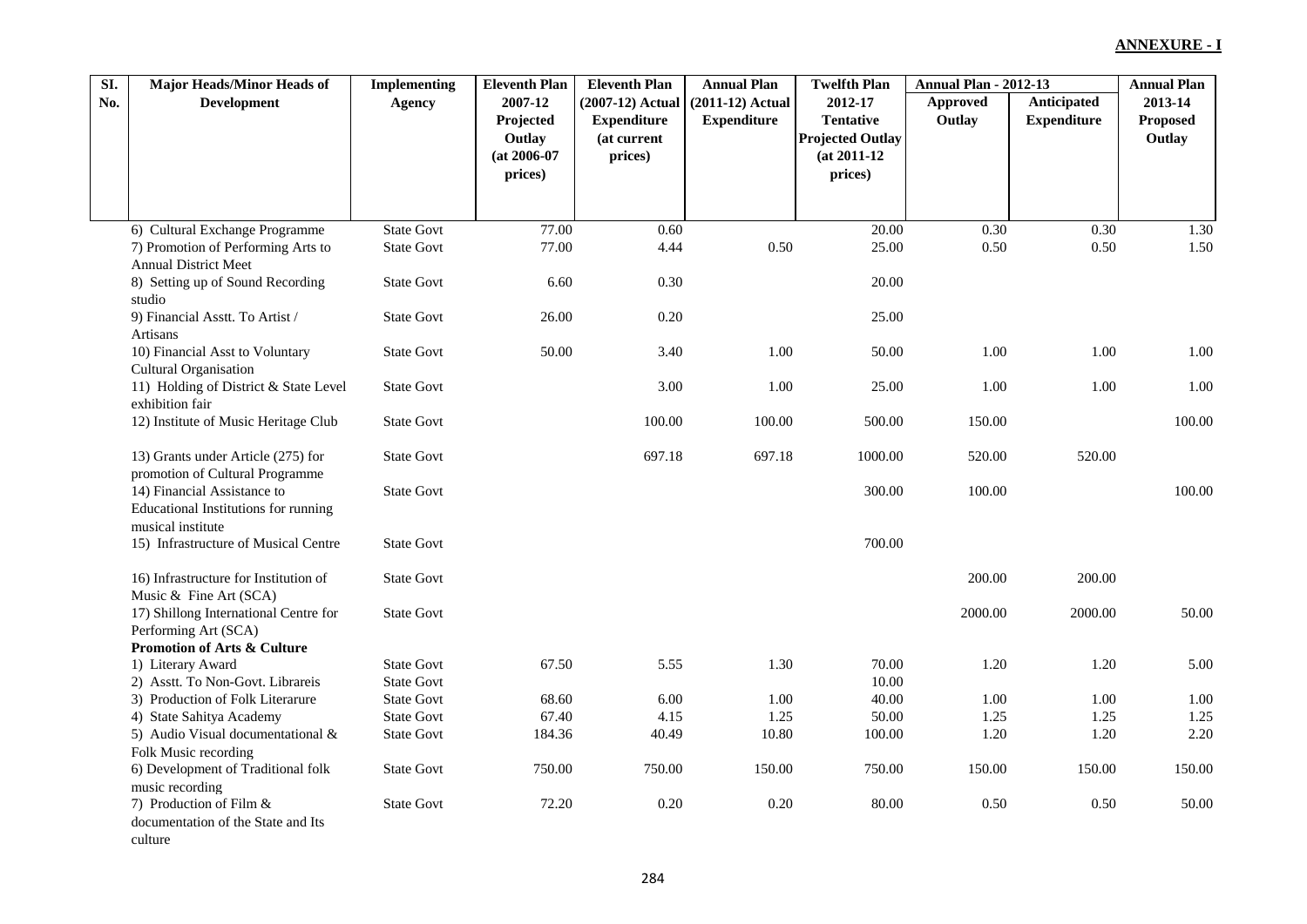| SI. | <b>Major Heads/Minor Heads of</b>                                    | <b>Implementing</b> | <b>Eleventh Plan</b> | <b>Eleventh Plan</b> | <b>Annual Plan</b> | <b>Twelfth Plan</b>     | <b>Annual Plan - 2012-13</b> |                    | <b>Annual Plan</b> |
|-----|----------------------------------------------------------------------|---------------------|----------------------|----------------------|--------------------|-------------------------|------------------------------|--------------------|--------------------|
| No. | <b>Development</b>                                                   | <b>Agency</b>       | 2007-12              | (2007-12) Actual     | $(2011-12)$ Actual | 2012-17                 | Approved                     | <b>Anticipated</b> | 2013-14            |
|     |                                                                      |                     | Projected            | <b>Expenditure</b>   | <b>Expenditure</b> | <b>Tentative</b>        | Outlay                       | <b>Expenditure</b> | Proposed           |
|     |                                                                      |                     | Outlay               | (at current          |                    | <b>Projected Outlay</b> |                              |                    | Outlay             |
|     |                                                                      |                     | $(at 2006-07)$       | prices)              |                    | $(at 2011-12)$          |                              |                    |                    |
|     |                                                                      |                     | prices)              |                      |                    | prices)                 |                              |                    |                    |
|     |                                                                      |                     |                      |                      |                    |                         |                              |                    |                    |
|     |                                                                      | <b>State Govt</b>   | 77.00                | 0.60                 |                    | 20.00                   | 0.30                         | 0.30               | 1.30               |
|     | 6) Cultural Exchange Programme<br>7) Promotion of Performing Arts to | <b>State Govt</b>   | 77.00                | 4.44                 | 0.50               | 25.00                   | 0.50                         | 0.50               | 1.50               |
|     | <b>Annual District Meet</b>                                          |                     |                      |                      |                    |                         |                              |                    |                    |
|     | 8) Setting up of Sound Recording                                     | <b>State Govt</b>   | 6.60                 | 0.30                 |                    | 20.00                   |                              |                    |                    |
|     | studio                                                               |                     |                      |                      |                    |                         |                              |                    |                    |
|     | 9) Financial Asstt. To Artist /                                      | <b>State Govt</b>   | 26.00                | 0.20                 |                    | 25.00                   |                              |                    |                    |
|     | <b>Artisans</b>                                                      |                     |                      |                      |                    |                         |                              |                    |                    |
|     | 10) Financial Asst to Voluntary                                      | <b>State Govt</b>   | 50.00                | 3.40                 | 1.00               | 50.00                   | 1.00                         | 1.00               | 1.00               |
|     | <b>Cultural Organisation</b>                                         |                     |                      |                      |                    |                         |                              |                    |                    |
|     | 11) Holding of District & State Level                                | <b>State Govt</b>   |                      | 3.00                 | 1.00               | 25.00                   | 1.00                         | 1.00               | 1.00               |
|     | exhibition fair                                                      |                     |                      |                      |                    |                         |                              |                    |                    |
|     | 12) Institute of Music Heritage Club                                 | <b>State Govt</b>   |                      | 100.00               | 100.00             | 500.00                  | 150.00                       |                    | 100.00             |
|     | 13) Grants under Article (275) for                                   | <b>State Govt</b>   |                      | 697.18               | 697.18             | 1000.00                 | 520.00                       | 520.00             |                    |
|     | promotion of Cultural Programme                                      |                     |                      |                      |                    |                         |                              |                    |                    |
|     | 14) Financial Assistance to                                          | <b>State Govt</b>   |                      |                      |                    | 300.00                  | 100.00                       |                    | 100.00             |
|     | Educational Institutions for running                                 |                     |                      |                      |                    |                         |                              |                    |                    |
|     | musical institute                                                    |                     |                      |                      |                    |                         |                              |                    |                    |
|     | 15) Infrastructure of Musical Centre                                 | <b>State Govt</b>   |                      |                      |                    | 700.00                  |                              |                    |                    |
|     | 16) Infrastructure for Institution of                                | <b>State Govt</b>   |                      |                      |                    |                         | 200.00                       | 200.00             |                    |
|     | Music & Fine Art (SCA)                                               |                     |                      |                      |                    |                         |                              |                    |                    |
|     | 17) Shillong International Centre for                                | <b>State Govt</b>   |                      |                      |                    |                         | 2000.00                      | 2000.00            | 50.00              |
|     | Performing Art (SCA)                                                 |                     |                      |                      |                    |                         |                              |                    |                    |
|     | Promotion of Arts & Culture                                          |                     |                      |                      |                    |                         |                              |                    |                    |
|     | 1) Literary Award                                                    | <b>State Govt</b>   | 67.50                | 5.55                 | 1.30               | 70.00                   | 1.20                         | 1.20               | 5.00               |
|     | 2) Asstt. To Non-Govt. Librareis                                     | <b>State Govt</b>   |                      |                      |                    | 10.00                   |                              |                    |                    |
|     | 3) Production of Folk Literarure                                     | <b>State Govt</b>   | 68.60                | 6.00                 | 1.00               | 40.00                   | 1.00                         | 1.00               | 1.00               |
|     | 4) State Sahitya Academy                                             | <b>State Govt</b>   | 67.40                | 4.15                 | 1.25               | 50.00                   | 1.25                         | 1.25               | 1.25               |
|     | 5) Audio Visual documentational &                                    | <b>State Govt</b>   | 184.36               | 40.49                | 10.80              | 100.00                  | 1.20                         | 1.20               | 2.20               |
|     | Folk Music recording                                                 |                     |                      |                      |                    |                         |                              |                    |                    |
|     | 6) Development of Traditional folk                                   | <b>State Govt</b>   | 750.00               | 750.00               | 150.00             | 750.00                  | 150.00                       | 150.00             | 150.00             |
|     | music recording                                                      |                     |                      |                      |                    |                         |                              |                    |                    |
|     | 7) Production of Film &                                              | <b>State Govt</b>   | 72.20                | 0.20                 | 0.20               | 80.00                   | 0.50                         | 0.50               | 50.00              |
|     | documentation of the State and Its                                   |                     |                      |                      |                    |                         |                              |                    |                    |
|     | culture                                                              |                     |                      |                      |                    |                         |                              |                    |                    |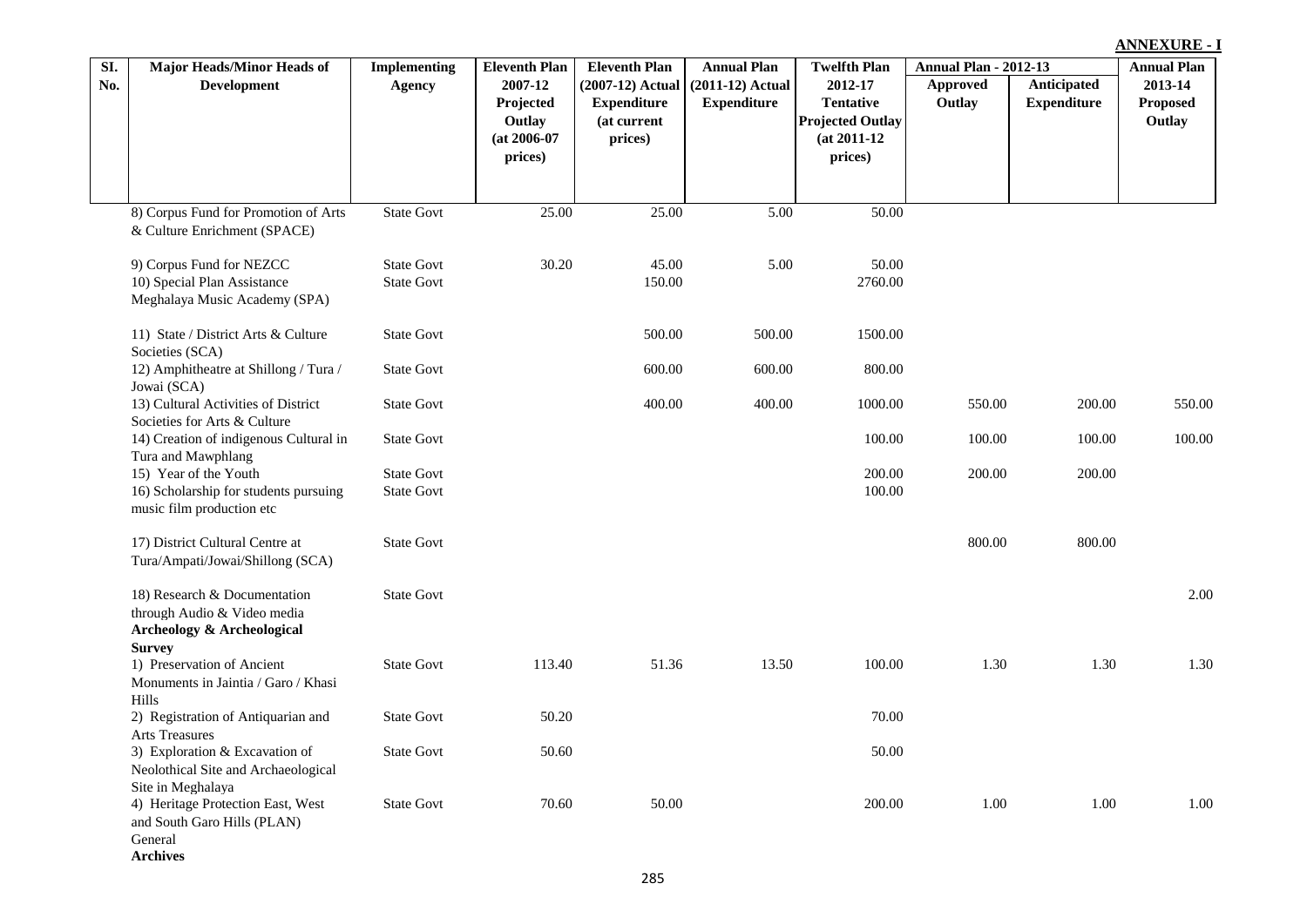|     |                                                                                                                       |                     |                                                             |                                                                    |                                          |                                                                                     |                              |                                   | <b>ANNEXURE - I</b>                  |  |
|-----|-----------------------------------------------------------------------------------------------------------------------|---------------------|-------------------------------------------------------------|--------------------------------------------------------------------|------------------------------------------|-------------------------------------------------------------------------------------|------------------------------|-----------------------------------|--------------------------------------|--|
| SI. | <b>Major Heads/Minor Heads of</b>                                                                                     | <b>Implementing</b> | <b>Eleventh Plan</b>                                        | <b>Eleventh Plan</b>                                               | <b>Annual Plan</b>                       | <b>Twelfth Plan</b>                                                                 | <b>Annual Plan - 2012-13</b> |                                   | <b>Annual Plan</b>                   |  |
| No. | <b>Development</b>                                                                                                    | <b>Agency</b>       | 2007-12<br>Projected<br>Outlay<br>$(at 2006-07)$<br>prices) | $(2007-12)$ Actual<br><b>Expenditure</b><br>(at current<br>prices) | $(2011-12)$ Actual<br><b>Expenditure</b> | 2012-17<br><b>Tentative</b><br><b>Projected Outlay</b><br>$(at 2011-12)$<br>prices) | <b>Approved</b><br>Outlay    | Anticipated<br><b>Expenditure</b> | 2013-14<br><b>Proposed</b><br>Outlay |  |
|     |                                                                                                                       |                     |                                                             |                                                                    |                                          |                                                                                     |                              |                                   |                                      |  |
|     | 8) Corpus Fund for Promotion of Arts<br>& Culture Enrichment (SPACE)                                                  | <b>State Govt</b>   | 25.00                                                       | 25.00                                                              | 5.00                                     | 50.00                                                                               |                              |                                   |                                      |  |
|     | 9) Corpus Fund for NEZCC                                                                                              | <b>State Govt</b>   | 30.20                                                       | 45.00                                                              | 5.00                                     | 50.00                                                                               |                              |                                   |                                      |  |
|     | 10) Special Plan Assistance<br>Meghalaya Music Academy (SPA)                                                          | <b>State Govt</b>   |                                                             | 150.00                                                             |                                          | 2760.00                                                                             |                              |                                   |                                      |  |
|     | 11) State / District Arts & Culture<br>Societies (SCA)                                                                | <b>State Govt</b>   |                                                             | 500.00                                                             | 500.00                                   | 1500.00                                                                             |                              |                                   |                                      |  |
|     | 12) Amphitheatre at Shillong / Tura /<br>Jowai (SCA)                                                                  | <b>State Govt</b>   |                                                             | 600.00                                                             | 600.00                                   | 800.00                                                                              |                              |                                   |                                      |  |
|     | 13) Cultural Activities of District<br>Societies for Arts & Culture                                                   | <b>State Govt</b>   |                                                             | 400.00                                                             | 400.00                                   | 1000.00                                                                             | 550.00                       | 200.00                            | 550.00                               |  |
|     | 14) Creation of indigenous Cultural in<br>Tura and Mawphlang                                                          | <b>State Govt</b>   |                                                             |                                                                    |                                          | 100.00                                                                              | 100.00                       | 100.00                            | 100.00                               |  |
|     | 15) Year of the Youth                                                                                                 | <b>State Govt</b>   |                                                             |                                                                    |                                          | 200.00                                                                              | 200.00                       | 200.00                            |                                      |  |
|     | 16) Scholarship for students pursuing<br>music film production etc                                                    | <b>State Govt</b>   |                                                             |                                                                    |                                          | 100.00                                                                              |                              |                                   |                                      |  |
|     | 17) District Cultural Centre at<br>Tura/Ampati/Jowai/Shillong (SCA)                                                   | <b>State Govt</b>   |                                                             |                                                                    |                                          |                                                                                     | 800.00                       | 800.00                            |                                      |  |
|     | 18) Research & Documentation<br>through Audio & Video media<br><b>Archeology &amp; Archeological</b><br><b>Survey</b> | <b>State Govt</b>   |                                                             |                                                                    |                                          |                                                                                     |                              |                                   | 2.00                                 |  |
|     | 1) Preservation of Ancient<br>Monuments in Jaintia / Garo / Khasi<br>Hills                                            | <b>State Govt</b>   | 113.40                                                      | 51.36                                                              | 13.50                                    | 100.00                                                                              | 1.30                         | 1.30                              | 1.30                                 |  |
|     | 2) Registration of Antiquarian and<br>Arts Treasures                                                                  | <b>State Govt</b>   | 50.20                                                       |                                                                    |                                          | 70.00                                                                               |                              |                                   |                                      |  |
|     | 3) Exploration & Excavation of<br>Neolothical Site and Archaeological<br>Site in Meghalaya                            | <b>State Govt</b>   | 50.60                                                       |                                                                    |                                          | 50.00                                                                               |                              |                                   |                                      |  |
|     | 4) Heritage Protection East, West<br>and South Garo Hills (PLAN)<br>General                                           | <b>State Govt</b>   | 70.60                                                       | 50.00                                                              |                                          | 200.00                                                                              | 1.00                         | 1.00                              | 1.00                                 |  |

**Archives**

L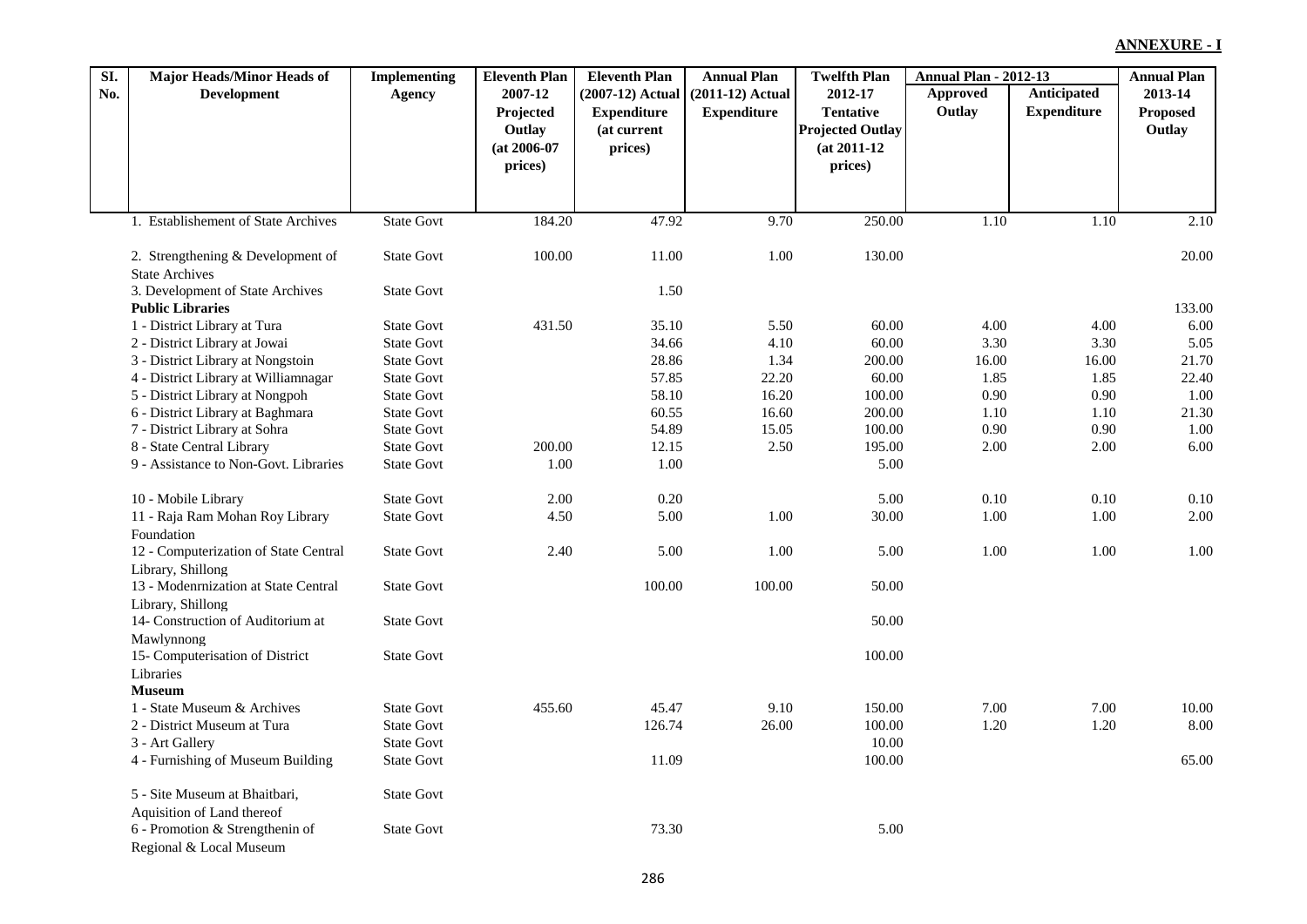| SI. | <b>Major Heads/Minor Heads of</b>     | <b>Implementing</b> | <b>Eleventh Plan</b> | <b>Eleventh Plan</b> | <b>Annual Plan</b> | <b>Twelfth Plan</b>     | <b>Annual Plan - 2012-13</b> |                    | <b>Annual Plan</b> |
|-----|---------------------------------------|---------------------|----------------------|----------------------|--------------------|-------------------------|------------------------------|--------------------|--------------------|
| No. | <b>Development</b>                    | Agency              | 2007-12              | $(2007-12)$ Actual   | $(2011-12)$ Actual | 2012-17                 | Approved                     | Anticipated        | 2013-14            |
|     |                                       |                     | Projected            | <b>Expenditure</b>   | <b>Expenditure</b> | <b>Tentative</b>        | Outlay                       | <b>Expenditure</b> | <b>Proposed</b>    |
|     |                                       |                     | Outlay               | (at current          |                    | <b>Projected Outlay</b> |                              |                    | Outlay             |
|     |                                       |                     | $(at 2006-07)$       | prices)              |                    | $(at 2011-12)$          |                              |                    |                    |
|     |                                       |                     | prices)              |                      |                    | prices)                 |                              |                    |                    |
|     |                                       |                     |                      |                      |                    |                         |                              |                    |                    |
|     | 1. Establishement of State Archives   | <b>State Govt</b>   | 184.20               | 47.92                | 9.70               | 250.00                  | 1.10                         | 1.10               | 2.10               |
|     |                                       |                     |                      |                      |                    |                         |                              |                    |                    |
|     | 2. Strengthening & Development of     | <b>State Govt</b>   | 100.00               | 11.00                | 1.00               | 130.00                  |                              |                    | 20.00              |
|     | <b>State Archives</b>                 |                     |                      |                      |                    |                         |                              |                    |                    |
|     | 3. Development of State Archives      | <b>State Govt</b>   |                      | 1.50                 |                    |                         |                              |                    |                    |
|     | <b>Public Libraries</b>               |                     |                      |                      |                    |                         |                              |                    | 133.00             |
|     | 1 - District Library at Tura          | <b>State Govt</b>   | 431.50               | 35.10                | 5.50               | 60.00                   | 4.00                         | 4.00               | 6.00               |
|     | 2 - District Library at Jowai         | <b>State Govt</b>   |                      | 34.66                | 4.10               | 60.00                   | 3.30                         | 3.30               | 5.05               |
|     | 3 - District Library at Nongstoin     | <b>State Govt</b>   |                      | 28.86                | 1.34               | 200.00                  | 16.00                        | 16.00              | 21.70              |
|     | 4 - District Library at Williamnagar  | <b>State Govt</b>   |                      | 57.85                | 22.20              | 60.00                   | 1.85                         | 1.85               | 22.40              |
|     | 5 - District Library at Nongpoh       | <b>State Govt</b>   |                      | 58.10                | 16.20              | 100.00                  | 0.90                         | 0.90               | 1.00               |
|     | 6 - District Library at Baghmara      | <b>State Govt</b>   |                      | 60.55                | 16.60              | 200.00                  | 1.10                         | 1.10               | 21.30              |
|     | 7 - District Library at Sohra         | <b>State Govt</b>   |                      | 54.89                | 15.05              | 100.00                  | 0.90                         | 0.90               | 1.00               |
|     | 8 - State Central Library             | <b>State Govt</b>   | 200.00               | 12.15                | 2.50               | 195.00                  | 2.00                         | 2.00               | 6.00               |
|     | 9 - Assistance to Non-Govt. Libraries | <b>State Govt</b>   | 1.00                 | 1.00                 |                    | 5.00                    |                              |                    |                    |
|     | 10 - Mobile Library                   | <b>State Govt</b>   | 2.00                 | 0.20                 |                    | 5.00                    | $0.10\,$                     | 0.10               | 0.10               |
|     | 11 - Raja Ram Mohan Roy Library       | <b>State Govt</b>   | 4.50                 | 5.00                 | 1.00               | 30.00                   | 1.00                         | 1.00               | 2.00               |
|     | Foundation                            |                     |                      |                      |                    |                         |                              |                    |                    |
|     | 12 - Computerization of State Central | <b>State Govt</b>   | 2.40                 | 5.00                 | 1.00               | 5.00                    | 1.00                         | 1.00               | 1.00               |
|     | Library, Shillong                     |                     |                      |                      |                    |                         |                              |                    |                    |
|     | 13 - Modenrnization at State Central  | <b>State Govt</b>   |                      | 100.00               | 100.00             | 50.00                   |                              |                    |                    |
|     | Library, Shillong                     |                     |                      |                      |                    |                         |                              |                    |                    |
|     | 14- Construction of Auditorium at     | <b>State Govt</b>   |                      |                      |                    | 50.00                   |                              |                    |                    |
|     | Mawlynnong                            |                     |                      |                      |                    |                         |                              |                    |                    |
|     | 15- Computerisation of District       | <b>State Govt</b>   |                      |                      |                    | 100.00                  |                              |                    |                    |
|     | Libraries                             |                     |                      |                      |                    |                         |                              |                    |                    |
|     | <b>Museum</b>                         |                     |                      |                      |                    |                         |                              |                    |                    |
|     | 1 - State Museum & Archives           | <b>State Govt</b>   | 455.60               | 45.47                | 9.10               | 150.00                  | 7.00                         | 7.00               | 10.00              |
|     | 2 - District Museum at Tura           | <b>State Govt</b>   |                      | 126.74               | 26.00              | 100.00                  | 1.20                         | 1.20               | 8.00               |
|     | 3 - Art Gallery                       | <b>State Govt</b>   |                      |                      |                    | 10.00                   |                              |                    |                    |
|     | 4 - Furnishing of Museum Building     | <b>State Govt</b>   |                      | 11.09                |                    | 100.00                  |                              |                    | 65.00              |
|     | 5 - Site Museum at Bhaitbari,         | <b>State Govt</b>   |                      |                      |                    |                         |                              |                    |                    |
|     | Aquisition of Land thereof            |                     |                      |                      |                    |                         |                              |                    |                    |
|     | 6 - Promotion & Strengthenin of       | <b>State Govt</b>   |                      | 73.30                |                    | 5.00                    |                              |                    |                    |
|     | Regional & Local Museum               |                     |                      |                      |                    |                         |                              |                    |                    |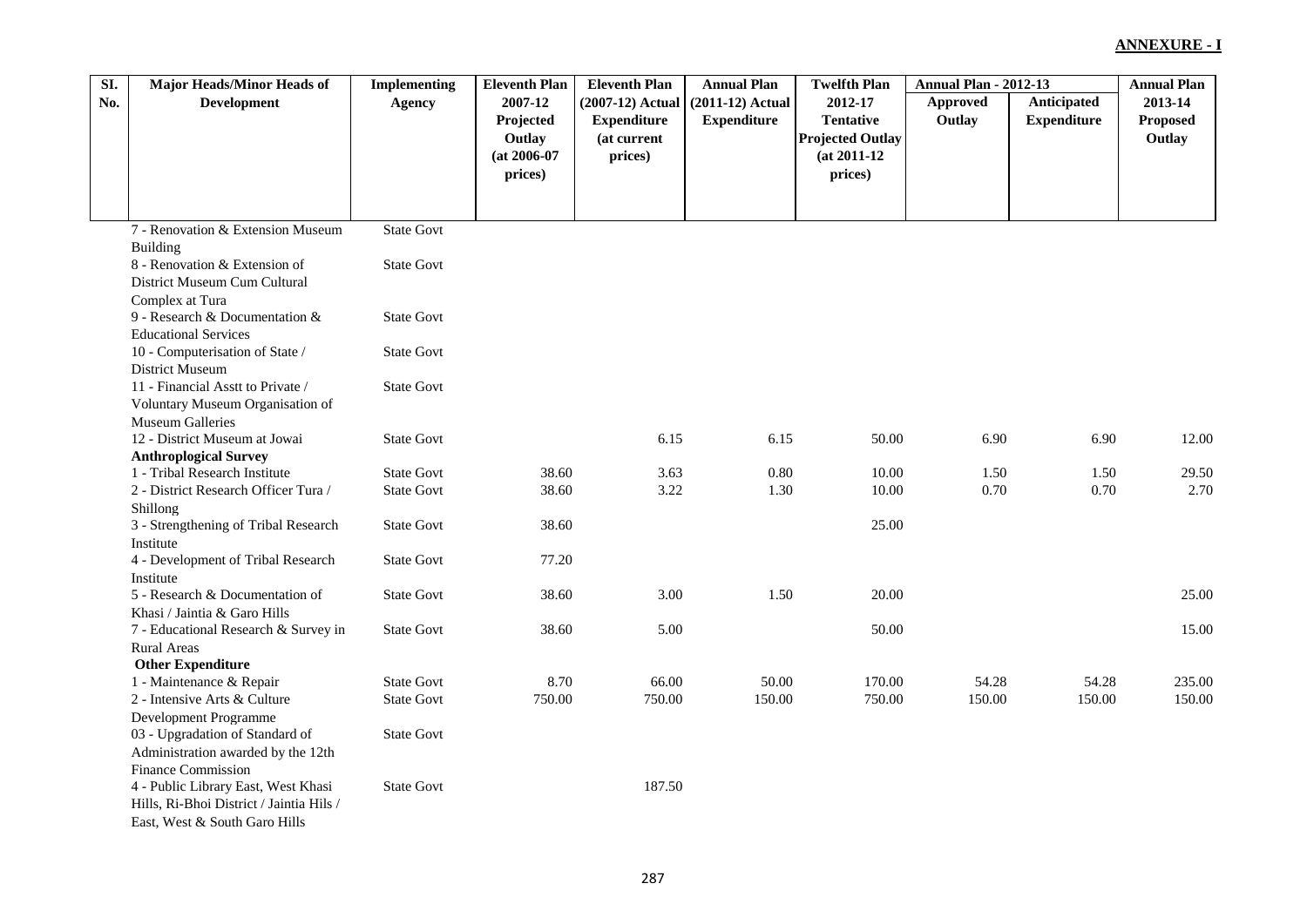| SI. | <b>Major Heads/Minor Heads of</b>        | <b>Implementing</b> | <b>Eleventh Plan</b> | <b>Eleventh Plan</b> | <b>Annual Plan</b> | <b>Twelfth Plan</b>     | <b>Annual Plan - 2012-13</b> |                    | <b>Annual Plan</b> |
|-----|------------------------------------------|---------------------|----------------------|----------------------|--------------------|-------------------------|------------------------------|--------------------|--------------------|
| No. | <b>Development</b>                       | <b>Agency</b>       | 2007-12              | (2007-12) Actual     | $(2011-12)$ Actual | 2012-17                 | Approved                     | Anticipated        | 2013-14            |
|     |                                          |                     | Projected            | <b>Expenditure</b>   | <b>Expenditure</b> | <b>Tentative</b>        | Outlay                       | <b>Expenditure</b> | <b>Proposed</b>    |
|     |                                          |                     | Outlay               | (at current          |                    | <b>Projected Outlay</b> |                              |                    | Outlay             |
|     |                                          |                     | $(at 2006-07)$       | prices)              |                    | $(at 2011-12)$          |                              |                    |                    |
|     |                                          |                     | prices)              |                      |                    | prices)                 |                              |                    |                    |
|     |                                          |                     |                      |                      |                    |                         |                              |                    |                    |
|     |                                          |                     |                      |                      |                    |                         |                              |                    |                    |
|     | 7 - Renovation & Extension Museum        | <b>State Govt</b>   |                      |                      |                    |                         |                              |                    |                    |
|     | Building                                 |                     |                      |                      |                    |                         |                              |                    |                    |
|     | 8 - Renovation & Extension of            | <b>State Govt</b>   |                      |                      |                    |                         |                              |                    |                    |
|     | District Museum Cum Cultural             |                     |                      |                      |                    |                         |                              |                    |                    |
|     | Complex at Tura                          |                     |                      |                      |                    |                         |                              |                    |                    |
|     | 9 - Research & Documentation &           | <b>State Govt</b>   |                      |                      |                    |                         |                              |                    |                    |
|     | <b>Educational Services</b>              |                     |                      |                      |                    |                         |                              |                    |                    |
|     | 10 - Computerisation of State /          | <b>State Govt</b>   |                      |                      |                    |                         |                              |                    |                    |
|     | District Museum                          |                     |                      |                      |                    |                         |                              |                    |                    |
|     | 11 - Financial Asstt to Private /        | <b>State Govt</b>   |                      |                      |                    |                         |                              |                    |                    |
|     | Voluntary Museum Organisation of         |                     |                      |                      |                    |                         |                              |                    |                    |
|     | <b>Museum Galleries</b>                  |                     |                      |                      |                    |                         |                              |                    |                    |
|     | 12 - District Museum at Jowai            | <b>State Govt</b>   |                      | 6.15                 | 6.15               | 50.00                   | 6.90                         | 6.90               | 12.00              |
|     | <b>Anthroplogical Survey</b>             |                     |                      |                      |                    |                         |                              |                    |                    |
|     | 1 - Tribal Research Institute            | <b>State Govt</b>   | 38.60                | 3.63                 | 0.80               | 10.00                   | 1.50                         | 1.50               | 29.50              |
|     | 2 - District Research Officer Tura /     | <b>State Govt</b>   | 38.60                | 3.22                 | 1.30               | 10.00                   | 0.70                         | 0.70               | 2.70               |
|     | Shillong                                 |                     |                      |                      |                    |                         |                              |                    |                    |
|     | 3 - Strengthening of Tribal Research     | <b>State Govt</b>   | 38.60                |                      |                    | 25.00                   |                              |                    |                    |
|     | Institute                                |                     |                      |                      |                    |                         |                              |                    |                    |
|     | 4 - Development of Tribal Research       | <b>State Govt</b>   | 77.20                |                      |                    |                         |                              |                    |                    |
|     | Institute                                |                     |                      |                      |                    |                         |                              |                    |                    |
|     | 5 - Research & Documentation of          | <b>State Govt</b>   | 38.60                | 3.00                 | 1.50               | 20.00                   |                              |                    | 25.00              |
|     | Khasi / Jaintia & Garo Hills             |                     |                      |                      |                    |                         |                              |                    |                    |
|     | 7 - Educational Research & Survey in     | <b>State Govt</b>   | 38.60                | 5.00                 |                    | 50.00                   |                              |                    | 15.00              |
|     | <b>Rural Areas</b>                       |                     |                      |                      |                    |                         |                              |                    |                    |
|     | <b>Other Expenditure</b>                 |                     |                      |                      |                    |                         |                              |                    |                    |
|     | 1 - Maintenance & Repair                 | <b>State Govt</b>   | 8.70                 | 66.00                | 50.00              | 170.00                  | 54.28                        | 54.28              | 235.00             |
|     | 2 - Intensive Arts & Culture             | <b>State Govt</b>   | 750.00               | 750.00               | 150.00             | 750.00                  | 150.00                       | 150.00             | 150.00             |
|     | Development Programme                    |                     |                      |                      |                    |                         |                              |                    |                    |
|     | 03 - Upgradation of Standard of          | <b>State Govt</b>   |                      |                      |                    |                         |                              |                    |                    |
|     | Administration awarded by the 12th       |                     |                      |                      |                    |                         |                              |                    |                    |
|     | Finance Commission                       |                     |                      |                      |                    |                         |                              |                    |                    |
|     | 4 - Public Library East, West Khasi      | <b>State Govt</b>   |                      | 187.50               |                    |                         |                              |                    |                    |
|     | Hills, Ri-Bhoi District / Jaintia Hils / |                     |                      |                      |                    |                         |                              |                    |                    |
|     | East, West & South Garo Hills            |                     |                      |                      |                    |                         |                              |                    |                    |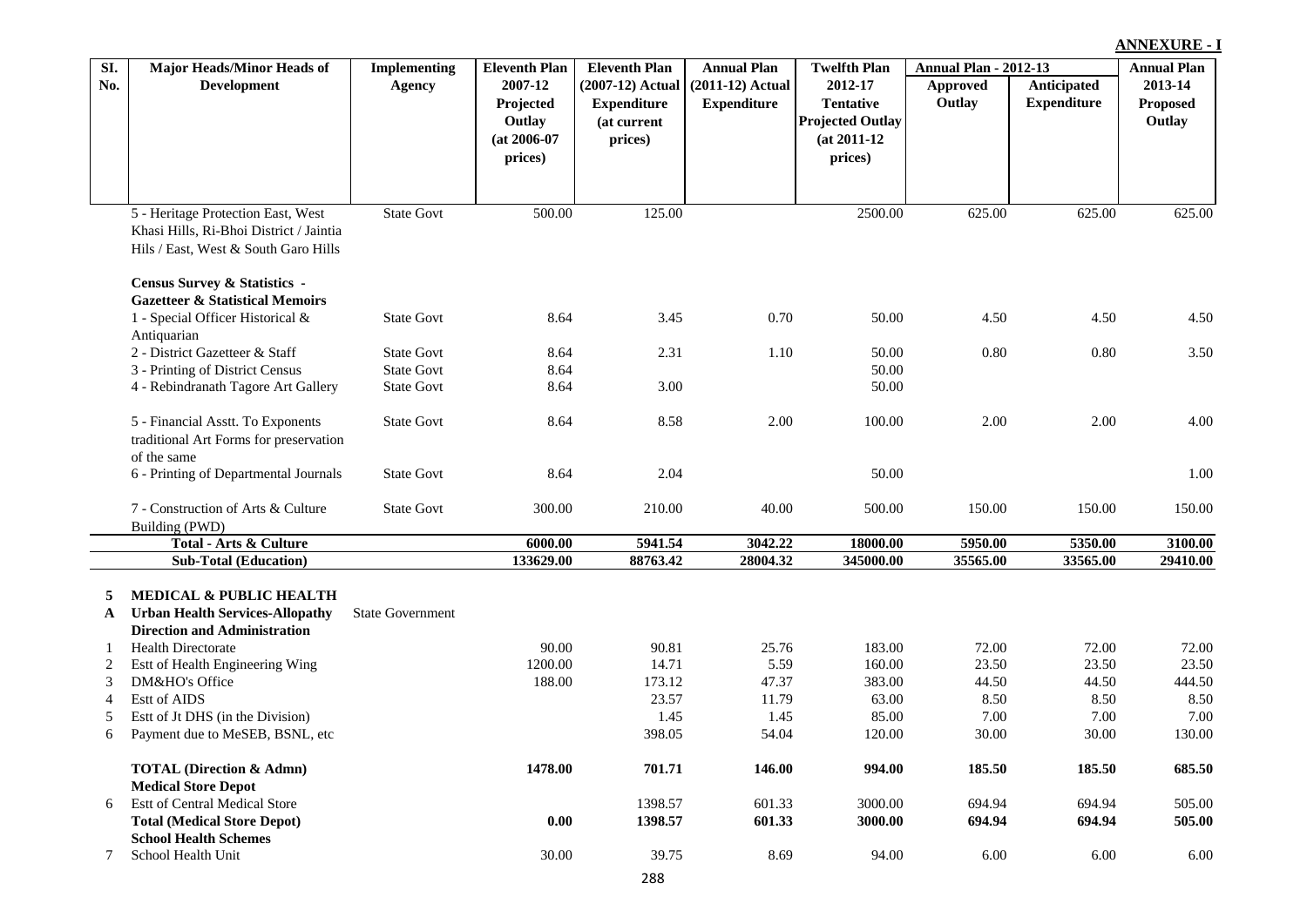#### **Approved Outlay Anticipated Expenditure Eleventh Plan Annual Plan Twelfth Plan Annual Plan - 2012-13 (2007-12) Actual Expenditure (at current prices) Annual Plan (2011-12) Actual Expenditure Twelfth Plan 2012-17 Tentative Projected Outlay (at 2011-12 prices) Annual Plan 2013-14 Proposed Outlay SI. No. Major Heads/Minor Heads of Development Implementing Agency Eleventh Plan 2007-12 Projected Outlay (at 2006-07 prices)** 5 - Heritage Protection East, West Khasi Hills, Ri-Bhoi District / Jaintia Hils / East, West & South Garo Hills State Govt 500.00 125.00 125.00 2500.00 625.00 625.00 625.00 625.00 **Census Survey & Statistics - Gazetteer & Statistical Memoirs** 1 - Special Officer Historical & Antiquarian State Govt 8.64 3.45 0.70 50.00 4.50 4.50 4.50 4.50 2 - District Gazetteer & Staff State Govt 8.64 2.31 1.10 50.00 0.80 0.80 3.50 3 - Printing of District Census State Govt 8.64 50.00 4 - Rebindranath Tagore Art Gallery State Govt 8.64 3.00 50.00 5 - Financial Asstt. To Exponents traditional Art Forms for preservation of the same State Govt 8.64 8.58 2.00 100.00 2.00 2.00 4.00 6 - Printing of Departmental Journals State Govt 8.64 2.04 50.00 1.00 7 - Construction of Arts & Culture Building (PWD) State Govt 300.00 210.00 40.00 500.00 150.00 150.00 150.00 **Total - Arts & Culture 6000.00 5941.54 3042.22 18000.00 5950.00 5350.00 3100.00 Sub-Total (Education) 133629.00 88763.42 28004.32 345000.00 35565.00 33565.00 29410.00 5 MEDICAL & PUBLIC HEALTH A Urban Health Services-Allopathy** State Government **Direction and Administration** 1 Health Directorate 90.00 90.81 25.76 183.00 72.00 72.00 72.00 2 Estt of Health Engineering Wing 1200.00 14.71 5.59 160.00 23.50 23.50 23.50 3 DM&HO's Office 188.00 173.12 47.37 383.00 44.50 444.50 444.50 444.50 444.50 444.50 4 Estt of AIDS 23.57 11.79 63.00 8.50 8.50 8.50 5 Estt of Jt DHS (in the Division) 1.45 1.45 85.00 7.00 7.00 7.00 6 Payment due to MeSEB, BSNL, etc 398.05 54.04 120.00 30.00 30.00 130.00 **TOTAL (Direction & Admn) 1478.00 701.71 146.00 994.00 185.50 185.50 685.50 Medical Store Depot** 6 Estt of Central Medical Store 1398.57 601.33 3000.00 694.94 694.94 505.00 **Total (Medical Store Depot) 0.00 1398.57 601.33 3000.00 694.94 694.94 505.00 School Health Schemes**

**ANNEXURE - I**

7 School Health Unit 30.00 39.75 8.69 94.00 6.00 6.00 6.00

288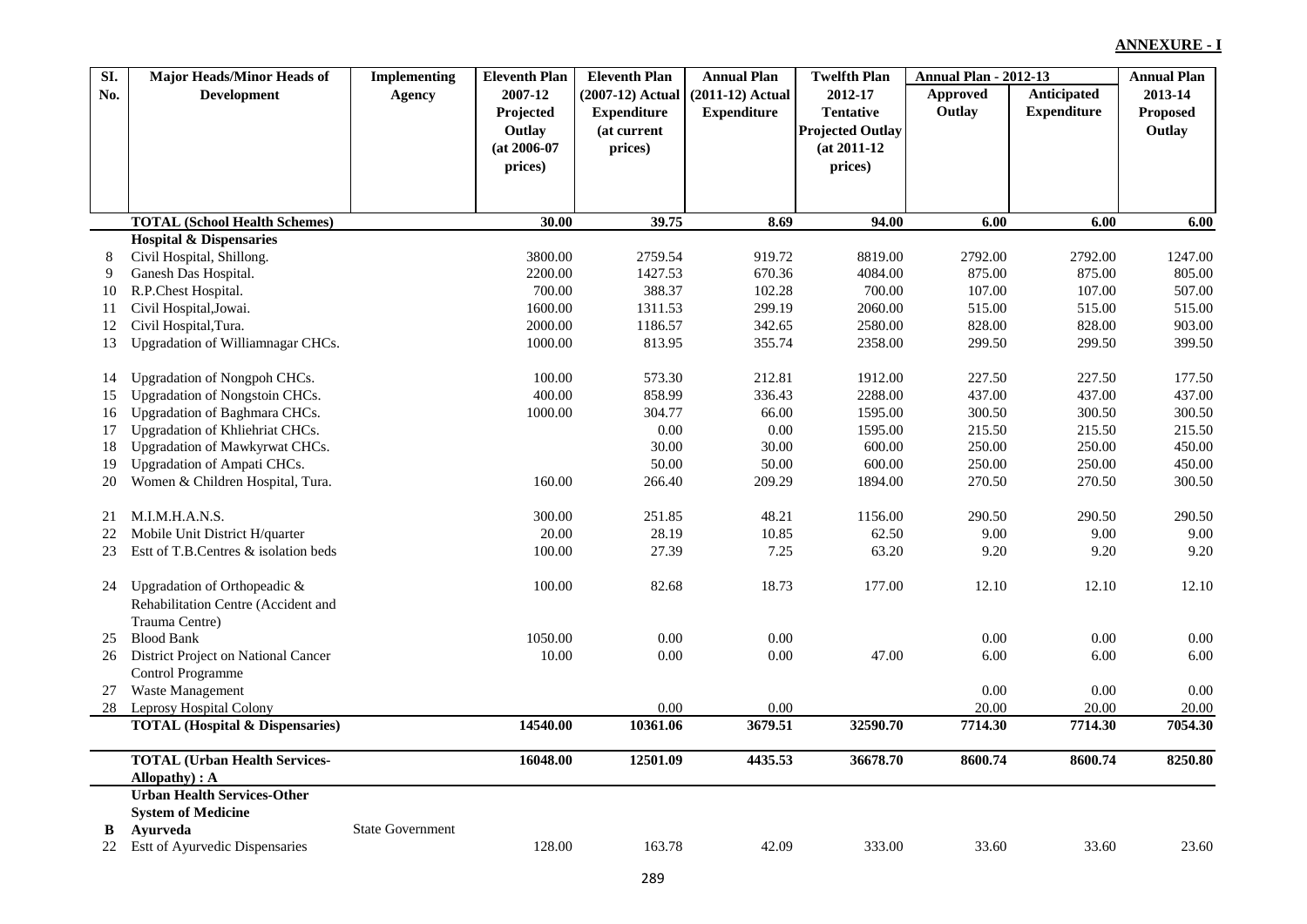| SI. | <b>Major Heads/Minor Heads of</b>          | <b>Implementing</b>     | <b>Eleventh Plan</b> | <b>Eleventh Plan</b> | <b>Annual Plan</b> | <b>Twelfth Plan</b>     | <b>Annual Plan - 2012-13</b> |                    | <b>Annual Plan</b> |
|-----|--------------------------------------------|-------------------------|----------------------|----------------------|--------------------|-------------------------|------------------------------|--------------------|--------------------|
| No. | <b>Development</b>                         | <b>Agency</b>           | 2007-12              | (2007-12) Actual     | $(2011-12)$ Actual | 2012-17                 | <b>Approved</b>              | Anticipated        | 2013-14            |
|     |                                            |                         | Projected            | <b>Expenditure</b>   | <b>Expenditure</b> | <b>Tentative</b>        | Outlay                       | <b>Expenditure</b> | Proposed           |
|     |                                            |                         | Outlay               | (at current          |                    | <b>Projected Outlay</b> |                              |                    | Outlay             |
|     |                                            |                         | $(at 2006-07)$       | prices)              |                    | $(at 2011-12)$          |                              |                    |                    |
|     |                                            |                         | prices)              |                      |                    | prices)                 |                              |                    |                    |
|     |                                            |                         |                      |                      |                    |                         |                              |                    |                    |
|     |                                            |                         |                      |                      |                    |                         |                              |                    |                    |
|     | <b>TOTAL (School Health Schemes)</b>       |                         | 30.00                | 39.75                | 8.69               | 94.00                   | 6.00                         | 6.00               | 6.00               |
|     | <b>Hospital &amp; Dispensaries</b>         |                         |                      |                      |                    |                         |                              |                    |                    |
| 8   | Civil Hospital, Shillong.                  |                         | 3800.00              | 2759.54              | 919.72             | 8819.00                 | 2792.00<br>875.00            | 2792.00            | 1247.00            |
| 9   | Ganesh Das Hospital.                       |                         | 2200.00              | 1427.53              | 670.36             | 4084.00                 |                              | 875.00             | 805.00             |
| 10  | R.P.Chest Hospital.                        |                         | 700.00               | 388.37               | 102.28             | 700.00                  | 107.00                       | 107.00             | 507.00             |
| 11  | Civil Hospital, Jowai.                     |                         | 1600.00              | 1311.53              | 299.19             | 2060.00                 | 515.00                       | 515.00             | 515.00             |
| 12  | Civil Hospital, Tura.                      |                         | 2000.00              | 1186.57              | 342.65             | 2580.00                 | 828.00                       | 828.00             | 903.00             |
| 13  | Upgradation of Williamnagar CHCs.          |                         | 1000.00              | 813.95               | 355.74             | 2358.00                 | 299.50                       | 299.50             | 399.50             |
| 14  | Upgradation of Nongpoh CHCs.               |                         | 100.00               | 573.30               | 212.81             | 1912.00                 | 227.50                       | 227.50             | 177.50             |
| 15  | Upgradation of Nongstoin CHCs.             |                         | 400.00               | 858.99               | 336.43             | 2288.00                 | 437.00                       | 437.00             | 437.00             |
| 16  | Upgradation of Baghmara CHCs.              |                         | 1000.00              | 304.77               | 66.00              | 1595.00                 | 300.50                       | 300.50             | 300.50             |
| 17  | Upgradation of Khliehriat CHCs.            |                         |                      | 0.00                 | 0.00               | 1595.00                 | 215.50                       | 215.50             | 215.50             |
| 18  | Upgradation of Mawkyrwat CHCs.             |                         |                      | 30.00                | 30.00              | 600.00                  | 250.00                       | 250.00             | 450.00             |
| 19  | Upgradation of Ampati CHCs.                |                         |                      | 50.00                | 50.00              | 600.00                  | 250.00                       | 250.00             | 450.00             |
| 20  | Women & Children Hospital, Tura.           |                         | 160.00               | 266.40               | 209.29             | 1894.00                 | 270.50                       | 270.50             | 300.50             |
| 21  | M.I.M.H.A.N.S.                             |                         | 300.00               | 251.85               | 48.21              | 1156.00                 | 290.50                       | 290.50             | 290.50             |
| 22  | Mobile Unit District H/quarter             |                         | 20.00                | 28.19                | 10.85              | 62.50                   | 9.00                         | 9.00               | 9.00               |
| 23  | Estt of T.B.Centres & isolation beds       |                         | 100.00               | 27.39                | 7.25               | 63.20                   | 9.20                         | 9.20               | 9.20               |
|     |                                            |                         |                      |                      |                    |                         |                              |                    |                    |
| 24  | Upgradation of Orthopeadic &               |                         | 100.00               | 82.68                | 18.73              | 177.00                  | 12.10                        | 12.10              | 12.10              |
|     | Rehabilitation Centre (Accident and        |                         |                      |                      |                    |                         |                              |                    |                    |
|     | Trauma Centre)                             |                         |                      |                      |                    |                         |                              |                    |                    |
| 25  | <b>Blood Bank</b>                          |                         | 1050.00              | 0.00                 | 0.00               |                         | 0.00                         | 0.00               | 0.00               |
| 26  | District Project on National Cancer        |                         | 10.00                | 0.00                 | 0.00               | 47.00                   | 6.00                         | 6.00               | 6.00               |
|     | Control Programme                          |                         |                      |                      |                    |                         |                              |                    |                    |
| 27  | Waste Management                           |                         |                      |                      |                    |                         | 0.00                         | 0.00               | 0.00               |
| 28  | Leprosy Hospital Colony                    |                         |                      | 0.00                 | $0.00\,$           |                         | 20.00                        | 20.00              | 20.00              |
|     | <b>TOTAL (Hospital &amp; Dispensaries)</b> |                         | 14540.00             | 10361.06             | 3679.51            | 32590.70                | 7714.30                      | 7714.30            | 7054.30            |
|     | <b>TOTAL (Urban Health Services-</b>       |                         | 16048.00             | 12501.09             | 4435.53            | 36678.70                | 8600.74                      | 8600.74            | 8250.80            |
|     | Allopathy) : A                             |                         |                      |                      |                    |                         |                              |                    |                    |
|     | <b>Urban Health Services-Other</b>         |                         |                      |                      |                    |                         |                              |                    |                    |
|     | <b>System of Medicine</b>                  |                         |                      |                      |                    |                         |                              |                    |                    |
| B   | Ayurveda                                   | <b>State Government</b> |                      |                      |                    |                         |                              |                    |                    |
| 22  | Estt of Ayurvedic Dispensaries             |                         | 128.00               | 163.78               | 42.09              | 333.00                  | 33.60                        | 33.60              | 23.60              |
|     |                                            |                         |                      |                      |                    |                         |                              |                    |                    |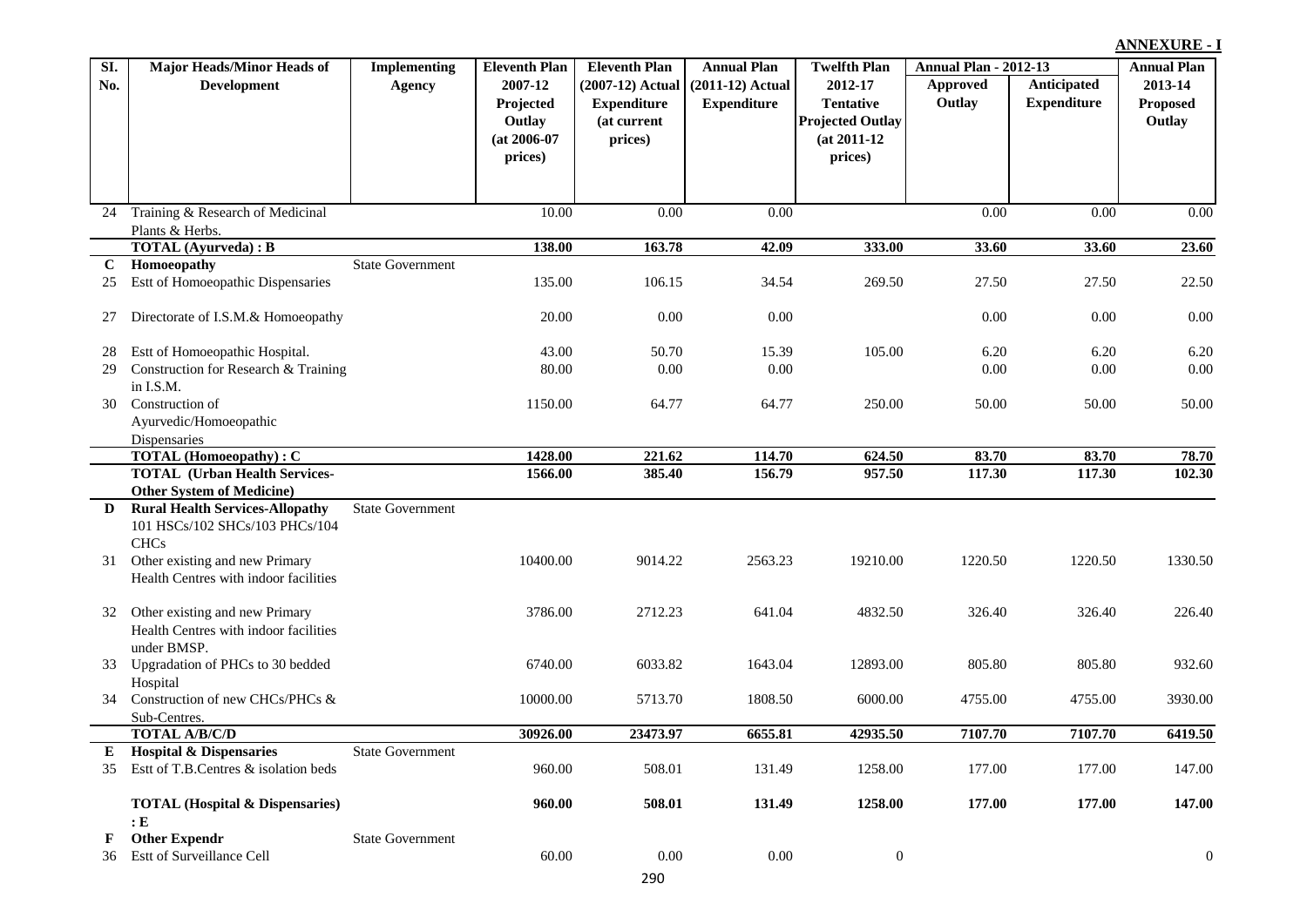| SI.          | <b>Major Heads/Minor Heads of</b>          | <b>Implementing</b>     | <b>Eleventh Plan</b> | <b>Eleventh Plan</b> | <b>Annual Plan</b> | <b>Twelfth Plan</b>     | <b>Annual Plan - 2012-13</b> |                    | <b>Annual Plan</b> |
|--------------|--------------------------------------------|-------------------------|----------------------|----------------------|--------------------|-------------------------|------------------------------|--------------------|--------------------|
| No.          | <b>Development</b>                         | <b>Agency</b>           | 2007-12              | $(2007-12)$ Actual   | $(2011-12)$ Actual | 2012-17                 | <b>Approved</b>              | Anticipated        | 2013-14            |
|              |                                            |                         | Projected            | <b>Expenditure</b>   | <b>Expenditure</b> | <b>Tentative</b>        | Outlay                       | <b>Expenditure</b> | Proposed           |
|              |                                            |                         | Outlay               | (at current          |                    | <b>Projected Outlay</b> |                              |                    | Outlay             |
|              |                                            |                         | $(at 2006-07)$       | prices)              |                    | $(at 2011-12)$          |                              |                    |                    |
|              |                                            |                         | prices)              |                      |                    | prices)                 |                              |                    |                    |
|              |                                            |                         |                      |                      |                    |                         |                              |                    |                    |
|              |                                            |                         |                      |                      |                    |                         |                              |                    |                    |
| 24           | Training & Research of Medicinal           |                         | 10.00                | 0.00                 | 0.00               |                         | 0.00                         | 0.00               | 0.00               |
|              | Plants & Herbs.                            |                         |                      |                      |                    |                         |                              |                    |                    |
|              | <b>TOTAL</b> (Ayurveda) : B                |                         | 138.00               | 163.78               | 42.09              | 333.00                  | 33.60                        | 33.60              | 23.60              |
| $\mathbf{C}$ | Homoeopathy                                | <b>State Government</b> |                      |                      |                    |                         |                              |                    |                    |
| 25           | Estt of Homoeopathic Dispensaries          |                         | 135.00               | 106.15               | 34.54              | 269.50                  | 27.50                        | 27.50              | 22.50              |
|              |                                            |                         |                      |                      |                    |                         |                              |                    |                    |
| 27           | Directorate of I.S.M.& Homoeopathy         |                         | 20.00                | 0.00                 | 0.00               |                         | 0.00                         | $0.00\,$           | 0.00               |
|              |                                            |                         |                      |                      |                    |                         |                              |                    |                    |
| 28           | Estt of Homoeopathic Hospital.             |                         | 43.00                | 50.70                | 15.39              | 105.00                  | 6.20                         | 6.20               | 6.20               |
| 29           | Construction for Research & Training       |                         | 80.00                | 0.00                 | 0.00               |                         | 0.00                         | $0.00\,$           | 0.00               |
|              | in I.S.M.                                  |                         |                      |                      |                    |                         |                              |                    |                    |
| 30           | Construction of                            |                         | 1150.00              | 64.77                | 64.77              | 250.00                  | 50.00                        | 50.00              | 50.00              |
|              | Ayurvedic/Homoeopathic                     |                         |                      |                      |                    |                         |                              |                    |                    |
|              | Dispensaries                               |                         |                      |                      |                    |                         |                              |                    |                    |
|              | <b>TOTAL</b> (Homoeopathy): C              |                         | 1428.00              | 221.62               | 114.70             | 624.50                  | 83.70                        | 83.70              | 78.70              |
|              | <b>TOTAL (Urban Health Services-</b>       |                         | 1566.00              | 385.40               | 156.79             | 957.50                  | 117.30                       | 117.30             | 102.30             |
|              | <b>Other System of Medicine)</b>           |                         |                      |                      |                    |                         |                              |                    |                    |
| D            | <b>Rural Health Services-Allopathy</b>     | <b>State Government</b> |                      |                      |                    |                         |                              |                    |                    |
|              | 101 HSCs/102 SHCs/103 PHCs/104             |                         |                      |                      |                    |                         |                              |                    |                    |
|              | <b>CHCs</b>                                |                         |                      |                      |                    |                         |                              |                    |                    |
| 31           | Other existing and new Primary             |                         | 10400.00             | 9014.22              | 2563.23            | 19210.00                | 1220.50                      | 1220.50            | 1330.50            |
|              | Health Centres with indoor facilities      |                         |                      |                      |                    |                         |                              |                    |                    |
|              |                                            |                         |                      |                      |                    |                         |                              |                    |                    |
| 32           | Other existing and new Primary             |                         | 3786.00              | 2712.23              | 641.04             | 4832.50                 | 326.40                       | 326.40             | 226.40             |
|              | Health Centres with indoor facilities      |                         |                      |                      |                    |                         |                              |                    |                    |
|              | under BMSP.                                |                         |                      |                      |                    |                         |                              |                    |                    |
| 33           | Upgradation of PHCs to 30 bedded           |                         | 6740.00              | 6033.82              | 1643.04            | 12893.00                | 805.80                       | 805.80             | 932.60             |
|              | Hospital                                   |                         |                      |                      |                    |                         |                              |                    |                    |
| 34           | Construction of new CHCs/PHCs &            |                         | 10000.00             | 5713.70              | 1808.50            | 6000.00                 | 4755.00                      | 4755.00            | 3930.00            |
|              | Sub-Centres.                               |                         |                      |                      |                    |                         |                              |                    |                    |
|              | <b>TOTAL A/B/C/D</b>                       |                         | 30926.00             | 23473.97             | 6655.81            | 42935.50                | 7107.70                      | 7107.70            | 6419.50            |
|              | <b>E</b> Hospital & Dispensaries           | <b>State Government</b> |                      |                      |                    |                         |                              |                    |                    |
| 35           | Est tof T.B.Centres & isolation beds       |                         | 960.00               | 508.01               | 131.49             | 1258.00                 | 177.00                       | 177.00             | 147.00             |
|              |                                            |                         |                      |                      |                    |                         |                              |                    |                    |
|              | <b>TOTAL (Hospital &amp; Dispensaries)</b> |                         | 960.00               | 508.01               | 131.49             | 1258.00                 | 177.00                       | 177.00             | 147.00             |
|              | : E                                        |                         |                      |                      |                    |                         |                              |                    |                    |
| F            | <b>Other Expendr</b>                       | <b>State Government</b> |                      |                      |                    |                         |                              |                    |                    |
| 36           | Estt of Surveillance Cell                  |                         | 60.00                | $0.00\,$             | $0.00\,$           | $\boldsymbol{0}$        |                              |                    | $\mathbf{0}$       |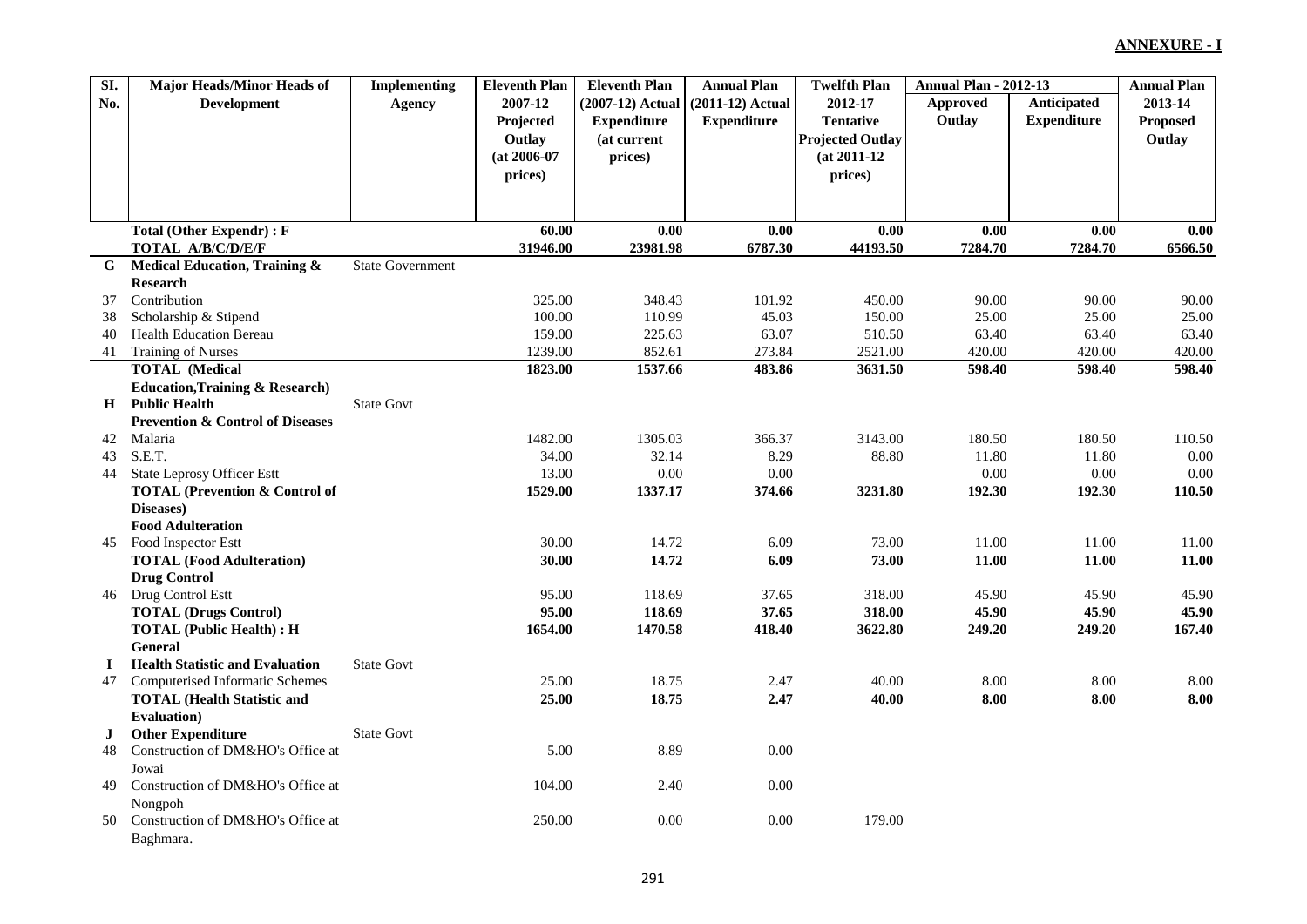| SI.         | <b>Major Heads/Minor Heads of</b>           | <b>Implementing</b>     | <b>Eleventh Plan</b> | <b>Eleventh Plan</b> | <b>Annual Plan</b> | <b>Twelfth Plan</b>     | <b>Annual Plan - 2012-13</b> |                    | <b>Annual Plan</b> |
|-------------|---------------------------------------------|-------------------------|----------------------|----------------------|--------------------|-------------------------|------------------------------|--------------------|--------------------|
| No.         | <b>Development</b>                          | <b>Agency</b>           | 2007-12              | (2007-12) Actual     | $(2011-12)$ Actual | 2012-17                 | Approved                     | Anticipated        | 2013-14            |
|             |                                             |                         | Projected            | <b>Expenditure</b>   | <b>Expenditure</b> | <b>Tentative</b>        | Outlay                       | <b>Expenditure</b> | Proposed           |
|             |                                             |                         | Outlay               | (at current          |                    | <b>Projected Outlay</b> |                              |                    | Outlay             |
|             |                                             |                         | $(at 2006-07)$       | prices)              |                    | $(at 2011-12)$          |                              |                    |                    |
|             |                                             |                         | prices)              |                      |                    | prices)                 |                              |                    |                    |
|             |                                             |                         |                      |                      |                    |                         |                              |                    |                    |
|             |                                             |                         |                      |                      |                    |                         |                              |                    |                    |
|             | <b>Total (Other Expendr): F</b>             |                         | 60.00                | 0.00                 | 0.00               | 0.00                    | 0.00                         | 0.00               | 0.00               |
|             | TOTAL A/B/C/D/E/F                           |                         | 31946.00             | 23981.98             | 6787.30            | 44193.50                | 7284.70                      | 7284.70            | 6566.50            |
| G.          | Medical Education, Training &               | <b>State Government</b> |                      |                      |                    |                         |                              |                    |                    |
|             | <b>Research</b>                             |                         |                      |                      |                    |                         |                              |                    |                    |
| 37          | Contribution                                |                         | 325.00               | 348.43               | 101.92             | 450.00                  | 90.00                        | 90.00              | 90.00              |
| 38          | Scholarship & Stipend                       |                         | 100.00               | 110.99               | 45.03              | 150.00                  | 25.00                        | 25.00              | 25.00              |
| 40          | <b>Health Education Bereau</b>              |                         | 159.00               | 225.63               | 63.07              | 510.50                  | 63.40                        | 63.40              | 63.40              |
| 41          | <b>Training of Nurses</b>                   |                         | 1239.00              | 852.61               | 273.84             | 2521.00                 | 420.00                       | 420.00             | 420.00             |
|             | <b>TOTAL</b> (Medical                       |                         | 1823.00              | 1537.66              | 483.86             | 3631.50                 | 598.40                       | 598.40             | 598.40             |
|             | <b>Education, Training &amp; Research)</b>  |                         |                      |                      |                    |                         |                              |                    |                    |
| H           | <b>Public Health</b>                        | <b>State Govt</b>       |                      |                      |                    |                         |                              |                    |                    |
|             | <b>Prevention &amp; Control of Diseases</b> |                         |                      |                      |                    |                         |                              |                    |                    |
| 42          | Malaria                                     |                         | 1482.00              | 1305.03              | 366.37             | 3143.00                 | 180.50                       | 180.50             | 110.50             |
| 43          | S.E.T.                                      |                         | 34.00                | 32.14                | 8.29               | 88.80                   | 11.80                        | 11.80              | 0.00               |
| 44          | <b>State Leprosy Officer Estt</b>           |                         | 13.00                | 0.00                 | 0.00               |                         | 0.00                         | 0.00               | 0.00               |
|             | <b>TOTAL (Prevention &amp; Control of</b>   |                         | 1529.00              | 1337.17              | 374.66             | 3231.80                 | 192.30                       | 192.30             | 110.50             |
|             | Diseases)                                   |                         |                      |                      |                    |                         |                              |                    |                    |
|             | <b>Food Adulteration</b>                    |                         |                      |                      |                    |                         |                              |                    |                    |
| 45          | Food Inspector Estt                         |                         | 30.00                | 14.72                | 6.09               | 73.00                   | 11.00                        | 11.00              | 11.00              |
|             | <b>TOTAL (Food Adulteration)</b>            |                         | 30.00                | 14.72                | 6.09               | 73.00                   | 11.00                        | 11.00              | 11.00              |
|             | <b>Drug Control</b>                         |                         |                      |                      |                    |                         |                              |                    |                    |
| 46          | Drug Control Estt                           |                         | 95.00                | 118.69               | 37.65              | 318.00                  | 45.90                        | 45.90              | 45.90              |
|             | <b>TOTAL (Drugs Control)</b>                |                         | 95.00                | 118.69               | 37.65              | 318.00                  | 45.90                        | 45.90              | 45.90              |
|             | <b>TOTAL (Public Health): H</b>             |                         | 1654.00              | 1470.58              | 418.40             | 3622.80                 | 249.20                       | 249.20             | 167.40             |
|             | General                                     |                         |                      |                      |                    |                         |                              |                    |                    |
| $\mathbf I$ | <b>Health Statistic and Evaluation</b>      | <b>State Govt</b>       |                      |                      |                    |                         |                              |                    |                    |
| 47          | <b>Computerised Informatic Schemes</b>      |                         | 25.00                | 18.75                | 2.47               | 40.00                   | 8.00                         | 8.00               | 8.00               |
|             | <b>TOTAL (Health Statistic and</b>          |                         | 25.00                | 18.75                | 2.47               | 40.00                   | 8.00                         | 8.00               | 8.00               |
|             | <b>Evaluation</b> )                         |                         |                      |                      |                    |                         |                              |                    |                    |
| $\bf J$     | <b>Other Expenditure</b>                    | <b>State Govt</b>       |                      |                      |                    |                         |                              |                    |                    |
| 48          | Construction of DM&HO's Office at           |                         | 5.00                 | 8.89                 | 0.00               |                         |                              |                    |                    |
|             | Jowai                                       |                         |                      |                      |                    |                         |                              |                    |                    |
| 49          | Construction of DM&HO's Office at           |                         | 104.00               | 2.40                 | 0.00               |                         |                              |                    |                    |
|             | Nongpoh                                     |                         |                      |                      |                    |                         |                              |                    |                    |
| 50          | Construction of DM&HO's Office at           |                         | 250.00               | 0.00                 | 0.00               | 179.00                  |                              |                    |                    |
|             | Baghmara.                                   |                         |                      |                      |                    |                         |                              |                    |                    |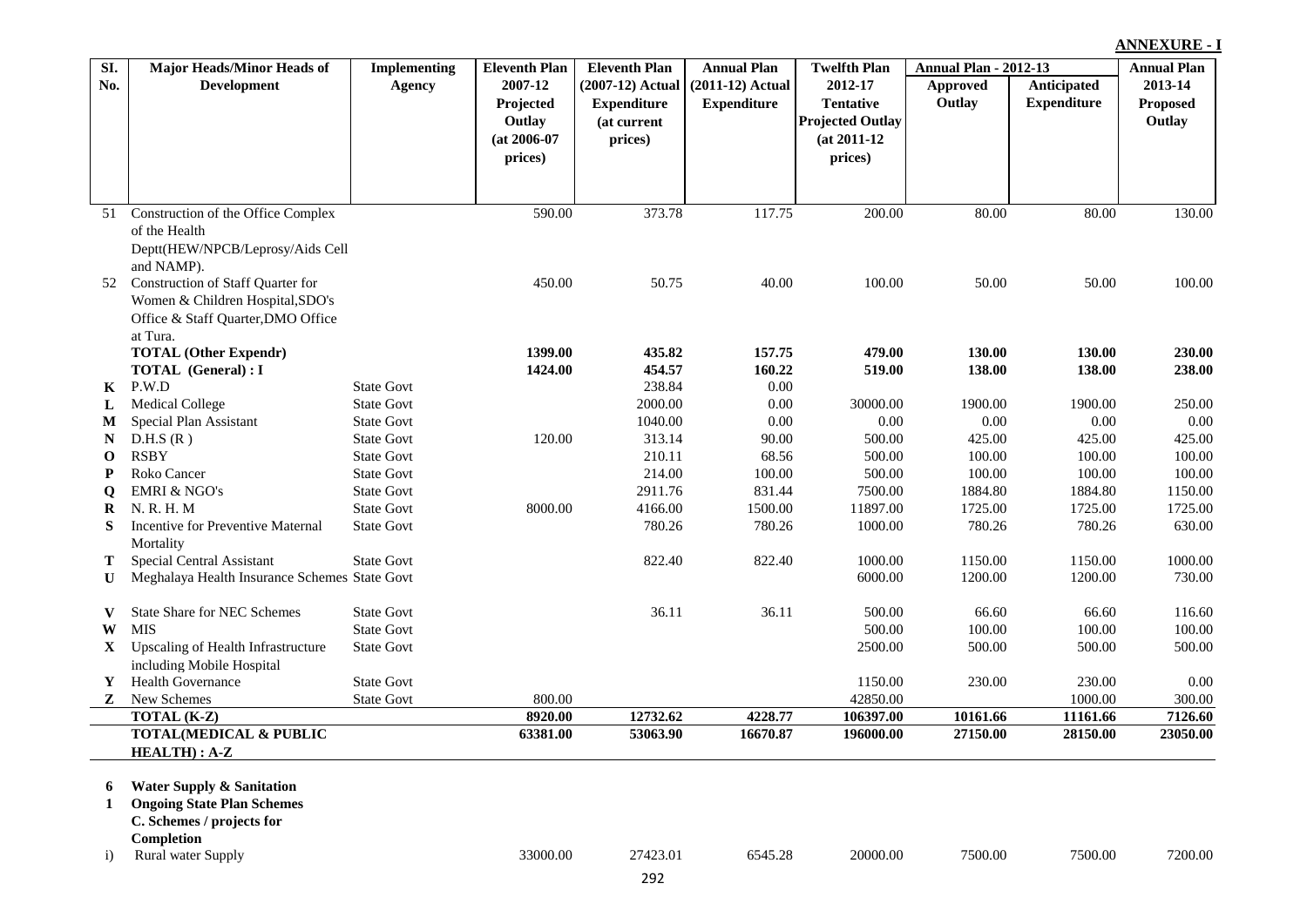|              |                                               |                     |                      |                      |                    |                         |                              |                    | <b>ANNEXURE - I</b> |
|--------------|-----------------------------------------------|---------------------|----------------------|----------------------|--------------------|-------------------------|------------------------------|--------------------|---------------------|
| SI.          | Major Heads/Minor Heads of                    | <b>Implementing</b> | <b>Eleventh Plan</b> | <b>Eleventh Plan</b> | <b>Annual Plan</b> | <b>Twelfth Plan</b>     | <b>Annual Plan - 2012-13</b> |                    | <b>Annual Plan</b>  |
| No.          | <b>Development</b>                            | <b>Agency</b>       | 2007-12              | $(2007-12)$ Actual   | $(2011-12)$ Actual | 2012-17                 | Approved                     | Anticipated        | 2013-14             |
|              |                                               |                     | Projected            | <b>Expenditure</b>   | <b>Expenditure</b> | <b>Tentative</b>        | Outlay                       | <b>Expenditure</b> | Proposed            |
|              |                                               |                     | Outlay               | (at current          |                    | <b>Projected Outlay</b> |                              |                    | Outlay              |
|              |                                               |                     | $(at 2006-07)$       | prices)              |                    | $(at 2011-12)$          |                              |                    |                     |
|              |                                               |                     | prices)              |                      |                    | prices)                 |                              |                    |                     |
|              |                                               |                     |                      |                      |                    |                         |                              |                    |                     |
|              |                                               |                     |                      |                      |                    |                         |                              |                    |                     |
| 51           | Construction of the Office Complex            |                     | 590.00               | 373.78               | 117.75             | 200.00                  | 80.00                        | 80.00              | 130.00              |
|              | of the Health                                 |                     |                      |                      |                    |                         |                              |                    |                     |
|              | Deptt(HEW/NPCB/Leprosy/Aids Cell              |                     |                      |                      |                    |                         |                              |                    |                     |
|              | and NAMP).                                    |                     |                      | 50.75                | 40.00              | 100.00                  | 50.00                        | 50.00              |                     |
| 52           | Construction of Staff Quarter for             |                     | 450.00               |                      |                    |                         |                              |                    | 100.00              |
|              | Women & Children Hospital, SDO's              |                     |                      |                      |                    |                         |                              |                    |                     |
|              | Office & Staff Quarter, DMO Office            |                     |                      |                      |                    |                         |                              |                    |                     |
|              | at Tura.<br><b>TOTAL (Other Expendr)</b>      |                     | 1399.00              | 435.82               | 157.75             | 479.00                  | 130.00                       | 130.00             | 230.00              |
|              | <b>TOTAL</b> (General): I                     |                     | 1424.00              | 454.57               | 160.22             | 519.00                  | 138.00                       | 138.00             | 238.00              |
| K            | P.W.D                                         | <b>State Govt</b>   |                      | 238.84               | 0.00               |                         |                              |                    |                     |
| L            | <b>Medical College</b>                        | <b>State Govt</b>   |                      | 2000.00              | 0.00               | 30000.00                | 1900.00                      | 1900.00            | 250.00              |
| м            | Special Plan Assistant                        | <b>State Govt</b>   |                      | 1040.00              | 0.00               | 0.00                    | $0.00\,$                     | $0.00\,$           | $0.00\,$            |
| N            | D.H.S(R)                                      | <b>State Govt</b>   | 120.00               | 313.14               | 90.00              | 500.00                  | 425.00                       | 425.00             | 425.00              |
| $\mathbf{o}$ | <b>RSBY</b>                                   | <b>State Govt</b>   |                      | 210.11               | 68.56              | 500.00                  | 100.00                       | 100.00             | 100.00              |
| P            | Roko Cancer                                   | <b>State Govt</b>   |                      | 214.00               | 100.00             | 500.00                  | 100.00                       | 100.00             | 100.00              |
| $\mathbf 0$  | <b>EMRI &amp; NGO's</b>                       | <b>State Govt</b>   |                      | 2911.76              | 831.44             | 7500.00                 | 1884.80                      | 1884.80            | 1150.00             |
| R            | N. R. H. M                                    | <b>State Govt</b>   | 8000.00              | 4166.00              | 1500.00            | 11897.00                | 1725.00                      | 1725.00            | 1725.00             |
| S            | Incentive for Preventive Maternal             | <b>State Govt</b>   |                      | 780.26               | 780.26             | 1000.00                 | 780.26                       | 780.26             | 630.00              |
|              | Mortality                                     |                     |                      |                      |                    |                         |                              |                    |                     |
| Т            | Special Central Assistant                     | <b>State Govt</b>   |                      | 822.40               | 822.40             | 1000.00                 | 1150.00                      | 1150.00            | 1000.00             |
| U            | Meghalaya Health Insurance Schemes State Govt |                     |                      |                      |                    | 6000.00                 | 1200.00                      | 1200.00            | 730.00              |
|              |                                               |                     |                      |                      |                    |                         |                              |                    |                     |
| V            | <b>State Share for NEC Schemes</b>            | <b>State Govt</b>   |                      | 36.11                | 36.11              | 500.00                  | 66.60                        | 66.60              | 116.60              |
| W            | <b>MIS</b>                                    | <b>State Govt</b>   |                      |                      |                    | 500.00                  | 100.00                       | 100.00             | 100.00              |
| $\mathbf X$  | Upscaling of Health Infrastructure            | <b>State Govt</b>   |                      |                      |                    | 2500.00                 | 500.00                       | 500.00             | 500.00              |
|              | including Mobile Hospital                     |                     |                      |                      |                    |                         |                              |                    |                     |
| Y            | Health Governance                             | <b>State Govt</b>   |                      |                      |                    | 1150.00                 | 230.00                       | 230.00             | $0.00\,$            |
| z            | New Schemes                                   | <b>State Govt</b>   | 800.00               |                      |                    | 42850.00                |                              | 1000.00            | 300.00              |
|              | TOTAL (K-Z)                                   |                     | 8920.00              | 12732.62             | 4228.77            | 106397.00               | 10161.66                     | 11161.66           | 7126.60             |
|              | <b>TOTAL(MEDICAL &amp; PUBLIC</b>             |                     | 63381.00             | 53063.90             | 16670.87           | 196000.00               | 27150.00                     | 28150.00           | 23050.00            |
|              | $HEALTH$ ): $A-Z$                             |                     |                      |                      |                    |                         |                              |                    |                     |
|              |                                               |                     |                      |                      |                    |                         |                              |                    |                     |

**6 Water Supply & Sanitation** 

**1 Ongoing State Plan Schemes**

**C. Schemes / projects for** 

**Completion**

i) Rural water Supply 33000.00 27423.01 6545.28 20000.00 7500.00 7500.00 7200.00

292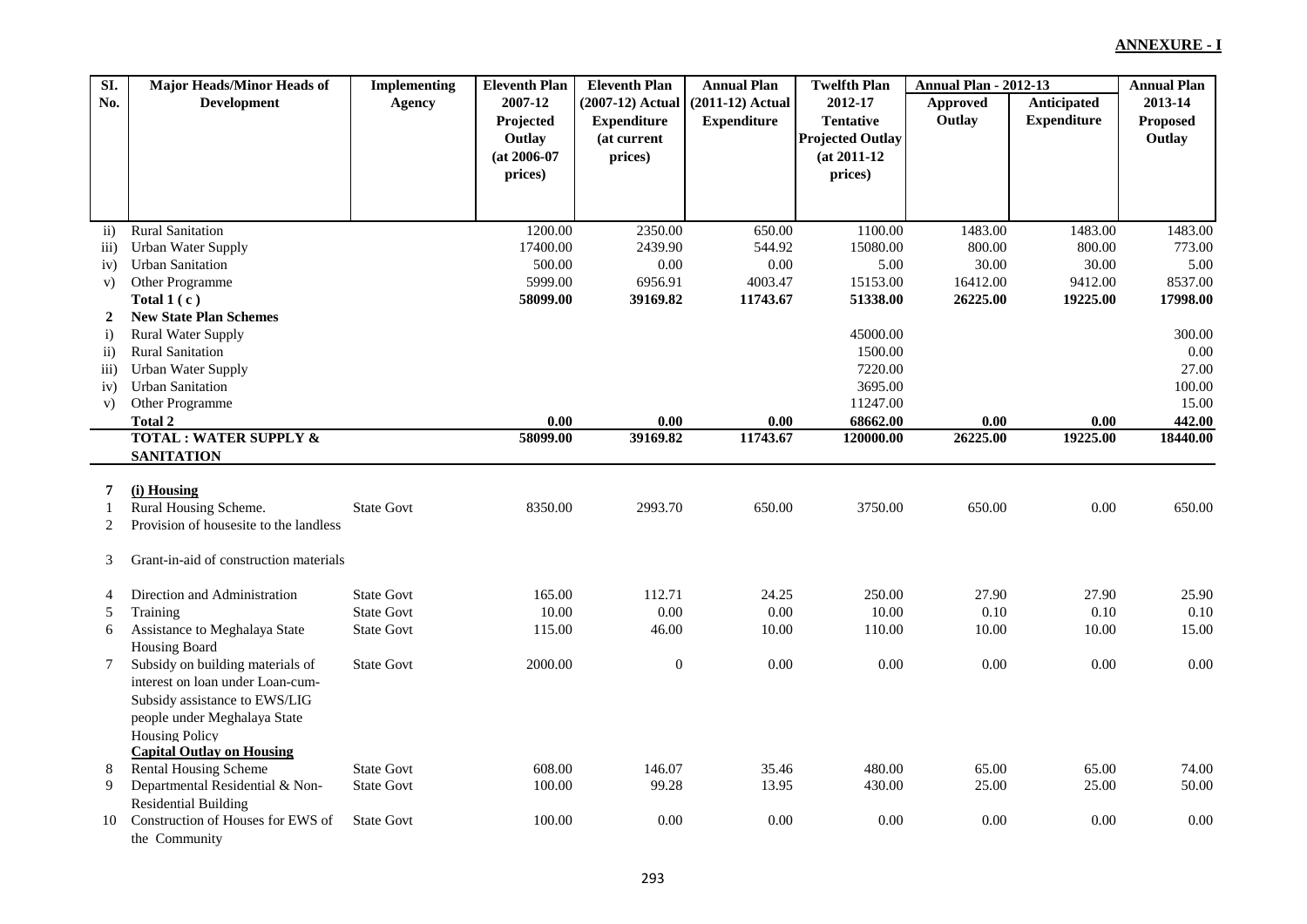| 2007-12<br><b>Anticipated</b><br>$(2007-12)$ Actual<br>$(2011-12)$ Actual<br>2012-17<br><b>Approved</b><br>No.<br><b>Development</b><br><b>Agency</b><br>Outlay<br><b>Tentative</b><br><b>Expenditure</b><br>Projected<br><b>Expenditure</b><br><b>Expenditure</b><br>(at current<br><b>Projected Outlay</b><br>Outlay<br>$(at 2006-07)$<br>$(at 2011-12)$<br>prices) | 2013-14<br>Proposed<br>Outlay |
|-----------------------------------------------------------------------------------------------------------------------------------------------------------------------------------------------------------------------------------------------------------------------------------------------------------------------------------------------------------------------|-------------------------------|
|                                                                                                                                                                                                                                                                                                                                                                       |                               |
|                                                                                                                                                                                                                                                                                                                                                                       |                               |
|                                                                                                                                                                                                                                                                                                                                                                       |                               |
|                                                                                                                                                                                                                                                                                                                                                                       |                               |
| prices)<br>prices)                                                                                                                                                                                                                                                                                                                                                    |                               |
|                                                                                                                                                                                                                                                                                                                                                                       |                               |
|                                                                                                                                                                                                                                                                                                                                                                       |                               |
| <b>Rural Sanitation</b><br>1200.00<br>2350.00<br>1100.00<br>1483.00<br>1483.00<br>650.00<br>$\overline{ii}$                                                                                                                                                                                                                                                           | 1483.00                       |
| 17400.00<br>2439.90<br>15080.00<br>800.00<br><b>Urban Water Supply</b><br>544.92<br>800.00<br>$\overline{111}$ )                                                                                                                                                                                                                                                      | 773.00                        |
| 500.00<br>$0.00\,$<br>30.00<br>30.00<br><b>Urban Sanitation</b><br>0.00<br>5.00<br>iv)                                                                                                                                                                                                                                                                                | 5.00                          |
| 5999.00<br>6956.91<br>15153.00<br>Other Programme<br>4003.47<br>16412.00<br>9412.00<br>V)                                                                                                                                                                                                                                                                             | 8537.00                       |
| 58099.00<br>51338.00<br>Total $1(c)$<br>39169.82<br>11743.67<br>26225.00<br>19225.00                                                                                                                                                                                                                                                                                  | 17998.00                      |
| <b>New State Plan Schemes</b><br>2                                                                                                                                                                                                                                                                                                                                    |                               |
| 45000.00<br>$\ddot{i}$<br><b>Rural Water Supply</b>                                                                                                                                                                                                                                                                                                                   | 300.00                        |
| <b>Rural Sanitation</b><br>1500.00<br>$\overline{ii}$                                                                                                                                                                                                                                                                                                                 | 0.00                          |
| <b>Urban Water Supply</b><br>7220.00<br>$\overline{111}$                                                                                                                                                                                                                                                                                                              | 27.00                         |
| 3695.00<br><b>Urban Sanitation</b><br>iv)                                                                                                                                                                                                                                                                                                                             | 100.00                        |
| 11247.00<br>Other Programme<br>V)                                                                                                                                                                                                                                                                                                                                     | 15.00                         |
| 68662.00<br><b>Total 2</b><br>0.00<br>0.00<br>0.00<br>0.00                                                                                                                                                                                                                                                                                                            | 442.00<br>0.00                |
| <b>TOTAL: WATER SUPPLY &amp;</b><br>58099.00<br>39169.82<br>11743.67<br>26225.00<br>19225.00<br>120000.00                                                                                                                                                                                                                                                             | 18440.00                      |
| <b>SANITATION</b>                                                                                                                                                                                                                                                                                                                                                     |                               |
|                                                                                                                                                                                                                                                                                                                                                                       |                               |
| (i) Housing<br>7                                                                                                                                                                                                                                                                                                                                                      |                               |
| Rural Housing Scheme.<br><b>State Govt</b><br>8350.00<br>3750.00<br>650.00<br>2993.70<br>650.00<br>1                                                                                                                                                                                                                                                                  | 0.00<br>650.00                |
| Provision of housesite to the landless<br>2                                                                                                                                                                                                                                                                                                                           |                               |
|                                                                                                                                                                                                                                                                                                                                                                       |                               |
| 3<br>Grant-in-aid of construction materials                                                                                                                                                                                                                                                                                                                           |                               |
|                                                                                                                                                                                                                                                                                                                                                                       |                               |
| <b>State Govt</b><br>250.00<br>27.90<br>27.90<br>Direction and Administration<br>165.00<br>112.71<br>24.25<br>4<br>0.00<br>$0.00\,$<br><b>State Govt</b><br>10.00<br>10.00<br>0.10                                                                                                                                                                                    | 25.90<br>0.10<br>0.10         |
| Training<br>5<br>46.00<br><b>State Govt</b><br>115.00<br>110.00                                                                                                                                                                                                                                                                                                       |                               |
| Assistance to Meghalaya State<br>10.00<br>10.00<br>10.00<br>6                                                                                                                                                                                                                                                                                                         | 15.00                         |
| Housing Board<br><b>State Govt</b><br>$\overline{0}$<br>0.00<br>0.00<br>0.00<br>Subsidy on building materials of<br>2000.00<br>7                                                                                                                                                                                                                                      | 0.00<br>0.00                  |
| interest on loan under Loan-cum-                                                                                                                                                                                                                                                                                                                                      |                               |
|                                                                                                                                                                                                                                                                                                                                                                       |                               |
| Subsidy assistance to EWS/LIG                                                                                                                                                                                                                                                                                                                                         |                               |
| people under Meghalaya State                                                                                                                                                                                                                                                                                                                                          |                               |
| <b>Housing Policy</b><br><b>Capital Outlay on Housing</b>                                                                                                                                                                                                                                                                                                             |                               |
| Rental Housing Scheme<br><b>State Govt</b><br>608.00<br>146.07<br>35.46<br>480.00<br>65.00<br>65.00<br>8                                                                                                                                                                                                                                                              | 74.00                         |
| Departmental Residential & Non-<br><b>State Govt</b><br>100.00<br>99.28<br>13.95<br>430.00<br>25.00<br>25.00<br>9                                                                                                                                                                                                                                                     | 50.00                         |
| <b>Residential Building</b>                                                                                                                                                                                                                                                                                                                                           |                               |
| Construction of Houses for EWS of<br>0.00<br><b>State Govt</b><br>100.00<br>0.00<br>0.00<br>0.00<br>10                                                                                                                                                                                                                                                                | 0.00<br>0.00                  |
| the Community                                                                                                                                                                                                                                                                                                                                                         |                               |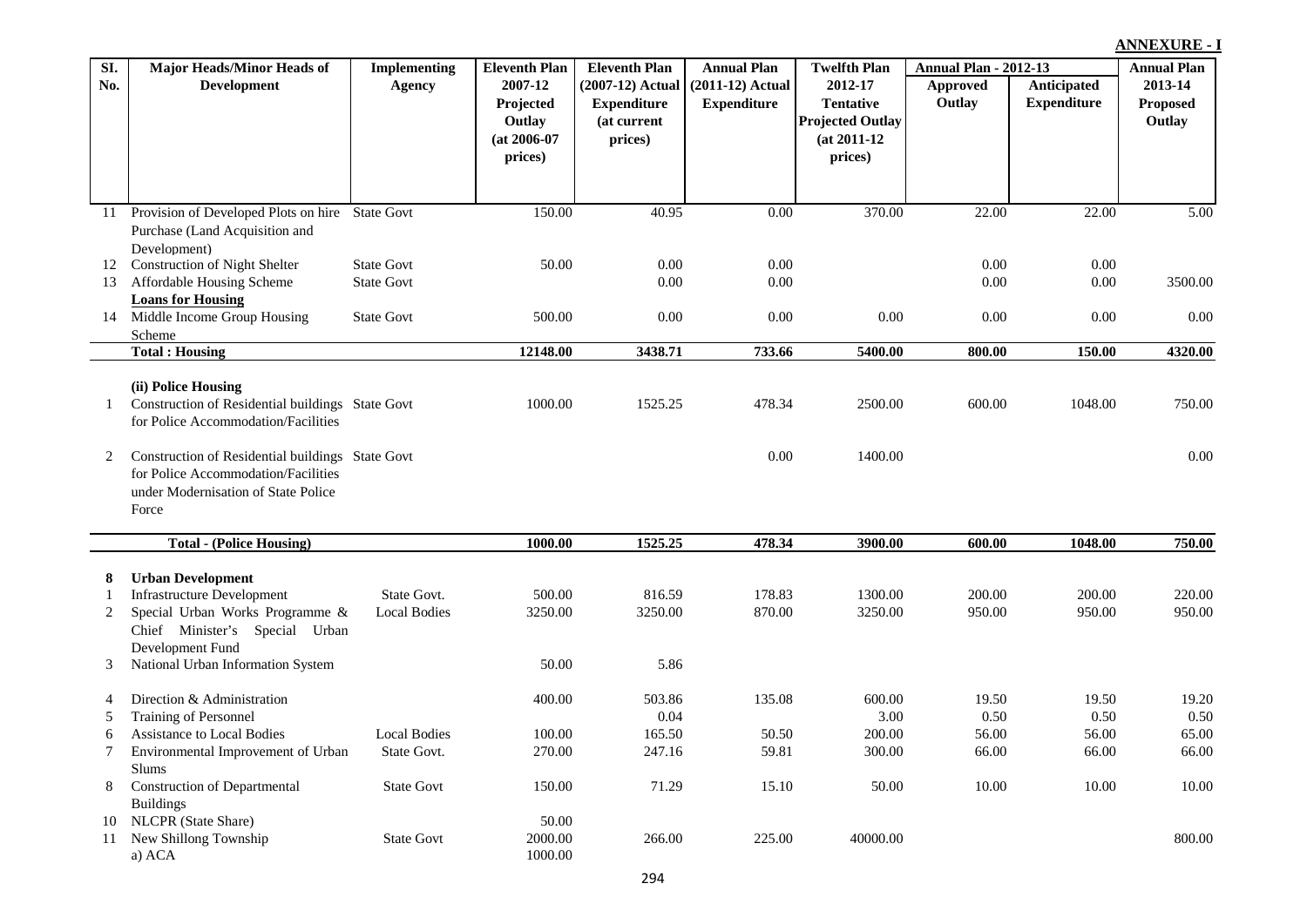| SI.      | <b>Major Heads/Minor Heads of</b>                | <b>Implementing</b> | <b>Eleventh Plan</b> | <b>Eleventh Plan</b> | <b>Annual Plan</b> | <b>Twelfth Plan</b>     | <b>Annual Plan - 2012-13</b> |                    | <b>Annual Plan</b> |
|----------|--------------------------------------------------|---------------------|----------------------|----------------------|--------------------|-------------------------|------------------------------|--------------------|--------------------|
| No.      | <b>Development</b>                               | Agency              | 2007-12              | $(2007-12)$ Actual   | $(2011-12)$ Actual | 2012-17                 | <b>Approved</b>              | Anticipated        | 2013-14            |
|          |                                                  |                     | Projected            | <b>Expenditure</b>   | <b>Expenditure</b> | <b>Tentative</b>        | Outlay                       | <b>Expenditure</b> | <b>Proposed</b>    |
|          |                                                  |                     | Outlay               | (at current          |                    | <b>Projected Outlay</b> |                              |                    | Outlay             |
|          |                                                  |                     | $(at 2006-07)$       | prices)              |                    | $(at 2011-12)$          |                              |                    |                    |
|          |                                                  |                     | prices)              |                      |                    | prices)                 |                              |                    |                    |
|          |                                                  |                     |                      |                      |                    |                         |                              |                    |                    |
|          | Provision of Developed Plots on hire State Govt  |                     | 150.00               | 40.95                | 0.00               | 370.00                  | 22.00                        | 22.00              | 5.00               |
| 11       |                                                  |                     |                      |                      |                    |                         |                              |                    |                    |
|          | Purchase (Land Acquisition and<br>Development)   |                     |                      |                      |                    |                         |                              |                    |                    |
| 12       | <b>Construction of Night Shelter</b>             | <b>State Govt</b>   | 50.00                | 0.00                 | 0.00               |                         | 0.00                         | $0.00\,$           |                    |
| 13       | Affordable Housing Scheme                        | <b>State Govt</b>   |                      | 0.00                 | 0.00               |                         | 0.00                         | $0.00\,$           | 3500.00            |
|          | <b>Loans for Housing</b>                         |                     |                      |                      |                    |                         |                              |                    |                    |
| 14       | Middle Income Group Housing                      | <b>State Govt</b>   | 500.00               | 0.00                 | 0.00               | 0.00                    | 0.00                         | 0.00               | 0.00               |
|          | Scheme                                           |                     |                      |                      |                    |                         |                              |                    |                    |
|          | <b>Total: Housing</b>                            |                     | 12148.00             | 3438.71              | 733.66             | 5400.00                 | 800.00                       | 150.00             | 4320.00            |
|          |                                                  |                     |                      |                      |                    |                         |                              |                    |                    |
|          | (ii) Police Housing                              |                     |                      |                      |                    |                         |                              |                    |                    |
| 1        | Construction of Residential buildings State Govt |                     | 1000.00              | 1525.25              | 478.34             | 2500.00                 | 600.00                       | 1048.00            | 750.00             |
|          | for Police Accommodation/Facilities              |                     |                      |                      |                    |                         |                              |                    |                    |
| 2        | Construction of Residential buildings State Govt |                     |                      |                      | 0.00               | 1400.00                 |                              |                    | 0.00               |
|          | for Police Accommodation/Facilities              |                     |                      |                      |                    |                         |                              |                    |                    |
|          | under Modernisation of State Police              |                     |                      |                      |                    |                         |                              |                    |                    |
|          | Force                                            |                     |                      |                      |                    |                         |                              |                    |                    |
|          |                                                  |                     |                      |                      |                    |                         |                              |                    |                    |
|          | <b>Total - (Police Housing)</b>                  |                     | 1000.00              | 1525.25              | 478.34             | 3900.00                 | 600.00                       | 1048.00            | 750.00             |
| 8        | <b>Urban Development</b>                         |                     |                      |                      |                    |                         |                              |                    |                    |
| -1       | <b>Infrastructure Development</b>                | State Govt.         | 500.00               | 816.59               | 178.83             | 1300.00                 | 200.00                       | 200.00             | 220.00             |
| 2        | Special Urban Works Programme &                  | <b>Local Bodies</b> | 3250.00              | 3250.00              | 870.00             | 3250.00                 | 950.00                       | 950.00             | 950.00             |
|          | Chief Minister's Special Urban                   |                     |                      |                      |                    |                         |                              |                    |                    |
|          | Development Fund                                 |                     |                      |                      |                    |                         |                              |                    |                    |
| 3        | National Urban Information System                |                     | 50.00                | 5.86                 |                    |                         |                              |                    |                    |
|          |                                                  |                     |                      |                      |                    |                         |                              |                    |                    |
| 4        | Direction & Administration                       |                     | 400.00               | 503.86               | 135.08             | 600.00                  | 19.50                        | 19.50              | 19.20              |
| 5        | Training of Personnel                            |                     |                      | 0.04                 |                    | 3.00                    | 0.50                         | 0.50               | 0.50               |
| 6        | Assistance to Local Bodies                       | <b>Local Bodies</b> | 100.00               | 165.50               | 50.50              | 200.00                  | 56.00                        | 56.00              | 65.00              |
| 7        | Environmental Improvement of Urban               | State Govt.         | 270.00               | 247.16               | 59.81              | 300.00                  | 66.00                        | 66.00              | 66.00              |
|          | Slums                                            |                     |                      |                      |                    |                         |                              |                    |                    |
| 8        | <b>Construction of Departmental</b>              | <b>State Govt</b>   | 150.00               | 71.29                | 15.10              | 50.00                   | 10.00                        | 10.00              | 10.00              |
|          | <b>Buildings</b>                                 |                     |                      |                      |                    |                         |                              |                    |                    |
| 10<br>11 | NLCPR (State Share)<br>New Shillong Township     | <b>State Govt</b>   | 50.00<br>2000.00     | 266.00               | 225.00             | 40000.00                |                              |                    | 800.00             |
|          | a) ACA                                           |                     | 1000.00              |                      |                    |                         |                              |                    |                    |
|          |                                                  |                     |                      |                      |                    |                         |                              |                    |                    |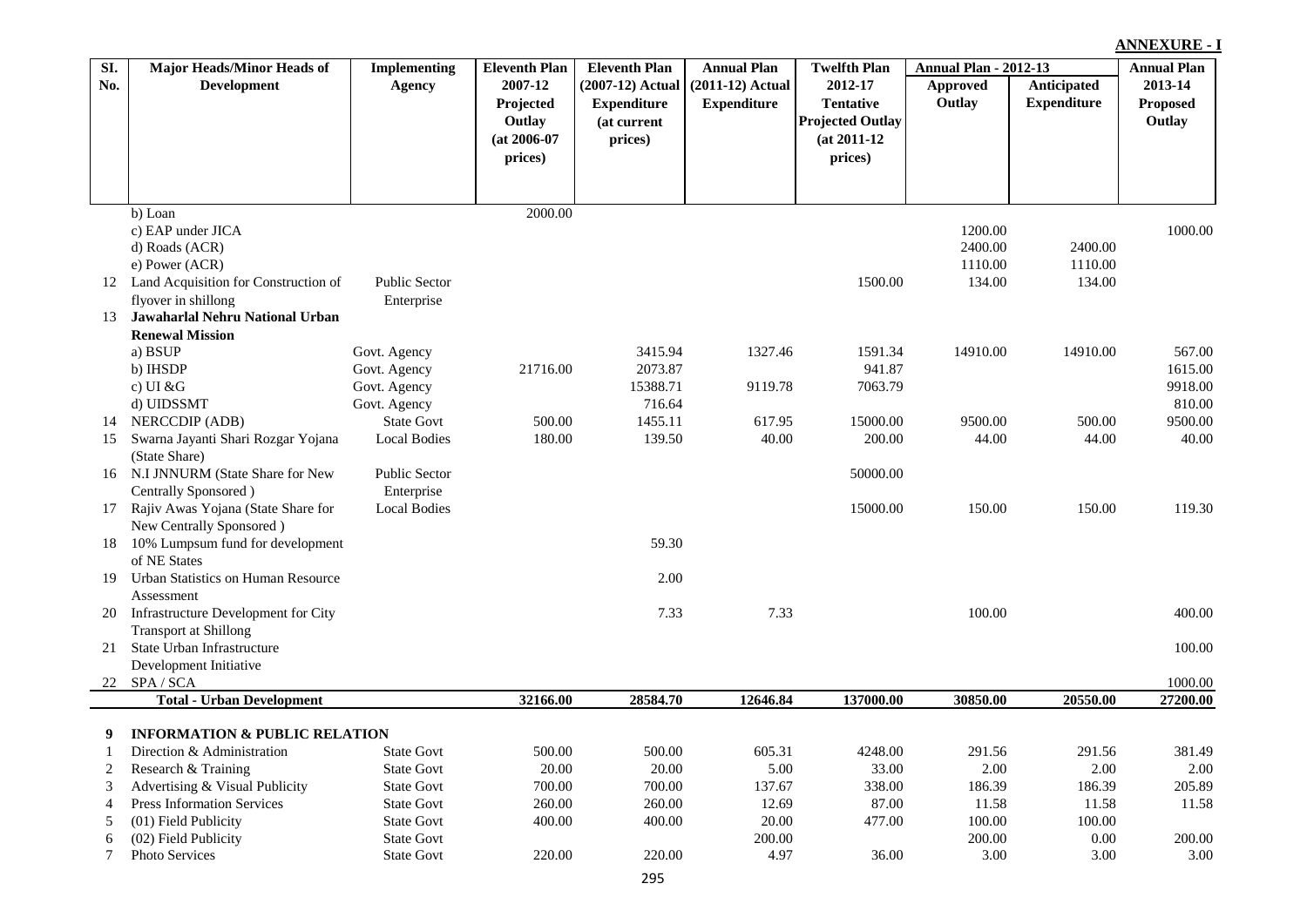| SI. | Major Heads/Minor Heads of               | <b>Implementing</b>  | <b>Eleventh Plan</b> | <b>Eleventh Plan</b> | <b>Annual Plan</b> | <b>Twelfth Plan</b>     | <b>Annual Plan - 2012-13</b> |                    | <b>Annual Plan</b> |
|-----|------------------------------------------|----------------------|----------------------|----------------------|--------------------|-------------------------|------------------------------|--------------------|--------------------|
| No. | <b>Development</b>                       | Agency               | 2007-12              | (2007-12) Actual     | $(2011-12)$ Actual | 2012-17                 | Approved                     | Anticipated        | 2013-14            |
|     |                                          |                      | Projected            | <b>Expenditure</b>   | <b>Expenditure</b> | <b>Tentative</b>        | Outlay                       | <b>Expenditure</b> | <b>Proposed</b>    |
|     |                                          |                      | Outlay               | (at current          |                    | <b>Projected Outlay</b> |                              |                    | Outlay             |
|     |                                          |                      | $(at 2006-07)$       | prices)              |                    | $(at 2011-12)$          |                              |                    |                    |
|     |                                          |                      | prices)              |                      |                    | prices)                 |                              |                    |                    |
|     |                                          |                      |                      |                      |                    |                         |                              |                    |                    |
|     |                                          |                      |                      |                      |                    |                         |                              |                    |                    |
|     | b) Loan                                  |                      | 2000.00              |                      |                    |                         |                              |                    |                    |
|     | c) EAP under JICA<br>d) Roads (ACR)      |                      |                      |                      |                    |                         | 1200.00<br>2400.00           | 2400.00            | 1000.00            |
|     | e) Power (ACR)                           |                      |                      |                      |                    |                         | 1110.00                      | 1110.00            |                    |
| 12  | Land Acquisition for Construction of     | Public Sector        |                      |                      |                    | 1500.00                 | 134.00                       | 134.00             |                    |
|     | flyover in shillong                      | Enterprise           |                      |                      |                    |                         |                              |                    |                    |
| 13  | Jawaharlal Nehru National Urban          |                      |                      |                      |                    |                         |                              |                    |                    |
|     | <b>Renewal Mission</b>                   |                      |                      |                      |                    |                         |                              |                    |                    |
|     | a) BSUP                                  | Govt. Agency         |                      | 3415.94              | 1327.46            | 1591.34                 | 14910.00                     | 14910.00           | 567.00             |
|     | b) IHSDP                                 | Govt. Agency         | 21716.00             | 2073.87              |                    | 941.87                  |                              |                    | 1615.00            |
|     | c) UI $&G$                               | Govt. Agency         |                      | 15388.71             | 9119.78            | 7063.79                 |                              |                    | 9918.00            |
|     | d) UIDSSMT                               | Govt. Agency         |                      | 716.64               |                    |                         |                              |                    | 810.00             |
| 14  | NERCCDIP (ADB)                           | <b>State Govt</b>    | 500.00               | 1455.11              | 617.95             | 15000.00                | 9500.00                      | 500.00             | 9500.00            |
| 15  | Swarna Jayanti Shari Rozgar Yojana       | <b>Local Bodies</b>  | 180.00               | 139.50               | 40.00              | 200.00                  | 44.00                        | 44.00              | 40.00              |
|     | (State Share)                            |                      |                      |                      |                    |                         |                              |                    |                    |
|     | 16 N.I JNNURM (State Share for New       | <b>Public Sector</b> |                      |                      |                    | 50000.00                |                              |                    |                    |
|     | Centrally Sponsored)                     | Enterprise           |                      |                      |                    |                         |                              |                    |                    |
| 17  | Rajiv Awas Yojana (State Share for       | <b>Local Bodies</b>  |                      |                      |                    | 15000.00                | 150.00                       | 150.00             | 119.30             |
|     | New Centrally Sponsored)                 |                      |                      |                      |                    |                         |                              |                    |                    |
| 18  | 10% Lumpsum fund for development         |                      |                      | 59.30                |                    |                         |                              |                    |                    |
|     | of NE States                             |                      |                      |                      |                    |                         |                              |                    |                    |
| 19  | Urban Statistics on Human Resource       |                      |                      | 2.00                 |                    |                         |                              |                    |                    |
|     | Assessment                               |                      |                      |                      |                    |                         |                              |                    |                    |
| 20  | Infrastructure Development for City      |                      |                      | 7.33                 | 7.33               |                         | 100.00                       |                    | 400.00             |
|     | <b>Transport at Shillong</b>             |                      |                      |                      |                    |                         |                              |                    |                    |
| 21  | State Urban Infrastructure               |                      |                      |                      |                    |                         |                              |                    | 100.00             |
|     | Development Initiative                   |                      |                      |                      |                    |                         |                              |                    |                    |
|     | 22 SPA/SCA                               |                      |                      |                      |                    |                         |                              |                    | 1000.00            |
|     | <b>Total - Urban Development</b>         |                      | 32166.00             | 28584.70             | 12646.84           | 137000.00               | 30850.00                     | 20550.00           | 27200.00           |
| 9   | <b>INFORMATION &amp; PUBLIC RELATION</b> |                      |                      |                      |                    |                         |                              |                    |                    |
|     | Direction & Administration               | State Govt           | 500.00               | 500.00               | 605.31             | 4248.00                 | 291.56                       | 291.56             | 381.49             |
| 2   | Research & Training                      | <b>State Govt</b>    | 20.00                | 20.00                | 5.00               | 33.00                   | 2.00                         | 2.00               | 2.00               |
| 3   | Advertising & Visual Publicity           | <b>State Govt</b>    | 700.00               | 700.00               | 137.67             | 338.00                  | 186.39                       | 186.39             | 205.89             |
| 4   | <b>Press Information Services</b>        | <b>State Govt</b>    | 260.00               | 260.00               | 12.69              | 87.00                   | 11.58                        | 11.58              | 11.58              |
| 5   | (01) Field Publicity                     | <b>State Govt</b>    | 400.00               | 400.00               | 20.00              | 477.00                  | 100.00                       | 100.00             |                    |
| 6   | (02) Field Publicity                     | <b>State Govt</b>    |                      |                      | 200.00             |                         | 200.00                       | 0.00               | 200.00             |
| 7   | Photo Services                           | <b>State Govt</b>    | 220.00               | 220.00               | 4.97               | 36.00                   | 3.00                         | 3.00               | 3.00               |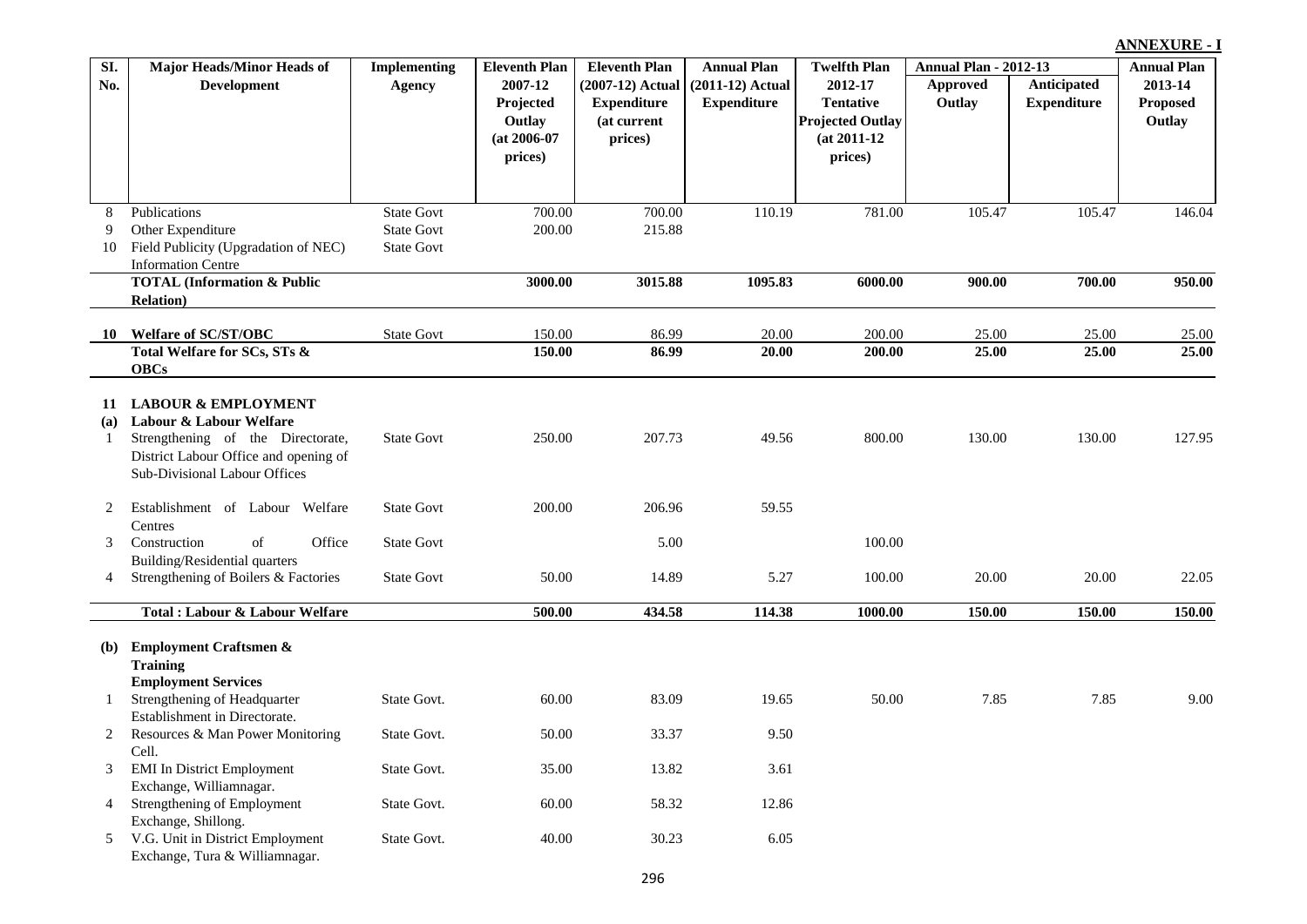| SI. | <b>Major Heads/Minor Heads of</b>                                     | <b>Implementing</b> | <b>Eleventh Plan</b> | <b>Eleventh Plan</b> | <b>Annual Plan</b> | <b>Twelfth Plan</b>     | <b>Annual Plan - 2012-13</b> |                    | <b>Annual Plan</b> |
|-----|-----------------------------------------------------------------------|---------------------|----------------------|----------------------|--------------------|-------------------------|------------------------------|--------------------|--------------------|
| No. | <b>Development</b>                                                    | <b>Agency</b>       | 2007-12              | $(2007-12)$ Actual   | $(2011-12)$ Actual | 2012-17                 | Approved                     | Anticipated        | 2013-14            |
|     |                                                                       |                     | Projected            | <b>Expenditure</b>   | <b>Expenditure</b> | <b>Tentative</b>        | Outlay                       | <b>Expenditure</b> | <b>Proposed</b>    |
|     |                                                                       |                     | Outlay               | (at current          |                    | <b>Projected Outlay</b> |                              |                    | Outlay             |
|     |                                                                       |                     | $(at 2006-07)$       | prices)              |                    | $(at 2011-12)$          |                              |                    |                    |
|     |                                                                       |                     | prices)              |                      |                    | prices)                 |                              |                    |                    |
|     |                                                                       |                     |                      |                      |                    |                         |                              |                    |                    |
|     |                                                                       |                     |                      |                      |                    |                         |                              |                    |                    |
| 8   | Publications                                                          | <b>State Govt</b>   | 700.00               | 700.00               | 110.19             | 781.00                  | 105.47                       | 105.47             | 146.04             |
| 9   | Other Expenditure                                                     | <b>State Govt</b>   | 200.00               | 215.88               |                    |                         |                              |                    |                    |
| 10  | Field Publicity (Upgradation of NEC)<br><b>Information Centre</b>     | <b>State Govt</b>   |                      |                      |                    |                         |                              |                    |                    |
|     | <b>TOTAL (Information &amp; Public</b>                                |                     | 3000.00              | 3015.88              | 1095.83            | 6000.00                 | 900.00                       | 700.00             | 950.00             |
|     | <b>Relation</b> )                                                     |                     |                      |                      |                    |                         |                              |                    |                    |
|     |                                                                       |                     |                      |                      |                    |                         |                              |                    |                    |
| 10  | <b>Welfare of SC/ST/OBC</b>                                           | <b>State Govt</b>   | 150.00               | 86.99                | 20.00              | 200.00                  | 25.00                        | 25.00              | 25.00              |
|     | Total Welfare for SCs, STs &                                          |                     | 150.00               | 86.99                | 20.00              | 200.00                  | 25.00                        | 25.00              | 25.00              |
|     | <b>OBCs</b>                                                           |                     |                      |                      |                    |                         |                              |                    |                    |
| 11  | <b>LABOUR &amp; EMPLOYMENT</b>                                        |                     |                      |                      |                    |                         |                              |                    |                    |
| (a) | Labour & Labour Welfare                                               |                     |                      |                      |                    |                         |                              |                    |                    |
| 1   | Strengthening of the Directorate,                                     | <b>State Govt</b>   | 250.00               | 207.73               | 49.56              | 800.00                  | 130.00                       | 130.00             | 127.95             |
|     | District Labour Office and opening of                                 |                     |                      |                      |                    |                         |                              |                    |                    |
|     | Sub-Divisional Labour Offices                                         |                     |                      |                      |                    |                         |                              |                    |                    |
|     |                                                                       |                     |                      |                      |                    |                         |                              |                    |                    |
| 2   | Establishment of Labour Welfare                                       | <b>State Govt</b>   | 200.00               | 206.96               | 59.55              |                         |                              |                    |                    |
|     | Centres                                                               |                     |                      |                      |                    |                         |                              |                    |                    |
| 3   | Office<br>of<br>Construction                                          | <b>State Govt</b>   |                      | 5.00                 |                    | 100.00                  |                              |                    |                    |
|     | Building/Residential quarters<br>Strengthening of Boilers & Factories | <b>State Govt</b>   | 50.00                | 14.89                | 5.27               | 100.00                  | 20.00                        | 20.00              | 22.05              |
| 4   |                                                                       |                     |                      |                      |                    |                         |                              |                    |                    |
|     | <b>Total: Labour &amp; Labour Welfare</b>                             |                     | 500.00               | 434.58               | 114.38             | 1000.00                 | 150.00                       | 150.00             | 150.00             |
|     |                                                                       |                     |                      |                      |                    |                         |                              |                    |                    |
| (b) | <b>Employment Craftsmen &amp;</b>                                     |                     |                      |                      |                    |                         |                              |                    |                    |
|     | <b>Training</b><br><b>Employment Services</b>                         |                     |                      |                      |                    |                         |                              |                    |                    |
| 1   | Strengthening of Headquarter                                          | State Govt.         | 60.00                | 83.09                | 19.65              | 50.00                   | 7.85                         | 7.85               | 9.00               |
|     | Establishment in Directorate.                                         |                     |                      |                      |                    |                         |                              |                    |                    |
| 2   | Resources & Man Power Monitoring                                      | State Govt.         | 50.00                | 33.37                | 9.50               |                         |                              |                    |                    |
|     | Cell.                                                                 |                     |                      |                      |                    |                         |                              |                    |                    |
| 3   | <b>EMI</b> In District Employment                                     | State Govt.         | 35.00                | 13.82                | 3.61               |                         |                              |                    |                    |
|     | Exchange, Williamnagar.                                               |                     |                      |                      |                    |                         |                              |                    |                    |
| 4   | Strengthening of Employment                                           | State Govt.         | 60.00                | 58.32                | 12.86              |                         |                              |                    |                    |
|     | Exchange, Shillong.                                                   |                     |                      |                      |                    |                         |                              |                    |                    |
| 5   | V.G. Unit in District Employment                                      | State Govt.         | 40.00                | 30.23                | 6.05               |                         |                              |                    |                    |
|     | Exchange, Tura & Williamnagar.                                        |                     |                      |                      |                    |                         |                              |                    |                    |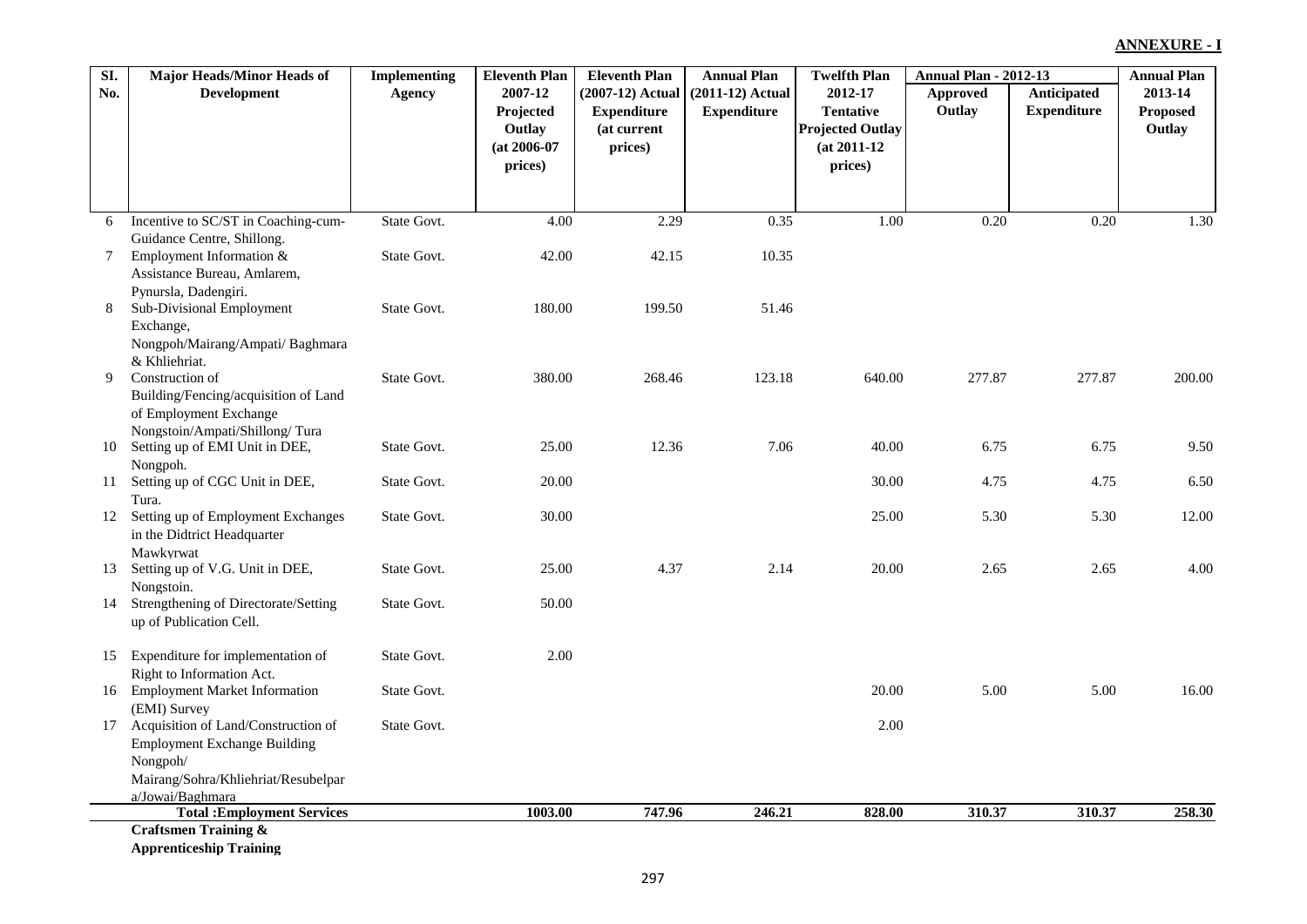| SI. | <b>Major Heads/Minor Heads of</b>          | <b>Implementing</b> | <b>Eleventh Plan</b> | <b>Eleventh Plan</b> | <b>Annual Plan</b> | <b>Twelfth Plan</b>     | <b>Annual Plan - 2012-13</b> |                    | <b>Annual Plan</b> |
|-----|--------------------------------------------|---------------------|----------------------|----------------------|--------------------|-------------------------|------------------------------|--------------------|--------------------|
| No. | <b>Development</b>                         | Agency              | 2007-12              | (2007-12) Actual     | (2011-12) Actual   | 2012-17                 | Approved                     | Anticipated        | 2013-14            |
|     |                                            |                     | Projected            | <b>Expenditure</b>   | <b>Expenditure</b> | <b>Tentative</b>        | Outlay                       | <b>Expenditure</b> | <b>Proposed</b>    |
|     |                                            |                     | Outlay               | (at current          |                    | <b>Projected Outlay</b> |                              |                    | Outlay             |
|     |                                            |                     | $(at 2006-07)$       | prices)              |                    | $(at 2011-12)$          |                              |                    |                    |
|     |                                            |                     | prices)              |                      |                    | prices)                 |                              |                    |                    |
|     |                                            |                     |                      |                      |                    |                         |                              |                    |                    |
| 6   | Incentive to SC/ST in Coaching-cum-        | State Govt.         | 4.00                 | 2.29                 | 0.35               | 1.00                    | 0.20                         | 0.20               | 1.30               |
|     | Guidance Centre, Shillong.                 |                     |                      |                      |                    |                         |                              |                    |                    |
| 7   | Employment Information &                   | State Govt.         | 42.00                | 42.15                | 10.35              |                         |                              |                    |                    |
|     | Assistance Bureau, Amlarem,                |                     |                      |                      |                    |                         |                              |                    |                    |
|     | Pynursla, Dadengiri.                       |                     |                      |                      |                    |                         |                              |                    |                    |
| 8   | Sub-Divisional Employment                  | State Govt.         | 180.00               | 199.50               | 51.46              |                         |                              |                    |                    |
|     | Exchange,                                  |                     |                      |                      |                    |                         |                              |                    |                    |
|     | Nongpoh/Mairang/Ampati/ Baghmara           |                     |                      |                      |                    |                         |                              |                    |                    |
|     | & Khliehriat.                              |                     |                      |                      |                    |                         |                              |                    |                    |
| 9   | Construction of                            | State Govt.         | 380.00               | 268.46               | 123.18             | 640.00                  | 277.87                       | 277.87             | 200.00             |
|     | Building/Fencing/acquisition of Land       |                     |                      |                      |                    |                         |                              |                    |                    |
|     | of Employment Exchange                     |                     |                      |                      |                    |                         |                              |                    |                    |
|     | Nongstoin/Ampati/Shillong/Tura             |                     |                      | 12.36                | 7.06               |                         | 6.75                         | 6.75               | 9.50               |
| 10  | Setting up of EMI Unit in DEE,             | State Govt.         | 25.00                |                      |                    | 40.00                   |                              |                    |                    |
| 11  | Nongpoh.<br>Setting up of CGC Unit in DEE, | State Govt.         | 20.00                |                      |                    | 30.00                   | 4.75                         | 4.75               | 6.50               |
|     | Tura.                                      |                     |                      |                      |                    |                         |                              |                    |                    |
| 12  | Setting up of Employment Exchanges         | State Govt.         | 30.00                |                      |                    | 25.00                   | 5.30                         | 5.30               | 12.00              |
|     | in the Didtrict Headquarter                |                     |                      |                      |                    |                         |                              |                    |                    |
|     | Mawkyrwat                                  |                     |                      |                      |                    |                         |                              |                    |                    |
| 13  | Setting up of V.G. Unit in DEE,            | State Govt.         | 25.00                | 4.37                 | 2.14               | 20.00                   | 2.65                         | 2.65               | 4.00               |
|     | Nongstoin.                                 |                     |                      |                      |                    |                         |                              |                    |                    |
| 14  | Strengthening of Directorate/Setting       | State Govt.         | 50.00                |                      |                    |                         |                              |                    |                    |
|     | up of Publication Cell.                    |                     |                      |                      |                    |                         |                              |                    |                    |
|     |                                            |                     |                      |                      |                    |                         |                              |                    |                    |
| 15  | Expenditure for implementation of          | State Govt.         | 2.00                 |                      |                    |                         |                              |                    |                    |
|     | Right to Information Act.                  |                     |                      |                      |                    |                         |                              |                    |                    |
| 16  | <b>Employment Market Information</b>       | State Govt.         |                      |                      |                    | 20.00                   | 5.00                         | 5.00               | 16.00              |
|     | (EMI) Survey                               |                     |                      |                      |                    |                         |                              |                    |                    |
| 17  | Acquisition of Land/Construction of        | State Govt.         |                      |                      |                    | 2.00                    |                              |                    |                    |
|     | <b>Employment Exchange Building</b>        |                     |                      |                      |                    |                         |                              |                    |                    |
|     | Nongpoh/                                   |                     |                      |                      |                    |                         |                              |                    |                    |
|     | Mairang/Sohra/Khliehriat/Resubelpar        |                     |                      |                      |                    |                         |                              |                    |                    |
|     | a/Jowai/Baghmara                           |                     |                      |                      |                    |                         |                              |                    |                    |
|     | <b>Total: Employment Services</b>          |                     | 1003.00              | 747.96               | 246.21             | 828.00                  | 310.37                       | 310.37             | 258.30             |
|     | <b>Craftsmen Training &amp;</b>            |                     |                      |                      |                    |                         |                              |                    |                    |
|     | <b>Apprenticeship Training</b>             |                     |                      |                      |                    |                         |                              |                    |                    |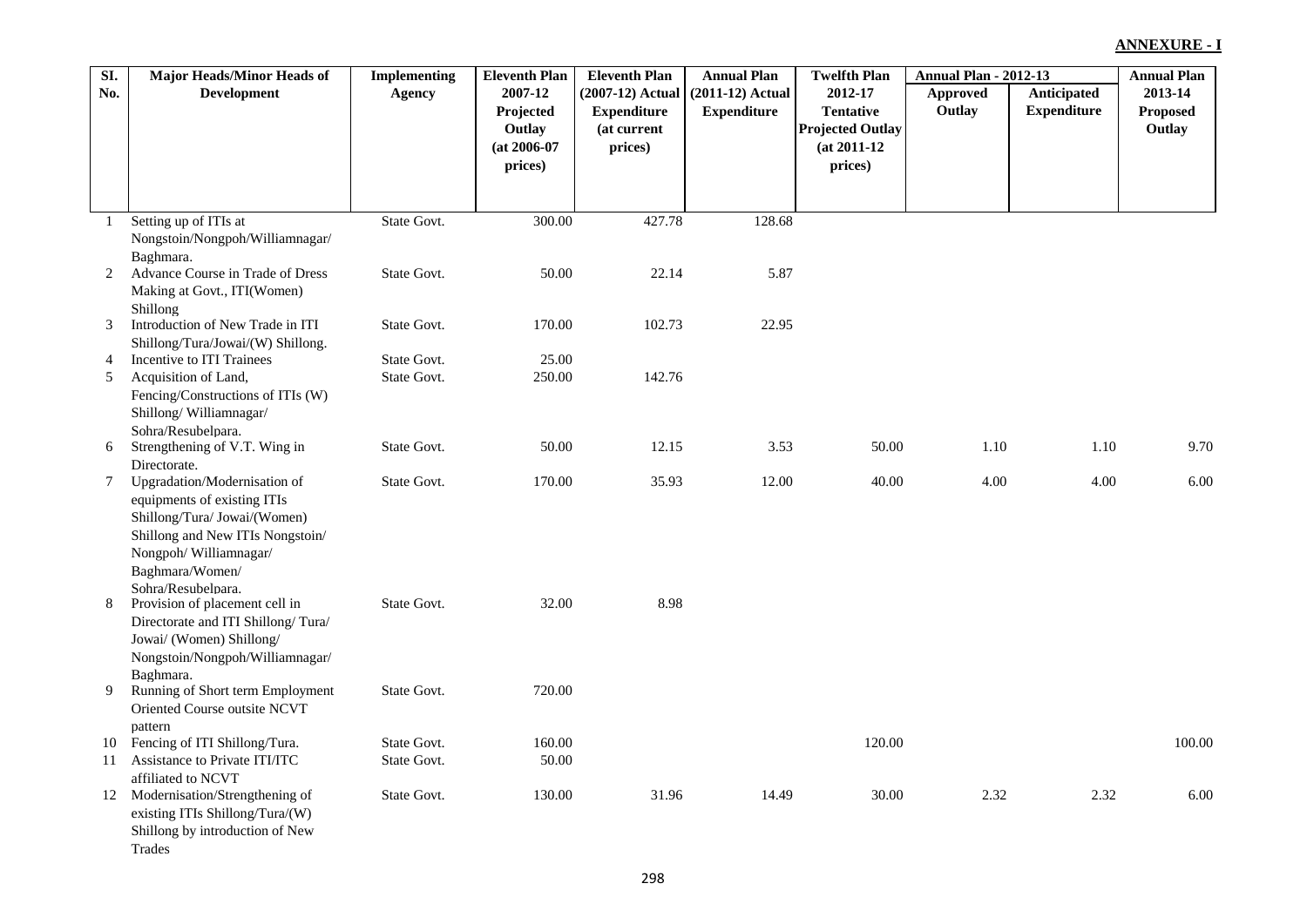| SI.             | <b>Major Heads/Minor Heads of</b>                              | <b>Implementing</b> | <b>Eleventh Plan</b> | <b>Eleventh Plan</b> | <b>Annual Plan</b> | <b>Twelfth Plan</b>     | <b>Annual Plan - 2012-13</b> |                    | <b>Annual Plan</b> |
|-----------------|----------------------------------------------------------------|---------------------|----------------------|----------------------|--------------------|-------------------------|------------------------------|--------------------|--------------------|
| No.             | <b>Development</b>                                             | Agency              | 2007-12              | (2007-12) Actual     | $(2011-12)$ Actual | 2012-17                 | Approved                     | Anticipated        | 2013-14            |
|                 |                                                                |                     | Projected            | <b>Expenditure</b>   | <b>Expenditure</b> | <b>Tentative</b>        | Outlay                       | <b>Expenditure</b> | <b>Proposed</b>    |
|                 |                                                                |                     | Outlay               | (at current          |                    | <b>Projected Outlay</b> |                              |                    | Outlay             |
|                 |                                                                |                     | $(at 2006-07)$       | prices)              |                    | $(at 2011-12)$          |                              |                    |                    |
|                 |                                                                |                     | prices)              |                      |                    | prices)                 |                              |                    |                    |
|                 |                                                                |                     |                      |                      |                    |                         |                              |                    |                    |
| 1               | Setting up of ITIs at                                          | State Govt.         | 300.00               | 427.78               | 128.68             |                         |                              |                    |                    |
|                 | Nongstoin/Nongpoh/Williamnagar/                                |                     |                      |                      |                    |                         |                              |                    |                    |
|                 | Baghmara.                                                      |                     |                      |                      |                    |                         |                              |                    |                    |
| 2               | Advance Course in Trade of Dress                               | State Govt.         | 50.00                | 22.14                | 5.87               |                         |                              |                    |                    |
|                 | Making at Govt., ITI(Women)                                    |                     |                      |                      |                    |                         |                              |                    |                    |
|                 | Shillong                                                       |                     |                      |                      |                    |                         |                              |                    |                    |
| 3               | Introduction of New Trade in ITI                               | State Govt.         | 170.00               | 102.73               | 22.95              |                         |                              |                    |                    |
|                 | Shillong/Tura/Jowai/(W) Shillong.                              |                     |                      |                      |                    |                         |                              |                    |                    |
| 4               | Incentive to ITI Trainees                                      | State Govt.         | 25.00                |                      |                    |                         |                              |                    |                    |
| 5               | Acquisition of Land,                                           | State Govt.         | 250.00               | 142.76               |                    |                         |                              |                    |                    |
|                 | Fencing/Constructions of ITIs (W)<br>Shillong/Williamnagar/    |                     |                      |                      |                    |                         |                              |                    |                    |
|                 | Sohra/Resubelpara.                                             |                     |                      |                      |                    |                         |                              |                    |                    |
| 6               | Strengthening of V.T. Wing in                                  | State Govt.         | 50.00                | 12.15                | 3.53               | 50.00                   | 1.10                         | 1.10               | 9.70               |
|                 | Directorate.                                                   |                     |                      |                      |                    |                         |                              |                    |                    |
| $7\phantom{.0}$ | Upgradation/Modernisation of                                   | State Govt.         | 170.00               | 35.93                | 12.00              | 40.00                   | 4.00                         | 4.00               | 6.00               |
|                 | equipments of existing ITIs                                    |                     |                      |                      |                    |                         |                              |                    |                    |
|                 | Shillong/Tura/ Jowai/(Women)                                   |                     |                      |                      |                    |                         |                              |                    |                    |
|                 | Shillong and New ITIs Nongstoin/                               |                     |                      |                      |                    |                         |                              |                    |                    |
|                 | Nongpoh/Williamnagar/                                          |                     |                      |                      |                    |                         |                              |                    |                    |
|                 | Baghmara/Women/                                                |                     |                      |                      |                    |                         |                              |                    |                    |
|                 | Sohra/Resubelpara.                                             |                     |                      |                      |                    |                         |                              |                    |                    |
| 8               | Provision of placement cell in                                 | State Govt.         | 32.00                | 8.98                 |                    |                         |                              |                    |                    |
|                 | Directorate and ITI Shillong/Tura/<br>Jowai/ (Women) Shillong/ |                     |                      |                      |                    |                         |                              |                    |                    |
|                 | Nongstoin/Nongpoh/Williamnagar/                                |                     |                      |                      |                    |                         |                              |                    |                    |
|                 | Baghmara.                                                      |                     |                      |                      |                    |                         |                              |                    |                    |
| 9               | Running of Short term Employment                               | State Govt.         | 720.00               |                      |                    |                         |                              |                    |                    |
|                 | Oriented Course outsite NCVT                                   |                     |                      |                      |                    |                         |                              |                    |                    |
|                 | pattern                                                        |                     |                      |                      |                    |                         |                              |                    |                    |
| 10              | Fencing of ITI Shillong/Tura.                                  | State Govt.         | 160.00               |                      |                    | 120.00                  |                              |                    | 100.00             |
| 11              | Assistance to Private ITI/ITC                                  | State Govt.         | 50.00                |                      |                    |                         |                              |                    |                    |
|                 | affiliated to NCVT                                             |                     |                      |                      |                    |                         |                              |                    |                    |
|                 | 12 Modernisation/Strengthening of                              | State Govt.         | 130.00               | 31.96                | 14.49              | 30.00                   | 2.32                         | 2.32               | 6.00               |
|                 | existing ITIs Shillong/Tura/(W)                                |                     |                      |                      |                    |                         |                              |                    |                    |
|                 | Shillong by introduction of New                                |                     |                      |                      |                    |                         |                              |                    |                    |
|                 | Trades                                                         |                     |                      |                      |                    |                         |                              |                    |                    |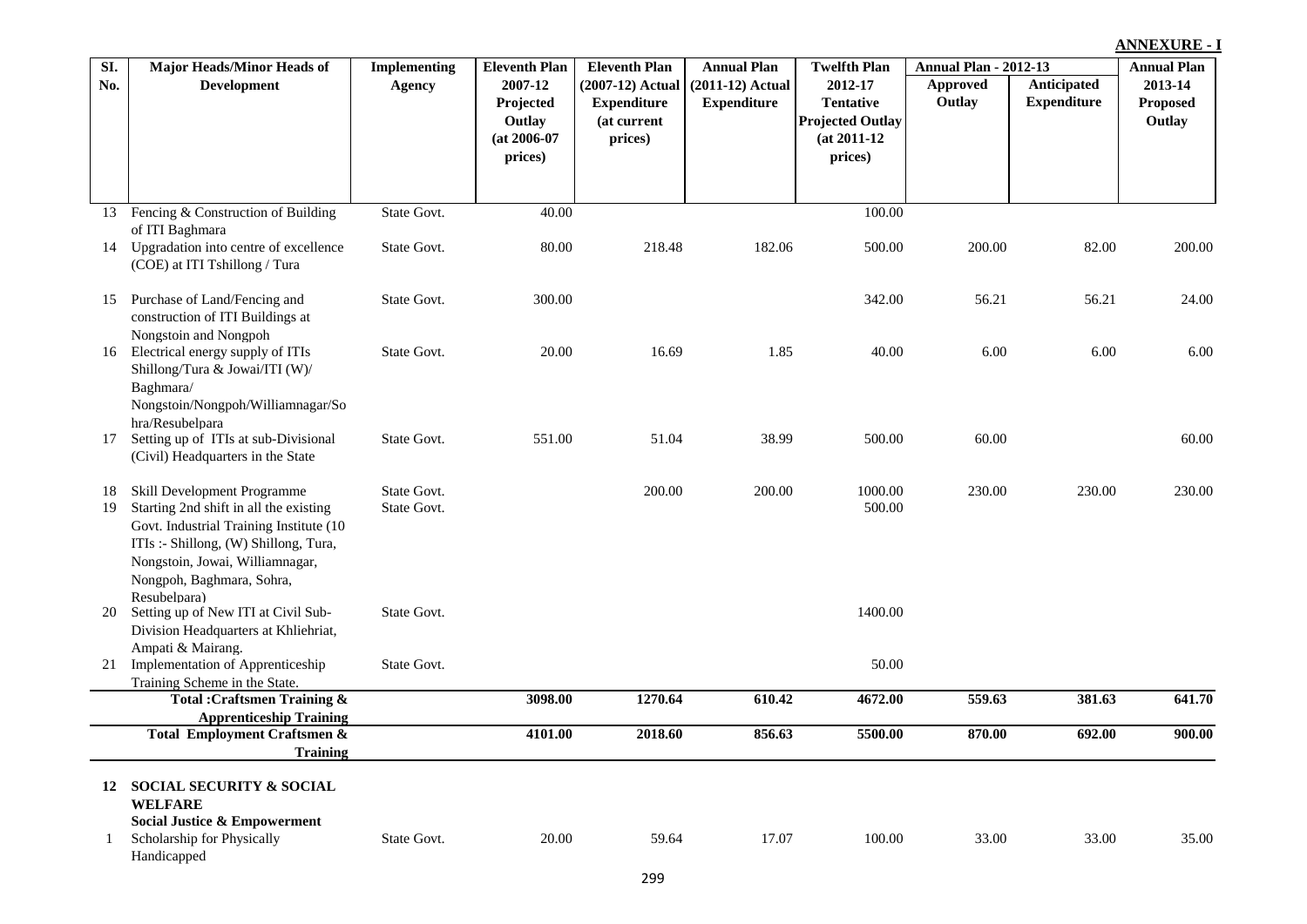| SI. | <b>Major Heads/Minor Heads of</b>                         | <b>Implementing</b> | <b>Eleventh Plan</b> | <b>Eleventh Plan</b> | <b>Annual Plan</b> | <b>Twelfth Plan</b>     | <b>Annual Plan - 2012-13</b> |                    | <b>Annual Plan</b> |
|-----|-----------------------------------------------------------|---------------------|----------------------|----------------------|--------------------|-------------------------|------------------------------|--------------------|--------------------|
| No. | <b>Development</b>                                        | <b>Agency</b>       | 2007-12              | $(2007-12)$ Actual   | $(2011-12)$ Actual | 2012-17                 | <b>Approved</b>              | <b>Anticipated</b> | 2013-14            |
|     |                                                           |                     | Projected            | <b>Expenditure</b>   | <b>Expenditure</b> | <b>Tentative</b>        | Outlay                       | <b>Expenditure</b> | <b>Proposed</b>    |
|     |                                                           |                     | Outlay               | (at current          |                    | <b>Projected Outlay</b> |                              |                    | Outlay             |
|     |                                                           |                     | $(at 2006-07$        | prices)              |                    | $(at 2011-12)$          |                              |                    |                    |
|     |                                                           |                     | prices)              |                      |                    | prices)                 |                              |                    |                    |
|     |                                                           |                     |                      |                      |                    |                         |                              |                    |                    |
| 13  | Fencing & Construction of Building                        | State Govt.         | 40.00                |                      |                    | 100.00                  |                              |                    |                    |
|     | of ITI Baghmara                                           |                     |                      |                      |                    |                         |                              |                    |                    |
| 14  | Upgradation into centre of excellence                     | State Govt.         | 80.00                | 218.48               | 182.06             | 500.00                  | 200.00                       | 82.00              | 200.00             |
|     | (COE) at ITI Tshillong / Tura                             |                     |                      |                      |                    |                         |                              |                    |                    |
| 15  | Purchase of Land/Fencing and                              | State Govt.         | 300.00               |                      |                    | 342.00                  | 56.21                        | 56.21              | 24.00              |
|     | construction of ITI Buildings at                          |                     |                      |                      |                    |                         |                              |                    |                    |
|     | Nongstoin and Nongpoh                                     |                     |                      |                      |                    |                         |                              |                    |                    |
| 16  | Electrical energy supply of ITIs                          | State Govt.         | 20.00                | 16.69                | 1.85               | 40.00                   | 6.00                         | 6.00               | 6.00               |
|     | Shillong/Tura & Jowai/ITI (W)/                            |                     |                      |                      |                    |                         |                              |                    |                    |
|     | Baghmara/                                                 |                     |                      |                      |                    |                         |                              |                    |                    |
|     | Nongstoin/Nongpoh/Williamnagar/So                         |                     |                      |                      |                    |                         |                              |                    |                    |
| 17  | hra/Resubelpara<br>Setting up of ITIs at sub-Divisional   | State Govt.         | 551.00               | 51.04                | 38.99              | 500.00                  | 60.00                        |                    | 60.00              |
|     | (Civil) Headquarters in the State                         |                     |                      |                      |                    |                         |                              |                    |                    |
|     |                                                           |                     |                      |                      |                    |                         |                              |                    |                    |
| 18  | Skill Development Programme                               | State Govt.         |                      | 200.00               | 200.00             | 1000.00                 | 230.00                       | 230.00             | 230.00             |
| 19  | Starting 2nd shift in all the existing                    | State Govt.         |                      |                      |                    | 500.00                  |                              |                    |                    |
|     | Govt. Industrial Training Institute (10                   |                     |                      |                      |                    |                         |                              |                    |                    |
|     | ITIs :- Shillong, (W) Shillong, Tura,                     |                     |                      |                      |                    |                         |                              |                    |                    |
|     | Nongstoin, Jowai, Williamnagar,                           |                     |                      |                      |                    |                         |                              |                    |                    |
|     | Nongpoh, Baghmara, Sohra,                                 |                     |                      |                      |                    |                         |                              |                    |                    |
|     | Resubelpara)                                              |                     |                      |                      |                    |                         |                              |                    |                    |
| 20  | Setting up of New ITI at Civil Sub-                       | State Govt.         |                      |                      |                    | 1400.00                 |                              |                    |                    |
|     | Division Headquarters at Khliehriat,<br>Ampati & Mairang. |                     |                      |                      |                    |                         |                              |                    |                    |
| 21  | Implementation of Apprenticeship                          | State Govt.         |                      |                      |                    | 50.00                   |                              |                    |                    |
|     | Training Scheme in the State.                             |                     |                      |                      |                    |                         |                              |                    |                    |
|     | <b>Total: Craftsmen Training &amp;</b>                    |                     | 3098.00              | 1270.64              | 610.42             | 4672.00                 | 559.63                       | 381.63             | 641.70             |
|     | <b>Apprenticeship Training</b>                            |                     |                      |                      |                    |                         |                              |                    |                    |
|     | <b>Total Employment Craftsmen &amp;</b>                   |                     | 4101.00              | 2018.60              | 856.63             | 5500.00                 | 870.00                       | 692.00             | 900.00             |
|     | <b>Training</b>                                           |                     |                      |                      |                    |                         |                              |                    |                    |
| 12  | <b>SOCIAL SECURITY &amp; SOCIAL</b>                       |                     |                      |                      |                    |                         |                              |                    |                    |
|     | <b>WELFARE</b>                                            |                     |                      |                      |                    |                         |                              |                    |                    |
|     | <b>Social Justice &amp; Empowerment</b>                   |                     |                      |                      |                    |                         |                              |                    |                    |
|     | Scholarship for Physically                                | State Govt.         | 20.00                | 59.64                | 17.07              | 100.00                  | 33.00                        | 33.00              | 35.00              |
|     | Handicapped                                               |                     |                      |                      |                    |                         |                              |                    |                    |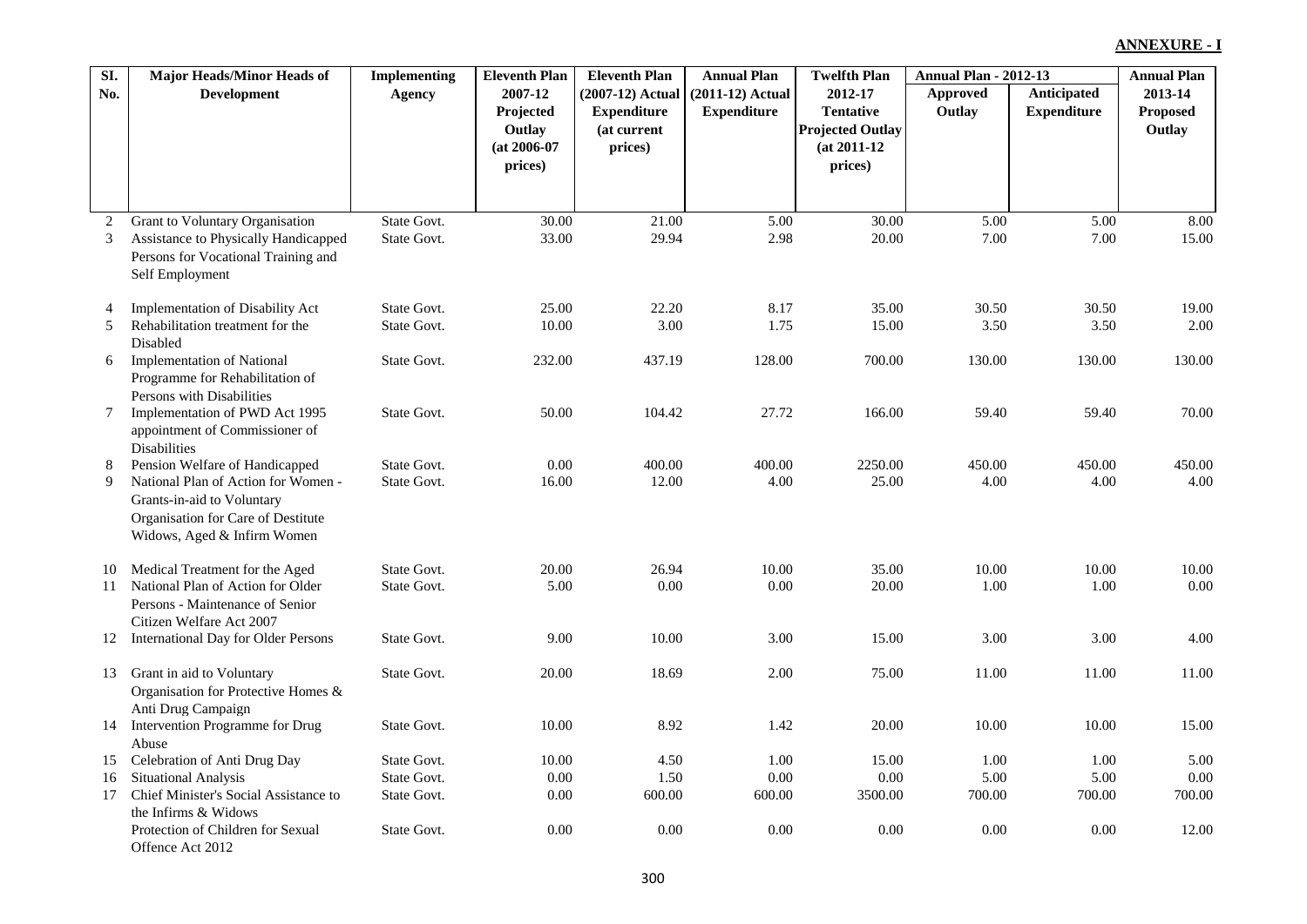| SI.      | <b>Major Heads/Minor Heads of</b>                                   | <b>Implementing</b>        | <b>Eleventh Plan</b> | <b>Eleventh Plan</b> | <b>Annual Plan</b> | <b>Twelfth Plan</b>     | <b>Annual Plan - 2012-13</b> |                    | <b>Annual Plan</b> |
|----------|---------------------------------------------------------------------|----------------------------|----------------------|----------------------|--------------------|-------------------------|------------------------------|--------------------|--------------------|
| No.      | <b>Development</b>                                                  | Agency                     | 2007-12              | $(2007-12)$ Actual   | $(2011-12)$ Actual | 2012-17                 | Approved                     | Anticipated        | 2013-14            |
|          |                                                                     |                            | Projected            | <b>Expenditure</b>   | <b>Expenditure</b> | <b>Tentative</b>        | Outlay                       | <b>Expenditure</b> | <b>Proposed</b>    |
|          |                                                                     |                            | Outlay               | (at current          |                    | <b>Projected Outlay</b> |                              |                    | Outlay             |
|          |                                                                     |                            | $(at 2006-07)$       | prices)              |                    | $(at 2011-12)$          |                              |                    |                    |
|          |                                                                     |                            | prices)              |                      |                    | prices)                 |                              |                    |                    |
|          |                                                                     |                            |                      |                      |                    |                         |                              |                    |                    |
| 2        | <b>Grant to Voluntary Organisation</b>                              | State Govt.                | $\overline{30.00}$   | 21.00                | 5.00               | 30.00                   | 5.00                         | 5.00               | 8.00               |
| 3        | Assistance to Physically Handicapped                                | State Govt.                | 33.00                | 29.94                | 2.98               | 20.00                   | 7.00                         | 7.00               | 15.00              |
|          | Persons for Vocational Training and                                 |                            |                      |                      |                    |                         |                              |                    |                    |
|          | Self Employment                                                     |                            |                      |                      |                    |                         |                              |                    |                    |
| 4        | <b>Implementation of Disability Act</b>                             | State Govt.                | 25.00                | 22.20                | 8.17               | 35.00                   | 30.50                        | 30.50              | 19.00              |
| 5        | Rehabilitation treatment for the                                    | State Govt.                | 10.00                | 3.00                 | 1.75               | 15.00                   | 3.50                         | 3.50               | 2.00               |
|          | Disabled                                                            |                            |                      |                      |                    |                         |                              |                    |                    |
| 6        | <b>Implementation of National</b>                                   | State Govt.                | 232.00               | 437.19               | 128.00             | 700.00                  | 130.00                       | 130.00             | 130.00             |
|          | Programme for Rehabilitation of                                     |                            |                      |                      |                    |                         |                              |                    |                    |
|          | Persons with Disabilities                                           |                            |                      |                      |                    |                         |                              |                    |                    |
| 7        | Implementation of PWD Act 1995                                      | State Govt.                | 50.00                | 104.42               | 27.72              | 166.00                  | 59.40                        | 59.40              | 70.00              |
|          | appointment of Commissioner of                                      |                            |                      |                      |                    |                         |                              |                    |                    |
| 8        | <b>Disabilities</b><br>Pension Welfare of Handicapped               | State Govt.                | 0.00                 | 400.00               | 400.00             | 2250.00                 | 450.00                       | 450.00             | 450.00             |
| 9        | National Plan of Action for Women -                                 | State Govt.                | 16.00                | 12.00                | 4.00               | 25.00                   | 4.00                         | 4.00               | 4.00               |
|          | Grants-in-aid to Voluntary                                          |                            |                      |                      |                    |                         |                              |                    |                    |
|          | Organisation for Care of Destitute                                  |                            |                      |                      |                    |                         |                              |                    |                    |
|          | Widows, Aged & Infirm Women                                         |                            |                      |                      |                    |                         |                              |                    |                    |
|          |                                                                     |                            |                      |                      |                    |                         |                              |                    |                    |
| 10<br>11 | Medical Treatment for the Aged<br>National Plan of Action for Older | State Govt.<br>State Govt. | 20.00<br>5.00        | 26.94<br>0.00        | 10.00<br>0.00      | 35.00<br>20.00          | 10.00<br>1.00                | 10.00<br>1.00      | 10.00<br>0.00      |
|          | Persons - Maintenance of Senior                                     |                            |                      |                      |                    |                         |                              |                    |                    |
|          | Citizen Welfare Act 2007                                            |                            |                      |                      |                    |                         |                              |                    |                    |
| 12       | <b>International Day for Older Persons</b>                          | State Govt.                | 9.00                 | 10.00                | 3.00               | 15.00                   | 3.00                         | 3.00               | 4.00               |
|          |                                                                     |                            |                      |                      |                    |                         |                              |                    |                    |
| 13       | Grant in aid to Voluntary                                           | State Govt.                | 20.00                | 18.69                | 2.00               | 75.00                   | 11.00                        | 11.00              | 11.00              |
|          | Organisation for Protective Homes &                                 |                            |                      |                      |                    |                         |                              |                    |                    |
|          | Anti Drug Campaign                                                  |                            |                      | 8.92                 | 1.42               |                         |                              | 10.00              | 15.00              |
| 14       | Intervention Programme for Drug<br>Abuse                            | State Govt.                | 10.00                |                      |                    | 20.00                   | 10.00                        |                    |                    |
| 15       | Celebration of Anti Drug Day                                        | State Govt.                | 10.00                | 4.50                 | 1.00               | 15.00                   | 1.00                         | 1.00               | 5.00               |
| 16       | <b>Situational Analysis</b>                                         | State Govt.                | 0.00                 | 1.50                 | 0.00               | 0.00                    | 5.00                         | 5.00               | 0.00               |
| 17       | Chief Minister's Social Assistance to                               | State Govt.                | 0.00                 | 600.00               | 600.00             | 3500.00                 | 700.00                       | 700.00             | 700.00             |
|          | the Infirms & Widows                                                |                            |                      |                      |                    |                         |                              |                    |                    |
|          | Protection of Children for Sexual                                   | State Govt.                | 0.00                 | 0.00                 | 0.00               | 0.00                    | 0.00                         | 0.00               | 12.00              |
|          | Offence Act 2012                                                    |                            |                      |                      |                    |                         |                              |                    |                    |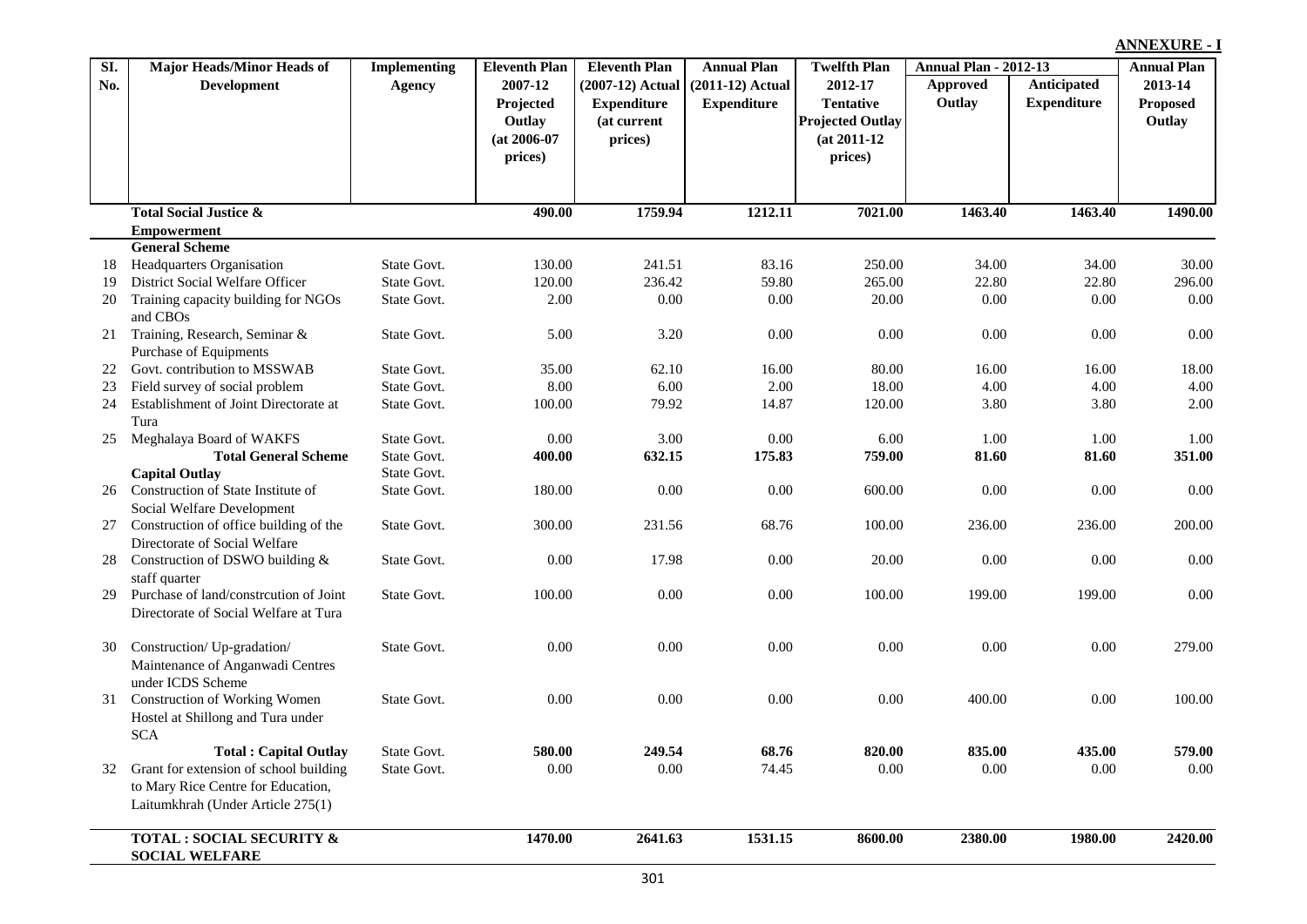**Approved Outlay Anticipated Expenditure Eleventh Plan Annual Plan Twelfth Plan Annual Plan - 2012-13 (2007-12) Actual Expenditure (at current prices) Annual Plan (2011-12) Actual Expenditure Twelfth Plan 2012-17 Tentative Projected Outlay (at 2011-12 prices) Annual Plan 2013-14 Proposed Outlay Major Heads/Minor Heads of Development Implementing Agency Eleventh Plan 2007-12 Projected Outlay (at 2006-07 prices) Total Social Justice & Empowerment 490.00 1759.94 1212.11 7021.00 1463.40 1463.40 1490.00 General Scheme** 18 Headquarters Organisation State Govt. 130.00 241.51 83.16 250.00 34.00 34.00 30.00 19 District Social Welfare Officer State Govt. 120.00 236.42 59.80 265.00 22.80 22.80 296.00 20 Training capacity building for NGOs and CBOs State Govt. 2.00 0.00 0.00 20.00 0.00 0.00 0.00 21 Training, Research, Seminar & Purchase of Equipments State Govt. 5.00 3.20 0.00 0.00 0.00 0.00 0.00 22 Govt. contribution to MSSWAB State Govt. 35.00 62.10 16.00 80.00 16.00 16.00 18.00 23 Field survey of social problem State Govt. 8.00 6.00 2.00 18.00 4.00 4.00 4.00 24 Establishment of Joint Directorate at Tura State Govt. 100.00 79.92 14.87 120.00 3.80 3.80 2.00 25 Meghalaya Board of WAKFS State Govt. 0.00 3.00 0.00 6.00 1.00 1.00 1.00 **Total General Scheme** State Govt. **400.00 632.15 175.83 759.00 81.60 81.60 351.00 Capital Outlay State Govt.** 26 Construction of State Institute of Social Welfare Development State Govt. 180.00 0.00 0.00 600.00 0.00 0.00 0.00 27 Construction of office building of the Directorate of Social Welfare State Govt. 300.00 231.56 68.76 100.00 236.00 236.00 200.00 28 Construction of DSWO building & staff quarter State Govt. 0.00 17.98 0.00 20.00 0.00 0.00 0.00 29 Purchase of land/constrcution of Joint Directorate of Social Welfare at Tura State Govt. 100.00 0.00 0.00 0.00 0.00 100.00 199.00 199.00 0.00 30 Construction/ Up-gradation/ Maintenance of Anganwadi Centres under ICDS Scheme State Govt. 0.00 0.00 0.00 0.00 0.00 0.00 279.00 31 Construction of Working Women Hostel at Shillong and Tura under SCA State Govt. 0.00 0.00 0.00 0.00 400.00 0.00 100.00 **Total : Capital Outlay** State Govt. **580.00 249.54 68.76 820.00 835.00 435.00 579.00** 32 Grant for extension of school building to Mary Rice Centre for Education, Laitumkhrah (Under Article 275(1) State Govt. 0.00 0.00 74.45 0.00 0.00 0.00 0.00 **TOTAL : SOCIAL SECURITY & 1470.00 2641.63 1531.15 8600.00 2380.00 1980.00 2420.00**

**SI. No.**

**SOCIAL WELFARE**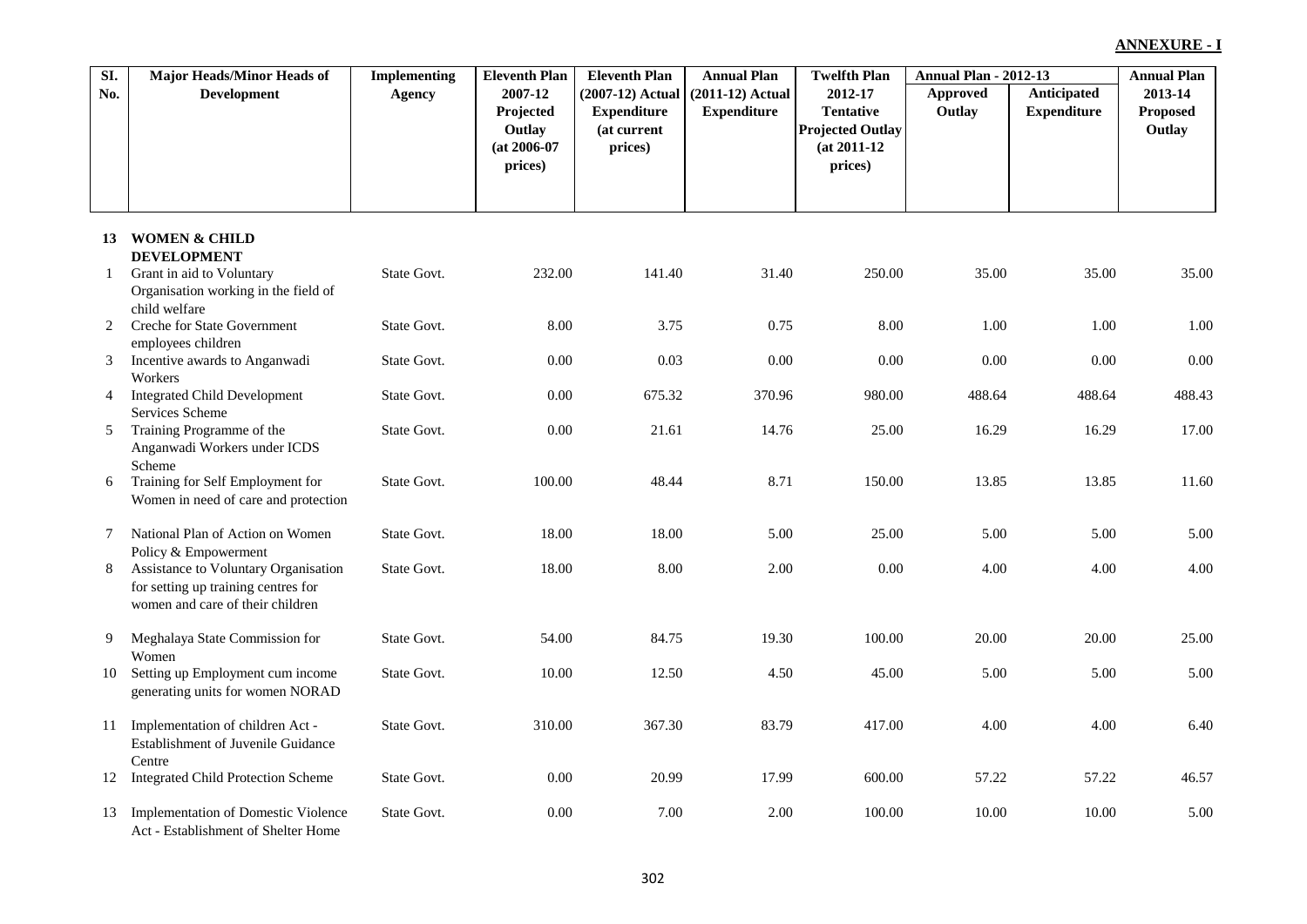| SI.            | <b>Major Heads/Minor Heads of</b>                                                                               | <b>Implementing</b> | <b>Eleventh Plan</b>                | <b>Eleventh Plan</b>                     | <b>Annual Plan</b>                       | <b>Twelfth Plan</b>                                  | <b>Annual Plan - 2012-13</b> |                                   | <b>Annual Plan</b>  |
|----------------|-----------------------------------------------------------------------------------------------------------------|---------------------|-------------------------------------|------------------------------------------|------------------------------------------|------------------------------------------------------|------------------------------|-----------------------------------|---------------------|
| No.            | <b>Development</b>                                                                                              | <b>Agency</b>       | 2007-12<br>Projected                | $(2007-12)$ Actual<br><b>Expenditure</b> | $(2011-12)$ Actual<br><b>Expenditure</b> | 2012-17<br><b>Tentative</b>                          | <b>Approved</b><br>Outlay    | Anticipated<br><b>Expenditure</b> | 2013-14<br>Proposed |
|                |                                                                                                                 |                     | Outlay<br>$(at 2006-07)$<br>prices) | (at current<br>prices)                   |                                          | <b>Projected Outlay</b><br>$(at 2011-12)$<br>prices) |                              |                                   | Outlay              |
| 13             | <b>WOMEN &amp; CHILD</b>                                                                                        |                     |                                     |                                          |                                          |                                                      |                              |                                   |                     |
| $\mathbf{1}$   | <b>DEVELOPMENT</b><br>Grant in aid to Voluntary<br>Organisation working in the field of                         | State Govt.         | 232.00                              | 141.40                                   | 31.40                                    | 250.00                                               | 35.00                        | 35.00                             | 35.00               |
| 2              | child welfare<br>Creche for State Government<br>employees children                                              | State Govt.         | 8.00                                | 3.75                                     | 0.75                                     | 8.00                                                 | 1.00                         | 1.00                              | 1.00                |
| 3              | Incentive awards to Anganwadi<br>Workers                                                                        | State Govt.         | $0.00\,$                            | 0.03                                     | 0.00                                     | 0.00                                                 | $0.00\,$                     | 0.00                              | 0.00                |
| $\overline{4}$ | <b>Integrated Child Development</b><br>Services Scheme                                                          | State Govt.         | 0.00                                | 675.32                                   | 370.96                                   | 980.00                                               | 488.64                       | 488.64                            | 488.43              |
| 5 <sup>5</sup> | Training Programme of the<br>Anganwadi Workers under ICDS<br>Scheme                                             | State Govt.         | $0.00\,$                            | 21.61                                    | 14.76                                    | 25.00                                                | 16.29                        | 16.29                             | 17.00               |
| 6              | Training for Self Employment for<br>Women in need of care and protection                                        | State Govt.         | 100.00                              | 48.44                                    | 8.71                                     | 150.00                                               | 13.85                        | 13.85                             | 11.60               |
| 7              | National Plan of Action on Women<br>Policy & Empowerment                                                        | State Govt.         | 18.00                               | 18.00                                    | 5.00                                     | 25.00                                                | 5.00                         | 5.00                              | 5.00                |
| 8              | Assistance to Voluntary Organisation<br>for setting up training centres for<br>women and care of their children | State Govt.         | 18.00                               | 8.00                                     | 2.00                                     | 0.00                                                 | 4.00                         | 4.00                              | 4.00                |
| 9              | Meghalaya State Commission for<br>Women                                                                         | State Govt.         | 54.00                               | 84.75                                    | 19.30                                    | 100.00                                               | 20.00                        | 20.00                             | 25.00               |
| 10             | Setting up Employment cum income<br>generating units for women NORAD                                            | State Govt.         | 10.00                               | 12.50                                    | 4.50                                     | 45.00                                                | 5.00                         | 5.00                              | 5.00                |
| 11             | Implementation of children Act -<br><b>Establishment of Juvenile Guidance</b>                                   | State Govt.         | 310.00                              | 367.30                                   | 83.79                                    | 417.00                                               | 4.00                         | 4.00                              | 6.40                |
|                | Centre<br>12 Integrated Child Protection Scheme                                                                 | State Govt.         | 0.00                                | 20.99                                    | 17.99                                    | 600.00                                               | 57.22                        | 57.22                             | 46.57               |
| 13             | Implementation of Domestic Violence<br>Act - Establishment of Shelter Home                                      | State Govt.         | 0.00                                | 7.00                                     | 2.00                                     | 100.00                                               | 10.00                        | 10.00                             | 5.00                |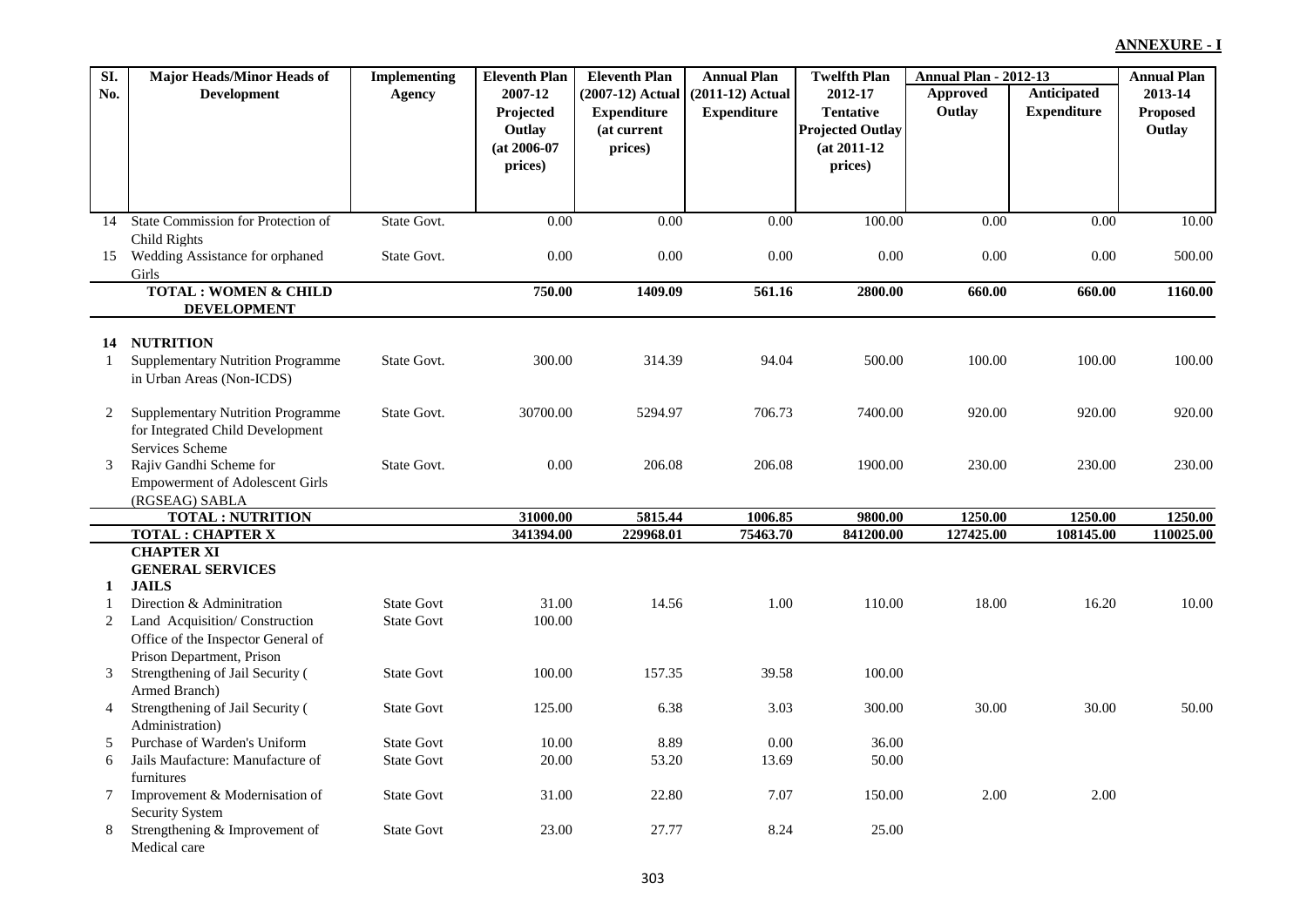| SI. | <b>Major Heads/Minor Heads of</b>            | <b>Implementing</b> | <b>Eleventh Plan</b> | <b>Eleventh Plan</b> | <b>Annual Plan</b> | <b>Twelfth Plan</b>     | <b>Annual Plan - 2012-13</b> |                    | <b>Annual Plan</b> |
|-----|----------------------------------------------|---------------------|----------------------|----------------------|--------------------|-------------------------|------------------------------|--------------------|--------------------|
| No. | <b>Development</b>                           | <b>Agency</b>       | 2007-12              | (2007-12) Actual     | (2011-12) Actual   | 2012-17                 | Approved                     | Anticipated        | 2013-14            |
|     |                                              |                     | Projected            | <b>Expenditure</b>   | <b>Expenditure</b> | <b>Tentative</b>        | Outlay                       | <b>Expenditure</b> | <b>Proposed</b>    |
|     |                                              |                     | Outlay               | (at current          |                    | <b>Projected Outlay</b> |                              |                    | Outlay             |
|     |                                              |                     | $(at 2006-07)$       | prices)              |                    | $(at 2011-12)$          |                              |                    |                    |
|     |                                              |                     | prices)              |                      |                    | prices)                 |                              |                    |                    |
|     |                                              |                     |                      |                      |                    |                         |                              |                    |                    |
|     |                                              |                     |                      |                      |                    |                         |                              |                    |                    |
| 14  | State Commission for Protection of           | State Govt.         | 0.00                 | 0.00                 | 0.00               | 100.00                  | 0.00                         | $\overline{0.00}$  | 10.00              |
|     | Child Rights                                 |                     |                      |                      |                    |                         |                              |                    |                    |
| 15  | Wedding Assistance for orphaned              | State Govt.         | 0.00                 | 0.00                 | 0.00               | 0.00                    | 0.00                         | 0.00               | 500.00             |
|     | Girls<br><b>TOTAL: WOMEN &amp; CHILD</b>     |                     | 750.00               | 1409.09              | 561.16             | 2800.00                 | 660.00                       | 660.00             | 1160.00            |
|     | <b>DEVELOPMENT</b>                           |                     |                      |                      |                    |                         |                              |                    |                    |
|     |                                              |                     |                      |                      |                    |                         |                              |                    |                    |
| 14  | <b>NUTRITION</b>                             |                     |                      |                      |                    |                         |                              |                    |                    |
| 1   | <b>Supplementary Nutrition Programme</b>     | State Govt.         | 300.00               | 314.39               | 94.04              | 500.00                  | 100.00                       | 100.00             | 100.00             |
|     | in Urban Areas (Non-ICDS)                    |                     |                      |                      |                    |                         |                              |                    |                    |
|     |                                              |                     |                      |                      |                    |                         |                              |                    |                    |
| 2   | <b>Supplementary Nutrition Programme</b>     | State Govt.         | 30700.00             | 5294.97              | 706.73             | 7400.00                 | 920.00                       | 920.00             | 920.00             |
|     | for Integrated Child Development             |                     |                      |                      |                    |                         |                              |                    |                    |
|     | Services Scheme                              |                     |                      |                      |                    |                         |                              |                    |                    |
| 3   | Rajiv Gandhi Scheme for                      | State Govt.         | 0.00                 | 206.08               | 206.08             | 1900.00                 | 230.00                       | 230.00             | 230.00             |
|     | <b>Empowerment of Adolescent Girls</b>       |                     |                      |                      |                    |                         |                              |                    |                    |
|     | (RGSEAG) SABLA<br><b>TOTAL: NUTRITION</b>    |                     | 31000.00             | 5815.44              | 1006.85            | 9800.00                 | 1250.00                      | 1250.00            | 1250.00            |
|     | <b>TOTAL: CHAPTER X</b>                      |                     | 341394.00            | 229968.01            | 75463.70           | 841200.00               | 127425.00                    | 108145.00          | 110025.00          |
|     | <b>CHAPTER XI</b>                            |                     |                      |                      |                    |                         |                              |                    |                    |
|     | <b>GENERAL SERVICES</b>                      |                     |                      |                      |                    |                         |                              |                    |                    |
| 1   | <b>JAILS</b>                                 |                     |                      |                      |                    |                         |                              |                    |                    |
|     | Direction & Adminitration                    | <b>State Govt</b>   | 31.00                | 14.56                | 1.00               | 110.00                  | 18.00                        | 16.20              | 10.00              |
| 2   | Land Acquisition/Construction                | <b>State Govt</b>   | 100.00               |                      |                    |                         |                              |                    |                    |
|     | Office of the Inspector General of           |                     |                      |                      |                    |                         |                              |                    |                    |
|     | Prison Department, Prison                    |                     |                      |                      |                    |                         |                              |                    |                    |
| 3   | Strengthening of Jail Security (             | <b>State Govt</b>   | 100.00               | 157.35               | 39.58              | 100.00                  |                              |                    |                    |
|     | Armed Branch)                                |                     |                      |                      |                    |                         |                              |                    |                    |
| 4   | Strengthening of Jail Security (             | <b>State Govt</b>   | 125.00               | 6.38                 | 3.03               | 300.00                  | 30.00                        | 30.00              | 50.00              |
|     | Administration)                              |                     |                      |                      |                    |                         |                              |                    |                    |
| 5   | Purchase of Warden's Uniform                 | <b>State Govt</b>   | 10.00                | 8.89                 | 0.00               | 36.00                   |                              |                    |                    |
| 6   | Jails Maufacture: Manufacture of             | <b>State Govt</b>   | 20.00                | 53.20                | 13.69              | 50.00                   |                              |                    |                    |
| 7   | furnitures<br>Improvement & Modernisation of | <b>State Govt</b>   | 31.00                | 22.80                | 7.07               | 150.00                  | 2.00                         | 2.00               |                    |
|     | <b>Security System</b>                       |                     |                      |                      |                    |                         |                              |                    |                    |
| 8   | Strengthening & Improvement of               | <b>State Govt</b>   | 23.00                | 27.77                | 8.24               | 25.00                   |                              |                    |                    |
|     | Medical care                                 |                     |                      |                      |                    |                         |                              |                    |                    |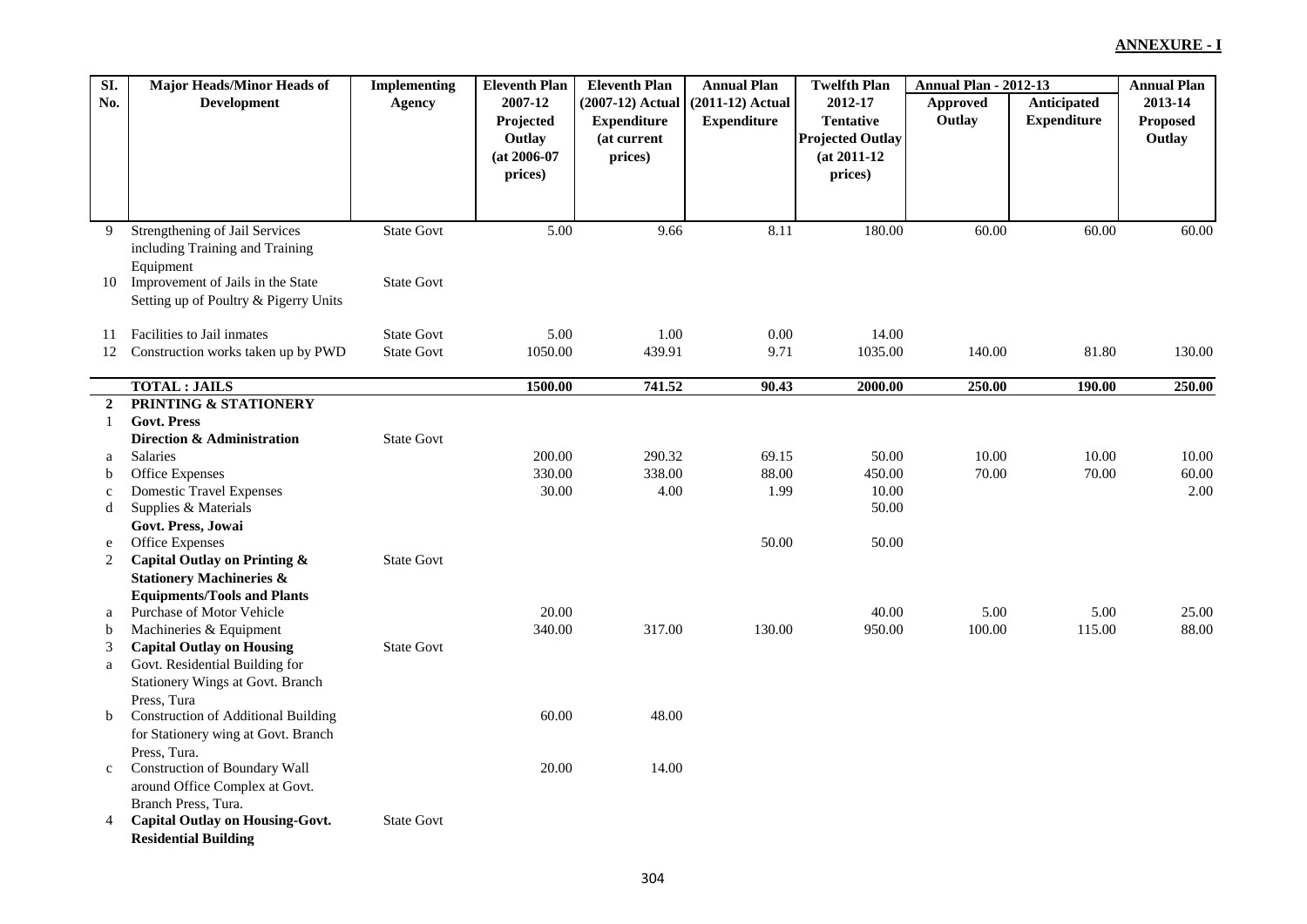| SI.            | <b>Major Heads/Minor Heads of</b>          | <b>Implementing</b> | <b>Eleventh Plan</b> | <b>Eleventh Plan</b> | <b>Annual Plan</b> | <b>Twelfth Plan</b>     | <b>Annual Plan - 2012-13</b> |                    | <b>Annual Plan</b> |
|----------------|--------------------------------------------|---------------------|----------------------|----------------------|--------------------|-------------------------|------------------------------|--------------------|--------------------|
| No.            | <b>Development</b>                         | Agency              | 2007-12              | (2007-12) Actual     | $(2011-12)$ Actual | 2012-17                 | Approved                     | Anticipated        | 2013-14            |
|                |                                            |                     | Projected            | <b>Expenditure</b>   | <b>Expenditure</b> | <b>Tentative</b>        | Outlay                       | <b>Expenditure</b> | Proposed           |
|                |                                            |                     | Outlay               | (at current          |                    | <b>Projected Outlay</b> |                              |                    | Outlay             |
|                |                                            |                     | $(at 2006-07)$       | prices)              |                    | $(at 2011-12)$          |                              |                    |                    |
|                |                                            |                     | prices)              |                      |                    | prices)                 |                              |                    |                    |
|                |                                            |                     |                      |                      |                    |                         |                              |                    |                    |
|                |                                            |                     |                      |                      |                    |                         |                              |                    |                    |
| 9              | <b>Strengthening of Jail Services</b>      | <b>State Govt</b>   | $\overline{5.00}$    | 9.66                 | 8.11               | 180.00                  | 60.00                        | 60.00              | 60.00              |
|                | including Training and Training            |                     |                      |                      |                    |                         |                              |                    |                    |
|                | Equipment                                  |                     |                      |                      |                    |                         |                              |                    |                    |
| 10             | Improvement of Jails in the State          | <b>State Govt</b>   |                      |                      |                    |                         |                              |                    |                    |
|                | Setting up of Poultry & Pigerry Units      |                     |                      |                      |                    |                         |                              |                    |                    |
|                |                                            |                     |                      |                      |                    |                         |                              |                    |                    |
| 11             | Facilities to Jail inmates                 | <b>State Govt</b>   | 5.00                 | 1.00                 | 0.00               | 14.00                   |                              |                    |                    |
| 12             | Construction works taken up by PWD         | <b>State Govt</b>   | 1050.00              | 439.91               | 9.71               | 1035.00                 | 140.00                       | 81.80              | 130.00             |
|                |                                            |                     |                      |                      |                    |                         |                              |                    |                    |
|                | <b>TOTAL: JAILS</b>                        |                     | 1500.00              | 741.52               | 90.43              | 2000.00                 | 250.00                       | 190.00             | 250.00             |
| $\overline{2}$ | PRINTING & STATIONERY                      |                     |                      |                      |                    |                         |                              |                    |                    |
| 1              | <b>Govt. Press</b>                         |                     |                      |                      |                    |                         |                              |                    |                    |
|                | Direction & Administration                 | <b>State Govt</b>   |                      |                      |                    |                         |                              |                    |                    |
| a              | Salaries                                   |                     | 200.00               | 290.32               | 69.15              | 50.00                   | 10.00                        | 10.00              | 10.00              |
| b              | Office Expenses                            |                     | 330.00               | 338.00               | 88.00              | 450.00                  | 70.00                        | 70.00              | 60.00              |
| $\mathbf c$    | <b>Domestic Travel Expenses</b>            |                     | 30.00                | 4.00                 | 1.99               | 10.00                   |                              |                    | 2.00               |
| d              | Supplies & Materials                       |                     |                      |                      |                    | 50.00                   |                              |                    |                    |
|                | Govt. Press, Jowai                         |                     |                      |                      |                    |                         |                              |                    |                    |
| e              | Office Expenses                            |                     |                      |                      | 50.00              | 50.00                   |                              |                    |                    |
| 2              | Capital Outlay on Printing &               | <b>State Govt</b>   |                      |                      |                    |                         |                              |                    |                    |
|                | <b>Stationery Machineries &amp;</b>        |                     |                      |                      |                    |                         |                              |                    |                    |
|                | <b>Equipments/Tools and Plants</b>         |                     |                      |                      |                    |                         |                              |                    |                    |
| a              | Purchase of Motor Vehicle                  |                     | 20.00                |                      |                    | 40.00                   | 5.00                         | 5.00               | 25.00              |
| b              | Machineries & Equipment                    |                     | 340.00               | 317.00               | 130.00             | 950.00                  | 100.00                       | 115.00             | 88.00              |
| 3              | <b>Capital Outlay on Housing</b>           | <b>State Govt</b>   |                      |                      |                    |                         |                              |                    |                    |
| a              | Govt. Residential Building for             |                     |                      |                      |                    |                         |                              |                    |                    |
|                | Stationery Wings at Govt. Branch           |                     |                      |                      |                    |                         |                              |                    |                    |
|                | Press, Tura                                |                     |                      |                      |                    |                         |                              |                    |                    |
| $\mathbf b$    | <b>Construction of Additional Building</b> |                     | 60.00                | 48.00                |                    |                         |                              |                    |                    |
|                | for Stationery wing at Govt. Branch        |                     |                      |                      |                    |                         |                              |                    |                    |
|                | Press, Tura.                               |                     |                      |                      |                    |                         |                              |                    |                    |
| $\mathbf{C}$   | <b>Construction of Boundary Wall</b>       |                     | 20.00                | 14.00                |                    |                         |                              |                    |                    |
|                | around Office Complex at Govt.             |                     |                      |                      |                    |                         |                              |                    |                    |
|                | Branch Press, Tura.                        |                     |                      |                      |                    |                         |                              |                    |                    |
| 4              | <b>Capital Outlay on Housing-Govt.</b>     | <b>State Govt</b>   |                      |                      |                    |                         |                              |                    |                    |
|                | <b>Residential Building</b>                |                     |                      |                      |                    |                         |                              |                    |                    |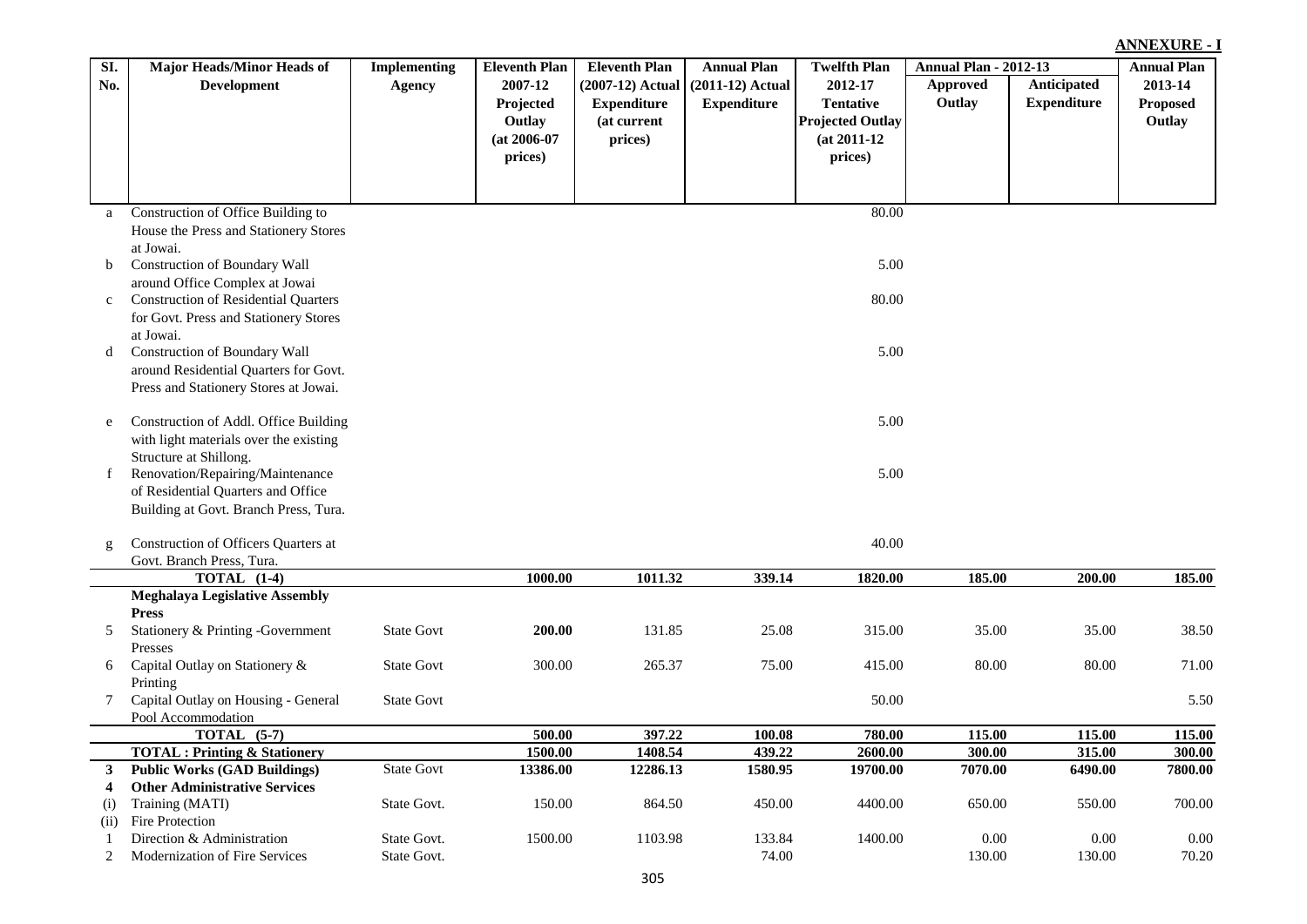| Anticipated<br>2007-12<br>(2007-12) Actual<br>$(2011-12)$ Actual<br>2012-17<br>2013-14<br>No.<br><b>Development</b><br><b>Agency</b><br><b>Approved</b><br>Outlay<br><b>Expenditure</b><br>Projected<br><b>Tentative</b><br><b>Proposed</b><br><b>Expenditure</b><br><b>Expenditure</b><br>Outlay<br>Outlay<br>(at current<br><b>Projected Outlay</b><br>$(at 2006-07)$<br>prices)<br>$(at 2011-12)$<br>prices)<br>prices)<br>Construction of Office Building to<br>80.00<br>a<br>House the Press and Stationery Stores<br>at Jowai.<br>5.00<br>Construction of Boundary Wall<br>b<br>around Office Complex at Jowai<br><b>Construction of Residential Quarters</b><br>80.00<br>$\mathbf{c}$<br>for Govt. Press and Stationery Stores<br>at Jowai.<br>5.00<br>Construction of Boundary Wall<br>d<br>around Residential Quarters for Govt.<br>Press and Stationery Stores at Jowai.<br>5.00<br>Construction of Addl. Office Building<br>e<br>with light materials over the existing<br>Structure at Shillong.<br>Renovation/Repairing/Maintenance<br>5.00<br>$\mathbf{f}$<br>of Residential Quarters and Office<br>Building at Govt. Branch Press, Tura.<br>40.00<br>Construction of Officers Quarters at<br>$\mathbf{g}$<br>Govt. Branch Press, Tura.<br><b>TOTAL</b> (1-4)<br>1000.00<br>1011.32<br>339.14<br>1820.00<br>185.00<br>200.00<br>185.00<br><b>Meghalaya Legislative Assembly</b><br><b>Press</b><br>Stationery & Printing -Government<br>200.00<br>25.08<br>35.00<br>35.00<br>5<br><b>State Govt</b><br>131.85<br>315.00<br>38.50<br>Presses<br>Capital Outlay on Stationery &<br><b>State Govt</b><br>300.00<br>265.37<br>75.00<br>415.00<br>80.00<br>80.00<br>6 | SI. | <b>Major Heads/Minor Heads of</b> | <b>Implementing</b> | <b>Eleventh Plan</b> | <b>Eleventh Plan</b> | <b>Annual Plan</b> | <b>Twelfth Plan</b> | <b>Annual Plan - 2012-13</b> | <b>Annual Plan</b> |
|--------------------------------------------------------------------------------------------------------------------------------------------------------------------------------------------------------------------------------------------------------------------------------------------------------------------------------------------------------------------------------------------------------------------------------------------------------------------------------------------------------------------------------------------------------------------------------------------------------------------------------------------------------------------------------------------------------------------------------------------------------------------------------------------------------------------------------------------------------------------------------------------------------------------------------------------------------------------------------------------------------------------------------------------------------------------------------------------------------------------------------------------------------------------------------------------------------------------------------------------------------------------------------------------------------------------------------------------------------------------------------------------------------------------------------------------------------------------------------------------------------------------------------------------------------------------------------------------------------------------------------------------------------------------------------|-----|-----------------------------------|---------------------|----------------------|----------------------|--------------------|---------------------|------------------------------|--------------------|
|                                                                                                                                                                                                                                                                                                                                                                                                                                                                                                                                                                                                                                                                                                                                                                                                                                                                                                                                                                                                                                                                                                                                                                                                                                                                                                                                                                                                                                                                                                                                                                                                                                                                                |     |                                   |                     |                      |                      |                    |                     |                              |                    |
|                                                                                                                                                                                                                                                                                                                                                                                                                                                                                                                                                                                                                                                                                                                                                                                                                                                                                                                                                                                                                                                                                                                                                                                                                                                                                                                                                                                                                                                                                                                                                                                                                                                                                |     |                                   |                     |                      |                      |                    |                     |                              |                    |
|                                                                                                                                                                                                                                                                                                                                                                                                                                                                                                                                                                                                                                                                                                                                                                                                                                                                                                                                                                                                                                                                                                                                                                                                                                                                                                                                                                                                                                                                                                                                                                                                                                                                                |     |                                   |                     |                      |                      |                    |                     |                              |                    |
|                                                                                                                                                                                                                                                                                                                                                                                                                                                                                                                                                                                                                                                                                                                                                                                                                                                                                                                                                                                                                                                                                                                                                                                                                                                                                                                                                                                                                                                                                                                                                                                                                                                                                |     |                                   |                     |                      |                      |                    |                     |                              |                    |
|                                                                                                                                                                                                                                                                                                                                                                                                                                                                                                                                                                                                                                                                                                                                                                                                                                                                                                                                                                                                                                                                                                                                                                                                                                                                                                                                                                                                                                                                                                                                                                                                                                                                                |     |                                   |                     |                      |                      |                    |                     |                              |                    |
|                                                                                                                                                                                                                                                                                                                                                                                                                                                                                                                                                                                                                                                                                                                                                                                                                                                                                                                                                                                                                                                                                                                                                                                                                                                                                                                                                                                                                                                                                                                                                                                                                                                                                |     |                                   |                     |                      |                      |                    |                     |                              |                    |
|                                                                                                                                                                                                                                                                                                                                                                                                                                                                                                                                                                                                                                                                                                                                                                                                                                                                                                                                                                                                                                                                                                                                                                                                                                                                                                                                                                                                                                                                                                                                                                                                                                                                                |     |                                   |                     |                      |                      |                    |                     |                              |                    |
|                                                                                                                                                                                                                                                                                                                                                                                                                                                                                                                                                                                                                                                                                                                                                                                                                                                                                                                                                                                                                                                                                                                                                                                                                                                                                                                                                                                                                                                                                                                                                                                                                                                                                |     |                                   |                     |                      |                      |                    |                     |                              |                    |
|                                                                                                                                                                                                                                                                                                                                                                                                                                                                                                                                                                                                                                                                                                                                                                                                                                                                                                                                                                                                                                                                                                                                                                                                                                                                                                                                                                                                                                                                                                                                                                                                                                                                                |     |                                   |                     |                      |                      |                    |                     |                              |                    |
|                                                                                                                                                                                                                                                                                                                                                                                                                                                                                                                                                                                                                                                                                                                                                                                                                                                                                                                                                                                                                                                                                                                                                                                                                                                                                                                                                                                                                                                                                                                                                                                                                                                                                |     |                                   |                     |                      |                      |                    |                     |                              |                    |
|                                                                                                                                                                                                                                                                                                                                                                                                                                                                                                                                                                                                                                                                                                                                                                                                                                                                                                                                                                                                                                                                                                                                                                                                                                                                                                                                                                                                                                                                                                                                                                                                                                                                                |     |                                   |                     |                      |                      |                    |                     |                              |                    |
|                                                                                                                                                                                                                                                                                                                                                                                                                                                                                                                                                                                                                                                                                                                                                                                                                                                                                                                                                                                                                                                                                                                                                                                                                                                                                                                                                                                                                                                                                                                                                                                                                                                                                |     |                                   |                     |                      |                      |                    |                     |                              |                    |
|                                                                                                                                                                                                                                                                                                                                                                                                                                                                                                                                                                                                                                                                                                                                                                                                                                                                                                                                                                                                                                                                                                                                                                                                                                                                                                                                                                                                                                                                                                                                                                                                                                                                                |     |                                   |                     |                      |                      |                    |                     |                              |                    |
|                                                                                                                                                                                                                                                                                                                                                                                                                                                                                                                                                                                                                                                                                                                                                                                                                                                                                                                                                                                                                                                                                                                                                                                                                                                                                                                                                                                                                                                                                                                                                                                                                                                                                |     |                                   |                     |                      |                      |                    |                     |                              |                    |
|                                                                                                                                                                                                                                                                                                                                                                                                                                                                                                                                                                                                                                                                                                                                                                                                                                                                                                                                                                                                                                                                                                                                                                                                                                                                                                                                                                                                                                                                                                                                                                                                                                                                                |     |                                   |                     |                      |                      |                    |                     |                              |                    |
|                                                                                                                                                                                                                                                                                                                                                                                                                                                                                                                                                                                                                                                                                                                                                                                                                                                                                                                                                                                                                                                                                                                                                                                                                                                                                                                                                                                                                                                                                                                                                                                                                                                                                |     |                                   |                     |                      |                      |                    |                     |                              |                    |
|                                                                                                                                                                                                                                                                                                                                                                                                                                                                                                                                                                                                                                                                                                                                                                                                                                                                                                                                                                                                                                                                                                                                                                                                                                                                                                                                                                                                                                                                                                                                                                                                                                                                                |     |                                   |                     |                      |                      |                    |                     |                              |                    |
|                                                                                                                                                                                                                                                                                                                                                                                                                                                                                                                                                                                                                                                                                                                                                                                                                                                                                                                                                                                                                                                                                                                                                                                                                                                                                                                                                                                                                                                                                                                                                                                                                                                                                |     |                                   |                     |                      |                      |                    |                     |                              |                    |
|                                                                                                                                                                                                                                                                                                                                                                                                                                                                                                                                                                                                                                                                                                                                                                                                                                                                                                                                                                                                                                                                                                                                                                                                                                                                                                                                                                                                                                                                                                                                                                                                                                                                                |     |                                   |                     |                      |                      |                    |                     |                              |                    |
|                                                                                                                                                                                                                                                                                                                                                                                                                                                                                                                                                                                                                                                                                                                                                                                                                                                                                                                                                                                                                                                                                                                                                                                                                                                                                                                                                                                                                                                                                                                                                                                                                                                                                |     |                                   |                     |                      |                      |                    |                     |                              |                    |
|                                                                                                                                                                                                                                                                                                                                                                                                                                                                                                                                                                                                                                                                                                                                                                                                                                                                                                                                                                                                                                                                                                                                                                                                                                                                                                                                                                                                                                                                                                                                                                                                                                                                                |     |                                   |                     |                      |                      |                    |                     |                              |                    |
|                                                                                                                                                                                                                                                                                                                                                                                                                                                                                                                                                                                                                                                                                                                                                                                                                                                                                                                                                                                                                                                                                                                                                                                                                                                                                                                                                                                                                                                                                                                                                                                                                                                                                |     |                                   |                     |                      |                      |                    |                     |                              |                    |
|                                                                                                                                                                                                                                                                                                                                                                                                                                                                                                                                                                                                                                                                                                                                                                                                                                                                                                                                                                                                                                                                                                                                                                                                                                                                                                                                                                                                                                                                                                                                                                                                                                                                                |     |                                   |                     |                      |                      |                    |                     |                              |                    |
|                                                                                                                                                                                                                                                                                                                                                                                                                                                                                                                                                                                                                                                                                                                                                                                                                                                                                                                                                                                                                                                                                                                                                                                                                                                                                                                                                                                                                                                                                                                                                                                                                                                                                |     |                                   |                     |                      |                      |                    |                     |                              |                    |
|                                                                                                                                                                                                                                                                                                                                                                                                                                                                                                                                                                                                                                                                                                                                                                                                                                                                                                                                                                                                                                                                                                                                                                                                                                                                                                                                                                                                                                                                                                                                                                                                                                                                                |     |                                   |                     |                      |                      |                    |                     |                              |                    |
|                                                                                                                                                                                                                                                                                                                                                                                                                                                                                                                                                                                                                                                                                                                                                                                                                                                                                                                                                                                                                                                                                                                                                                                                                                                                                                                                                                                                                                                                                                                                                                                                                                                                                |     |                                   |                     |                      |                      |                    |                     |                              |                    |
|                                                                                                                                                                                                                                                                                                                                                                                                                                                                                                                                                                                                                                                                                                                                                                                                                                                                                                                                                                                                                                                                                                                                                                                                                                                                                                                                                                                                                                                                                                                                                                                                                                                                                |     |                                   |                     |                      |                      |                    |                     |                              |                    |
|                                                                                                                                                                                                                                                                                                                                                                                                                                                                                                                                                                                                                                                                                                                                                                                                                                                                                                                                                                                                                                                                                                                                                                                                                                                                                                                                                                                                                                                                                                                                                                                                                                                                                |     |                                   |                     |                      |                      |                    |                     |                              |                    |
|                                                                                                                                                                                                                                                                                                                                                                                                                                                                                                                                                                                                                                                                                                                                                                                                                                                                                                                                                                                                                                                                                                                                                                                                                                                                                                                                                                                                                                                                                                                                                                                                                                                                                |     |                                   |                     |                      |                      |                    |                     |                              |                    |
|                                                                                                                                                                                                                                                                                                                                                                                                                                                                                                                                                                                                                                                                                                                                                                                                                                                                                                                                                                                                                                                                                                                                                                                                                                                                                                                                                                                                                                                                                                                                                                                                                                                                                |     |                                   |                     |                      |                      |                    |                     |                              |                    |
|                                                                                                                                                                                                                                                                                                                                                                                                                                                                                                                                                                                                                                                                                                                                                                                                                                                                                                                                                                                                                                                                                                                                                                                                                                                                                                                                                                                                                                                                                                                                                                                                                                                                                |     |                                   |                     |                      |                      |                    |                     |                              | 71.00              |
|                                                                                                                                                                                                                                                                                                                                                                                                                                                                                                                                                                                                                                                                                                                                                                                                                                                                                                                                                                                                                                                                                                                                                                                                                                                                                                                                                                                                                                                                                                                                                                                                                                                                                |     | Printing                          |                     |                      |                      |                    |                     |                              |                    |
| Capital Outlay on Housing - General<br><b>State Govt</b><br>50.00<br>7                                                                                                                                                                                                                                                                                                                                                                                                                                                                                                                                                                                                                                                                                                                                                                                                                                                                                                                                                                                                                                                                                                                                                                                                                                                                                                                                                                                                                                                                                                                                                                                                         |     |                                   |                     |                      |                      |                    |                     |                              | 5.50               |
| Pool Accommodation                                                                                                                                                                                                                                                                                                                                                                                                                                                                                                                                                                                                                                                                                                                                                                                                                                                                                                                                                                                                                                                                                                                                                                                                                                                                                                                                                                                                                                                                                                                                                                                                                                                             |     |                                   |                     |                      |                      |                    |                     |                              |                    |
| TOTAL $(5-7)$<br>397.22<br>115.00<br>500.00<br>100.08<br>780.00<br>115.00                                                                                                                                                                                                                                                                                                                                                                                                                                                                                                                                                                                                                                                                                                                                                                                                                                                                                                                                                                                                                                                                                                                                                                                                                                                                                                                                                                                                                                                                                                                                                                                                      |     |                                   |                     |                      |                      |                    |                     |                              | 115.00             |
| 1500.00<br>439.22<br>300.00<br>1408.54<br>2600.00<br>315.00<br><b>TOTAL: Printing &amp; Stationery</b>                                                                                                                                                                                                                                                                                                                                                                                                                                                                                                                                                                                                                                                                                                                                                                                                                                                                                                                                                                                                                                                                                                                                                                                                                                                                                                                                                                                                                                                                                                                                                                         |     |                                   |                     |                      |                      |                    |                     |                              | 300.00             |
| <b>Public Works (GAD Buildings)</b><br><b>State Govt</b><br>13386.00<br>12286.13<br>1580.95<br>19700.00<br>7070.00<br>6490.00<br>3                                                                                                                                                                                                                                                                                                                                                                                                                                                                                                                                                                                                                                                                                                                                                                                                                                                                                                                                                                                                                                                                                                                                                                                                                                                                                                                                                                                                                                                                                                                                             |     |                                   |                     |                      |                      |                    |                     |                              | 7800.00            |
| <b>Other Administrative Services</b><br>4                                                                                                                                                                                                                                                                                                                                                                                                                                                                                                                                                                                                                                                                                                                                                                                                                                                                                                                                                                                                                                                                                                                                                                                                                                                                                                                                                                                                                                                                                                                                                                                                                                      |     |                                   |                     |                      |                      |                    |                     |                              |                    |
| State Govt.<br>150.00<br>864.50<br>450.00<br>4400.00<br>Training (MATI)<br>650.00<br>550.00<br>(i)<br>Fire Protection                                                                                                                                                                                                                                                                                                                                                                                                                                                                                                                                                                                                                                                                                                                                                                                                                                                                                                                                                                                                                                                                                                                                                                                                                                                                                                                                                                                                                                                                                                                                                          |     |                                   |                     |                      |                      |                    |                     |                              | 700.00             |
| (ii)<br>Direction & Administration<br>1500.00<br>133.84<br>1400.00<br>0.00<br>0.00<br>State Govt.<br>1103.98<br>$\mathbf{1}$                                                                                                                                                                                                                                                                                                                                                                                                                                                                                                                                                                                                                                                                                                                                                                                                                                                                                                                                                                                                                                                                                                                                                                                                                                                                                                                                                                                                                                                                                                                                                   |     |                                   |                     |                      |                      |                    |                     |                              | 0.00               |
| 130.00<br>2<br>State Govt.<br>74.00<br>130.00<br>Modernization of Fire Services                                                                                                                                                                                                                                                                                                                                                                                                                                                                                                                                                                                                                                                                                                                                                                                                                                                                                                                                                                                                                                                                                                                                                                                                                                                                                                                                                                                                                                                                                                                                                                                                |     |                                   |                     |                      |                      |                    |                     |                              | 70.20              |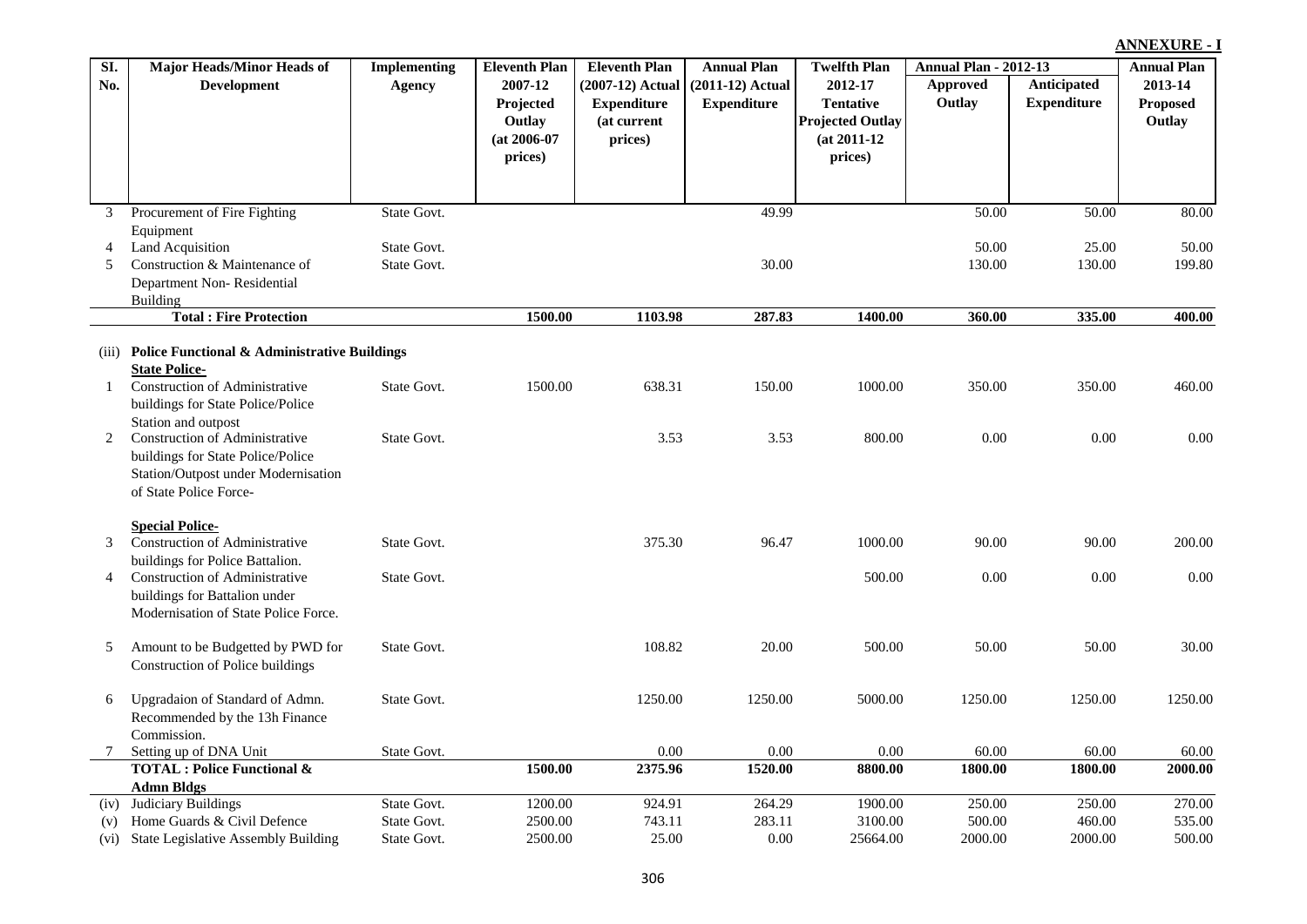| SI.          | <b>Major Heads/Minor Heads of</b>                            | <b>Implementing</b> | <b>Eleventh Plan</b>                                        | <b>Eleventh Plan</b>                                               | <b>Annual Plan</b>                       | <b>Twelfth Plan</b>                                                                 | <b>Annual Plan - 2012-13</b> |                                   | <b>Annual Plan</b>                   |
|--------------|--------------------------------------------------------------|---------------------|-------------------------------------------------------------|--------------------------------------------------------------------|------------------------------------------|-------------------------------------------------------------------------------------|------------------------------|-----------------------------------|--------------------------------------|
| No.          | <b>Development</b>                                           | <b>Agency</b>       | 2007-12<br>Projected<br>Outlay<br>$(at 2006-07)$<br>prices) | $(2007-12)$ Actual<br><b>Expenditure</b><br>(at current<br>prices) | $(2011-12)$ Actual<br><b>Expenditure</b> | 2012-17<br><b>Tentative</b><br><b>Projected Outlay</b><br>$(at 2011-12)$<br>prices) | <b>Approved</b><br>Outlay    | Anticipated<br><b>Expenditure</b> | 2013-14<br><b>Proposed</b><br>Outlay |
|              | Procurement of Fire Fighting                                 | State Govt.         |                                                             |                                                                    | 49.99                                    |                                                                                     | 50.00                        | 50.00                             | 80.00                                |
|              | Equipment                                                    |                     |                                                             |                                                                    |                                          |                                                                                     |                              |                                   |                                      |
| 4            | Land Acquisition                                             | State Govt.         |                                                             |                                                                    |                                          |                                                                                     | 50.00                        | 25.00                             | 50.00                                |
| 5            | Construction & Maintenance of                                | State Govt.         |                                                             |                                                                    | 30.00                                    |                                                                                     | 130.00                       | 130.00                            | 199.80                               |
|              | Department Non-Residential                                   |                     |                                                             |                                                                    |                                          |                                                                                     |                              |                                   |                                      |
|              | <b>Building</b>                                              |                     |                                                             |                                                                    |                                          |                                                                                     |                              |                                   |                                      |
|              | <b>Total: Fire Protection</b>                                |                     | 1500.00                                                     | 1103.98                                                            | 287.83                                   | 1400.00                                                                             | 360.00                       | 335.00                            | 400.00                               |
| 'iii)        | <b>Police Functional &amp; Administrative Buildings</b>      |                     |                                                             |                                                                    |                                          |                                                                                     |                              |                                   |                                      |
|              | <b>State Police-</b>                                         |                     |                                                             |                                                                    |                                          |                                                                                     |                              |                                   |                                      |
| $\mathbf{1}$ | Construction of Administrative                               | State Govt.         | 1500.00                                                     | 638.31                                                             | 150.00                                   | 1000.00                                                                             | 350.00                       | 350.00                            | 460.00                               |
|              | buildings for State Police/Police                            |                     |                                                             |                                                                    |                                          |                                                                                     |                              |                                   |                                      |
| 2            | Station and outpost<br><b>Construction of Administrative</b> | State Govt.         |                                                             | 3.53                                                               | 3.53                                     | 800.00                                                                              | 0.00                         | 0.00                              | 0.00                                 |
|              | buildings for State Police/Police                            |                     |                                                             |                                                                    |                                          |                                                                                     |                              |                                   |                                      |
|              | Station/Outpost under Modernisation                          |                     |                                                             |                                                                    |                                          |                                                                                     |                              |                                   |                                      |
|              | of State Police Force-                                       |                     |                                                             |                                                                    |                                          |                                                                                     |                              |                                   |                                      |
|              |                                                              |                     |                                                             |                                                                    |                                          |                                                                                     |                              |                                   |                                      |
|              | <b>Special Police-</b>                                       |                     |                                                             |                                                                    |                                          |                                                                                     |                              |                                   |                                      |
| 3            | <b>Construction of Administrative</b>                        | State Govt.         |                                                             | 375.30                                                             | 96.47                                    | 1000.00                                                                             | 90.00                        | 90.00                             | 200.00                               |
|              | buildings for Police Battalion.                              |                     |                                                             |                                                                    |                                          |                                                                                     |                              |                                   |                                      |
| 4            | <b>Construction of Administrative</b>                        | State Govt.         |                                                             |                                                                    |                                          | 500.00                                                                              | 0.00                         | 0.00                              | 0.00                                 |
|              | buildings for Battalion under                                |                     |                                                             |                                                                    |                                          |                                                                                     |                              |                                   |                                      |
|              | Modemisetion of State Delice Force                           |                     |                                                             |                                                                    |                                          |                                                                                     |                              |                                   |                                      |

| 5     | Construction & Maintenance of<br>Department Non-Residential<br>Building | State Govt. |         |         | 30.00   |          | 130.00  | 130.00  | 199.80  |
|-------|-------------------------------------------------------------------------|-------------|---------|---------|---------|----------|---------|---------|---------|
|       | <b>Total: Fire Protection</b>                                           |             | 1500.00 | 1103.98 | 287.83  | 1400.00  | 360.00  | 335.00  | 400.00  |
| (iii) | <b>Police Functional &amp; Administrative Buildings</b>                 |             |         |         |         |          |         |         |         |
|       | <b>State Police-</b>                                                    |             |         |         |         |          |         |         |         |
|       | Construction of Administrative                                          | State Govt. | 1500.00 | 638.31  | 150.00  | 1000.00  | 350.00  | 350.00  | 460.00  |
|       | buildings for State Police/Police                                       |             |         |         |         |          |         |         |         |
|       | Station and outpost                                                     |             |         |         |         |          |         |         |         |
| 2     | <b>Construction of Administrative</b>                                   | State Govt. |         | 3.53    | 3.53    | 800.00   | 0.00    | 0.00    | 0.00    |
|       | buildings for State Police/Police                                       |             |         |         |         |          |         |         |         |
|       | Station/Outpost under Modernisation                                     |             |         |         |         |          |         |         |         |
|       | of State Police Force-                                                  |             |         |         |         |          |         |         |         |
|       | <b>Special Police-</b>                                                  |             |         |         |         |          |         |         |         |
| 3     | Construction of Administrative                                          | State Govt. |         | 375.30  | 96.47   | 1000.00  | 90.00   | 90.00   | 200.00  |
|       | buildings for Police Battalion.                                         |             |         |         |         |          |         |         |         |
| 4     | Construction of Administrative                                          | State Govt. |         |         |         | 500.00   | 0.00    | 0.00    | 0.00    |
|       | buildings for Battalion under                                           |             |         |         |         |          |         |         |         |
|       | Modernisation of State Police Force.                                    |             |         |         |         |          |         |         |         |
| 5     | Amount to be Budgetted by PWD for                                       | State Govt. |         | 108.82  | 20.00   | 500.00   | 50.00   | 50.00   | 30.00   |
|       | Construction of Police buildings                                        |             |         |         |         |          |         |         |         |
| 6     | Upgradaion of Standard of Admn.                                         | State Govt. |         | 1250.00 | 1250.00 | 5000.00  | 1250.00 | 1250.00 | 1250.00 |
|       | Recommended by the 13h Finance                                          |             |         |         |         |          |         |         |         |
|       | Commission.                                                             |             |         |         |         |          |         |         |         |
|       | Setting up of DNA Unit                                                  | State Govt. |         | 0.00    | 0.00    | 0.00     | 60.00   | 60.00   | 60.00   |
|       | <b>TOTAL: Police Functional &amp;</b>                                   |             | 1500.00 | 2375.96 | 1520.00 | 8800.00  | 1800.00 | 1800.00 | 2000.00 |
|       | <b>Admn Bldgs</b>                                                       |             |         |         |         |          |         |         |         |
| (iv)  | Judiciary Buildings                                                     | State Govt. | 1200.00 | 924.91  | 264.29  | 1900.00  | 250.00  | 250.00  | 270.00  |
| (v)   | Home Guards & Civil Defence                                             | State Govt. | 2500.00 | 743.11  | 283.11  | 3100.00  | 500.00  | 460.00  | 535.00  |
| (vi)  | State Legislative Assembly Building                                     | State Govt. | 2500.00 | 25.00   | 0.00    | 25664.00 | 2000.00 | 2000.00 | 500.00  |
|       |                                                                         |             |         |         |         |          |         |         |         |

**SI. No.**